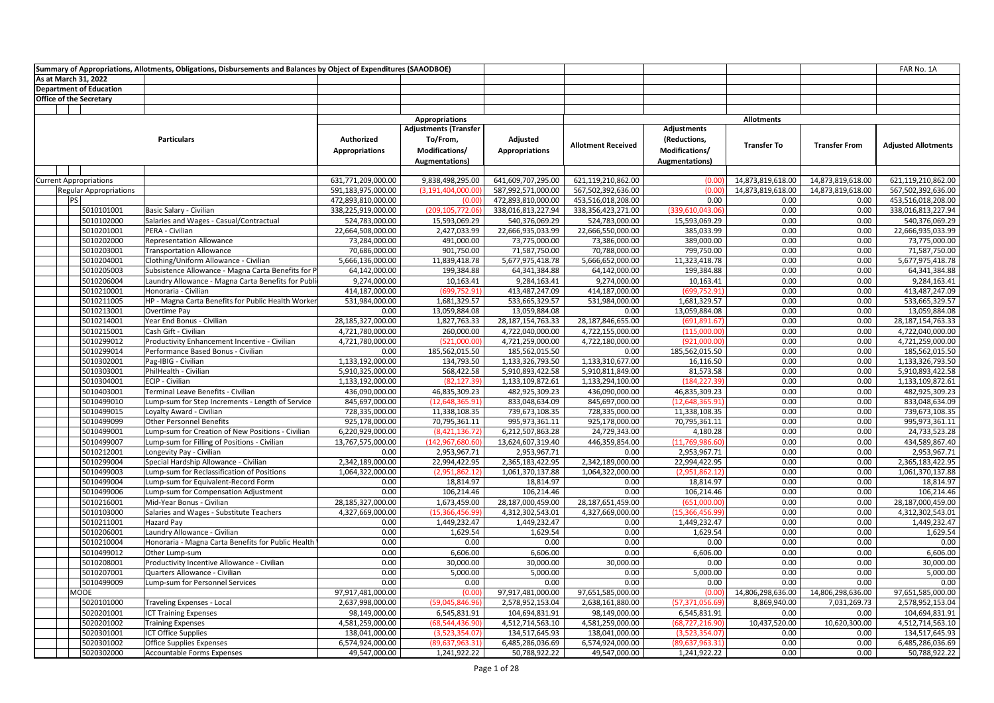| Summary of Appropriations, Allotments, Obligations, Disbursements and Balances by Object of Expenditures (SAAODBOE) |                          |                                                                    |                                      |                                                                                     |                                      |                                      |                                                                        |                    |                      | FAR No. 1A                           |
|---------------------------------------------------------------------------------------------------------------------|--------------------------|--------------------------------------------------------------------|--------------------------------------|-------------------------------------------------------------------------------------|--------------------------------------|--------------------------------------|------------------------------------------------------------------------|--------------------|----------------------|--------------------------------------|
| As at March 31, 2022                                                                                                |                          |                                                                    |                                      |                                                                                     |                                      |                                      |                                                                        |                    |                      |                                      |
| <b>Department of Education</b>                                                                                      |                          |                                                                    |                                      |                                                                                     |                                      |                                      |                                                                        |                    |                      |                                      |
| <b>Office of the Secretary</b>                                                                                      |                          |                                                                    |                                      |                                                                                     |                                      |                                      |                                                                        |                    |                      |                                      |
|                                                                                                                     |                          |                                                                    |                                      |                                                                                     |                                      |                                      |                                                                        |                    |                      |                                      |
|                                                                                                                     |                          |                                                                    |                                      | <b>Appropriations</b>                                                               |                                      |                                      |                                                                        | <b>Allotments</b>  |                      |                                      |
|                                                                                                                     |                          | <b>Particulars</b>                                                 | Authorized<br><b>Appropriations</b>  | <b>Adjustments (Transfer</b><br>To/From,<br>Modifications/<br><b>Augmentations)</b> | Adjusted<br><b>Appropriations</b>    | <b>Allotment Received</b>            | <b>Adjustments</b><br>(Reductions,<br>Modifications/<br>Augmentations) | <b>Transfer To</b> | <b>Transfer From</b> | <b>Adjusted Allotments</b>           |
|                                                                                                                     |                          |                                                                    |                                      |                                                                                     |                                      |                                      |                                                                        |                    |                      |                                      |
| <b>Current Appropriations</b>                                                                                       |                          |                                                                    | 631,771,209,000.00                   | 9,838,498,295.00                                                                    | 641,609,707,295.00                   | 621,119,210,862.00                   | (0.00)                                                                 | 14,873,819,618.00  | 14,873,819,618.00    | 621,119,210,862.00                   |
| <b>Regular Appropriations</b>                                                                                       |                          |                                                                    | 591,183,975,000.00                   | (3,191,404,000.00                                                                   | 587,992,571,000.00                   | 567,502,392,636.00                   | (0.00)                                                                 | 14,873,819,618.00  | 14,873,819,618.00    | 567,502,392,636.00                   |
| <b>PS</b>                                                                                                           |                          |                                                                    | 472,893,810,000.00                   | (0.00)                                                                              | 472,893,810,000.00                   | 453,516,018,208.00                   | 0.00<br>(339.610.043.06                                                | 0.00               | 0.00                 | 453,516,018,208.00                   |
|                                                                                                                     | 5010101001<br>5010102000 | Basic Salary - Civilian<br>Salaries and Wages - Casual/Contractual | 338,225,919,000.00<br>524,783,000.00 | (209,105,772.06<br>15,593,069.29                                                    | 338,016,813,227.94<br>540,376,069.29 | 338,356,423,271.00<br>524,783,000.00 | 15,593,069.29                                                          | 0.00<br>0.00       | 0.00<br>0.00         | 338,016,813,227.94<br>540,376,069.29 |
|                                                                                                                     | 5010201001               | PERA - Civilian                                                    | 22,664,508,000.00                    | 2,427,033.99                                                                        | 22,666,935,033.99                    | 22,666,550,000.00                    | 385,033.99                                                             | 0.00               | 0.00                 | 22,666,935,033.99                    |
|                                                                                                                     | 5010202000               | <b>Representation Allowance</b>                                    | 73,284,000.00                        | 491,000.00                                                                          | 73,775,000.00                        | 73,386,000.00                        | 389,000.00                                                             | 0.00               | 0.00                 | 73,775,000.00                        |
|                                                                                                                     | 5010203001               | <b>Transportation Allowance</b>                                    | 70,686,000.00                        | 901,750.00                                                                          | 71,587,750.00                        | 70,788,000.00                        | 799,750.00                                                             | 0.00               | 0.00                 | 71,587,750.00                        |
|                                                                                                                     | 5010204001               | Clothing/Uniform Allowance - Civilian                              | 5,666,136,000.00                     | 11,839,418.78                                                                       | 5,677,975,418.78                     | 5,666,652,000.00                     | 11,323,418.78                                                          | 0.00               | 0.00                 | 5,677,975,418.78                     |
|                                                                                                                     | 5010205003               | Subsistence Allowance - Magna Carta Benefits for P                 | 64,142,000.00                        | 199,384.88                                                                          | 64,341,384.88                        | 64,142,000.00                        | 199,384.88                                                             | 0.00               | 0.00                 | 64,341,384.88                        |
|                                                                                                                     | 5010206004               | Laundry Allowance - Magna Carta Benefits for Publi                 | 9,274,000.00                         | 10,163.41                                                                           | 9,284,163.41                         | 9,274,000.00                         | 10,163.41                                                              | 0.00               | 0.00                 | 9,284,163.41                         |
|                                                                                                                     | 5010210001               | Honoraria - Civilian                                               | 414,187,000.00                       | (699,752.91                                                                         | 413,487,247.09                       | 414,187,000.00                       | (699,752.91                                                            | 0.00               | 0.00                 | 413,487,247.09                       |
|                                                                                                                     | 5010211005               | HP - Magna Carta Benefits for Public Health Worker                 | 531,984,000.00                       | 1,681,329.57                                                                        | 533,665,329.57                       | 531,984,000.00                       | 1,681,329.57                                                           | 0.00               | 0.00                 | 533,665,329.57                       |
|                                                                                                                     | 5010213001               | Overtime Pay                                                       | 0.00                                 | 13,059,884.08                                                                       | 13,059,884.08                        | 0.00                                 | 13,059,884.08                                                          | 0.00               | 0.00                 | 13,059,884.08                        |
|                                                                                                                     | 5010214001               | Year End Bonus - Civilian                                          | 28,185,327,000.00                    | 1,827,763.33                                                                        | 28, 187, 154, 763. 33                | 28,187,846,655.00                    | (691,891.67)                                                           | 0.00               | 0.00                 | 28, 187, 154, 763. 33                |
|                                                                                                                     | 5010215001               | Cash Gift - Civilian                                               | 4,721,780,000.00                     | 260,000.00                                                                          | 4,722,040,000.00                     | 4,722,155,000.00                     | (115,000.00)                                                           | 0.00               | 0.00                 | 4,722,040,000.00                     |
|                                                                                                                     | 5010299012               | Productivity Enhancement Incentive - Civilian                      | 4,721,780,000.00                     | (521,000.00                                                                         | 4,721,259,000.00                     | 4,722,180,000.00                     | (921,000.00)                                                           | 0.00               | 0.00                 | 4,721,259,000.00                     |
|                                                                                                                     | 5010299014               | Performance Based Bonus - Civilian                                 | 0.00                                 | 185,562,015.50                                                                      | 185,562,015.50                       | 0.00                                 | 185,562,015.50                                                         | 0.00               | 0.00                 | 185,562,015.50                       |
|                                                                                                                     | 5010302001               | Pag-IBIG - Civilian                                                | 1,133,192,000.00                     | 134,793.50                                                                          | 1,133,326,793.50                     | 1,133,310,677.00                     | 16,116.50                                                              | 0.00               | 0.00                 | 1,133,326,793.50                     |
|                                                                                                                     | 5010303001               | PhilHealth - Civilian                                              | 5,910,325,000.00                     | 568,422.58                                                                          | 5,910,893,422.58                     | 5,910,811,849.00                     | 81,573.58                                                              | 0.00               | 0.00                 | 5,910,893,422.58                     |
|                                                                                                                     | 5010304001               | ECIP - Civilian                                                    | 1,133,192,000.00                     | (82, 127.39)                                                                        | 1,133,109,872.61                     | 1,133,294,100.00                     | (184,227.39                                                            | 0.00               | 0.00                 | 1,133,109,872.61                     |
|                                                                                                                     | 5010403001               | Terminal Leave Benefits - Civilian                                 | 436,090,000.00                       | 46,835,309.23                                                                       | 482,925,309.23                       | 436,090,000.00                       | 46,835,309.23                                                          | 0.00               | 0.00                 | 482,925,309.23                       |
|                                                                                                                     | 5010499010               | Lump-sum for Step Increments - Length of Service                   | 845,697,000.00                       | (12,648,365.91                                                                      | 833,048,634.09                       | 845,697,000.00                       | (12, 648, 365.91)                                                      | 0.00               | 0.00                 | 833,048,634.09                       |
|                                                                                                                     | 5010499015               | Loyalty Award - Civilian                                           | 728,335,000.00                       | 11,338,108.35                                                                       | 739,673,108.35                       | 728,335,000.00                       | 11,338,108.35                                                          | 0.00               | 0.00                 | 739,673,108.35                       |
|                                                                                                                     | 5010499099               | <b>Other Personnel Benefits</b>                                    | 925,178,000.00                       | 70,795,361.11                                                                       | 995,973,361.11                       | 925,178,000.00                       | 70,795,361.11                                                          | 0.00               | 0.00                 | 995,973,361.11                       |
|                                                                                                                     | 5010499001               | Lump-sum for Creation of New Positions - Civilian                  | 6,220,929,000.00                     | (8,421,136.72)                                                                      | 6,212,507,863.28                     | 24,729,343.00                        | 4,180.28                                                               | 0.00               | 0.00                 | 24,733,523.28                        |
|                                                                                                                     | 5010499007               | Lump-sum for Filling of Positions - Civilian                       | 13,767,575,000.00                    | (142,967,680.60)                                                                    | 13,624,607,319.40                    | 446,359,854.00                       | (11,769,986.60)                                                        | 0.00               | 0.00                 | 434,589,867.40                       |
|                                                                                                                     | 5010212001               | Longevity Pay - Civilian                                           | 0.00                                 | 2,953,967.71                                                                        | 2,953,967.71                         | 0.00                                 | 2,953,967.71                                                           | 0.00               | 0.00                 | 2,953,967.71                         |
|                                                                                                                     | 5010299004               | Special Hardship Allowance - Civilian                              | 2,342,189,000.00                     | 22,994,422.95                                                                       | 2,365,183,422.95                     | 2,342,189,000.00                     | 22,994,422.95                                                          | 0.00               | 0.00                 | 2,365,183,422.95                     |
|                                                                                                                     | 5010499003               | Lump-sum for Reclassification of Positions                         | 1,064,322,000.00                     | (2,951,862.12)                                                                      | 1,061,370,137.88                     | 1,064,322,000.00                     | (2,951,862.12)                                                         | 0.00               | 0.00                 | 1,061,370,137.88                     |
|                                                                                                                     | 5010499004               | Lump-sum for Equivalent-Record Form                                | 0.00                                 | 18,814.97                                                                           | 18,814.97                            | 0.00                                 | 18,814.97                                                              | 0.00               | 0.00                 | 18,814.97                            |
|                                                                                                                     | 5010499006               | Lump-sum for Compensation Adjustment                               | 0.00                                 | 106,214.46                                                                          | 106,214.46                           | 0.00                                 | 106,214.46                                                             | 0.00               | 0.00                 | 106,214.46                           |
|                                                                                                                     | 5010216001               | Mid-Year Bonus - Civilian                                          | 28,185,327,000.00                    | 1,673,459.00                                                                        | 28,187,000,459.00                    | 28,187,651,459.00                    | (651,000.00)                                                           | 0.00               | 0.00                 | 28,187,000,459.00                    |
|                                                                                                                     | 5010103000               | Salaries and Wages - Substitute Teachers                           | 4,327,669,000.00                     | (15,366,456.99                                                                      | 4,312,302,543.01                     | 4,327,669,000.00                     | (15,366,456.99                                                         | 0.00               | 0.00                 | 4,312,302,543.01                     |
|                                                                                                                     | 5010211001               | Hazard Pay                                                         | 0.00                                 | 1,449,232.47                                                                        | 1,449,232.47                         | 0.00                                 | 1,449,232.47                                                           | 0.00               | 0.00                 | 1,449,232.47                         |
|                                                                                                                     | 5010206001               | Laundry Allowance - Civilian                                       | 0.00                                 | 1,629.54                                                                            | 1,629.54                             | 0.00                                 | 1,629.54                                                               | 0.00               | 0.00                 | 1,629.54                             |
|                                                                                                                     | 5010210004               | Honoraria - Magna Carta Benefits for Public Health                 | 0.00                                 | 0.00                                                                                | 0.00                                 | 0.00                                 | 0.00                                                                   | 0.00               | 0.00                 | 0.00                                 |
|                                                                                                                     | 5010499012               | Other Lump-sum                                                     | 0.00                                 | 6,606.00                                                                            | 6,606.00                             | 0.00                                 | 6,606.00                                                               | 0.00               | 0.00                 | 6,606.00                             |
|                                                                                                                     | 5010208001               | Productivity Incentive Allowance - Civilian                        | 0.00                                 | 30,000.00                                                                           | 30,000.00                            | 30,000.00                            | 0.00                                                                   | 0.00               | 0.00                 | 30,000.00                            |
|                                                                                                                     | 5010207001               | Quarters Allowance - Civilian                                      | 0.00                                 | 5,000.00                                                                            | 5,000.00                             | 0.00                                 | 5,000.00                                                               | 0.00               | 0.00                 | 5,000.00                             |
|                                                                                                                     | 5010499009               | Lump-sum for Personnel Services                                    | 0.00                                 | 0.00                                                                                | 0.00                                 | 0.00                                 | 0.00                                                                   | 0.00               | 0.00                 | 0.00                                 |
| MOOE                                                                                                                |                          |                                                                    | 97,917,481,000.00                    | (0.00)                                                                              | 97,917,481,000.00                    | 97,651,585,000.00                    | (0.00)                                                                 | 14,806,298,636.00  | 14,806,298,636.00    | 97,651,585,000.00                    |
|                                                                                                                     | 5020101000               | Traveling Expenses - Local                                         | 2,637,998,000.00                     | (59,045,846.96                                                                      | 2,578,952,153.04                     | 2,638,161,880.00                     | (57,371,056.69                                                         | 8,869,940.00       | 7,031,269.73         | 2,578,952,153.04                     |
|                                                                                                                     | 5020201001               | <b>ICT Training Expenses</b>                                       | 98,149,000.00                        | 6,545,831.91                                                                        | 104,694,831.91                       | 98,149,000.00                        | 6,545,831.91                                                           | 0.00               | 0.00                 | 104,694,831.91                       |
|                                                                                                                     | 5020201002               | <b>Training Expenses</b>                                           | 4,581,259,000.00                     | (68,544,436.90                                                                      | 4,512,714,563.10                     | 4,581,259,000.00                     | (68,727,216.90                                                         | 10,437,520.00      | 10,620,300.00        | 4,512,714,563.10                     |
|                                                                                                                     | 5020301001               | ICT Office Supplies                                                | 138,041,000.00                       | (3,523,354.07)                                                                      | 134,517,645.93                       | 138,041,000.00                       | (3,523,354.07)                                                         | 0.00               | 0.00                 | 134,517,645.93                       |
|                                                                                                                     | 5020301002               | <b>Office Supplies Expenses</b>                                    | 6,574,924,000.00                     | (89,637,963.31                                                                      | 6,485,286,036.69                     | 6,574,924,000.00                     | (89,637,963.31                                                         | 0.00               | 0.00                 | 6,485,286,036.69                     |
|                                                                                                                     | 5020302000               | Accountable Forms Expenses                                         | 49,547,000.00                        | 1,241,922.22                                                                        | 50,788,922.22                        | 49,547,000.00                        | 1,241,922.22                                                           | 0.00               | 0.00                 | 50,788,922.22                        |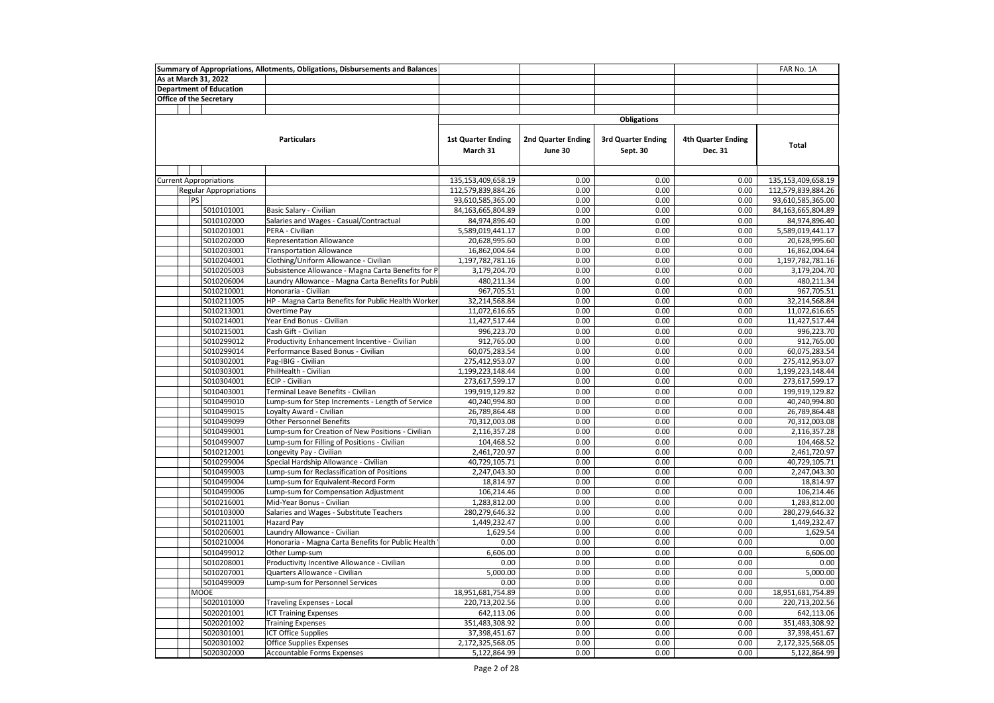|            |                                | Summary of Appropriations, Allotments, Obligations, Disbursements and Balances |                                       |                               |                                       |                                      | FAR No. 1A         |
|------------|--------------------------------|--------------------------------------------------------------------------------|---------------------------------------|-------------------------------|---------------------------------------|--------------------------------------|--------------------|
|            | As at March 31, 2022           |                                                                                |                                       |                               |                                       |                                      |                    |
|            | <b>Department of Education</b> |                                                                                |                                       |                               |                                       |                                      |                    |
|            | <b>Office of the Secretary</b> |                                                                                |                                       |                               |                                       |                                      |                    |
|            |                                |                                                                                |                                       |                               |                                       |                                      |                    |
|            |                                |                                                                                |                                       |                               | <b>Obligations</b>                    |                                      |                    |
|            |                                | <b>Particulars</b>                                                             | <b>1st Quarter Ending</b><br>March 31 | 2nd Quarter Ending<br>June 30 | <b>3rd Quarter Ending</b><br>Sept. 30 | <b>4th Quarter Ending</b><br>Dec. 31 | <b>Total</b>       |
|            |                                |                                                                                |                                       |                               |                                       |                                      |                    |
|            | <b>Current Appropriations</b>  |                                                                                | 135,153,409,658.19                    | 0.00                          | 0.00                                  | 0.00                                 | 135,153,409,658.19 |
|            | <b>Regular Appropriations</b>  |                                                                                | 112,579,839,884.26                    | 0.00                          | 0.00                                  | 0.00                                 | 112,579,839,884.26 |
|            | PS                             |                                                                                | 93,610,585,365.00                     | 0.00                          | 0.00                                  | 0.00                                 | 93,610,585,365.00  |
|            | 5010101001                     | Basic Salary - Civilian                                                        | 84,163,665,804.89                     | 0.00                          | 0.00                                  | 0.00                                 | 84,163,665,804.89  |
|            | 5010102000                     | Salaries and Wages - Casual/Contractual                                        | 84,974,896.40                         | 0.00                          | 0.00                                  | 0.00                                 | 84,974,896.40      |
|            | 5010201001                     | PERA - Civilian                                                                | 5,589,019,441.17                      | 0.00                          | 0.00                                  | 0.00                                 | 5,589,019,441.17   |
|            | 5010202000                     | <b>Representation Allowance</b>                                                | 20,628,995.60                         | 0.00                          | 0.00                                  | 0.00                                 | 20,628,995.60      |
|            | 5010203001                     | <b>Transportation Allowance</b>                                                | 16,862,004.64                         | 0.00                          | 0.00                                  | 0.00                                 | 16,862,004.64      |
|            | 5010204001                     | Clothing/Uniform Allowance - Civilian                                          | 1,197,782,781.16                      | 0.00                          | 0.00                                  | 0.00                                 | 1,197,782,781.16   |
|            | 5010205003                     | Subsistence Allowance - Magna Carta Benefits for P                             | 3,179,204.70                          | 0.00                          | 0.00                                  | 0.00                                 | 3,179,204.70       |
|            | 5010206004                     | Laundry Allowance - Magna Carta Benefits for Publi                             | 480,211.34                            | 0.00                          | 0.00                                  | 0.00                                 | 480,211.34         |
|            | 5010210001                     | Honoraria - Civilian                                                           | 967,705.51                            | 0.00                          | 0.00                                  | 0.00                                 | 967,705.51         |
|            | 5010211005                     | HP - Magna Carta Benefits for Public Health Worker                             | 32,214,568.84                         | 0.00                          | 0.00                                  | 0.00                                 | 32,214,568.84      |
|            | 5010213001                     | Overtime Pay                                                                   | 11,072,616.65                         | 0.00                          | 0.00                                  | 0.00                                 | 11,072,616.65      |
|            | 5010214001                     | Year End Bonus - Civilian                                                      | 11,427,517.44                         | 0.00                          | 0.00                                  | 0.00                                 | 11,427,517.44      |
|            | 5010215001                     | Cash Gift - Civilian                                                           | 996,223.70                            | 0.00                          | 0.00                                  | 0.00                                 | 996,223.70         |
|            | 5010299012                     | Productivity Enhancement Incentive - Civilian                                  | 912,765.00                            | 0.00                          | 0.00                                  | 0.00                                 | 912,765.00         |
|            | 5010299014                     | Performance Based Bonus - Civilian                                             | 60,075,283.54                         | 0.00                          | 0.00                                  | 0.00                                 | 60,075,283.54      |
|            | 5010302001                     | Pag-IBIG - Civilian                                                            | 275,412,953.07                        | 0.00                          | 0.00                                  | 0.00                                 | 275,412,953.07     |
|            | 5010303001                     | PhilHealth - Civilian                                                          | 1,199,223,148.44                      | 0.00                          | 0.00                                  | 0.00                                 | 1,199,223,148.44   |
|            | 5010304001                     | ECIP - Civilian                                                                | 273,617,599.17                        | 0.00                          | 0.00                                  | 0.00                                 | 273,617,599.17     |
|            | 5010403001                     | Terminal Leave Benefits - Civilian                                             | 199,919,129.82                        | 0.00                          | 0.00                                  | 0.00                                 | 199,919,129.82     |
|            | 5010499010                     | Lump-sum for Step Increments - Length of Service                               | 40,240,994.80                         | 0.00                          | 0.00                                  | 0.00                                 | 40,240,994.80      |
|            | 5010499015                     | Loyalty Award - Civilian                                                       | 26,789,864.48                         | 0.00                          | 0.00                                  | 0.00                                 | 26,789,864.48      |
|            | 5010499099                     | <b>Other Personnel Benefits</b>                                                | 70,312,003.08                         | 0.00                          | 0.00                                  | 0.00                                 | 70,312,003.08      |
|            | 5010499001                     | Lump-sum for Creation of New Positions - Civilian                              | 2,116,357.28                          | 0.00                          | 0.00                                  | 0.00                                 | 2,116,357.28       |
|            | 5010499007                     | Lump-sum for Filling of Positions - Civilian                                   | 104,468.52                            | 0.00                          | 0.00                                  | 0.00                                 | 104,468.52         |
|            | 5010212001                     | Longevity Pay - Civilian                                                       | 2,461,720.97                          | 0.00                          | 0.00                                  | 0.00                                 | 2,461,720.97       |
|            | 5010299004                     | Special Hardship Allowance - Civilian                                          | 40,729,105.71                         | 0.00                          | 0.00                                  | 0.00                                 | 40,729,105.71      |
|            | 5010499003                     | Lump-sum for Reclassification of Positions                                     | 2,247,043.30                          | 0.00                          | 0.00                                  | 0.00                                 | 2,247,043.30       |
|            | 5010499004                     | Lump-sum for Equivalent-Record Form                                            | 18,814.97                             | 0.00                          | 0.00                                  | 0.00                                 | 18,814.97          |
|            | 5010499006                     | Lump-sum for Compensation Adjustment                                           | 106,214.46                            | 0.00                          | 0.00                                  | 0.00                                 | 106,214.46         |
|            | 5010216001                     | Mid-Year Bonus - Civilian                                                      | 1,283,812.00                          | 0.00                          | 0.00                                  | 0.00                                 | 1,283,812.00       |
|            | 5010103000                     | Salaries and Wages - Substitute Teachers                                       | 280,279,646.32                        | 0.00                          | 0.00                                  | 0.00                                 | 280,279,646.32     |
|            | 5010211001                     | <b>Hazard Pay</b>                                                              | 1,449,232.47                          | 0.00                          | 0.00                                  | 0.00                                 | 1,449,232.47       |
|            | 5010206001                     | Laundry Allowance - Civilian                                                   | 1,629.54                              | 0.00                          | 0.00                                  | 0.00                                 | 1,629.54           |
|            | 5010210004                     | Honoraria - Magna Carta Benefits for Public Health                             | 0.00                                  | 0.00                          | 0.00                                  | 0.00                                 | 0.00               |
|            | 5010499012                     | Other Lump-sum                                                                 | 6,606.00                              | 0.00                          | 0.00                                  | 0.00                                 | 6,606.00           |
|            | 5010208001                     | Productivity Incentive Allowance - Civilian                                    | 0.00                                  | 0.00                          | 0.00                                  | 0.00                                 | 0.00               |
|            | 5010207001                     | Quarters Allowance - Civilian                                                  | 5,000.00                              | 0.00                          | 0.00                                  | 0.00                                 | 5,000.00           |
| 5010499009 |                                | Lump-sum for Personnel Services                                                | 0.00                                  | 0.00                          | 0.00                                  | 0.00                                 | 0.00               |
|            | <b>MOOE</b>                    |                                                                                | 18,951,681,754.89                     | 0.00                          | 0.00                                  | 0.00                                 | 18,951,681,754.89  |
|            | 5020101000                     | Traveling Expenses - Local                                                     | 220,713,202.56                        | 0.00                          | 0.00                                  | 0.00                                 | 220,713,202.56     |
|            | 5020201001                     | <b>ICT Training Expenses</b>                                                   | 642,113.06                            | 0.00                          | 0.00                                  | 0.00                                 | 642,113.06         |
|            | 5020201002                     | <b>Training Expenses</b>                                                       | 351,483,308.92                        | 0.00                          | 0.00                                  | 0.00                                 | 351,483,308.92     |
|            | 5020301001                     | <b>ICT Office Supplies</b>                                                     | 37,398,451.67                         | 0.00                          | 0.00                                  | 0.00                                 | 37,398,451.67      |
|            | 5020301002                     | Office Supplies Expenses                                                       | 2,172,325,568.05                      | 0.00                          | 0.00                                  | 0.00                                 | 2,172,325,568.05   |
|            | 5020302000                     | Accountable Forms Expenses                                                     | 5,122,864.99                          | 0.00                          | 0.00                                  | 0.00                                 | 5,122,864.99       |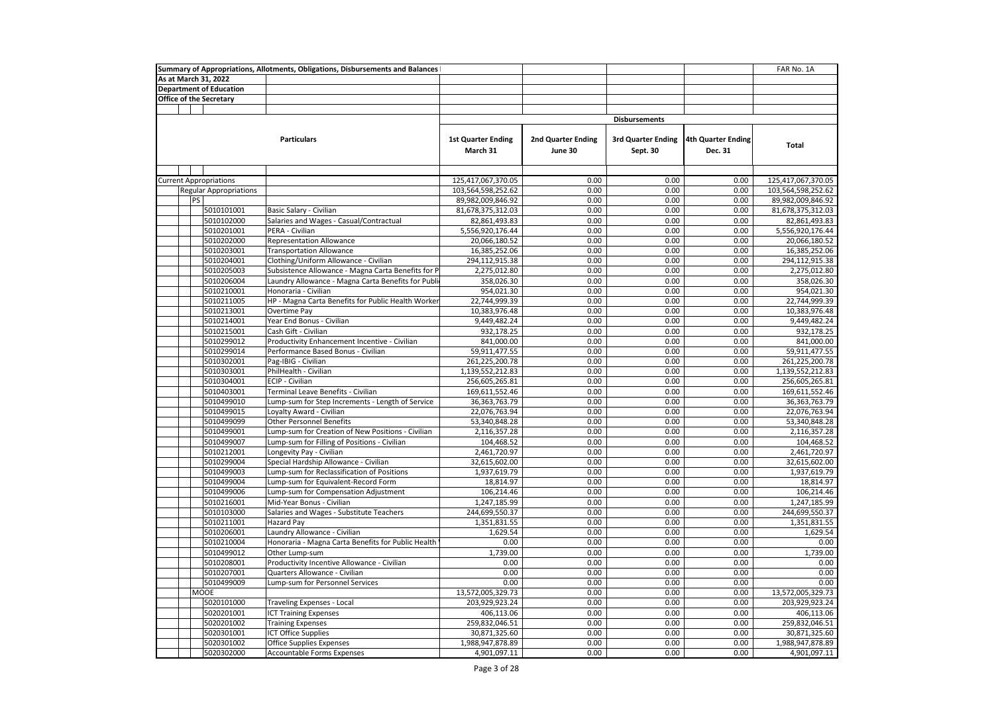| As at March 31, 2022<br><b>Department of Education</b><br><b>Office of the Secretary</b><br><b>Disbursements</b><br><b>Particulars</b><br><b>1st Quarter Ending</b><br>2nd Quarter Ending<br><b>3rd Quarter Ending</b><br>4th Quarter Ending<br>Total<br>March 31<br>June 30<br>Sept. 30<br>Dec. 31<br>0.00<br>0.00<br>0.00<br>125,417,067,370.05<br><b>Current Appropriations</b><br>125,417,067,370.05<br>103,564,598,252.62<br>0.00<br>0.00<br>0.00<br>103,564,598,252.62<br><b>Regular Appropriations</b><br>0.00<br>0.00<br>0.00<br><b>PS</b><br>89,982,009,846.92<br>89,982,009,846.92<br>5010101001<br>Basic Salary - Civilian<br>81,678,375,312.03<br>0.00<br>0.00<br>0.00<br>81,678,375,312.03<br>5010102000<br>Salaries and Wages - Casual/Contractual<br>0.00<br>0.00<br>0.00<br>82,861,493.83<br>82,861,493.83<br>5010201001<br>PERA - Civilian<br>5,556,920,176.44<br>0.00<br>0.00<br>0.00<br>5,556,920,176.44<br>5010202000<br><b>Representation Allowance</b><br>0.00<br>0.00<br>0.00<br>20,066,180.52<br>20,066,180.52<br>0.00<br>0.00<br>0.00<br>5010203001<br><b>Transportation Allowance</b><br>16,385,252.06<br>16,385,252.06<br>5010204001<br>Clothing/Uniform Allowance - Civilian<br>294,112,915.38<br>0.00<br>0.00<br>0.00<br>294,112,915.38<br>0.00<br>0.00<br>5010205003<br>Subsistence Allowance - Magna Carta Benefits for P<br>2,275,012.80<br>0.00<br>2,275,012.80<br>0.00<br>5010206004<br>Laundry Allowance - Magna Carta Benefits for Publi<br>358,026.30<br>0.00<br>0.00<br>358,026.30<br>5010210001<br>954,021.30<br>0.00<br>0.00<br>0.00<br>954,021.30<br>Honoraria - Civilian<br>HP - Magna Carta Benefits for Public Health Worker<br>5010211005<br>22,744,999.39<br>0.00<br>0.00<br>0.00<br>22,744,999.39<br>0.00<br>0.00<br>0.00<br>10,383,976.48<br>5010213001<br>Overtime Pay<br>10,383,976.48<br>Year End Bonus - Civilian<br>0.00<br>0.00<br>5010214001<br>9,449,482.24<br>0.00<br>9,449,482.24<br>Cash Gift - Civilian<br>932,178.25<br>0.00<br>0.00<br>0.00<br>5010215001<br>932,178.25<br>5010299012<br>Productivity Enhancement Incentive - Civilian<br>841,000.00<br>0.00<br>0.00<br>0.00<br>841,000.00<br>0.00<br>0.00<br>0.00<br>5010299014<br>Performance Based Bonus - Civilian<br>59,911,477.55<br>59,911,477.55<br>0.00<br>5010302001<br>Pag-IBIG - Civilian<br>261,225,200.78<br>0.00<br>0.00<br>261,225,200.78<br>5010303001<br>PhilHealth - Civilian<br>1,139,552,212.83<br>0.00<br>0.00<br>0.00<br>1,139,552,212.83<br>5010304001<br>ECIP - Civilian<br>256,605,265.81<br>0.00<br>0.00<br>0.00<br>256,605,265.81<br>5010403001<br>Terminal Leave Benefits - Civilian<br>169,611,552.46<br>0.00<br>0.00<br>0.00<br>169,611,552.46<br>0.00<br>0.00<br>0.00<br>5010499010<br>Lump-sum for Step Increments - Length of Service<br>36,363,763.79<br>36, 363, 763. 79<br>5010499015<br>Loyalty Award - Civilian<br>22,076,763.94<br>0.00<br>0.00<br>0.00<br>22,076,763.94<br>5010499099<br>0.00<br>0.00<br>0.00<br><b>Other Personnel Benefits</b><br>53,340,848.28<br>53,340,848.28<br>0.00<br>5010499001<br>Lump-sum for Creation of New Positions - Civilian<br>2,116,357.28<br>0.00<br>0.00<br>2,116,357.28<br>5010499007<br>Lump-sum for Filling of Positions - Civilian<br>0.00<br>0.00<br>0.00<br>104,468.52<br>104,468.52<br>5010212001<br>Longevity Pay - Civilian<br>2,461,720.97<br>0.00<br>0.00<br>0.00<br>2,461,720.97<br>5010299004<br>Special Hardship Allowance - Civilian<br>0.00<br>0.00<br>0.00<br>32,615,602.00<br>32,615,602.00<br>Lump-sum for Reclassification of Positions<br>0.00<br>0.00<br>0.00<br>1,937,619.79<br>5010499003<br>1,937,619.79<br>0.00<br>Lump-sum for Equivalent-Record Form<br>18,814.97<br>0.00<br>0.00<br>18,814.97<br>5010499004<br>0.00<br>0.00<br>0.00<br>106,214.46<br>5010499006<br>Lump-sum for Compensation Adjustment<br>106,214.46<br>0.00<br>5010216001<br>Mid-Year Bonus - Civilian<br>1,247,185.99<br>0.00<br>0.00<br>1,247,185.99<br>5010103000<br>Salaries and Wages - Substitute Teachers<br>244,699,550.37<br>0.00<br>0.00<br>0.00<br>244,699,550.37<br>0.00<br>0.00<br>0.00<br>5010211001<br><b>Hazard Pay</b><br>1,351,831.55<br>1,351,831.55<br>5010206001<br>Laundry Allowance - Civilian<br>1,629.54<br>0.00<br>0.00<br>0.00<br>1,629.54<br>Honoraria - Magna Carta Benefits for Public Health<br>0.00<br>0.00<br>0.00<br>0.00<br>5010210004<br>0.00<br>1,739.00<br>5010499012<br>Other Lump-sum<br>1,739.00<br>0.00<br>0.00<br>0.00<br>Productivity Incentive Allowance - Civilian<br>0.00<br>0.00<br>0.00<br>5010208001<br>0.00<br>0.00<br>5010207001<br>Quarters Allowance - Civilian<br>0.00<br>0.00<br>0.00<br>0.00<br>0.00<br>0.00<br>0.00<br>0.00<br>0.00<br>5010499009<br>Lump-sum for Personnel Services<br>0.00<br><b>MOOE</b><br>13,572,005,329.73<br>0.00<br>0.00<br>0.00<br>13,572,005,329.73<br>5020101000<br>Traveling Expenses - Local<br>203,929,923.24<br>0.00<br>0.00<br>0.00<br>203,929,923.24<br>5020201001<br><b>ICT Training Expenses</b><br>406,113.06<br>0.00<br>0.00<br>0.00<br>406,113.06<br>5020201002<br><b>Training Expenses</b><br>259,832,046.51<br>0.00<br>0.00<br>0.00<br>259,832,046.51<br>0.00<br>0.00<br>0.00<br>5020301001<br>ICT Office Supplies<br>30,871,325.60<br>30,871,325.60<br>5020301002<br>1,988,947,878.89<br>0.00<br>0.00<br>0.00<br>1,988,947,878.89<br>Office Supplies Expenses |  | Summary of Appropriations, Allotments, Obligations, Disbursements and Balances |  |  | FAR No. 1A |
|-------------------------------------------------------------------------------------------------------------------------------------------------------------------------------------------------------------------------------------------------------------------------------------------------------------------------------------------------------------------------------------------------------------------------------------------------------------------------------------------------------------------------------------------------------------------------------------------------------------------------------------------------------------------------------------------------------------------------------------------------------------------------------------------------------------------------------------------------------------------------------------------------------------------------------------------------------------------------------------------------------------------------------------------------------------------------------------------------------------------------------------------------------------------------------------------------------------------------------------------------------------------------------------------------------------------------------------------------------------------------------------------------------------------------------------------------------------------------------------------------------------------------------------------------------------------------------------------------------------------------------------------------------------------------------------------------------------------------------------------------------------------------------------------------------------------------------------------------------------------------------------------------------------------------------------------------------------------------------------------------------------------------------------------------------------------------------------------------------------------------------------------------------------------------------------------------------------------------------------------------------------------------------------------------------------------------------------------------------------------------------------------------------------------------------------------------------------------------------------------------------------------------------------------------------------------------------------------------------------------------------------------------------------------------------------------------------------------------------------------------------------------------------------------------------------------------------------------------------------------------------------------------------------------------------------------------------------------------------------------------------------------------------------------------------------------------------------------------------------------------------------------------------------------------------------------------------------------------------------------------------------------------------------------------------------------------------------------------------------------------------------------------------------------------------------------------------------------------------------------------------------------------------------------------------------------------------------------------------------------------------------------------------------------------------------------------------------------------------------------------------------------------------------------------------------------------------------------------------------------------------------------------------------------------------------------------------------------------------------------------------------------------------------------------------------------------------------------------------------------------------------------------------------------------------------------------------------------------------------------------------------------------------------------------------------------------------------------------------------------------------------------------------------------------------------------------------------------------------------------------------------------------------------------------------------------------------------------------------------------------------------------------------------------------------------------------------------------------------------------------------------------------------------------------------------------------------------------------------------------------------------------------------------------------------------------------------------------------------------------------------------------------------------------------------------------------------------------------------------------------------------------------------------------------------------------------------------------------------------------------------------------------------------------------------------------------------------------------------------|--|--------------------------------------------------------------------------------|--|--|------------|
|                                                                                                                                                                                                                                                                                                                                                                                                                                                                                                                                                                                                                                                                                                                                                                                                                                                                                                                                                                                                                                                                                                                                                                                                                                                                                                                                                                                                                                                                                                                                                                                                                                                                                                                                                                                                                                                                                                                                                                                                                                                                                                                                                                                                                                                                                                                                                                                                                                                                                                                                                                                                                                                                                                                                                                                                                                                                                                                                                                                                                                                                                                                                                                                                                                                                                                                                                                                                                                                                                                                                                                                                                                                                                                                                                                                                                                                                                                                                                                                                                                                                                                                                                                                                                                                                                                                                                                                                                                                                                                                                                                                                                                                                                                                                                                                                                                                                                                                                                                                                                                                                                                                                                                                                                                                                                                                                                             |  |                                                                                |  |  |            |
|                                                                                                                                                                                                                                                                                                                                                                                                                                                                                                                                                                                                                                                                                                                                                                                                                                                                                                                                                                                                                                                                                                                                                                                                                                                                                                                                                                                                                                                                                                                                                                                                                                                                                                                                                                                                                                                                                                                                                                                                                                                                                                                                                                                                                                                                                                                                                                                                                                                                                                                                                                                                                                                                                                                                                                                                                                                                                                                                                                                                                                                                                                                                                                                                                                                                                                                                                                                                                                                                                                                                                                                                                                                                                                                                                                                                                                                                                                                                                                                                                                                                                                                                                                                                                                                                                                                                                                                                                                                                                                                                                                                                                                                                                                                                                                                                                                                                                                                                                                                                                                                                                                                                                                                                                                                                                                                                                             |  |                                                                                |  |  |            |
|                                                                                                                                                                                                                                                                                                                                                                                                                                                                                                                                                                                                                                                                                                                                                                                                                                                                                                                                                                                                                                                                                                                                                                                                                                                                                                                                                                                                                                                                                                                                                                                                                                                                                                                                                                                                                                                                                                                                                                                                                                                                                                                                                                                                                                                                                                                                                                                                                                                                                                                                                                                                                                                                                                                                                                                                                                                                                                                                                                                                                                                                                                                                                                                                                                                                                                                                                                                                                                                                                                                                                                                                                                                                                                                                                                                                                                                                                                                                                                                                                                                                                                                                                                                                                                                                                                                                                                                                                                                                                                                                                                                                                                                                                                                                                                                                                                                                                                                                                                                                                                                                                                                                                                                                                                                                                                                                                             |  |                                                                                |  |  |            |
|                                                                                                                                                                                                                                                                                                                                                                                                                                                                                                                                                                                                                                                                                                                                                                                                                                                                                                                                                                                                                                                                                                                                                                                                                                                                                                                                                                                                                                                                                                                                                                                                                                                                                                                                                                                                                                                                                                                                                                                                                                                                                                                                                                                                                                                                                                                                                                                                                                                                                                                                                                                                                                                                                                                                                                                                                                                                                                                                                                                                                                                                                                                                                                                                                                                                                                                                                                                                                                                                                                                                                                                                                                                                                                                                                                                                                                                                                                                                                                                                                                                                                                                                                                                                                                                                                                                                                                                                                                                                                                                                                                                                                                                                                                                                                                                                                                                                                                                                                                                                                                                                                                                                                                                                                                                                                                                                                             |  |                                                                                |  |  |            |
|                                                                                                                                                                                                                                                                                                                                                                                                                                                                                                                                                                                                                                                                                                                                                                                                                                                                                                                                                                                                                                                                                                                                                                                                                                                                                                                                                                                                                                                                                                                                                                                                                                                                                                                                                                                                                                                                                                                                                                                                                                                                                                                                                                                                                                                                                                                                                                                                                                                                                                                                                                                                                                                                                                                                                                                                                                                                                                                                                                                                                                                                                                                                                                                                                                                                                                                                                                                                                                                                                                                                                                                                                                                                                                                                                                                                                                                                                                                                                                                                                                                                                                                                                                                                                                                                                                                                                                                                                                                                                                                                                                                                                                                                                                                                                                                                                                                                                                                                                                                                                                                                                                                                                                                                                                                                                                                                                             |  |                                                                                |  |  |            |
|                                                                                                                                                                                                                                                                                                                                                                                                                                                                                                                                                                                                                                                                                                                                                                                                                                                                                                                                                                                                                                                                                                                                                                                                                                                                                                                                                                                                                                                                                                                                                                                                                                                                                                                                                                                                                                                                                                                                                                                                                                                                                                                                                                                                                                                                                                                                                                                                                                                                                                                                                                                                                                                                                                                                                                                                                                                                                                                                                                                                                                                                                                                                                                                                                                                                                                                                                                                                                                                                                                                                                                                                                                                                                                                                                                                                                                                                                                                                                                                                                                                                                                                                                                                                                                                                                                                                                                                                                                                                                                                                                                                                                                                                                                                                                                                                                                                                                                                                                                                                                                                                                                                                                                                                                                                                                                                                                             |  |                                                                                |  |  |            |
|                                                                                                                                                                                                                                                                                                                                                                                                                                                                                                                                                                                                                                                                                                                                                                                                                                                                                                                                                                                                                                                                                                                                                                                                                                                                                                                                                                                                                                                                                                                                                                                                                                                                                                                                                                                                                                                                                                                                                                                                                                                                                                                                                                                                                                                                                                                                                                                                                                                                                                                                                                                                                                                                                                                                                                                                                                                                                                                                                                                                                                                                                                                                                                                                                                                                                                                                                                                                                                                                                                                                                                                                                                                                                                                                                                                                                                                                                                                                                                                                                                                                                                                                                                                                                                                                                                                                                                                                                                                                                                                                                                                                                                                                                                                                                                                                                                                                                                                                                                                                                                                                                                                                                                                                                                                                                                                                                             |  |                                                                                |  |  |            |
|                                                                                                                                                                                                                                                                                                                                                                                                                                                                                                                                                                                                                                                                                                                                                                                                                                                                                                                                                                                                                                                                                                                                                                                                                                                                                                                                                                                                                                                                                                                                                                                                                                                                                                                                                                                                                                                                                                                                                                                                                                                                                                                                                                                                                                                                                                                                                                                                                                                                                                                                                                                                                                                                                                                                                                                                                                                                                                                                                                                                                                                                                                                                                                                                                                                                                                                                                                                                                                                                                                                                                                                                                                                                                                                                                                                                                                                                                                                                                                                                                                                                                                                                                                                                                                                                                                                                                                                                                                                                                                                                                                                                                                                                                                                                                                                                                                                                                                                                                                                                                                                                                                                                                                                                                                                                                                                                                             |  |                                                                                |  |  |            |
|                                                                                                                                                                                                                                                                                                                                                                                                                                                                                                                                                                                                                                                                                                                                                                                                                                                                                                                                                                                                                                                                                                                                                                                                                                                                                                                                                                                                                                                                                                                                                                                                                                                                                                                                                                                                                                                                                                                                                                                                                                                                                                                                                                                                                                                                                                                                                                                                                                                                                                                                                                                                                                                                                                                                                                                                                                                                                                                                                                                                                                                                                                                                                                                                                                                                                                                                                                                                                                                                                                                                                                                                                                                                                                                                                                                                                                                                                                                                                                                                                                                                                                                                                                                                                                                                                                                                                                                                                                                                                                                                                                                                                                                                                                                                                                                                                                                                                                                                                                                                                                                                                                                                                                                                                                                                                                                                                             |  |                                                                                |  |  |            |
|                                                                                                                                                                                                                                                                                                                                                                                                                                                                                                                                                                                                                                                                                                                                                                                                                                                                                                                                                                                                                                                                                                                                                                                                                                                                                                                                                                                                                                                                                                                                                                                                                                                                                                                                                                                                                                                                                                                                                                                                                                                                                                                                                                                                                                                                                                                                                                                                                                                                                                                                                                                                                                                                                                                                                                                                                                                                                                                                                                                                                                                                                                                                                                                                                                                                                                                                                                                                                                                                                                                                                                                                                                                                                                                                                                                                                                                                                                                                                                                                                                                                                                                                                                                                                                                                                                                                                                                                                                                                                                                                                                                                                                                                                                                                                                                                                                                                                                                                                                                                                                                                                                                                                                                                                                                                                                                                                             |  |                                                                                |  |  |            |
|                                                                                                                                                                                                                                                                                                                                                                                                                                                                                                                                                                                                                                                                                                                                                                                                                                                                                                                                                                                                                                                                                                                                                                                                                                                                                                                                                                                                                                                                                                                                                                                                                                                                                                                                                                                                                                                                                                                                                                                                                                                                                                                                                                                                                                                                                                                                                                                                                                                                                                                                                                                                                                                                                                                                                                                                                                                                                                                                                                                                                                                                                                                                                                                                                                                                                                                                                                                                                                                                                                                                                                                                                                                                                                                                                                                                                                                                                                                                                                                                                                                                                                                                                                                                                                                                                                                                                                                                                                                                                                                                                                                                                                                                                                                                                                                                                                                                                                                                                                                                                                                                                                                                                                                                                                                                                                                                                             |  |                                                                                |  |  |            |
|                                                                                                                                                                                                                                                                                                                                                                                                                                                                                                                                                                                                                                                                                                                                                                                                                                                                                                                                                                                                                                                                                                                                                                                                                                                                                                                                                                                                                                                                                                                                                                                                                                                                                                                                                                                                                                                                                                                                                                                                                                                                                                                                                                                                                                                                                                                                                                                                                                                                                                                                                                                                                                                                                                                                                                                                                                                                                                                                                                                                                                                                                                                                                                                                                                                                                                                                                                                                                                                                                                                                                                                                                                                                                                                                                                                                                                                                                                                                                                                                                                                                                                                                                                                                                                                                                                                                                                                                                                                                                                                                                                                                                                                                                                                                                                                                                                                                                                                                                                                                                                                                                                                                                                                                                                                                                                                                                             |  |                                                                                |  |  |            |
|                                                                                                                                                                                                                                                                                                                                                                                                                                                                                                                                                                                                                                                                                                                                                                                                                                                                                                                                                                                                                                                                                                                                                                                                                                                                                                                                                                                                                                                                                                                                                                                                                                                                                                                                                                                                                                                                                                                                                                                                                                                                                                                                                                                                                                                                                                                                                                                                                                                                                                                                                                                                                                                                                                                                                                                                                                                                                                                                                                                                                                                                                                                                                                                                                                                                                                                                                                                                                                                                                                                                                                                                                                                                                                                                                                                                                                                                                                                                                                                                                                                                                                                                                                                                                                                                                                                                                                                                                                                                                                                                                                                                                                                                                                                                                                                                                                                                                                                                                                                                                                                                                                                                                                                                                                                                                                                                                             |  |                                                                                |  |  |            |
|                                                                                                                                                                                                                                                                                                                                                                                                                                                                                                                                                                                                                                                                                                                                                                                                                                                                                                                                                                                                                                                                                                                                                                                                                                                                                                                                                                                                                                                                                                                                                                                                                                                                                                                                                                                                                                                                                                                                                                                                                                                                                                                                                                                                                                                                                                                                                                                                                                                                                                                                                                                                                                                                                                                                                                                                                                                                                                                                                                                                                                                                                                                                                                                                                                                                                                                                                                                                                                                                                                                                                                                                                                                                                                                                                                                                                                                                                                                                                                                                                                                                                                                                                                                                                                                                                                                                                                                                                                                                                                                                                                                                                                                                                                                                                                                                                                                                                                                                                                                                                                                                                                                                                                                                                                                                                                                                                             |  |                                                                                |  |  |            |
|                                                                                                                                                                                                                                                                                                                                                                                                                                                                                                                                                                                                                                                                                                                                                                                                                                                                                                                                                                                                                                                                                                                                                                                                                                                                                                                                                                                                                                                                                                                                                                                                                                                                                                                                                                                                                                                                                                                                                                                                                                                                                                                                                                                                                                                                                                                                                                                                                                                                                                                                                                                                                                                                                                                                                                                                                                                                                                                                                                                                                                                                                                                                                                                                                                                                                                                                                                                                                                                                                                                                                                                                                                                                                                                                                                                                                                                                                                                                                                                                                                                                                                                                                                                                                                                                                                                                                                                                                                                                                                                                                                                                                                                                                                                                                                                                                                                                                                                                                                                                                                                                                                                                                                                                                                                                                                                                                             |  |                                                                                |  |  |            |
|                                                                                                                                                                                                                                                                                                                                                                                                                                                                                                                                                                                                                                                                                                                                                                                                                                                                                                                                                                                                                                                                                                                                                                                                                                                                                                                                                                                                                                                                                                                                                                                                                                                                                                                                                                                                                                                                                                                                                                                                                                                                                                                                                                                                                                                                                                                                                                                                                                                                                                                                                                                                                                                                                                                                                                                                                                                                                                                                                                                                                                                                                                                                                                                                                                                                                                                                                                                                                                                                                                                                                                                                                                                                                                                                                                                                                                                                                                                                                                                                                                                                                                                                                                                                                                                                                                                                                                                                                                                                                                                                                                                                                                                                                                                                                                                                                                                                                                                                                                                                                                                                                                                                                                                                                                                                                                                                                             |  |                                                                                |  |  |            |
|                                                                                                                                                                                                                                                                                                                                                                                                                                                                                                                                                                                                                                                                                                                                                                                                                                                                                                                                                                                                                                                                                                                                                                                                                                                                                                                                                                                                                                                                                                                                                                                                                                                                                                                                                                                                                                                                                                                                                                                                                                                                                                                                                                                                                                                                                                                                                                                                                                                                                                                                                                                                                                                                                                                                                                                                                                                                                                                                                                                                                                                                                                                                                                                                                                                                                                                                                                                                                                                                                                                                                                                                                                                                                                                                                                                                                                                                                                                                                                                                                                                                                                                                                                                                                                                                                                                                                                                                                                                                                                                                                                                                                                                                                                                                                                                                                                                                                                                                                                                                                                                                                                                                                                                                                                                                                                                                                             |  |                                                                                |  |  |            |
|                                                                                                                                                                                                                                                                                                                                                                                                                                                                                                                                                                                                                                                                                                                                                                                                                                                                                                                                                                                                                                                                                                                                                                                                                                                                                                                                                                                                                                                                                                                                                                                                                                                                                                                                                                                                                                                                                                                                                                                                                                                                                                                                                                                                                                                                                                                                                                                                                                                                                                                                                                                                                                                                                                                                                                                                                                                                                                                                                                                                                                                                                                                                                                                                                                                                                                                                                                                                                                                                                                                                                                                                                                                                                                                                                                                                                                                                                                                                                                                                                                                                                                                                                                                                                                                                                                                                                                                                                                                                                                                                                                                                                                                                                                                                                                                                                                                                                                                                                                                                                                                                                                                                                                                                                                                                                                                                                             |  |                                                                                |  |  |            |
|                                                                                                                                                                                                                                                                                                                                                                                                                                                                                                                                                                                                                                                                                                                                                                                                                                                                                                                                                                                                                                                                                                                                                                                                                                                                                                                                                                                                                                                                                                                                                                                                                                                                                                                                                                                                                                                                                                                                                                                                                                                                                                                                                                                                                                                                                                                                                                                                                                                                                                                                                                                                                                                                                                                                                                                                                                                                                                                                                                                                                                                                                                                                                                                                                                                                                                                                                                                                                                                                                                                                                                                                                                                                                                                                                                                                                                                                                                                                                                                                                                                                                                                                                                                                                                                                                                                                                                                                                                                                                                                                                                                                                                                                                                                                                                                                                                                                                                                                                                                                                                                                                                                                                                                                                                                                                                                                                             |  |                                                                                |  |  |            |
|                                                                                                                                                                                                                                                                                                                                                                                                                                                                                                                                                                                                                                                                                                                                                                                                                                                                                                                                                                                                                                                                                                                                                                                                                                                                                                                                                                                                                                                                                                                                                                                                                                                                                                                                                                                                                                                                                                                                                                                                                                                                                                                                                                                                                                                                                                                                                                                                                                                                                                                                                                                                                                                                                                                                                                                                                                                                                                                                                                                                                                                                                                                                                                                                                                                                                                                                                                                                                                                                                                                                                                                                                                                                                                                                                                                                                                                                                                                                                                                                                                                                                                                                                                                                                                                                                                                                                                                                                                                                                                                                                                                                                                                                                                                                                                                                                                                                                                                                                                                                                                                                                                                                                                                                                                                                                                                                                             |  |                                                                                |  |  |            |
|                                                                                                                                                                                                                                                                                                                                                                                                                                                                                                                                                                                                                                                                                                                                                                                                                                                                                                                                                                                                                                                                                                                                                                                                                                                                                                                                                                                                                                                                                                                                                                                                                                                                                                                                                                                                                                                                                                                                                                                                                                                                                                                                                                                                                                                                                                                                                                                                                                                                                                                                                                                                                                                                                                                                                                                                                                                                                                                                                                                                                                                                                                                                                                                                                                                                                                                                                                                                                                                                                                                                                                                                                                                                                                                                                                                                                                                                                                                                                                                                                                                                                                                                                                                                                                                                                                                                                                                                                                                                                                                                                                                                                                                                                                                                                                                                                                                                                                                                                                                                                                                                                                                                                                                                                                                                                                                                                             |  |                                                                                |  |  |            |
|                                                                                                                                                                                                                                                                                                                                                                                                                                                                                                                                                                                                                                                                                                                                                                                                                                                                                                                                                                                                                                                                                                                                                                                                                                                                                                                                                                                                                                                                                                                                                                                                                                                                                                                                                                                                                                                                                                                                                                                                                                                                                                                                                                                                                                                                                                                                                                                                                                                                                                                                                                                                                                                                                                                                                                                                                                                                                                                                                                                                                                                                                                                                                                                                                                                                                                                                                                                                                                                                                                                                                                                                                                                                                                                                                                                                                                                                                                                                                                                                                                                                                                                                                                                                                                                                                                                                                                                                                                                                                                                                                                                                                                                                                                                                                                                                                                                                                                                                                                                                                                                                                                                                                                                                                                                                                                                                                             |  |                                                                                |  |  |            |
|                                                                                                                                                                                                                                                                                                                                                                                                                                                                                                                                                                                                                                                                                                                                                                                                                                                                                                                                                                                                                                                                                                                                                                                                                                                                                                                                                                                                                                                                                                                                                                                                                                                                                                                                                                                                                                                                                                                                                                                                                                                                                                                                                                                                                                                                                                                                                                                                                                                                                                                                                                                                                                                                                                                                                                                                                                                                                                                                                                                                                                                                                                                                                                                                                                                                                                                                                                                                                                                                                                                                                                                                                                                                                                                                                                                                                                                                                                                                                                                                                                                                                                                                                                                                                                                                                                                                                                                                                                                                                                                                                                                                                                                                                                                                                                                                                                                                                                                                                                                                                                                                                                                                                                                                                                                                                                                                                             |  |                                                                                |  |  |            |
|                                                                                                                                                                                                                                                                                                                                                                                                                                                                                                                                                                                                                                                                                                                                                                                                                                                                                                                                                                                                                                                                                                                                                                                                                                                                                                                                                                                                                                                                                                                                                                                                                                                                                                                                                                                                                                                                                                                                                                                                                                                                                                                                                                                                                                                                                                                                                                                                                                                                                                                                                                                                                                                                                                                                                                                                                                                                                                                                                                                                                                                                                                                                                                                                                                                                                                                                                                                                                                                                                                                                                                                                                                                                                                                                                                                                                                                                                                                                                                                                                                                                                                                                                                                                                                                                                                                                                                                                                                                                                                                                                                                                                                                                                                                                                                                                                                                                                                                                                                                                                                                                                                                                                                                                                                                                                                                                                             |  |                                                                                |  |  |            |
|                                                                                                                                                                                                                                                                                                                                                                                                                                                                                                                                                                                                                                                                                                                                                                                                                                                                                                                                                                                                                                                                                                                                                                                                                                                                                                                                                                                                                                                                                                                                                                                                                                                                                                                                                                                                                                                                                                                                                                                                                                                                                                                                                                                                                                                                                                                                                                                                                                                                                                                                                                                                                                                                                                                                                                                                                                                                                                                                                                                                                                                                                                                                                                                                                                                                                                                                                                                                                                                                                                                                                                                                                                                                                                                                                                                                                                                                                                                                                                                                                                                                                                                                                                                                                                                                                                                                                                                                                                                                                                                                                                                                                                                                                                                                                                                                                                                                                                                                                                                                                                                                                                                                                                                                                                                                                                                                                             |  |                                                                                |  |  |            |
|                                                                                                                                                                                                                                                                                                                                                                                                                                                                                                                                                                                                                                                                                                                                                                                                                                                                                                                                                                                                                                                                                                                                                                                                                                                                                                                                                                                                                                                                                                                                                                                                                                                                                                                                                                                                                                                                                                                                                                                                                                                                                                                                                                                                                                                                                                                                                                                                                                                                                                                                                                                                                                                                                                                                                                                                                                                                                                                                                                                                                                                                                                                                                                                                                                                                                                                                                                                                                                                                                                                                                                                                                                                                                                                                                                                                                                                                                                                                                                                                                                                                                                                                                                                                                                                                                                                                                                                                                                                                                                                                                                                                                                                                                                                                                                                                                                                                                                                                                                                                                                                                                                                                                                                                                                                                                                                                                             |  |                                                                                |  |  |            |
|                                                                                                                                                                                                                                                                                                                                                                                                                                                                                                                                                                                                                                                                                                                                                                                                                                                                                                                                                                                                                                                                                                                                                                                                                                                                                                                                                                                                                                                                                                                                                                                                                                                                                                                                                                                                                                                                                                                                                                                                                                                                                                                                                                                                                                                                                                                                                                                                                                                                                                                                                                                                                                                                                                                                                                                                                                                                                                                                                                                                                                                                                                                                                                                                                                                                                                                                                                                                                                                                                                                                                                                                                                                                                                                                                                                                                                                                                                                                                                                                                                                                                                                                                                                                                                                                                                                                                                                                                                                                                                                                                                                                                                                                                                                                                                                                                                                                                                                                                                                                                                                                                                                                                                                                                                                                                                                                                             |  |                                                                                |  |  |            |
|                                                                                                                                                                                                                                                                                                                                                                                                                                                                                                                                                                                                                                                                                                                                                                                                                                                                                                                                                                                                                                                                                                                                                                                                                                                                                                                                                                                                                                                                                                                                                                                                                                                                                                                                                                                                                                                                                                                                                                                                                                                                                                                                                                                                                                                                                                                                                                                                                                                                                                                                                                                                                                                                                                                                                                                                                                                                                                                                                                                                                                                                                                                                                                                                                                                                                                                                                                                                                                                                                                                                                                                                                                                                                                                                                                                                                                                                                                                                                                                                                                                                                                                                                                                                                                                                                                                                                                                                                                                                                                                                                                                                                                                                                                                                                                                                                                                                                                                                                                                                                                                                                                                                                                                                                                                                                                                                                             |  |                                                                                |  |  |            |
|                                                                                                                                                                                                                                                                                                                                                                                                                                                                                                                                                                                                                                                                                                                                                                                                                                                                                                                                                                                                                                                                                                                                                                                                                                                                                                                                                                                                                                                                                                                                                                                                                                                                                                                                                                                                                                                                                                                                                                                                                                                                                                                                                                                                                                                                                                                                                                                                                                                                                                                                                                                                                                                                                                                                                                                                                                                                                                                                                                                                                                                                                                                                                                                                                                                                                                                                                                                                                                                                                                                                                                                                                                                                                                                                                                                                                                                                                                                                                                                                                                                                                                                                                                                                                                                                                                                                                                                                                                                                                                                                                                                                                                                                                                                                                                                                                                                                                                                                                                                                                                                                                                                                                                                                                                                                                                                                                             |  |                                                                                |  |  |            |
|                                                                                                                                                                                                                                                                                                                                                                                                                                                                                                                                                                                                                                                                                                                                                                                                                                                                                                                                                                                                                                                                                                                                                                                                                                                                                                                                                                                                                                                                                                                                                                                                                                                                                                                                                                                                                                                                                                                                                                                                                                                                                                                                                                                                                                                                                                                                                                                                                                                                                                                                                                                                                                                                                                                                                                                                                                                                                                                                                                                                                                                                                                                                                                                                                                                                                                                                                                                                                                                                                                                                                                                                                                                                                                                                                                                                                                                                                                                                                                                                                                                                                                                                                                                                                                                                                                                                                                                                                                                                                                                                                                                                                                                                                                                                                                                                                                                                                                                                                                                                                                                                                                                                                                                                                                                                                                                                                             |  |                                                                                |  |  |            |
|                                                                                                                                                                                                                                                                                                                                                                                                                                                                                                                                                                                                                                                                                                                                                                                                                                                                                                                                                                                                                                                                                                                                                                                                                                                                                                                                                                                                                                                                                                                                                                                                                                                                                                                                                                                                                                                                                                                                                                                                                                                                                                                                                                                                                                                                                                                                                                                                                                                                                                                                                                                                                                                                                                                                                                                                                                                                                                                                                                                                                                                                                                                                                                                                                                                                                                                                                                                                                                                                                                                                                                                                                                                                                                                                                                                                                                                                                                                                                                                                                                                                                                                                                                                                                                                                                                                                                                                                                                                                                                                                                                                                                                                                                                                                                                                                                                                                                                                                                                                                                                                                                                                                                                                                                                                                                                                                                             |  |                                                                                |  |  |            |
|                                                                                                                                                                                                                                                                                                                                                                                                                                                                                                                                                                                                                                                                                                                                                                                                                                                                                                                                                                                                                                                                                                                                                                                                                                                                                                                                                                                                                                                                                                                                                                                                                                                                                                                                                                                                                                                                                                                                                                                                                                                                                                                                                                                                                                                                                                                                                                                                                                                                                                                                                                                                                                                                                                                                                                                                                                                                                                                                                                                                                                                                                                                                                                                                                                                                                                                                                                                                                                                                                                                                                                                                                                                                                                                                                                                                                                                                                                                                                                                                                                                                                                                                                                                                                                                                                                                                                                                                                                                                                                                                                                                                                                                                                                                                                                                                                                                                                                                                                                                                                                                                                                                                                                                                                                                                                                                                                             |  |                                                                                |  |  |            |
|                                                                                                                                                                                                                                                                                                                                                                                                                                                                                                                                                                                                                                                                                                                                                                                                                                                                                                                                                                                                                                                                                                                                                                                                                                                                                                                                                                                                                                                                                                                                                                                                                                                                                                                                                                                                                                                                                                                                                                                                                                                                                                                                                                                                                                                                                                                                                                                                                                                                                                                                                                                                                                                                                                                                                                                                                                                                                                                                                                                                                                                                                                                                                                                                                                                                                                                                                                                                                                                                                                                                                                                                                                                                                                                                                                                                                                                                                                                                                                                                                                                                                                                                                                                                                                                                                                                                                                                                                                                                                                                                                                                                                                                                                                                                                                                                                                                                                                                                                                                                                                                                                                                                                                                                                                                                                                                                                             |  |                                                                                |  |  |            |
|                                                                                                                                                                                                                                                                                                                                                                                                                                                                                                                                                                                                                                                                                                                                                                                                                                                                                                                                                                                                                                                                                                                                                                                                                                                                                                                                                                                                                                                                                                                                                                                                                                                                                                                                                                                                                                                                                                                                                                                                                                                                                                                                                                                                                                                                                                                                                                                                                                                                                                                                                                                                                                                                                                                                                                                                                                                                                                                                                                                                                                                                                                                                                                                                                                                                                                                                                                                                                                                                                                                                                                                                                                                                                                                                                                                                                                                                                                                                                                                                                                                                                                                                                                                                                                                                                                                                                                                                                                                                                                                                                                                                                                                                                                                                                                                                                                                                                                                                                                                                                                                                                                                                                                                                                                                                                                                                                             |  |                                                                                |  |  |            |
|                                                                                                                                                                                                                                                                                                                                                                                                                                                                                                                                                                                                                                                                                                                                                                                                                                                                                                                                                                                                                                                                                                                                                                                                                                                                                                                                                                                                                                                                                                                                                                                                                                                                                                                                                                                                                                                                                                                                                                                                                                                                                                                                                                                                                                                                                                                                                                                                                                                                                                                                                                                                                                                                                                                                                                                                                                                                                                                                                                                                                                                                                                                                                                                                                                                                                                                                                                                                                                                                                                                                                                                                                                                                                                                                                                                                                                                                                                                                                                                                                                                                                                                                                                                                                                                                                                                                                                                                                                                                                                                                                                                                                                                                                                                                                                                                                                                                                                                                                                                                                                                                                                                                                                                                                                                                                                                                                             |  |                                                                                |  |  |            |
|                                                                                                                                                                                                                                                                                                                                                                                                                                                                                                                                                                                                                                                                                                                                                                                                                                                                                                                                                                                                                                                                                                                                                                                                                                                                                                                                                                                                                                                                                                                                                                                                                                                                                                                                                                                                                                                                                                                                                                                                                                                                                                                                                                                                                                                                                                                                                                                                                                                                                                                                                                                                                                                                                                                                                                                                                                                                                                                                                                                                                                                                                                                                                                                                                                                                                                                                                                                                                                                                                                                                                                                                                                                                                                                                                                                                                                                                                                                                                                                                                                                                                                                                                                                                                                                                                                                                                                                                                                                                                                                                                                                                                                                                                                                                                                                                                                                                                                                                                                                                                                                                                                                                                                                                                                                                                                                                                             |  |                                                                                |  |  |            |
|                                                                                                                                                                                                                                                                                                                                                                                                                                                                                                                                                                                                                                                                                                                                                                                                                                                                                                                                                                                                                                                                                                                                                                                                                                                                                                                                                                                                                                                                                                                                                                                                                                                                                                                                                                                                                                                                                                                                                                                                                                                                                                                                                                                                                                                                                                                                                                                                                                                                                                                                                                                                                                                                                                                                                                                                                                                                                                                                                                                                                                                                                                                                                                                                                                                                                                                                                                                                                                                                                                                                                                                                                                                                                                                                                                                                                                                                                                                                                                                                                                                                                                                                                                                                                                                                                                                                                                                                                                                                                                                                                                                                                                                                                                                                                                                                                                                                                                                                                                                                                                                                                                                                                                                                                                                                                                                                                             |  |                                                                                |  |  |            |
|                                                                                                                                                                                                                                                                                                                                                                                                                                                                                                                                                                                                                                                                                                                                                                                                                                                                                                                                                                                                                                                                                                                                                                                                                                                                                                                                                                                                                                                                                                                                                                                                                                                                                                                                                                                                                                                                                                                                                                                                                                                                                                                                                                                                                                                                                                                                                                                                                                                                                                                                                                                                                                                                                                                                                                                                                                                                                                                                                                                                                                                                                                                                                                                                                                                                                                                                                                                                                                                                                                                                                                                                                                                                                                                                                                                                                                                                                                                                                                                                                                                                                                                                                                                                                                                                                                                                                                                                                                                                                                                                                                                                                                                                                                                                                                                                                                                                                                                                                                                                                                                                                                                                                                                                                                                                                                                                                             |  |                                                                                |  |  |            |
|                                                                                                                                                                                                                                                                                                                                                                                                                                                                                                                                                                                                                                                                                                                                                                                                                                                                                                                                                                                                                                                                                                                                                                                                                                                                                                                                                                                                                                                                                                                                                                                                                                                                                                                                                                                                                                                                                                                                                                                                                                                                                                                                                                                                                                                                                                                                                                                                                                                                                                                                                                                                                                                                                                                                                                                                                                                                                                                                                                                                                                                                                                                                                                                                                                                                                                                                                                                                                                                                                                                                                                                                                                                                                                                                                                                                                                                                                                                                                                                                                                                                                                                                                                                                                                                                                                                                                                                                                                                                                                                                                                                                                                                                                                                                                                                                                                                                                                                                                                                                                                                                                                                                                                                                                                                                                                                                                             |  |                                                                                |  |  |            |
|                                                                                                                                                                                                                                                                                                                                                                                                                                                                                                                                                                                                                                                                                                                                                                                                                                                                                                                                                                                                                                                                                                                                                                                                                                                                                                                                                                                                                                                                                                                                                                                                                                                                                                                                                                                                                                                                                                                                                                                                                                                                                                                                                                                                                                                                                                                                                                                                                                                                                                                                                                                                                                                                                                                                                                                                                                                                                                                                                                                                                                                                                                                                                                                                                                                                                                                                                                                                                                                                                                                                                                                                                                                                                                                                                                                                                                                                                                                                                                                                                                                                                                                                                                                                                                                                                                                                                                                                                                                                                                                                                                                                                                                                                                                                                                                                                                                                                                                                                                                                                                                                                                                                                                                                                                                                                                                                                             |  |                                                                                |  |  |            |
|                                                                                                                                                                                                                                                                                                                                                                                                                                                                                                                                                                                                                                                                                                                                                                                                                                                                                                                                                                                                                                                                                                                                                                                                                                                                                                                                                                                                                                                                                                                                                                                                                                                                                                                                                                                                                                                                                                                                                                                                                                                                                                                                                                                                                                                                                                                                                                                                                                                                                                                                                                                                                                                                                                                                                                                                                                                                                                                                                                                                                                                                                                                                                                                                                                                                                                                                                                                                                                                                                                                                                                                                                                                                                                                                                                                                                                                                                                                                                                                                                                                                                                                                                                                                                                                                                                                                                                                                                                                                                                                                                                                                                                                                                                                                                                                                                                                                                                                                                                                                                                                                                                                                                                                                                                                                                                                                                             |  |                                                                                |  |  |            |
|                                                                                                                                                                                                                                                                                                                                                                                                                                                                                                                                                                                                                                                                                                                                                                                                                                                                                                                                                                                                                                                                                                                                                                                                                                                                                                                                                                                                                                                                                                                                                                                                                                                                                                                                                                                                                                                                                                                                                                                                                                                                                                                                                                                                                                                                                                                                                                                                                                                                                                                                                                                                                                                                                                                                                                                                                                                                                                                                                                                                                                                                                                                                                                                                                                                                                                                                                                                                                                                                                                                                                                                                                                                                                                                                                                                                                                                                                                                                                                                                                                                                                                                                                                                                                                                                                                                                                                                                                                                                                                                                                                                                                                                                                                                                                                                                                                                                                                                                                                                                                                                                                                                                                                                                                                                                                                                                                             |  |                                                                                |  |  |            |
|                                                                                                                                                                                                                                                                                                                                                                                                                                                                                                                                                                                                                                                                                                                                                                                                                                                                                                                                                                                                                                                                                                                                                                                                                                                                                                                                                                                                                                                                                                                                                                                                                                                                                                                                                                                                                                                                                                                                                                                                                                                                                                                                                                                                                                                                                                                                                                                                                                                                                                                                                                                                                                                                                                                                                                                                                                                                                                                                                                                                                                                                                                                                                                                                                                                                                                                                                                                                                                                                                                                                                                                                                                                                                                                                                                                                                                                                                                                                                                                                                                                                                                                                                                                                                                                                                                                                                                                                                                                                                                                                                                                                                                                                                                                                                                                                                                                                                                                                                                                                                                                                                                                                                                                                                                                                                                                                                             |  |                                                                                |  |  |            |
|                                                                                                                                                                                                                                                                                                                                                                                                                                                                                                                                                                                                                                                                                                                                                                                                                                                                                                                                                                                                                                                                                                                                                                                                                                                                                                                                                                                                                                                                                                                                                                                                                                                                                                                                                                                                                                                                                                                                                                                                                                                                                                                                                                                                                                                                                                                                                                                                                                                                                                                                                                                                                                                                                                                                                                                                                                                                                                                                                                                                                                                                                                                                                                                                                                                                                                                                                                                                                                                                                                                                                                                                                                                                                                                                                                                                                                                                                                                                                                                                                                                                                                                                                                                                                                                                                                                                                                                                                                                                                                                                                                                                                                                                                                                                                                                                                                                                                                                                                                                                                                                                                                                                                                                                                                                                                                                                                             |  |                                                                                |  |  |            |
|                                                                                                                                                                                                                                                                                                                                                                                                                                                                                                                                                                                                                                                                                                                                                                                                                                                                                                                                                                                                                                                                                                                                                                                                                                                                                                                                                                                                                                                                                                                                                                                                                                                                                                                                                                                                                                                                                                                                                                                                                                                                                                                                                                                                                                                                                                                                                                                                                                                                                                                                                                                                                                                                                                                                                                                                                                                                                                                                                                                                                                                                                                                                                                                                                                                                                                                                                                                                                                                                                                                                                                                                                                                                                                                                                                                                                                                                                                                                                                                                                                                                                                                                                                                                                                                                                                                                                                                                                                                                                                                                                                                                                                                                                                                                                                                                                                                                                                                                                                                                                                                                                                                                                                                                                                                                                                                                                             |  |                                                                                |  |  |            |
|                                                                                                                                                                                                                                                                                                                                                                                                                                                                                                                                                                                                                                                                                                                                                                                                                                                                                                                                                                                                                                                                                                                                                                                                                                                                                                                                                                                                                                                                                                                                                                                                                                                                                                                                                                                                                                                                                                                                                                                                                                                                                                                                                                                                                                                                                                                                                                                                                                                                                                                                                                                                                                                                                                                                                                                                                                                                                                                                                                                                                                                                                                                                                                                                                                                                                                                                                                                                                                                                                                                                                                                                                                                                                                                                                                                                                                                                                                                                                                                                                                                                                                                                                                                                                                                                                                                                                                                                                                                                                                                                                                                                                                                                                                                                                                                                                                                                                                                                                                                                                                                                                                                                                                                                                                                                                                                                                             |  |                                                                                |  |  |            |
|                                                                                                                                                                                                                                                                                                                                                                                                                                                                                                                                                                                                                                                                                                                                                                                                                                                                                                                                                                                                                                                                                                                                                                                                                                                                                                                                                                                                                                                                                                                                                                                                                                                                                                                                                                                                                                                                                                                                                                                                                                                                                                                                                                                                                                                                                                                                                                                                                                                                                                                                                                                                                                                                                                                                                                                                                                                                                                                                                                                                                                                                                                                                                                                                                                                                                                                                                                                                                                                                                                                                                                                                                                                                                                                                                                                                                                                                                                                                                                                                                                                                                                                                                                                                                                                                                                                                                                                                                                                                                                                                                                                                                                                                                                                                                                                                                                                                                                                                                                                                                                                                                                                                                                                                                                                                                                                                                             |  |                                                                                |  |  |            |
|                                                                                                                                                                                                                                                                                                                                                                                                                                                                                                                                                                                                                                                                                                                                                                                                                                                                                                                                                                                                                                                                                                                                                                                                                                                                                                                                                                                                                                                                                                                                                                                                                                                                                                                                                                                                                                                                                                                                                                                                                                                                                                                                                                                                                                                                                                                                                                                                                                                                                                                                                                                                                                                                                                                                                                                                                                                                                                                                                                                                                                                                                                                                                                                                                                                                                                                                                                                                                                                                                                                                                                                                                                                                                                                                                                                                                                                                                                                                                                                                                                                                                                                                                                                                                                                                                                                                                                                                                                                                                                                                                                                                                                                                                                                                                                                                                                                                                                                                                                                                                                                                                                                                                                                                                                                                                                                                                             |  |                                                                                |  |  |            |
|                                                                                                                                                                                                                                                                                                                                                                                                                                                                                                                                                                                                                                                                                                                                                                                                                                                                                                                                                                                                                                                                                                                                                                                                                                                                                                                                                                                                                                                                                                                                                                                                                                                                                                                                                                                                                                                                                                                                                                                                                                                                                                                                                                                                                                                                                                                                                                                                                                                                                                                                                                                                                                                                                                                                                                                                                                                                                                                                                                                                                                                                                                                                                                                                                                                                                                                                                                                                                                                                                                                                                                                                                                                                                                                                                                                                                                                                                                                                                                                                                                                                                                                                                                                                                                                                                                                                                                                                                                                                                                                                                                                                                                                                                                                                                                                                                                                                                                                                                                                                                                                                                                                                                                                                                                                                                                                                                             |  |                                                                                |  |  |            |
|                                                                                                                                                                                                                                                                                                                                                                                                                                                                                                                                                                                                                                                                                                                                                                                                                                                                                                                                                                                                                                                                                                                                                                                                                                                                                                                                                                                                                                                                                                                                                                                                                                                                                                                                                                                                                                                                                                                                                                                                                                                                                                                                                                                                                                                                                                                                                                                                                                                                                                                                                                                                                                                                                                                                                                                                                                                                                                                                                                                                                                                                                                                                                                                                                                                                                                                                                                                                                                                                                                                                                                                                                                                                                                                                                                                                                                                                                                                                                                                                                                                                                                                                                                                                                                                                                                                                                                                                                                                                                                                                                                                                                                                                                                                                                                                                                                                                                                                                                                                                                                                                                                                                                                                                                                                                                                                                                             |  |                                                                                |  |  |            |
|                                                                                                                                                                                                                                                                                                                                                                                                                                                                                                                                                                                                                                                                                                                                                                                                                                                                                                                                                                                                                                                                                                                                                                                                                                                                                                                                                                                                                                                                                                                                                                                                                                                                                                                                                                                                                                                                                                                                                                                                                                                                                                                                                                                                                                                                                                                                                                                                                                                                                                                                                                                                                                                                                                                                                                                                                                                                                                                                                                                                                                                                                                                                                                                                                                                                                                                                                                                                                                                                                                                                                                                                                                                                                                                                                                                                                                                                                                                                                                                                                                                                                                                                                                                                                                                                                                                                                                                                                                                                                                                                                                                                                                                                                                                                                                                                                                                                                                                                                                                                                                                                                                                                                                                                                                                                                                                                                             |  |                                                                                |  |  |            |
| 5020302000<br>4,901,097.11<br>0.00<br>0.00<br>0.00<br>4,901,097.11<br>Accountable Forms Expenses                                                                                                                                                                                                                                                                                                                                                                                                                                                                                                                                                                                                                                                                                                                                                                                                                                                                                                                                                                                                                                                                                                                                                                                                                                                                                                                                                                                                                                                                                                                                                                                                                                                                                                                                                                                                                                                                                                                                                                                                                                                                                                                                                                                                                                                                                                                                                                                                                                                                                                                                                                                                                                                                                                                                                                                                                                                                                                                                                                                                                                                                                                                                                                                                                                                                                                                                                                                                                                                                                                                                                                                                                                                                                                                                                                                                                                                                                                                                                                                                                                                                                                                                                                                                                                                                                                                                                                                                                                                                                                                                                                                                                                                                                                                                                                                                                                                                                                                                                                                                                                                                                                                                                                                                                                                            |  |                                                                                |  |  |            |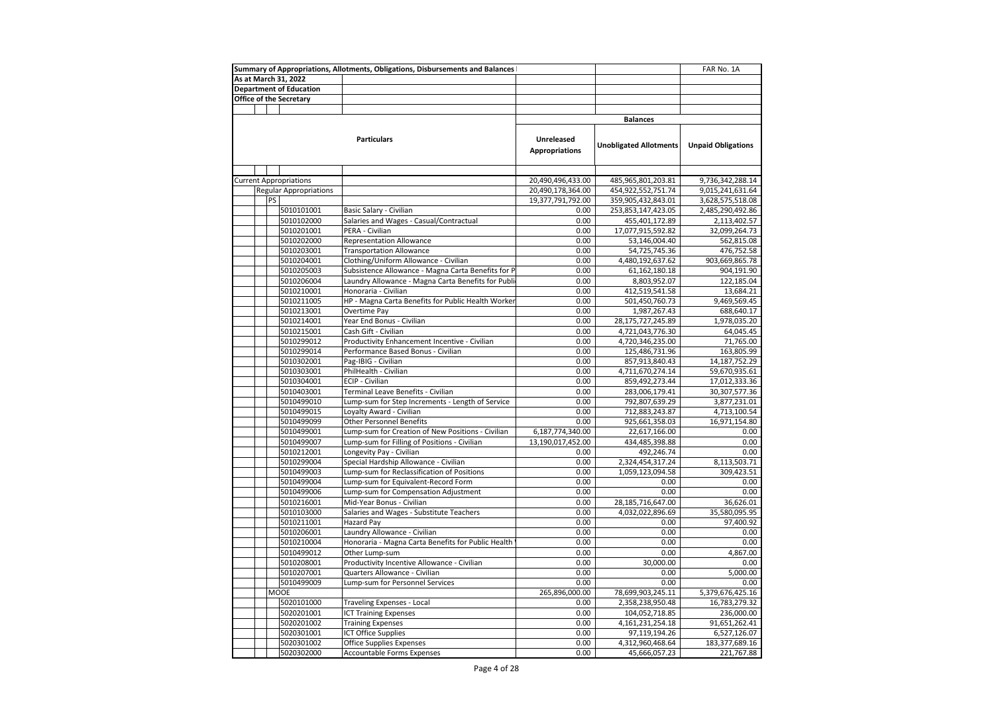|                                                                                                          |                                                                  | Summary of Appropriations, Allotments, Obligations, Disbursements and Balances |                       |                               | FAR No. 1A                |
|----------------------------------------------------------------------------------------------------------|------------------------------------------------------------------|--------------------------------------------------------------------------------|-----------------------|-------------------------------|---------------------------|
| As at March 31, 2022                                                                                     |                                                                  |                                                                                |                       |                               |                           |
| <b>Department of Education</b>                                                                           |                                                                  |                                                                                |                       |                               |                           |
| Office of the Secretary                                                                                  |                                                                  |                                                                                |                       |                               |                           |
|                                                                                                          |                                                                  |                                                                                |                       |                               |                           |
|                                                                                                          |                                                                  |                                                                                |                       | <b>Balances</b>               |                           |
|                                                                                                          |                                                                  |                                                                                |                       |                               |                           |
|                                                                                                          |                                                                  | <b>Particulars</b>                                                             | Unreleased            |                               |                           |
|                                                                                                          |                                                                  |                                                                                | <b>Appropriations</b> | <b>Unobligated Allotments</b> | <b>Unpaid Obligations</b> |
|                                                                                                          |                                                                  |                                                                                |                       |                               |                           |
|                                                                                                          |                                                                  |                                                                                |                       |                               |                           |
| <b>Current Appropriations</b>                                                                            |                                                                  |                                                                                | 20,490,496,433.00     | 485,965,801,203.81            | 9,736,342,288.14          |
|                                                                                                          | <b>Regular Appropriations</b>                                    |                                                                                | 20,490,178,364.00     | 454,922,552,751.74            | 9,015,241,631.64          |
| <b>PS</b>                                                                                                |                                                                  |                                                                                | 19,377,791,792.00     | 359,905,432,843.01            | 3,628,575,518.08          |
|                                                                                                          | 5010101001                                                       | Basic Salary - Civilian                                                        | 0.00                  | 253,853,147,423.05            | 2,485,290,492.86          |
|                                                                                                          | 5010102000                                                       | Salaries and Wages - Casual/Contractual                                        | 0.00                  | 455,401,172.89                | 2,113,402.57              |
|                                                                                                          | 5010201001                                                       | PERA - Civilian                                                                | 0.00                  | 17,077,915,592.82             | 32,099,264.73             |
| 5010202000                                                                                               |                                                                  | <b>Representation Allowance</b>                                                | 0.00                  | 53,146,004.40                 | 562,815.08                |
| 5010203001                                                                                               |                                                                  | <b>Transportation Allowance</b>                                                | 0.00                  | 54,725,745.36                 | 476,752.58                |
|                                                                                                          |                                                                  |                                                                                |                       |                               |                           |
|                                                                                                          | 5010204001                                                       | Clothing/Uniform Allowance - Civilian                                          | 0.00                  | 4,480,192,637.62              | 903,669,865.78            |
|                                                                                                          | Subsistence Allowance - Magna Carta Benefits for P<br>5010205003 |                                                                                | 0.00                  | 61,162,180.18                 | 904,191.90                |
|                                                                                                          | 5010206004                                                       | Laundry Allowance - Magna Carta Benefits for Publi                             | 0.00                  | 8,803,952.07                  | 122,185.04                |
|                                                                                                          | 5010210001                                                       | Honoraria - Civilian                                                           | 0.00                  | 412,519,541.58                | 13,684.21                 |
|                                                                                                          | 5010211005                                                       | HP - Magna Carta Benefits for Public Health Worker                             | 0.00                  | 501,450,760.73                | 9,469,569.45              |
|                                                                                                          | 5010213001                                                       | Overtime Pay                                                                   | 0.00                  | 1,987,267.43                  | 688,640.17                |
|                                                                                                          | 5010214001                                                       | Year End Bonus - Civilian                                                      | 0.00                  | 28,175,727,245.89             | 1,978,035.20              |
|                                                                                                          | 5010215001                                                       | Cash Gift - Civilian                                                           | 0.00                  | 4,721,043,776.30              | 64,045.45                 |
|                                                                                                          | 5010299012                                                       | Productivity Enhancement Incentive - Civilian                                  | 0.00                  | 4,720,346,235.00              | 71,765.00                 |
|                                                                                                          | 5010299014                                                       | Performance Based Bonus - Civilian                                             | 0.00                  | 125,486,731.96                | 163,805.99                |
|                                                                                                          | 5010302001                                                       | Pag-IBIG - Civilian                                                            | 0.00                  | 857,913,840.43                | 14, 187, 752. 29          |
|                                                                                                          | 5010303001                                                       | PhilHealth - Civilian                                                          | 0.00                  | 4,711,670,274.14              | 59,670,935.61             |
|                                                                                                          | 5010304001                                                       | ECIP - Civilian                                                                | 0.00                  | 859,492,273.44                | 17,012,333.36             |
|                                                                                                          | 5010403001                                                       | Terminal Leave Benefits - Civilian                                             | 0.00                  | 283,006,179.41                | 30, 307, 577. 36          |
|                                                                                                          | 5010499010                                                       | Lump-sum for Step Increments - Length of Service                               | 0.00                  | 792,807,639.29                | 3,877,231.01              |
|                                                                                                          | 5010499015                                                       | Loyalty Award - Civilian                                                       | 0.00                  | 712,883,243.87                | 4,713,100.54              |
|                                                                                                          | 5010499099                                                       | Other Personnel Benefits                                                       | 0.00                  | 925,661,358.03                | 16,971,154.80             |
|                                                                                                          | 5010499001                                                       | Lump-sum for Creation of New Positions - Civilian                              | 6,187,774,340.00      | 22,617,166.00                 | 0.00                      |
|                                                                                                          | 5010499007                                                       | Lump-sum for Filling of Positions - Civilian                                   | 13,190,017,452.00     | 434,485,398.88                | 0.00                      |
|                                                                                                          | 5010212001                                                       | Longevity Pay - Civilian                                                       | 0.00                  | 492,246.74                    | 0.00                      |
|                                                                                                          | 5010299004                                                       | Special Hardship Allowance - Civilian                                          | 0.00                  | 2,324,454,317.24              | 8,113,503.71              |
|                                                                                                          | 5010499003                                                       | Lump-sum for Reclassification of Positions                                     | 0.00                  | 1,059,123,094.58              | 309,423.51                |
|                                                                                                          | 5010499004                                                       | Lump-sum for Equivalent-Record Form                                            | 0.00                  | 0.00                          | 0.00                      |
|                                                                                                          | 5010499006                                                       | Lump-sum for Compensation Adjustment                                           | 0.00                  | 0.00                          | 0.00                      |
|                                                                                                          | 5010216001                                                       | Mid-Year Bonus - Civilian                                                      | 0.00                  | 28,185,716,647.00             | 36,626.01                 |
|                                                                                                          | 5010103000                                                       | Salaries and Wages - Substitute Teachers                                       | 0.00                  | 4,032,022,896.69              | 35,580,095.95             |
|                                                                                                          | 5010211001                                                       | Hazard Pay                                                                     | 0.00                  | 0.00                          | 97,400.92                 |
|                                                                                                          | 5010206001                                                       | Laundry Allowance - Civilian                                                   | 0.00                  | 0.00                          | 0.00                      |
|                                                                                                          |                                                                  | Honoraria - Magna Carta Benefits for Public Health                             | 0.00                  | 0.00                          |                           |
|                                                                                                          | 5010210004                                                       | Other Lump-sum                                                                 | 0.00                  | 0.00                          | 0.00<br>4,867.00          |
|                                                                                                          | 5010499012                                                       |                                                                                |                       |                               |                           |
| Productivity Incentive Allowance - Civilian<br>5010208001<br>5010207001<br>Quarters Allowance - Civilian |                                                                  | 0.00<br>0.00                                                                   | 30,000.00             | 0.00                          |                           |
|                                                                                                          |                                                                  |                                                                                |                       | 0.00                          | 5,000.00                  |
| 5010499009<br><b>MOOE</b>                                                                                |                                                                  | Lump-sum for Personnel Services                                                | 0.00                  | 0.00                          | 0.00                      |
|                                                                                                          |                                                                  |                                                                                | 265,896,000.00        | 78,699,903,245.11             | 5,379,676,425.16          |
|                                                                                                          | 5020101000                                                       | <b>Traveling Expenses - Local</b>                                              | 0.00                  | 2,358,238,950.48              | 16,783,279.32             |
|                                                                                                          | 5020201001                                                       | <b>ICT Training Expenses</b>                                                   | 0.00                  | 104,052,718.85                | 236,000.00                |
| 5020201002<br><b>Training Expenses</b>                                                                   |                                                                  | 0.00                                                                           | 4, 161, 231, 254. 18  | 91,651,262.41                 |                           |
| 5020301001<br><b>ICT Office Supplies</b>                                                                 |                                                                  |                                                                                | 0.00                  | 97,119,194.26                 | 6,527,126.07              |
|                                                                                                          | 5020301002                                                       | <b>Office Supplies Expenses</b>                                                | 0.00                  | 4,312,960,468.64              | 183,377,689.16            |
|                                                                                                          | 5020302000                                                       | Accountable Forms Expenses                                                     | 0.00                  | 45,666,057.23                 | 221,767.88                |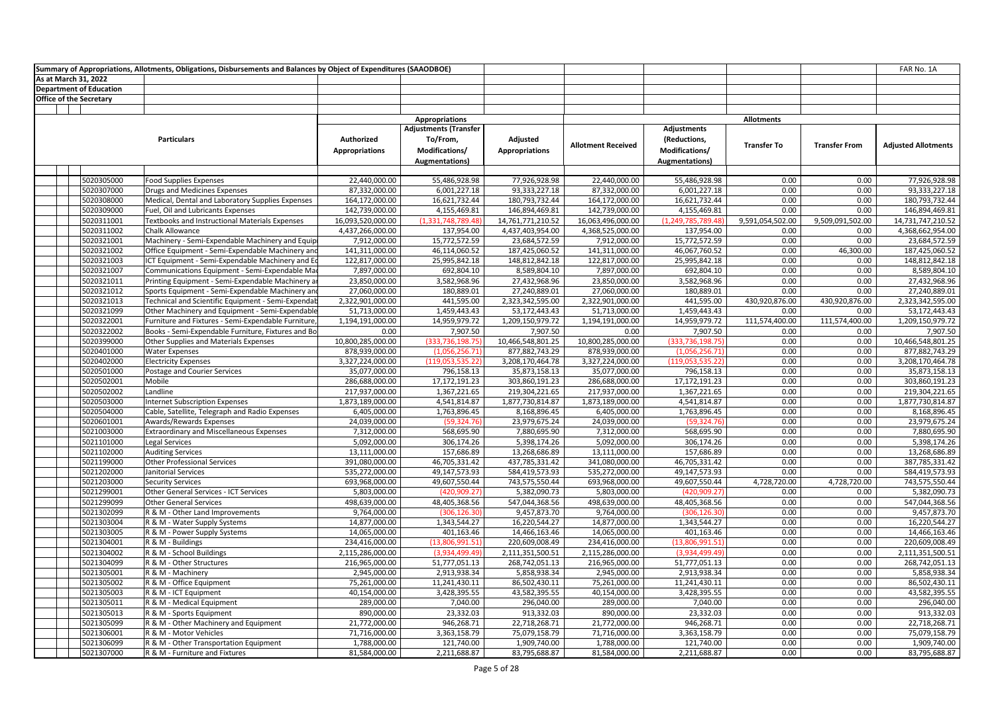| Summary of Appropriations, Allotments, Obligations, Disbursements and Balances by Object of Expenditures (SAAODBOE) |                                |                                                     |                             |                              |                             |                             |                               |                    | FAR No. 1A           |                             |
|---------------------------------------------------------------------------------------------------------------------|--------------------------------|-----------------------------------------------------|-----------------------------|------------------------------|-----------------------------|-----------------------------|-------------------------------|--------------------|----------------------|-----------------------------|
| As at March 31, 2022                                                                                                |                                |                                                     |                             |                              |                             |                             |                               |                    |                      |                             |
|                                                                                                                     | <b>Department of Education</b> |                                                     |                             |                              |                             |                             |                               |                    |                      |                             |
| <b>Office of the Secretary</b>                                                                                      |                                |                                                     |                             |                              |                             |                             |                               |                    |                      |                             |
|                                                                                                                     |                                |                                                     |                             |                              |                             |                             |                               |                    |                      |                             |
|                                                                                                                     |                                |                                                     |                             | <b>Appropriations</b>        |                             |                             |                               | <b>Allotments</b>  |                      |                             |
|                                                                                                                     |                                |                                                     |                             | <b>Adjustments (Transfer</b> |                             |                             | Adjustments                   |                    |                      |                             |
|                                                                                                                     |                                | <b>Particulars</b>                                  | Authorized                  | To/From,                     | Adjusted                    | <b>Allotment Received</b>   | (Reductions,                  | <b>Transfer To</b> | <b>Transfer From</b> | <b>Adjusted Allotments</b>  |
|                                                                                                                     |                                |                                                     | <b>Appropriations</b>       | Modifications/               | <b>Appropriations</b>       |                             | Modifications/                |                    |                      |                             |
|                                                                                                                     |                                |                                                     |                             | <b>Augmentations</b> )       |                             |                             | Augmentations)                |                    |                      |                             |
|                                                                                                                     |                                |                                                     |                             |                              |                             |                             |                               |                    |                      |                             |
|                                                                                                                     | 5020305000                     | <b>Food Supplies Expenses</b>                       | 22,440,000.00               | 55,486,928.98                | 77,926,928.98               | 22,440,000.00               | 55,486,928.98                 | 0.00               | 0.00                 | 77,926,928.98               |
|                                                                                                                     | 5020307000                     | Drugs and Medicines Expenses                        | 87,332,000.00               | 6,001,227.18                 | 93,333,227.18               | 87,332,000.00               | 6,001,227.18                  | 0.00               | 0.00                 | 93,333,227.18               |
|                                                                                                                     | 5020308000                     | Medical, Dental and Laboratory Supplies Expenses    | 164,172,000.00              | 16,621,732.44                | 180,793,732.44              | 164,172,000.00              | 16,621,732.44                 | 0.00               | 0.00                 | 180,793,732.44              |
|                                                                                                                     | 5020309000                     | Fuel, Oil and Lubricants Expenses                   | 142,739,000.00              | 4,155,469.81                 | 146,894,469.81              | 142,739,000.00              | 4,155,469.81                  | 0.00               | 0.00                 | 146,894,469.81              |
|                                                                                                                     | 5020311001                     | Textbooks and Instructional Materials Expenses      | 16,093,520,000.00           | (1,331,748,789.48            | 14,761,771,210.52           | 16,063,496,000.00           | (1,249,785,789.48             | 9,591,054,502.00   | 9,509,091,502.00     | 14,731,747,210.52           |
|                                                                                                                     | 5020311002                     | Chalk Allowance                                     | 4,437,266,000.00            | 137,954.00                   | 4,437,403,954.00            | 4,368,525,000.00            | 137,954.00                    | 0.00               | 0.00                 | 4,368,662,954.00            |
|                                                                                                                     | 5020321001                     | Machinery - Semi-Expendable Machinery and Equip     | 7,912,000.00                | 15,772,572.59                | 23,684,572.59               | 7,912,000.00                | 15,772,572.59                 | 0.00               | 0.00                 | 23,684,572.59               |
|                                                                                                                     | 5020321002                     | Office Equipment - Semi-Expendable Machinery and    | 141,311,000.00              | 46,114,060.52                | 187,425,060.52              | 141,311,000.00              | 46,067,760.52                 | 0.00               | 46,300.00            | 187,425,060.52              |
|                                                                                                                     | 5020321003                     | ICT Equipment - Semi-Expendable Machinery and Eq    | 122,817,000.00              | 25,995,842.18                | 148,812,842.18              | 122,817,000.00              | 25,995,842.18                 | 0.00               | 0.00                 | 148,812,842.18              |
|                                                                                                                     | 5020321007                     | Communications Equipment - Semi-Expendable Ma       | 7,897,000.00                | 692,804.10                   | 8,589,804.10                | 7,897,000.00                | 692,804.10                    | 0.00               | 0.00                 | 8,589,804.10                |
|                                                                                                                     | 5020321011                     | Printing Equipment - Semi-Expendable Machinery ar   | 23,850,000.00               | 3,582,968.96                 | 27,432,968.96               | 23,850,000.00               | 3,582,968.96                  | 0.00               | 0.00                 | 27,432,968.96               |
|                                                                                                                     | 5020321012                     | Sports Equipment - Semi-Expendable Machinery and    | 27,060,000.00               | 180,889.01                   | 27,240,889.01               | 27,060,000.00               | 180,889.01                    | 0.00               | 0.00                 | 27,240,889.01               |
|                                                                                                                     | 5020321013                     | Technical and Scientific Equipment - Semi-Expendab  | 2,322,901,000.00            | 441,595.00                   | 2,323,342,595.00            | 2,322,901,000.00            | 441,595.00                    | 430,920,876.00     | 430,920,876.00       | 2,323,342,595.00            |
|                                                                                                                     | 5020321099                     | Other Machinery and Equipment - Semi-Expendable     | 51,713,000.00               | 1,459,443.43                 | 53,172,443.43               | 51,713,000.00               | 1,459,443.43                  | 0.00               | 0.00                 | 53,172,443.43               |
|                                                                                                                     | 5020322001                     | Furniture and Fixtures - Semi-Expendable Furniture, | 1,194,191,000.00            | 14,959,979.72                | 1,209,150,979.72            | 1,194,191,000.00            | 14,959,979.72                 | 111,574,400.00     | 111,574,400.00       | 1,209,150,979.72            |
|                                                                                                                     | 5020322002                     | Books - Semi-Expendable Furniture, Fixtures and Bo  | 0.00                        | 7,907.50                     | 7,907.50                    | 0.00                        | 7,907.50                      | 0.00               | 0.00                 | 7,907.50                    |
|                                                                                                                     | 5020399000                     | Other Supplies and Materials Expenses               | 10,800,285,000.00           | (333,736,198.75              | 10,466,548,801.25           | 10,800,285,000.00           | (333, 736, 198.75)            | 0.00               | 0.00                 | 10,466,548,801.25           |
|                                                                                                                     | 5020401000                     | <b>Water Expenses</b>                               | 878,939,000.00              | (1,056,256.71)               | 877,882,743.29              | 878,939,000.00              | (1,056,256.71)                | 0.00               | 0.00                 | 877,882,743.29              |
|                                                                                                                     | 5020402000                     | <b>Electricity Expenses</b>                         | 3,327,224,000.00            | (119,053,535.22)             | 3,208,170,464.78            | 3,327,224,000.00            | (119,053,535.22)              | 0.00               | 0.00                 | 3,208,170,464.78            |
|                                                                                                                     | 5020501000                     | <b>Postage and Courier Services</b>                 | 35,077,000.00               | 796,158.13                   | 35,873,158.13               | 35,077,000.00               | 796,158.13                    | 0.00               | 0.00                 | 35,873,158.13               |
|                                                                                                                     | 5020502001                     | Mobile                                              | 286,688,000.00              | 17,172,191.23                | 303,860,191.23              | 286,688,000.00              | 17,172,191.23                 | 0.00               | 0.00                 | 303,860,191.23              |
|                                                                                                                     | 5020502002                     | Landline                                            | 217,937,000.00              | 1,367,221.65                 | 219,304,221.65              | 217,937,000.00              | 1,367,221.65                  | 0.00               | 0.00                 | 219,304,221.65              |
|                                                                                                                     | 5020503000                     | <b>Internet Subscription Expenses</b>               | 1,873,189,000.00            | 4,541,814.87                 | 1,877,730,814.87            | 1,873,189,000.00            | 4,541,814.87                  | 0.00               | 0.00                 | 1,877,730,814.87            |
|                                                                                                                     | 5020504000                     | Cable, Satellite, Telegraph and Radio Expenses      | 6,405,000.00                | 1,763,896.45                 | 8,168,896.45                | 6,405,000.00                | 1,763,896.45                  | 0.00               | 0.00                 | 8,168,896.45                |
|                                                                                                                     | 5020601001                     | Awards/Rewards Expenses                             | 24,039,000.00               | (59, 324.76)                 | 23,979,675.24               | 24,039,000.00               | (59, 324.76)                  | 0.00               | 0.00                 | 23,979,675.24               |
|                                                                                                                     | 5021003000                     | Extraordinary and Miscellaneous Expenses            | 7,312,000.00                | 568,695.90                   | 7,880,695.90                | 7,312,000.00                | 568,695.90                    | 0.00               | 0.00                 | 7,880,695.90                |
|                                                                                                                     | 5021101000                     | Legal Services                                      | 5,092,000.00                | 306,174.26                   | 5,398,174.26                | 5,092,000.00                | 306,174.26                    | 0.00               | 0.00                 | 5,398,174.26                |
|                                                                                                                     | 5021102000                     | <b>Auditing Services</b>                            | 13,111,000.00               | 157,686.89                   | 13,268,686.89               | 13,111,000.00               | 157,686.89                    | 0.00               | 0.00                 | 13,268,686.89               |
|                                                                                                                     | 5021199000                     | <b>Other Professional Services</b>                  | 391,080,000.00              | 46,705,331.42                | 437,785,331.42              | 341,080,000.00              | 46,705,331.42                 | 0.00               | 0.00                 | 387,785,331.42              |
|                                                                                                                     | 5021202000                     | Janitorial Services                                 | 535,272,000.00              | 49,147,573.93                | 584,419,573.93              | 535,272,000.00              | 49,147,573.93                 | 0.00               | 0.00                 | 584,419,573.93              |
|                                                                                                                     | 5021203000                     | <b>Security Services</b>                            | 693,968,000.00              | 49,607,550.44                | 743,575,550.44              | 693,968,000.00              | 49,607,550.44                 | 4,728,720.00       | 4,728,720.00         | 743,575,550.44              |
|                                                                                                                     | 5021299001                     | Other General Services - ICT Services               | 5,803,000.00                | (420,909.27                  | 5,382,090.73                | 5,803,000.00                | (420,909.27                   | 0.00               | 0.00                 | 5,382,090.73                |
|                                                                                                                     | 5021299099                     | <b>Other General Services</b>                       | 498,639,000.00              | 48,405,368.56                | 547,044,368.56              | 498,639,000.00              | 48,405,368.56                 | 0.00               | 0.00                 | 547,044,368.56              |
|                                                                                                                     | 5021302099                     | R & M - Other Land Improvements                     | 9,764,000.00                | (306, 126.30)                | 9,457,873.70                | 9,764,000.00                | (306, 126.30)                 | 0.00               | 0.00                 | 9,457,873.70                |
|                                                                                                                     | 5021303004                     | R & M - Water Supply Systems                        | 14,877,000.00               | 1,343,544.27                 | 16,220,544.27               | 14,877,000.00               | 1,343,544.27                  | 0.00               | 0.00                 | 16,220,544.27               |
|                                                                                                                     | 5021303005                     | R & M - Power Supply Systems                        | 14,065,000.00               | 401,163.46                   | 14,466,163.46               | 14,065,000.00               | 401,163.46                    | 0.00<br>0.00       | 0.00                 | 14,466,163.46               |
|                                                                                                                     | 5021304001                     | R & M - Buildings                                   | 234,416,000.00              | (13,806,991.51               | 220,609,008.49              | 234,416,000.00              | (13,806,991.51)               |                    | 0.00                 | 220,609,008.49              |
|                                                                                                                     | 5021304002                     | R & M - School Buildings                            | 2,115,286,000.00            | (3,934,499.49)               | 2,111,351,500.51            | 2,115,286,000.00            | (3,934,499.49)                | 0.00<br>0.00       | 0.00                 | 2,111,351,500.51            |
|                                                                                                                     | 5021304099                     | R & M - Other Structures                            | 216,965,000.00              | 51,777,051.13                | 268,742,051.13              | 216,965,000.00              | 51,777,051.13                 |                    | 0.00                 | 268,742,051.13              |
|                                                                                                                     | 5021305001                     | R & M - Machinery                                   | 2,945,000.00                | 2,913,938.34                 | 5,858,938.34                | 2,945,000.00                | 2,913,938.34                  | 0.00<br>0.00       | 0.00                 | 5,858,938.34                |
|                                                                                                                     | 5021305002                     | R & M - Office Equipment                            | 75,261,000.00               | 11,241,430.11                | 86,502,430.11               | 75,261,000.00               | 11,241,430.11<br>3,428,395.55 | 0.00               | 0.00                 | 86,502,430.11               |
|                                                                                                                     | 5021305003<br>5021305011       | R & M - ICT Equipment<br>R & M - Medical Equipment  | 40,154,000.00<br>289,000.00 | 3,428,395.55<br>7,040.00     | 43,582,395.55<br>296,040.00 | 40,154,000.00<br>289,000.00 | 7,040.00                      | 0.00               | 0.00<br>0.00         | 43,582,395.55<br>296,040.00 |
|                                                                                                                     | 5021305013                     | R & M - Sports Equipment                            | 890,000.00                  |                              |                             |                             |                               | 0.00               | 0.00                 |                             |
|                                                                                                                     | 5021305099                     | R & M - Other Machinery and Equipment               | 21,772,000.00               | 23,332.03<br>946,268.71      | 913,332.03<br>22,718,268.71 | 890,000.00<br>21,772,000.00 | 23,332.03<br>946,268.71       | 0.00               | 0.00                 | 913,332.03<br>22,718,268.71 |
|                                                                                                                     | 5021306001                     | R & M - Motor Vehicles                              | 71,716,000.00               | 3,363,158.79                 | 75,079,158.79               | 71,716,000.00               | 3,363,158.79                  | 0.00               | 0.00                 | 75,079,158.79               |
|                                                                                                                     | 5021306099                     | R & M - Other Transportation Equipment              | 1,788,000.00                | 121,740.00                   | 1,909,740.00                | 1,788,000.00                | 121,740.00                    | 0.00               | 0.00                 | 1,909,740.00                |
|                                                                                                                     | 5021307000                     | R & M - Furniture and Fixtures                      | 81,584,000.00               | 2,211,688.87                 | 83,795,688.87               | 81,584,000.00               | 2,211,688.87                  | 0.00               | 0.00                 | 83,795,688.87               |
|                                                                                                                     |                                |                                                     |                             |                              |                             |                             |                               |                    |                      |                             |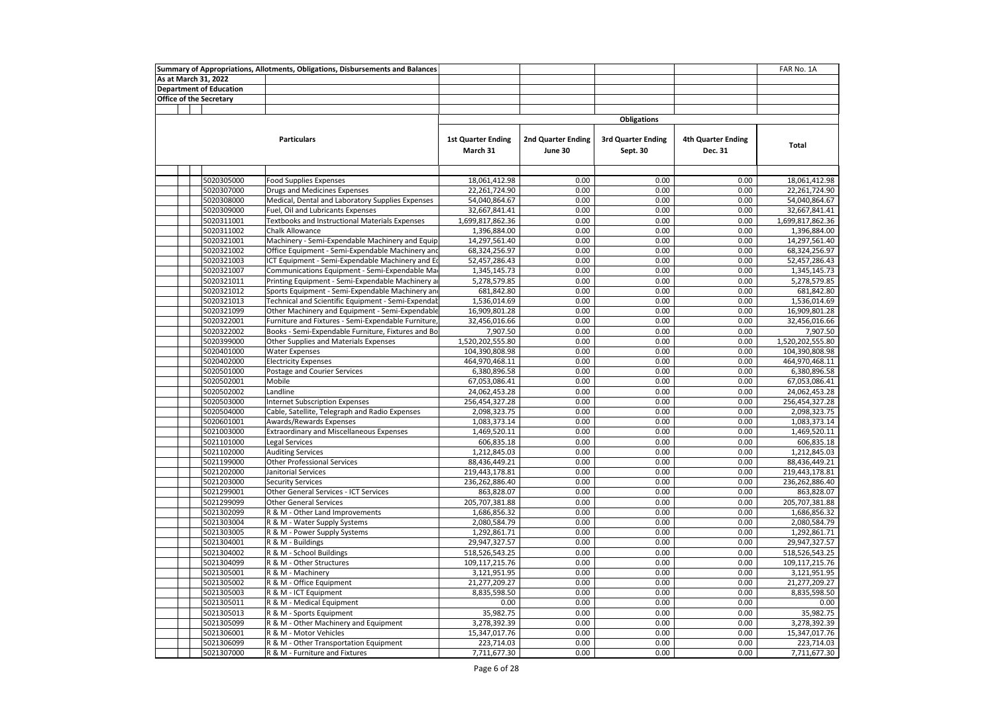| Summary of Appropriations, Allotments, Obligations, Disbursements and Balances |  |                                |                                                                           |                                       |                               | FAR No. 1A                            |                                      |                                 |
|--------------------------------------------------------------------------------|--|--------------------------------|---------------------------------------------------------------------------|---------------------------------------|-------------------------------|---------------------------------------|--------------------------------------|---------------------------------|
|                                                                                |  | As at March 31, 2022           |                                                                           |                                       |                               |                                       |                                      |                                 |
|                                                                                |  | <b>Department of Education</b> |                                                                           |                                       |                               |                                       |                                      |                                 |
|                                                                                |  | <b>Office of the Secretary</b> |                                                                           |                                       |                               |                                       |                                      |                                 |
|                                                                                |  |                                |                                                                           |                                       |                               |                                       |                                      |                                 |
|                                                                                |  |                                |                                                                           |                                       |                               | <b>Obligations</b>                    |                                      |                                 |
|                                                                                |  |                                | <b>Particulars</b>                                                        | <b>1st Quarter Ending</b><br>March 31 | 2nd Quarter Ending<br>June 30 | <b>3rd Quarter Ending</b><br>Sept. 30 | <b>4th Quarter Ending</b><br>Dec. 31 | <b>Total</b>                    |
|                                                                                |  |                                |                                                                           |                                       |                               |                                       |                                      |                                 |
|                                                                                |  | 5020305000                     | <b>Food Supplies Expenses</b>                                             | 18,061,412.98                         | 0.00                          | 0.00                                  | 0.00                                 | 18,061,412.98                   |
|                                                                                |  | 5020307000                     | <b>Drugs and Medicines Expenses</b>                                       | 22,261,724.90                         | 0.00                          | 0.00                                  | 0.00                                 | 22,261,724.90                   |
|                                                                                |  | 5020308000                     | Medical, Dental and Laboratory Supplies Expenses                          | 54,040,864.67                         | 0.00                          | 0.00                                  | 0.00                                 | 54,040,864.67                   |
|                                                                                |  | 5020309000                     | Fuel, Oil and Lubricants Expenses                                         | 32,667,841.41                         | 0.00                          | 0.00                                  | 0.00                                 | 32,667,841.41                   |
|                                                                                |  | 5020311001                     | <b>Textbooks and Instructional Materials Expenses</b>                     | 1,699,817,862.36                      | 0.00                          | 0.00                                  | 0.00                                 | 1,699,817,862.36                |
|                                                                                |  | 5020311002                     | <b>Chalk Allowance</b>                                                    | 1,396,884.00                          | 0.00                          | 0.00                                  | 0.00                                 | 1,396,884.00                    |
|                                                                                |  | 5020321001                     | Machinery - Semi-Expendable Machinery and Equip                           | 14,297,561.40                         | 0.00                          | 0.00                                  | 0.00                                 | 14,297,561.40                   |
|                                                                                |  | 5020321002                     | Office Equipment - Semi-Expendable Machinery and                          | 68,324,256.97                         | 0.00                          | 0.00                                  | 0.00                                 | 68,324,256.97                   |
|                                                                                |  | 5020321003                     | ICT Equipment - Semi-Expendable Machinery and Eq                          | 52,457,286.43                         | 0.00                          | 0.00                                  | 0.00                                 | 52,457,286.43                   |
|                                                                                |  | 5020321007                     | Communications Equipment - Semi-Expendable Ma                             | 1,345,145.73                          | 0.00                          | 0.00                                  | 0.00                                 | 1,345,145.73                    |
|                                                                                |  | 5020321011                     | Printing Equipment - Semi-Expendable Machinery a                          | 5,278,579.85                          | 0.00                          | 0.00                                  | 0.00                                 | 5,278,579.85                    |
|                                                                                |  | 5020321012                     | Sports Equipment - Semi-Expendable Machinery and                          | 681,842.80                            | 0.00                          | 0.00                                  | 0.00                                 | 681,842.80                      |
|                                                                                |  | 5020321013                     | Technical and Scientific Equipment - Semi-Expendal                        | 1,536,014.69                          | 0.00                          | 0.00                                  | 0.00                                 | 1,536,014.69                    |
|                                                                                |  | 5020321099                     | Other Machinery and Equipment - Semi-Expendable                           | 16,909,801.28                         | 0.00                          | 0.00                                  | 0.00                                 | 16,909,801.28                   |
|                                                                                |  | 5020322001                     | Furniture and Fixtures - Semi-Expendable Furniture                        | 32,456,016.66                         | 0.00                          | 0.00                                  | 0.00                                 | 32,456,016.66                   |
|                                                                                |  | 5020322002                     | Books - Semi-Expendable Furniture, Fixtures and Bo                        | 7,907.50                              | 0.00                          | 0.00                                  | 0.00                                 | 7,907.50                        |
|                                                                                |  | 5020399000                     | Other Supplies and Materials Expenses                                     | 1,520,202,555.80                      | 0.00                          | 0.00                                  | 0.00                                 | 1,520,202,555.80                |
|                                                                                |  | 5020401000                     | <b>Water Expenses</b>                                                     | 104,390,808.98                        | 0.00                          | 0.00                                  | 0.00                                 | 104,390,808.98                  |
|                                                                                |  | 5020402000                     | <b>Electricity Expenses</b>                                               | 464,970,468.11                        | 0.00                          | 0.00                                  | 0.00                                 | 464,970,468.11                  |
|                                                                                |  | 5020501000                     | Postage and Courier Services                                              | 6,380,896.58                          | 0.00<br>0.00                  | 0.00<br>0.00                          | 0.00                                 | 6,380,896.58                    |
|                                                                                |  | 5020502001                     | Mobile<br>Landline                                                        | 67,053,086.41                         |                               | 0.00                                  | 0.00                                 | 67,053,086.41                   |
|                                                                                |  | 5020502002<br>5020503000       |                                                                           | 24,062,453.28<br>256,454,327.28       | 0.00<br>0.00                  | 0.00                                  | 0.00<br>0.00                         | 24,062,453.28                   |
|                                                                                |  | 5020504000                     | <b>Internet Subscription Expenses</b>                                     | 2,098,323.75                          | 0.00                          | 0.00                                  | 0.00                                 | 256,454,327.28<br>2,098,323.75  |
|                                                                                |  | 5020601001                     | Cable, Satellite, Telegraph and Radio Expenses<br>Awards/Rewards Expenses | 1,083,373.14                          | 0.00                          | 0.00                                  | 0.00                                 | 1,083,373.14                    |
|                                                                                |  | 5021003000                     | <b>Extraordinary and Miscellaneous Expenses</b>                           | 1,469,520.11                          | 0.00                          | 0.00                                  | 0.00                                 | 1,469,520.11                    |
|                                                                                |  |                                |                                                                           |                                       |                               |                                       |                                      |                                 |
|                                                                                |  | 5021101000<br>5021102000       | <b>Legal Services</b>                                                     | 606,835.18<br>1,212,845.03            | 0.00<br>0.00                  | 0.00<br>0.00                          | 0.00<br>0.00                         | 606,835.18<br>1,212,845.03      |
|                                                                                |  | 5021199000                     | <b>Auditing Services</b>                                                  |                                       | 0.00                          | 0.00                                  | 0.00                                 |                                 |
|                                                                                |  | 5021202000                     | <b>Other Professional Services</b><br>Janitorial Services                 | 88,436,449.21<br>219,443,178.81       | 0.00                          | 0.00                                  | 0.00                                 | 88,436,449.21<br>219,443,178.81 |
|                                                                                |  |                                |                                                                           |                                       |                               |                                       |                                      |                                 |
|                                                                                |  | 5021203000<br>5021299001       | <b>Security Services</b><br>Other General Services - ICT Services         | 236,262,886.40<br>863,828.07          | 0.00<br>0.00                  | 0.00<br>0.00                          | 0.00<br>0.00                         | 236,262,886.40<br>863,828.07    |
|                                                                                |  | 5021299099                     | <b>Other General Services</b>                                             | 205,707,381.88                        | 0.00                          | 0.00                                  | 0.00                                 | 205,707,381.88                  |
|                                                                                |  | 5021302099                     | R & M - Other Land Improvements                                           | 1,686,856.32                          | 0.00                          | 0.00                                  | 0.00                                 | 1,686,856.32                    |
|                                                                                |  | 5021303004                     | R & M - Water Supply Systems                                              | 2,080,584.79                          | 0.00                          | 0.00                                  | 0.00                                 | 2,080,584.79                    |
|                                                                                |  | 5021303005                     | R & M - Power Supply Systems                                              | 1,292,861.71                          | 0.00                          | 0.00                                  | 0.00                                 | 1,292,861.71                    |
|                                                                                |  | 5021304001                     | R & M - Buildings                                                         | 29,947,327.57                         | 0.00                          | 0.00                                  | 0.00                                 | 29,947,327.57                   |
|                                                                                |  | 5021304002                     | R & M - School Buildings                                                  | 518,526,543.25                        | 0.00                          | 0.00                                  | 0.00                                 | 518,526,543.25                  |
|                                                                                |  | 5021304099                     | R & M - Other Structures                                                  | 109,117,215.76                        | 0.00                          | 0.00                                  | 0.00                                 | 109,117,215.76                  |
|                                                                                |  | 5021305001                     | R & M - Machinery                                                         | 3,121,951.95                          | 0.00                          | 0.00                                  | 0.00                                 | 3,121,951.95                    |
|                                                                                |  | 5021305002                     | R & M - Office Equipment                                                  | 21,277,209.27                         | 0.00                          | 0.00                                  | 0.00                                 | 21,277,209.27                   |
|                                                                                |  | 5021305003                     | R & M - ICT Equipment                                                     | 8,835,598.50                          | 0.00                          | 0.00                                  | 0.00                                 | 8,835,598.50                    |
|                                                                                |  | 5021305011                     | R & M - Medical Equipment                                                 | 0.00                                  | 0.00                          | 0.00                                  | 0.00                                 | 0.00                            |
|                                                                                |  | 5021305013                     | R & M - Sports Equipment                                                  | 35,982.75                             | 0.00                          | 0.00                                  | 0.00                                 | 35,982.75                       |
|                                                                                |  | 5021305099                     | R & M - Other Machinery and Equipment                                     | 3,278,392.39                          | 0.00                          | 0.00                                  | 0.00                                 | 3,278,392.39                    |
|                                                                                |  | 5021306001                     | R & M - Motor Vehicles                                                    | 15,347,017.76                         | 0.00                          | 0.00                                  | 0.00                                 | 15,347,017.76                   |
|                                                                                |  | 5021306099                     | R & M - Other Transportation Equipment                                    | 223,714.03                            | 0.00                          | 0.00                                  | 0.00                                 | 223,714.03                      |
|                                                                                |  | 5021307000                     | R & M - Furniture and Fixtures                                            | 7,711,677.30                          | 0.00                          | 0.00                                  | 0.00                                 | 7,711,677.30                    |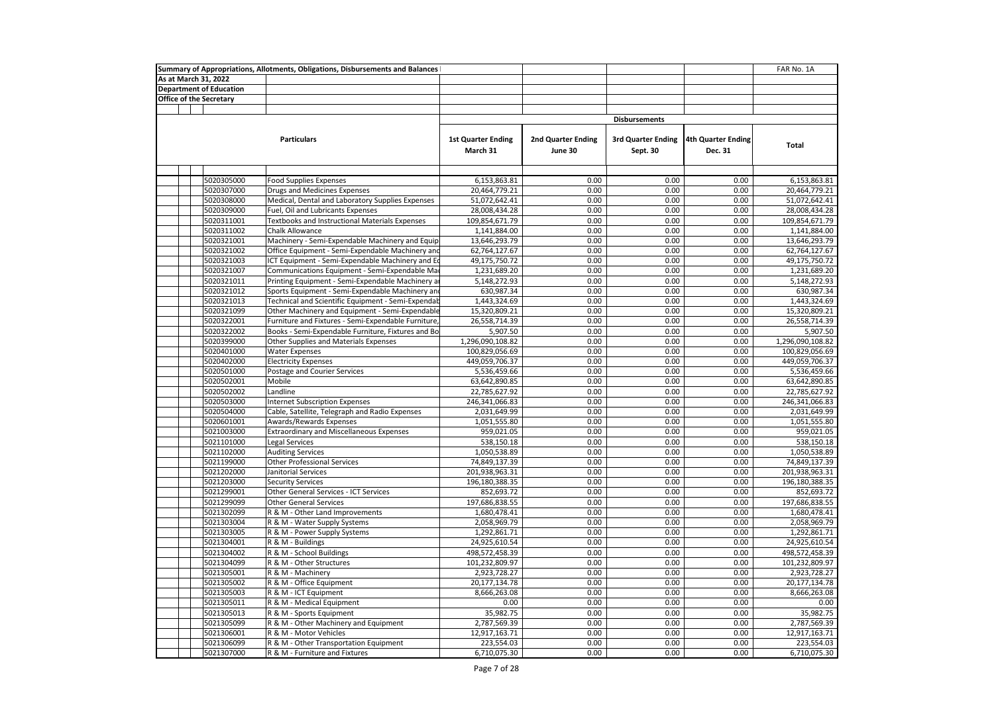| As at March 31, 2022<br><b>Department of Education</b><br><b>Office of the Secretary</b><br><b>Disbursements</b><br><b>Particulars</b><br><b>1st Quarter Ending</b><br>2nd Quarter Ending<br><b>3rd Quarter Ending</b><br>4th Quarter Ending<br>Total<br>March 31<br>June 30<br>Sept. 30<br>Dec. 31<br>5020305000<br>0.00<br>0.00<br>0.00<br>Food Supplies Expenses<br>6,153,863.81<br>6,153,863.81<br>5020307000<br>20,464,779.21<br>0.00<br>0.00<br>0.00<br>20,464,779.21<br>Drugs and Medicines Expenses<br>51,072,642.41<br>0.00<br>0.00<br>0.00<br>5020308000<br>Medical, Dental and Laboratory Supplies Expenses<br>51,072,642.41<br>5020309000<br>Fuel, Oil and Lubricants Expenses<br>28,008,434.28<br>0.00<br>0.00<br>0.00<br>28,008,434.28<br>5020311001<br>Textbooks and Instructional Materials Expenses<br>109,854,671.79<br>0.00<br>0.00<br>0.00<br>109,854,671.79<br>5020311002<br>Chalk Allowance<br>1,141,884.00<br>0.00<br>0.00<br>0.00<br>1,141,884.00<br>5020321001<br>Machinery - Semi-Expendable Machinery and Equip<br>0.00<br>0.00<br>0.00<br>13,646,293.79<br>13,646,293.79<br>0.00<br>0.00<br>0.00<br>5020321002<br>Office Equipment - Semi-Expendable Machinery and<br>62,764,127.67<br>62,764,127.67<br>5020321003<br>ICT Equipment - Semi-Expendable Machinery and Eq<br>49,175,750.72<br>0.00<br>0.00<br>0.00<br>49,175,750.72<br>0.00<br>0.00<br>5020321007<br>Communications Equipment - Semi-Expendable Ma<br>1,231,689.20<br>0.00<br>1,231,689.20<br>5020321011<br>Printing Equipment - Semi-Expendable Machinery a<br>5,148,272.93<br>0.00<br>0.00<br>0.00<br>5,148,272.93<br>0.00<br>0.00<br>0.00<br>630,987.34<br>5020321012<br>Sports Equipment - Semi-Expendable Machinery and<br>630,987.34<br>5020321013<br>1,443,324.69<br>0.00<br>0.00<br>0.00<br>1,443,324.69<br>Technical and Scientific Equipment - Semi-Expendab<br>5020321099<br>0.00<br>0.00<br>0.00<br>15,320,809.21<br>Other Machinery and Equipment - Semi-Expendable<br>15,320,809.21<br>0.00<br>5020322001<br>Furniture and Fixtures - Semi-Expendable Furniture,<br>26,558,714.39<br>0.00<br>0.00<br>26,558,714.39<br>0.00<br>0.00<br>0.00<br>5020322002<br>Books - Semi-Expendable Furniture, Fixtures and Bo<br>5,907.50<br>5,907.50<br>5020399000<br>Other Supplies and Materials Expenses<br>1,296,090,108.82<br>0.00<br>0.00<br>0.00<br>1,296,090,108.82<br>0.00<br>0.00<br>0.00<br>5020401000<br><b>Water Expenses</b><br>100,829,056.69<br>100,829,056.69<br>0.00<br>5020402000<br><b>Electricity Expenses</b><br>449,059,706.37<br>0.00<br>0.00<br>449,059,706.37<br>5020501000<br>Postage and Courier Services<br>5,536,459.66<br>0.00<br>0.00<br>0.00<br>5,536,459.66<br>5020502001<br>Mobile<br>63,642,890.85<br>0.00<br>0.00<br>0.00<br>63,642,890.85<br>5020502002<br>Landline<br>22,785,627.92<br>0.00<br>0.00<br>0.00<br>22,785,627.92<br>0.00<br>0.00<br>0.00<br>5020503000<br><b>Internet Subscription Expenses</b><br>246,341,066.83<br>246,341,066.83<br>5020504000<br>Cable, Satellite, Telegraph and Radio Expenses<br>2,031,649.99<br>0.00<br>0.00<br>0.00<br>2,031,649.99<br>5020601001<br>1,051,555.80<br>0.00<br>0.00<br>0.00<br>1,051,555.80<br>Awards/Rewards Expenses<br>0.00<br>5021003000<br><b>Extraordinary and Miscellaneous Expenses</b><br>959,021.05<br>0.00<br>0.00<br>959,021.05<br>5021101000<br>Legal Services<br>0.00<br>0.00<br>0.00<br>538,150.18<br>538,150.18<br>5021102000<br><b>Auditing Services</b><br>1,050,538.89<br>0.00<br>0.00<br>0.00<br>1,050,538.89<br>5021199000<br><b>Other Professional Services</b><br>74,849,137.39<br>0.00<br>0.00<br>0.00<br>74,849,137.39<br>5021202000<br>201,938,963.31<br>0.00<br>0.00<br>0.00<br>201,938,963.31<br>Janitorial Services<br>5021203000<br>196,180,388.35<br>0.00<br>0.00<br>0.00<br>196,180,388.35<br><b>Security Services</b><br>5021299001<br>0.00<br>0.00<br>0.00<br>Other General Services - ICT Services<br>852,693.72<br>852,693.72<br>0.00<br>5021299099<br>197,686,838.55<br>0.00<br>0.00<br>197,686,838.55<br><b>Other General Services</b><br>5021302099<br>1,680,478.41<br>0.00<br>0.00<br>0.00<br>1,680,478.41<br>R & M - Other Land Improvements<br>0.00<br>0.00<br>0.00<br>5021303004<br>R & M - Water Supply Systems<br>2,058,969.79<br>2,058,969.79<br>5021303005<br>1,292,861.71<br>0.00<br>0.00<br>0.00<br>1,292,861.71<br>R & M - Power Supply Systems<br>0.00<br>0.00<br>0.00<br>5021304001<br>R & M - Buildings<br>24,925,610.54<br>24,925,610.54<br>R & M - School Buildings<br>5021304002<br>498,572,458.39<br>0.00<br>0.00<br>0.00<br>498,572,458.39<br>0.00<br>0.00<br>0.00<br>5021304099<br>R & M - Other Structures<br>101,232,809.97<br>101,232,809.97<br>5021305001<br>R & M - Machinery<br>2,923,728.27<br>0.00<br>0.00<br>0.00<br>2,923,728.27<br>0.00<br>0.00<br>5021305002<br>R & M - Office Equipment<br>20,177,134.78<br>0.00<br>20,177,134.78<br>5021305003<br>R & M - ICT Equipment<br>8,666,263.08<br>0.00<br>0.00<br>0.00<br>8,666,263.08<br>5021305011<br>R & M - Medical Equipment<br>0.00<br>0.00<br>0.00<br>0.00<br>0.00<br>5021305013<br>R & M - Sports Equipment<br>35,982.75<br>0.00<br>0.00<br>0.00<br>35,982.75<br>5021305099<br>R & M - Other Machinery and Equipment<br>2,787,569.39<br>0.00<br>0.00<br>0.00<br>2,787,569.39<br>0.00<br>0.00<br>0.00<br>12,917,163.71<br>5021306001<br>R & M - Motor Vehicles<br>12,917,163.71<br>5021306099<br>R & M - Other Transportation Equipment<br>223,554.03<br>0.00<br>0.00<br>0.00<br>223,554.03<br>5021307000<br>6,710,075.30<br>0.00<br>0.00<br>0.00<br>6,710,075.30<br>R & M - Furniture and Fixtures |  | Summary of Appropriations, Allotments, Obligations, Disbursements and Balances |  |  | FAR No. 1A |
|----------------------------------------------------------------------------------------------------------------------------------------------------------------------------------------------------------------------------------------------------------------------------------------------------------------------------------------------------------------------------------------------------------------------------------------------------------------------------------------------------------------------------------------------------------------------------------------------------------------------------------------------------------------------------------------------------------------------------------------------------------------------------------------------------------------------------------------------------------------------------------------------------------------------------------------------------------------------------------------------------------------------------------------------------------------------------------------------------------------------------------------------------------------------------------------------------------------------------------------------------------------------------------------------------------------------------------------------------------------------------------------------------------------------------------------------------------------------------------------------------------------------------------------------------------------------------------------------------------------------------------------------------------------------------------------------------------------------------------------------------------------------------------------------------------------------------------------------------------------------------------------------------------------------------------------------------------------------------------------------------------------------------------------------------------------------------------------------------------------------------------------------------------------------------------------------------------------------------------------------------------------------------------------------------------------------------------------------------------------------------------------------------------------------------------------------------------------------------------------------------------------------------------------------------------------------------------------------------------------------------------------------------------------------------------------------------------------------------------------------------------------------------------------------------------------------------------------------------------------------------------------------------------------------------------------------------------------------------------------------------------------------------------------------------------------------------------------------------------------------------------------------------------------------------------------------------------------------------------------------------------------------------------------------------------------------------------------------------------------------------------------------------------------------------------------------------------------------------------------------------------------------------------------------------------------------------------------------------------------------------------------------------------------------------------------------------------------------------------------------------------------------------------------------------------------------------------------------------------------------------------------------------------------------------------------------------------------------------------------------------------------------------------------------------------------------------------------------------------------------------------------------------------------------------------------------------------------------------------------------------------------------------------------------------------------------------------------------------------------------------------------------------------------------------------------------------------------------------------------------------------------------------------------------------------------------------------------------------------------------------------------------------------------------------------------------------------------------------------------------------------------------------------------------------------------------------------------------------------------------------------------------------------------------------------------------------------------------------------------------------------------------------------------------------------------------------------------------------------------------------------------------------------------------------------------------------------------------------------------------------------------------------------------------------------------------------------------------------------------------------------------------------------------------------------------------------------------------------------------------------------------------------------------------------------------------------------------------------------------|--|--------------------------------------------------------------------------------|--|--|------------|
|                                                                                                                                                                                                                                                                                                                                                                                                                                                                                                                                                                                                                                                                                                                                                                                                                                                                                                                                                                                                                                                                                                                                                                                                                                                                                                                                                                                                                                                                                                                                                                                                                                                                                                                                                                                                                                                                                                                                                                                                                                                                                                                                                                                                                                                                                                                                                                                                                                                                                                                                                                                                                                                                                                                                                                                                                                                                                                                                                                                                                                                                                                                                                                                                                                                                                                                                                                                                                                                                                                                                                                                                                                                                                                                                                                                                                                                                                                                                                                                                                                                                                                                                                                                                                                                                                                                                                                                                                                                                                                                                                                                                                                                                                                                                                                                                                                                                                                                                                                                                                                                                                                                                                                                                                                                                                                                                                                                                                                                                                                                                                                                                                |  |                                                                                |  |  |            |
|                                                                                                                                                                                                                                                                                                                                                                                                                                                                                                                                                                                                                                                                                                                                                                                                                                                                                                                                                                                                                                                                                                                                                                                                                                                                                                                                                                                                                                                                                                                                                                                                                                                                                                                                                                                                                                                                                                                                                                                                                                                                                                                                                                                                                                                                                                                                                                                                                                                                                                                                                                                                                                                                                                                                                                                                                                                                                                                                                                                                                                                                                                                                                                                                                                                                                                                                                                                                                                                                                                                                                                                                                                                                                                                                                                                                                                                                                                                                                                                                                                                                                                                                                                                                                                                                                                                                                                                                                                                                                                                                                                                                                                                                                                                                                                                                                                                                                                                                                                                                                                                                                                                                                                                                                                                                                                                                                                                                                                                                                                                                                                                                                |  |                                                                                |  |  |            |
|                                                                                                                                                                                                                                                                                                                                                                                                                                                                                                                                                                                                                                                                                                                                                                                                                                                                                                                                                                                                                                                                                                                                                                                                                                                                                                                                                                                                                                                                                                                                                                                                                                                                                                                                                                                                                                                                                                                                                                                                                                                                                                                                                                                                                                                                                                                                                                                                                                                                                                                                                                                                                                                                                                                                                                                                                                                                                                                                                                                                                                                                                                                                                                                                                                                                                                                                                                                                                                                                                                                                                                                                                                                                                                                                                                                                                                                                                                                                                                                                                                                                                                                                                                                                                                                                                                                                                                                                                                                                                                                                                                                                                                                                                                                                                                                                                                                                                                                                                                                                                                                                                                                                                                                                                                                                                                                                                                                                                                                                                                                                                                                                                |  |                                                                                |  |  |            |
|                                                                                                                                                                                                                                                                                                                                                                                                                                                                                                                                                                                                                                                                                                                                                                                                                                                                                                                                                                                                                                                                                                                                                                                                                                                                                                                                                                                                                                                                                                                                                                                                                                                                                                                                                                                                                                                                                                                                                                                                                                                                                                                                                                                                                                                                                                                                                                                                                                                                                                                                                                                                                                                                                                                                                                                                                                                                                                                                                                                                                                                                                                                                                                                                                                                                                                                                                                                                                                                                                                                                                                                                                                                                                                                                                                                                                                                                                                                                                                                                                                                                                                                                                                                                                                                                                                                                                                                                                                                                                                                                                                                                                                                                                                                                                                                                                                                                                                                                                                                                                                                                                                                                                                                                                                                                                                                                                                                                                                                                                                                                                                                                                |  |                                                                                |  |  |            |
|                                                                                                                                                                                                                                                                                                                                                                                                                                                                                                                                                                                                                                                                                                                                                                                                                                                                                                                                                                                                                                                                                                                                                                                                                                                                                                                                                                                                                                                                                                                                                                                                                                                                                                                                                                                                                                                                                                                                                                                                                                                                                                                                                                                                                                                                                                                                                                                                                                                                                                                                                                                                                                                                                                                                                                                                                                                                                                                                                                                                                                                                                                                                                                                                                                                                                                                                                                                                                                                                                                                                                                                                                                                                                                                                                                                                                                                                                                                                                                                                                                                                                                                                                                                                                                                                                                                                                                                                                                                                                                                                                                                                                                                                                                                                                                                                                                                                                                                                                                                                                                                                                                                                                                                                                                                                                                                                                                                                                                                                                                                                                                                                                |  |                                                                                |  |  |            |
|                                                                                                                                                                                                                                                                                                                                                                                                                                                                                                                                                                                                                                                                                                                                                                                                                                                                                                                                                                                                                                                                                                                                                                                                                                                                                                                                                                                                                                                                                                                                                                                                                                                                                                                                                                                                                                                                                                                                                                                                                                                                                                                                                                                                                                                                                                                                                                                                                                                                                                                                                                                                                                                                                                                                                                                                                                                                                                                                                                                                                                                                                                                                                                                                                                                                                                                                                                                                                                                                                                                                                                                                                                                                                                                                                                                                                                                                                                                                                                                                                                                                                                                                                                                                                                                                                                                                                                                                                                                                                                                                                                                                                                                                                                                                                                                                                                                                                                                                                                                                                                                                                                                                                                                                                                                                                                                                                                                                                                                                                                                                                                                                                |  |                                                                                |  |  |            |
|                                                                                                                                                                                                                                                                                                                                                                                                                                                                                                                                                                                                                                                                                                                                                                                                                                                                                                                                                                                                                                                                                                                                                                                                                                                                                                                                                                                                                                                                                                                                                                                                                                                                                                                                                                                                                                                                                                                                                                                                                                                                                                                                                                                                                                                                                                                                                                                                                                                                                                                                                                                                                                                                                                                                                                                                                                                                                                                                                                                                                                                                                                                                                                                                                                                                                                                                                                                                                                                                                                                                                                                                                                                                                                                                                                                                                                                                                                                                                                                                                                                                                                                                                                                                                                                                                                                                                                                                                                                                                                                                                                                                                                                                                                                                                                                                                                                                                                                                                                                                                                                                                                                                                                                                                                                                                                                                                                                                                                                                                                                                                                                                                |  |                                                                                |  |  |            |
|                                                                                                                                                                                                                                                                                                                                                                                                                                                                                                                                                                                                                                                                                                                                                                                                                                                                                                                                                                                                                                                                                                                                                                                                                                                                                                                                                                                                                                                                                                                                                                                                                                                                                                                                                                                                                                                                                                                                                                                                                                                                                                                                                                                                                                                                                                                                                                                                                                                                                                                                                                                                                                                                                                                                                                                                                                                                                                                                                                                                                                                                                                                                                                                                                                                                                                                                                                                                                                                                                                                                                                                                                                                                                                                                                                                                                                                                                                                                                                                                                                                                                                                                                                                                                                                                                                                                                                                                                                                                                                                                                                                                                                                                                                                                                                                                                                                                                                                                                                                                                                                                                                                                                                                                                                                                                                                                                                                                                                                                                                                                                                                                                |  |                                                                                |  |  |            |
|                                                                                                                                                                                                                                                                                                                                                                                                                                                                                                                                                                                                                                                                                                                                                                                                                                                                                                                                                                                                                                                                                                                                                                                                                                                                                                                                                                                                                                                                                                                                                                                                                                                                                                                                                                                                                                                                                                                                                                                                                                                                                                                                                                                                                                                                                                                                                                                                                                                                                                                                                                                                                                                                                                                                                                                                                                                                                                                                                                                                                                                                                                                                                                                                                                                                                                                                                                                                                                                                                                                                                                                                                                                                                                                                                                                                                                                                                                                                                                                                                                                                                                                                                                                                                                                                                                                                                                                                                                                                                                                                                                                                                                                                                                                                                                                                                                                                                                                                                                                                                                                                                                                                                                                                                                                                                                                                                                                                                                                                                                                                                                                                                |  |                                                                                |  |  |            |
|                                                                                                                                                                                                                                                                                                                                                                                                                                                                                                                                                                                                                                                                                                                                                                                                                                                                                                                                                                                                                                                                                                                                                                                                                                                                                                                                                                                                                                                                                                                                                                                                                                                                                                                                                                                                                                                                                                                                                                                                                                                                                                                                                                                                                                                                                                                                                                                                                                                                                                                                                                                                                                                                                                                                                                                                                                                                                                                                                                                                                                                                                                                                                                                                                                                                                                                                                                                                                                                                                                                                                                                                                                                                                                                                                                                                                                                                                                                                                                                                                                                                                                                                                                                                                                                                                                                                                                                                                                                                                                                                                                                                                                                                                                                                                                                                                                                                                                                                                                                                                                                                                                                                                                                                                                                                                                                                                                                                                                                                                                                                                                                                                |  |                                                                                |  |  |            |
|                                                                                                                                                                                                                                                                                                                                                                                                                                                                                                                                                                                                                                                                                                                                                                                                                                                                                                                                                                                                                                                                                                                                                                                                                                                                                                                                                                                                                                                                                                                                                                                                                                                                                                                                                                                                                                                                                                                                                                                                                                                                                                                                                                                                                                                                                                                                                                                                                                                                                                                                                                                                                                                                                                                                                                                                                                                                                                                                                                                                                                                                                                                                                                                                                                                                                                                                                                                                                                                                                                                                                                                                                                                                                                                                                                                                                                                                                                                                                                                                                                                                                                                                                                                                                                                                                                                                                                                                                                                                                                                                                                                                                                                                                                                                                                                                                                                                                                                                                                                                                                                                                                                                                                                                                                                                                                                                                                                                                                                                                                                                                                                                                |  |                                                                                |  |  |            |
|                                                                                                                                                                                                                                                                                                                                                                                                                                                                                                                                                                                                                                                                                                                                                                                                                                                                                                                                                                                                                                                                                                                                                                                                                                                                                                                                                                                                                                                                                                                                                                                                                                                                                                                                                                                                                                                                                                                                                                                                                                                                                                                                                                                                                                                                                                                                                                                                                                                                                                                                                                                                                                                                                                                                                                                                                                                                                                                                                                                                                                                                                                                                                                                                                                                                                                                                                                                                                                                                                                                                                                                                                                                                                                                                                                                                                                                                                                                                                                                                                                                                                                                                                                                                                                                                                                                                                                                                                                                                                                                                                                                                                                                                                                                                                                                                                                                                                                                                                                                                                                                                                                                                                                                                                                                                                                                                                                                                                                                                                                                                                                                                                |  |                                                                                |  |  |            |
|                                                                                                                                                                                                                                                                                                                                                                                                                                                                                                                                                                                                                                                                                                                                                                                                                                                                                                                                                                                                                                                                                                                                                                                                                                                                                                                                                                                                                                                                                                                                                                                                                                                                                                                                                                                                                                                                                                                                                                                                                                                                                                                                                                                                                                                                                                                                                                                                                                                                                                                                                                                                                                                                                                                                                                                                                                                                                                                                                                                                                                                                                                                                                                                                                                                                                                                                                                                                                                                                                                                                                                                                                                                                                                                                                                                                                                                                                                                                                                                                                                                                                                                                                                                                                                                                                                                                                                                                                                                                                                                                                                                                                                                                                                                                                                                                                                                                                                                                                                                                                                                                                                                                                                                                                                                                                                                                                                                                                                                                                                                                                                                                                |  |                                                                                |  |  |            |
|                                                                                                                                                                                                                                                                                                                                                                                                                                                                                                                                                                                                                                                                                                                                                                                                                                                                                                                                                                                                                                                                                                                                                                                                                                                                                                                                                                                                                                                                                                                                                                                                                                                                                                                                                                                                                                                                                                                                                                                                                                                                                                                                                                                                                                                                                                                                                                                                                                                                                                                                                                                                                                                                                                                                                                                                                                                                                                                                                                                                                                                                                                                                                                                                                                                                                                                                                                                                                                                                                                                                                                                                                                                                                                                                                                                                                                                                                                                                                                                                                                                                                                                                                                                                                                                                                                                                                                                                                                                                                                                                                                                                                                                                                                                                                                                                                                                                                                                                                                                                                                                                                                                                                                                                                                                                                                                                                                                                                                                                                                                                                                                                                |  |                                                                                |  |  |            |
|                                                                                                                                                                                                                                                                                                                                                                                                                                                                                                                                                                                                                                                                                                                                                                                                                                                                                                                                                                                                                                                                                                                                                                                                                                                                                                                                                                                                                                                                                                                                                                                                                                                                                                                                                                                                                                                                                                                                                                                                                                                                                                                                                                                                                                                                                                                                                                                                                                                                                                                                                                                                                                                                                                                                                                                                                                                                                                                                                                                                                                                                                                                                                                                                                                                                                                                                                                                                                                                                                                                                                                                                                                                                                                                                                                                                                                                                                                                                                                                                                                                                                                                                                                                                                                                                                                                                                                                                                                                                                                                                                                                                                                                                                                                                                                                                                                                                                                                                                                                                                                                                                                                                                                                                                                                                                                                                                                                                                                                                                                                                                                                                                |  |                                                                                |  |  |            |
|                                                                                                                                                                                                                                                                                                                                                                                                                                                                                                                                                                                                                                                                                                                                                                                                                                                                                                                                                                                                                                                                                                                                                                                                                                                                                                                                                                                                                                                                                                                                                                                                                                                                                                                                                                                                                                                                                                                                                                                                                                                                                                                                                                                                                                                                                                                                                                                                                                                                                                                                                                                                                                                                                                                                                                                                                                                                                                                                                                                                                                                                                                                                                                                                                                                                                                                                                                                                                                                                                                                                                                                                                                                                                                                                                                                                                                                                                                                                                                                                                                                                                                                                                                                                                                                                                                                                                                                                                                                                                                                                                                                                                                                                                                                                                                                                                                                                                                                                                                                                                                                                                                                                                                                                                                                                                                                                                                                                                                                                                                                                                                                                                |  |                                                                                |  |  |            |
|                                                                                                                                                                                                                                                                                                                                                                                                                                                                                                                                                                                                                                                                                                                                                                                                                                                                                                                                                                                                                                                                                                                                                                                                                                                                                                                                                                                                                                                                                                                                                                                                                                                                                                                                                                                                                                                                                                                                                                                                                                                                                                                                                                                                                                                                                                                                                                                                                                                                                                                                                                                                                                                                                                                                                                                                                                                                                                                                                                                                                                                                                                                                                                                                                                                                                                                                                                                                                                                                                                                                                                                                                                                                                                                                                                                                                                                                                                                                                                                                                                                                                                                                                                                                                                                                                                                                                                                                                                                                                                                                                                                                                                                                                                                                                                                                                                                                                                                                                                                                                                                                                                                                                                                                                                                                                                                                                                                                                                                                                                                                                                                                                |  |                                                                                |  |  |            |
|                                                                                                                                                                                                                                                                                                                                                                                                                                                                                                                                                                                                                                                                                                                                                                                                                                                                                                                                                                                                                                                                                                                                                                                                                                                                                                                                                                                                                                                                                                                                                                                                                                                                                                                                                                                                                                                                                                                                                                                                                                                                                                                                                                                                                                                                                                                                                                                                                                                                                                                                                                                                                                                                                                                                                                                                                                                                                                                                                                                                                                                                                                                                                                                                                                                                                                                                                                                                                                                                                                                                                                                                                                                                                                                                                                                                                                                                                                                                                                                                                                                                                                                                                                                                                                                                                                                                                                                                                                                                                                                                                                                                                                                                                                                                                                                                                                                                                                                                                                                                                                                                                                                                                                                                                                                                                                                                                                                                                                                                                                                                                                                                                |  |                                                                                |  |  |            |
|                                                                                                                                                                                                                                                                                                                                                                                                                                                                                                                                                                                                                                                                                                                                                                                                                                                                                                                                                                                                                                                                                                                                                                                                                                                                                                                                                                                                                                                                                                                                                                                                                                                                                                                                                                                                                                                                                                                                                                                                                                                                                                                                                                                                                                                                                                                                                                                                                                                                                                                                                                                                                                                                                                                                                                                                                                                                                                                                                                                                                                                                                                                                                                                                                                                                                                                                                                                                                                                                                                                                                                                                                                                                                                                                                                                                                                                                                                                                                                                                                                                                                                                                                                                                                                                                                                                                                                                                                                                                                                                                                                                                                                                                                                                                                                                                                                                                                                                                                                                                                                                                                                                                                                                                                                                                                                                                                                                                                                                                                                                                                                                                                |  |                                                                                |  |  |            |
|                                                                                                                                                                                                                                                                                                                                                                                                                                                                                                                                                                                                                                                                                                                                                                                                                                                                                                                                                                                                                                                                                                                                                                                                                                                                                                                                                                                                                                                                                                                                                                                                                                                                                                                                                                                                                                                                                                                                                                                                                                                                                                                                                                                                                                                                                                                                                                                                                                                                                                                                                                                                                                                                                                                                                                                                                                                                                                                                                                                                                                                                                                                                                                                                                                                                                                                                                                                                                                                                                                                                                                                                                                                                                                                                                                                                                                                                                                                                                                                                                                                                                                                                                                                                                                                                                                                                                                                                                                                                                                                                                                                                                                                                                                                                                                                                                                                                                                                                                                                                                                                                                                                                                                                                                                                                                                                                                                                                                                                                                                                                                                                                                |  |                                                                                |  |  |            |
|                                                                                                                                                                                                                                                                                                                                                                                                                                                                                                                                                                                                                                                                                                                                                                                                                                                                                                                                                                                                                                                                                                                                                                                                                                                                                                                                                                                                                                                                                                                                                                                                                                                                                                                                                                                                                                                                                                                                                                                                                                                                                                                                                                                                                                                                                                                                                                                                                                                                                                                                                                                                                                                                                                                                                                                                                                                                                                                                                                                                                                                                                                                                                                                                                                                                                                                                                                                                                                                                                                                                                                                                                                                                                                                                                                                                                                                                                                                                                                                                                                                                                                                                                                                                                                                                                                                                                                                                                                                                                                                                                                                                                                                                                                                                                                                                                                                                                                                                                                                                                                                                                                                                                                                                                                                                                                                                                                                                                                                                                                                                                                                                                |  |                                                                                |  |  |            |
|                                                                                                                                                                                                                                                                                                                                                                                                                                                                                                                                                                                                                                                                                                                                                                                                                                                                                                                                                                                                                                                                                                                                                                                                                                                                                                                                                                                                                                                                                                                                                                                                                                                                                                                                                                                                                                                                                                                                                                                                                                                                                                                                                                                                                                                                                                                                                                                                                                                                                                                                                                                                                                                                                                                                                                                                                                                                                                                                                                                                                                                                                                                                                                                                                                                                                                                                                                                                                                                                                                                                                                                                                                                                                                                                                                                                                                                                                                                                                                                                                                                                                                                                                                                                                                                                                                                                                                                                                                                                                                                                                                                                                                                                                                                                                                                                                                                                                                                                                                                                                                                                                                                                                                                                                                                                                                                                                                                                                                                                                                                                                                                                                |  |                                                                                |  |  |            |
|                                                                                                                                                                                                                                                                                                                                                                                                                                                                                                                                                                                                                                                                                                                                                                                                                                                                                                                                                                                                                                                                                                                                                                                                                                                                                                                                                                                                                                                                                                                                                                                                                                                                                                                                                                                                                                                                                                                                                                                                                                                                                                                                                                                                                                                                                                                                                                                                                                                                                                                                                                                                                                                                                                                                                                                                                                                                                                                                                                                                                                                                                                                                                                                                                                                                                                                                                                                                                                                                                                                                                                                                                                                                                                                                                                                                                                                                                                                                                                                                                                                                                                                                                                                                                                                                                                                                                                                                                                                                                                                                                                                                                                                                                                                                                                                                                                                                                                                                                                                                                                                                                                                                                                                                                                                                                                                                                                                                                                                                                                                                                                                                                |  |                                                                                |  |  |            |
|                                                                                                                                                                                                                                                                                                                                                                                                                                                                                                                                                                                                                                                                                                                                                                                                                                                                                                                                                                                                                                                                                                                                                                                                                                                                                                                                                                                                                                                                                                                                                                                                                                                                                                                                                                                                                                                                                                                                                                                                                                                                                                                                                                                                                                                                                                                                                                                                                                                                                                                                                                                                                                                                                                                                                                                                                                                                                                                                                                                                                                                                                                                                                                                                                                                                                                                                                                                                                                                                                                                                                                                                                                                                                                                                                                                                                                                                                                                                                                                                                                                                                                                                                                                                                                                                                                                                                                                                                                                                                                                                                                                                                                                                                                                                                                                                                                                                                                                                                                                                                                                                                                                                                                                                                                                                                                                                                                                                                                                                                                                                                                                                                |  |                                                                                |  |  |            |
|                                                                                                                                                                                                                                                                                                                                                                                                                                                                                                                                                                                                                                                                                                                                                                                                                                                                                                                                                                                                                                                                                                                                                                                                                                                                                                                                                                                                                                                                                                                                                                                                                                                                                                                                                                                                                                                                                                                                                                                                                                                                                                                                                                                                                                                                                                                                                                                                                                                                                                                                                                                                                                                                                                                                                                                                                                                                                                                                                                                                                                                                                                                                                                                                                                                                                                                                                                                                                                                                                                                                                                                                                                                                                                                                                                                                                                                                                                                                                                                                                                                                                                                                                                                                                                                                                                                                                                                                                                                                                                                                                                                                                                                                                                                                                                                                                                                                                                                                                                                                                                                                                                                                                                                                                                                                                                                                                                                                                                                                                                                                                                                                                |  |                                                                                |  |  |            |
|                                                                                                                                                                                                                                                                                                                                                                                                                                                                                                                                                                                                                                                                                                                                                                                                                                                                                                                                                                                                                                                                                                                                                                                                                                                                                                                                                                                                                                                                                                                                                                                                                                                                                                                                                                                                                                                                                                                                                                                                                                                                                                                                                                                                                                                                                                                                                                                                                                                                                                                                                                                                                                                                                                                                                                                                                                                                                                                                                                                                                                                                                                                                                                                                                                                                                                                                                                                                                                                                                                                                                                                                                                                                                                                                                                                                                                                                                                                                                                                                                                                                                                                                                                                                                                                                                                                                                                                                                                                                                                                                                                                                                                                                                                                                                                                                                                                                                                                                                                                                                                                                                                                                                                                                                                                                                                                                                                                                                                                                                                                                                                                                                |  |                                                                                |  |  |            |
|                                                                                                                                                                                                                                                                                                                                                                                                                                                                                                                                                                                                                                                                                                                                                                                                                                                                                                                                                                                                                                                                                                                                                                                                                                                                                                                                                                                                                                                                                                                                                                                                                                                                                                                                                                                                                                                                                                                                                                                                                                                                                                                                                                                                                                                                                                                                                                                                                                                                                                                                                                                                                                                                                                                                                                                                                                                                                                                                                                                                                                                                                                                                                                                                                                                                                                                                                                                                                                                                                                                                                                                                                                                                                                                                                                                                                                                                                                                                                                                                                                                                                                                                                                                                                                                                                                                                                                                                                                                                                                                                                                                                                                                                                                                                                                                                                                                                                                                                                                                                                                                                                                                                                                                                                                                                                                                                                                                                                                                                                                                                                                                                                |  |                                                                                |  |  |            |
|                                                                                                                                                                                                                                                                                                                                                                                                                                                                                                                                                                                                                                                                                                                                                                                                                                                                                                                                                                                                                                                                                                                                                                                                                                                                                                                                                                                                                                                                                                                                                                                                                                                                                                                                                                                                                                                                                                                                                                                                                                                                                                                                                                                                                                                                                                                                                                                                                                                                                                                                                                                                                                                                                                                                                                                                                                                                                                                                                                                                                                                                                                                                                                                                                                                                                                                                                                                                                                                                                                                                                                                                                                                                                                                                                                                                                                                                                                                                                                                                                                                                                                                                                                                                                                                                                                                                                                                                                                                                                                                                                                                                                                                                                                                                                                                                                                                                                                                                                                                                                                                                                                                                                                                                                                                                                                                                                                                                                                                                                                                                                                                                                |  |                                                                                |  |  |            |
|                                                                                                                                                                                                                                                                                                                                                                                                                                                                                                                                                                                                                                                                                                                                                                                                                                                                                                                                                                                                                                                                                                                                                                                                                                                                                                                                                                                                                                                                                                                                                                                                                                                                                                                                                                                                                                                                                                                                                                                                                                                                                                                                                                                                                                                                                                                                                                                                                                                                                                                                                                                                                                                                                                                                                                                                                                                                                                                                                                                                                                                                                                                                                                                                                                                                                                                                                                                                                                                                                                                                                                                                                                                                                                                                                                                                                                                                                                                                                                                                                                                                                                                                                                                                                                                                                                                                                                                                                                                                                                                                                                                                                                                                                                                                                                                                                                                                                                                                                                                                                                                                                                                                                                                                                                                                                                                                                                                                                                                                                                                                                                                                                |  |                                                                                |  |  |            |
|                                                                                                                                                                                                                                                                                                                                                                                                                                                                                                                                                                                                                                                                                                                                                                                                                                                                                                                                                                                                                                                                                                                                                                                                                                                                                                                                                                                                                                                                                                                                                                                                                                                                                                                                                                                                                                                                                                                                                                                                                                                                                                                                                                                                                                                                                                                                                                                                                                                                                                                                                                                                                                                                                                                                                                                                                                                                                                                                                                                                                                                                                                                                                                                                                                                                                                                                                                                                                                                                                                                                                                                                                                                                                                                                                                                                                                                                                                                                                                                                                                                                                                                                                                                                                                                                                                                                                                                                                                                                                                                                                                                                                                                                                                                                                                                                                                                                                                                                                                                                                                                                                                                                                                                                                                                                                                                                                                                                                                                                                                                                                                                                                |  |                                                                                |  |  |            |
|                                                                                                                                                                                                                                                                                                                                                                                                                                                                                                                                                                                                                                                                                                                                                                                                                                                                                                                                                                                                                                                                                                                                                                                                                                                                                                                                                                                                                                                                                                                                                                                                                                                                                                                                                                                                                                                                                                                                                                                                                                                                                                                                                                                                                                                                                                                                                                                                                                                                                                                                                                                                                                                                                                                                                                                                                                                                                                                                                                                                                                                                                                                                                                                                                                                                                                                                                                                                                                                                                                                                                                                                                                                                                                                                                                                                                                                                                                                                                                                                                                                                                                                                                                                                                                                                                                                                                                                                                                                                                                                                                                                                                                                                                                                                                                                                                                                                                                                                                                                                                                                                                                                                                                                                                                                                                                                                                                                                                                                                                                                                                                                                                |  |                                                                                |  |  |            |
|                                                                                                                                                                                                                                                                                                                                                                                                                                                                                                                                                                                                                                                                                                                                                                                                                                                                                                                                                                                                                                                                                                                                                                                                                                                                                                                                                                                                                                                                                                                                                                                                                                                                                                                                                                                                                                                                                                                                                                                                                                                                                                                                                                                                                                                                                                                                                                                                                                                                                                                                                                                                                                                                                                                                                                                                                                                                                                                                                                                                                                                                                                                                                                                                                                                                                                                                                                                                                                                                                                                                                                                                                                                                                                                                                                                                                                                                                                                                                                                                                                                                                                                                                                                                                                                                                                                                                                                                                                                                                                                                                                                                                                                                                                                                                                                                                                                                                                                                                                                                                                                                                                                                                                                                                                                                                                                                                                                                                                                                                                                                                                                                                |  |                                                                                |  |  |            |
|                                                                                                                                                                                                                                                                                                                                                                                                                                                                                                                                                                                                                                                                                                                                                                                                                                                                                                                                                                                                                                                                                                                                                                                                                                                                                                                                                                                                                                                                                                                                                                                                                                                                                                                                                                                                                                                                                                                                                                                                                                                                                                                                                                                                                                                                                                                                                                                                                                                                                                                                                                                                                                                                                                                                                                                                                                                                                                                                                                                                                                                                                                                                                                                                                                                                                                                                                                                                                                                                                                                                                                                                                                                                                                                                                                                                                                                                                                                                                                                                                                                                                                                                                                                                                                                                                                                                                                                                                                                                                                                                                                                                                                                                                                                                                                                                                                                                                                                                                                                                                                                                                                                                                                                                                                                                                                                                                                                                                                                                                                                                                                                                                |  |                                                                                |  |  |            |
|                                                                                                                                                                                                                                                                                                                                                                                                                                                                                                                                                                                                                                                                                                                                                                                                                                                                                                                                                                                                                                                                                                                                                                                                                                                                                                                                                                                                                                                                                                                                                                                                                                                                                                                                                                                                                                                                                                                                                                                                                                                                                                                                                                                                                                                                                                                                                                                                                                                                                                                                                                                                                                                                                                                                                                                                                                                                                                                                                                                                                                                                                                                                                                                                                                                                                                                                                                                                                                                                                                                                                                                                                                                                                                                                                                                                                                                                                                                                                                                                                                                                                                                                                                                                                                                                                                                                                                                                                                                                                                                                                                                                                                                                                                                                                                                                                                                                                                                                                                                                                                                                                                                                                                                                                                                                                                                                                                                                                                                                                                                                                                                                                |  |                                                                                |  |  |            |
|                                                                                                                                                                                                                                                                                                                                                                                                                                                                                                                                                                                                                                                                                                                                                                                                                                                                                                                                                                                                                                                                                                                                                                                                                                                                                                                                                                                                                                                                                                                                                                                                                                                                                                                                                                                                                                                                                                                                                                                                                                                                                                                                                                                                                                                                                                                                                                                                                                                                                                                                                                                                                                                                                                                                                                                                                                                                                                                                                                                                                                                                                                                                                                                                                                                                                                                                                                                                                                                                                                                                                                                                                                                                                                                                                                                                                                                                                                                                                                                                                                                                                                                                                                                                                                                                                                                                                                                                                                                                                                                                                                                                                                                                                                                                                                                                                                                                                                                                                                                                                                                                                                                                                                                                                                                                                                                                                                                                                                                                                                                                                                                                                |  |                                                                                |  |  |            |
|                                                                                                                                                                                                                                                                                                                                                                                                                                                                                                                                                                                                                                                                                                                                                                                                                                                                                                                                                                                                                                                                                                                                                                                                                                                                                                                                                                                                                                                                                                                                                                                                                                                                                                                                                                                                                                                                                                                                                                                                                                                                                                                                                                                                                                                                                                                                                                                                                                                                                                                                                                                                                                                                                                                                                                                                                                                                                                                                                                                                                                                                                                                                                                                                                                                                                                                                                                                                                                                                                                                                                                                                                                                                                                                                                                                                                                                                                                                                                                                                                                                                                                                                                                                                                                                                                                                                                                                                                                                                                                                                                                                                                                                                                                                                                                                                                                                                                                                                                                                                                                                                                                                                                                                                                                                                                                                                                                                                                                                                                                                                                                                                                |  |                                                                                |  |  |            |
|                                                                                                                                                                                                                                                                                                                                                                                                                                                                                                                                                                                                                                                                                                                                                                                                                                                                                                                                                                                                                                                                                                                                                                                                                                                                                                                                                                                                                                                                                                                                                                                                                                                                                                                                                                                                                                                                                                                                                                                                                                                                                                                                                                                                                                                                                                                                                                                                                                                                                                                                                                                                                                                                                                                                                                                                                                                                                                                                                                                                                                                                                                                                                                                                                                                                                                                                                                                                                                                                                                                                                                                                                                                                                                                                                                                                                                                                                                                                                                                                                                                                                                                                                                                                                                                                                                                                                                                                                                                                                                                                                                                                                                                                                                                                                                                                                                                                                                                                                                                                                                                                                                                                                                                                                                                                                                                                                                                                                                                                                                                                                                                                                |  |                                                                                |  |  |            |
|                                                                                                                                                                                                                                                                                                                                                                                                                                                                                                                                                                                                                                                                                                                                                                                                                                                                                                                                                                                                                                                                                                                                                                                                                                                                                                                                                                                                                                                                                                                                                                                                                                                                                                                                                                                                                                                                                                                                                                                                                                                                                                                                                                                                                                                                                                                                                                                                                                                                                                                                                                                                                                                                                                                                                                                                                                                                                                                                                                                                                                                                                                                                                                                                                                                                                                                                                                                                                                                                                                                                                                                                                                                                                                                                                                                                                                                                                                                                                                                                                                                                                                                                                                                                                                                                                                                                                                                                                                                                                                                                                                                                                                                                                                                                                                                                                                                                                                                                                                                                                                                                                                                                                                                                                                                                                                                                                                                                                                                                                                                                                                                                                |  |                                                                                |  |  |            |
|                                                                                                                                                                                                                                                                                                                                                                                                                                                                                                                                                                                                                                                                                                                                                                                                                                                                                                                                                                                                                                                                                                                                                                                                                                                                                                                                                                                                                                                                                                                                                                                                                                                                                                                                                                                                                                                                                                                                                                                                                                                                                                                                                                                                                                                                                                                                                                                                                                                                                                                                                                                                                                                                                                                                                                                                                                                                                                                                                                                                                                                                                                                                                                                                                                                                                                                                                                                                                                                                                                                                                                                                                                                                                                                                                                                                                                                                                                                                                                                                                                                                                                                                                                                                                                                                                                                                                                                                                                                                                                                                                                                                                                                                                                                                                                                                                                                                                                                                                                                                                                                                                                                                                                                                                                                                                                                                                                                                                                                                                                                                                                                                                |  |                                                                                |  |  |            |
|                                                                                                                                                                                                                                                                                                                                                                                                                                                                                                                                                                                                                                                                                                                                                                                                                                                                                                                                                                                                                                                                                                                                                                                                                                                                                                                                                                                                                                                                                                                                                                                                                                                                                                                                                                                                                                                                                                                                                                                                                                                                                                                                                                                                                                                                                                                                                                                                                                                                                                                                                                                                                                                                                                                                                                                                                                                                                                                                                                                                                                                                                                                                                                                                                                                                                                                                                                                                                                                                                                                                                                                                                                                                                                                                                                                                                                                                                                                                                                                                                                                                                                                                                                                                                                                                                                                                                                                                                                                                                                                                                                                                                                                                                                                                                                                                                                                                                                                                                                                                                                                                                                                                                                                                                                                                                                                                                                                                                                                                                                                                                                                                                |  |                                                                                |  |  |            |
|                                                                                                                                                                                                                                                                                                                                                                                                                                                                                                                                                                                                                                                                                                                                                                                                                                                                                                                                                                                                                                                                                                                                                                                                                                                                                                                                                                                                                                                                                                                                                                                                                                                                                                                                                                                                                                                                                                                                                                                                                                                                                                                                                                                                                                                                                                                                                                                                                                                                                                                                                                                                                                                                                                                                                                                                                                                                                                                                                                                                                                                                                                                                                                                                                                                                                                                                                                                                                                                                                                                                                                                                                                                                                                                                                                                                                                                                                                                                                                                                                                                                                                                                                                                                                                                                                                                                                                                                                                                                                                                                                                                                                                                                                                                                                                                                                                                                                                                                                                                                                                                                                                                                                                                                                                                                                                                                                                                                                                                                                                                                                                                                                |  |                                                                                |  |  |            |
|                                                                                                                                                                                                                                                                                                                                                                                                                                                                                                                                                                                                                                                                                                                                                                                                                                                                                                                                                                                                                                                                                                                                                                                                                                                                                                                                                                                                                                                                                                                                                                                                                                                                                                                                                                                                                                                                                                                                                                                                                                                                                                                                                                                                                                                                                                                                                                                                                                                                                                                                                                                                                                                                                                                                                                                                                                                                                                                                                                                                                                                                                                                                                                                                                                                                                                                                                                                                                                                                                                                                                                                                                                                                                                                                                                                                                                                                                                                                                                                                                                                                                                                                                                                                                                                                                                                                                                                                                                                                                                                                                                                                                                                                                                                                                                                                                                                                                                                                                                                                                                                                                                                                                                                                                                                                                                                                                                                                                                                                                                                                                                                                                |  |                                                                                |  |  |            |
|                                                                                                                                                                                                                                                                                                                                                                                                                                                                                                                                                                                                                                                                                                                                                                                                                                                                                                                                                                                                                                                                                                                                                                                                                                                                                                                                                                                                                                                                                                                                                                                                                                                                                                                                                                                                                                                                                                                                                                                                                                                                                                                                                                                                                                                                                                                                                                                                                                                                                                                                                                                                                                                                                                                                                                                                                                                                                                                                                                                                                                                                                                                                                                                                                                                                                                                                                                                                                                                                                                                                                                                                                                                                                                                                                                                                                                                                                                                                                                                                                                                                                                                                                                                                                                                                                                                                                                                                                                                                                                                                                                                                                                                                                                                                                                                                                                                                                                                                                                                                                                                                                                                                                                                                                                                                                                                                                                                                                                                                                                                                                                                                                |  |                                                                                |  |  |            |
|                                                                                                                                                                                                                                                                                                                                                                                                                                                                                                                                                                                                                                                                                                                                                                                                                                                                                                                                                                                                                                                                                                                                                                                                                                                                                                                                                                                                                                                                                                                                                                                                                                                                                                                                                                                                                                                                                                                                                                                                                                                                                                                                                                                                                                                                                                                                                                                                                                                                                                                                                                                                                                                                                                                                                                                                                                                                                                                                                                                                                                                                                                                                                                                                                                                                                                                                                                                                                                                                                                                                                                                                                                                                                                                                                                                                                                                                                                                                                                                                                                                                                                                                                                                                                                                                                                                                                                                                                                                                                                                                                                                                                                                                                                                                                                                                                                                                                                                                                                                                                                                                                                                                                                                                                                                                                                                                                                                                                                                                                                                                                                                                                |  |                                                                                |  |  |            |
|                                                                                                                                                                                                                                                                                                                                                                                                                                                                                                                                                                                                                                                                                                                                                                                                                                                                                                                                                                                                                                                                                                                                                                                                                                                                                                                                                                                                                                                                                                                                                                                                                                                                                                                                                                                                                                                                                                                                                                                                                                                                                                                                                                                                                                                                                                                                                                                                                                                                                                                                                                                                                                                                                                                                                                                                                                                                                                                                                                                                                                                                                                                                                                                                                                                                                                                                                                                                                                                                                                                                                                                                                                                                                                                                                                                                                                                                                                                                                                                                                                                                                                                                                                                                                                                                                                                                                                                                                                                                                                                                                                                                                                                                                                                                                                                                                                                                                                                                                                                                                                                                                                                                                                                                                                                                                                                                                                                                                                                                                                                                                                                                                |  |                                                                                |  |  |            |
|                                                                                                                                                                                                                                                                                                                                                                                                                                                                                                                                                                                                                                                                                                                                                                                                                                                                                                                                                                                                                                                                                                                                                                                                                                                                                                                                                                                                                                                                                                                                                                                                                                                                                                                                                                                                                                                                                                                                                                                                                                                                                                                                                                                                                                                                                                                                                                                                                                                                                                                                                                                                                                                                                                                                                                                                                                                                                                                                                                                                                                                                                                                                                                                                                                                                                                                                                                                                                                                                                                                                                                                                                                                                                                                                                                                                                                                                                                                                                                                                                                                                                                                                                                                                                                                                                                                                                                                                                                                                                                                                                                                                                                                                                                                                                                                                                                                                                                                                                                                                                                                                                                                                                                                                                                                                                                                                                                                                                                                                                                                                                                                                                |  |                                                                                |  |  |            |
|                                                                                                                                                                                                                                                                                                                                                                                                                                                                                                                                                                                                                                                                                                                                                                                                                                                                                                                                                                                                                                                                                                                                                                                                                                                                                                                                                                                                                                                                                                                                                                                                                                                                                                                                                                                                                                                                                                                                                                                                                                                                                                                                                                                                                                                                                                                                                                                                                                                                                                                                                                                                                                                                                                                                                                                                                                                                                                                                                                                                                                                                                                                                                                                                                                                                                                                                                                                                                                                                                                                                                                                                                                                                                                                                                                                                                                                                                                                                                                                                                                                                                                                                                                                                                                                                                                                                                                                                                                                                                                                                                                                                                                                                                                                                                                                                                                                                                                                                                                                                                                                                                                                                                                                                                                                                                                                                                                                                                                                                                                                                                                                                                |  |                                                                                |  |  |            |
|                                                                                                                                                                                                                                                                                                                                                                                                                                                                                                                                                                                                                                                                                                                                                                                                                                                                                                                                                                                                                                                                                                                                                                                                                                                                                                                                                                                                                                                                                                                                                                                                                                                                                                                                                                                                                                                                                                                                                                                                                                                                                                                                                                                                                                                                                                                                                                                                                                                                                                                                                                                                                                                                                                                                                                                                                                                                                                                                                                                                                                                                                                                                                                                                                                                                                                                                                                                                                                                                                                                                                                                                                                                                                                                                                                                                                                                                                                                                                                                                                                                                                                                                                                                                                                                                                                                                                                                                                                                                                                                                                                                                                                                                                                                                                                                                                                                                                                                                                                                                                                                                                                                                                                                                                                                                                                                                                                                                                                                                                                                                                                                                                |  |                                                                                |  |  |            |
|                                                                                                                                                                                                                                                                                                                                                                                                                                                                                                                                                                                                                                                                                                                                                                                                                                                                                                                                                                                                                                                                                                                                                                                                                                                                                                                                                                                                                                                                                                                                                                                                                                                                                                                                                                                                                                                                                                                                                                                                                                                                                                                                                                                                                                                                                                                                                                                                                                                                                                                                                                                                                                                                                                                                                                                                                                                                                                                                                                                                                                                                                                                                                                                                                                                                                                                                                                                                                                                                                                                                                                                                                                                                                                                                                                                                                                                                                                                                                                                                                                                                                                                                                                                                                                                                                                                                                                                                                                                                                                                                                                                                                                                                                                                                                                                                                                                                                                                                                                                                                                                                                                                                                                                                                                                                                                                                                                                                                                                                                                                                                                                                                |  |                                                                                |  |  |            |
|                                                                                                                                                                                                                                                                                                                                                                                                                                                                                                                                                                                                                                                                                                                                                                                                                                                                                                                                                                                                                                                                                                                                                                                                                                                                                                                                                                                                                                                                                                                                                                                                                                                                                                                                                                                                                                                                                                                                                                                                                                                                                                                                                                                                                                                                                                                                                                                                                                                                                                                                                                                                                                                                                                                                                                                                                                                                                                                                                                                                                                                                                                                                                                                                                                                                                                                                                                                                                                                                                                                                                                                                                                                                                                                                                                                                                                                                                                                                                                                                                                                                                                                                                                                                                                                                                                                                                                                                                                                                                                                                                                                                                                                                                                                                                                                                                                                                                                                                                                                                                                                                                                                                                                                                                                                                                                                                                                                                                                                                                                                                                                                                                |  |                                                                                |  |  |            |
|                                                                                                                                                                                                                                                                                                                                                                                                                                                                                                                                                                                                                                                                                                                                                                                                                                                                                                                                                                                                                                                                                                                                                                                                                                                                                                                                                                                                                                                                                                                                                                                                                                                                                                                                                                                                                                                                                                                                                                                                                                                                                                                                                                                                                                                                                                                                                                                                                                                                                                                                                                                                                                                                                                                                                                                                                                                                                                                                                                                                                                                                                                                                                                                                                                                                                                                                                                                                                                                                                                                                                                                                                                                                                                                                                                                                                                                                                                                                                                                                                                                                                                                                                                                                                                                                                                                                                                                                                                                                                                                                                                                                                                                                                                                                                                                                                                                                                                                                                                                                                                                                                                                                                                                                                                                                                                                                                                                                                                                                                                                                                                                                                |  |                                                                                |  |  |            |
|                                                                                                                                                                                                                                                                                                                                                                                                                                                                                                                                                                                                                                                                                                                                                                                                                                                                                                                                                                                                                                                                                                                                                                                                                                                                                                                                                                                                                                                                                                                                                                                                                                                                                                                                                                                                                                                                                                                                                                                                                                                                                                                                                                                                                                                                                                                                                                                                                                                                                                                                                                                                                                                                                                                                                                                                                                                                                                                                                                                                                                                                                                                                                                                                                                                                                                                                                                                                                                                                                                                                                                                                                                                                                                                                                                                                                                                                                                                                                                                                                                                                                                                                                                                                                                                                                                                                                                                                                                                                                                                                                                                                                                                                                                                                                                                                                                                                                                                                                                                                                                                                                                                                                                                                                                                                                                                                                                                                                                                                                                                                                                                                                |  |                                                                                |  |  |            |
|                                                                                                                                                                                                                                                                                                                                                                                                                                                                                                                                                                                                                                                                                                                                                                                                                                                                                                                                                                                                                                                                                                                                                                                                                                                                                                                                                                                                                                                                                                                                                                                                                                                                                                                                                                                                                                                                                                                                                                                                                                                                                                                                                                                                                                                                                                                                                                                                                                                                                                                                                                                                                                                                                                                                                                                                                                                                                                                                                                                                                                                                                                                                                                                                                                                                                                                                                                                                                                                                                                                                                                                                                                                                                                                                                                                                                                                                                                                                                                                                                                                                                                                                                                                                                                                                                                                                                                                                                                                                                                                                                                                                                                                                                                                                                                                                                                                                                                                                                                                                                                                                                                                                                                                                                                                                                                                                                                                                                                                                                                                                                                                                                |  |                                                                                |  |  |            |
|                                                                                                                                                                                                                                                                                                                                                                                                                                                                                                                                                                                                                                                                                                                                                                                                                                                                                                                                                                                                                                                                                                                                                                                                                                                                                                                                                                                                                                                                                                                                                                                                                                                                                                                                                                                                                                                                                                                                                                                                                                                                                                                                                                                                                                                                                                                                                                                                                                                                                                                                                                                                                                                                                                                                                                                                                                                                                                                                                                                                                                                                                                                                                                                                                                                                                                                                                                                                                                                                                                                                                                                                                                                                                                                                                                                                                                                                                                                                                                                                                                                                                                                                                                                                                                                                                                                                                                                                                                                                                                                                                                                                                                                                                                                                                                                                                                                                                                                                                                                                                                                                                                                                                                                                                                                                                                                                                                                                                                                                                                                                                                                                                |  |                                                                                |  |  |            |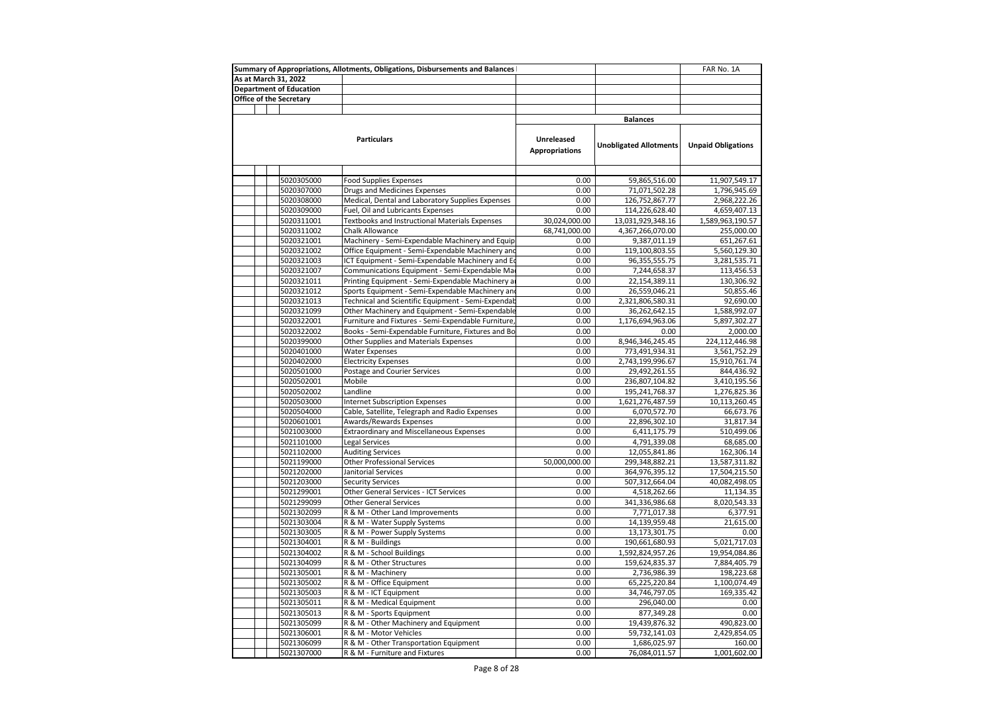|                                | Summary of Appropriations, Allotments, Obligations, Disbursements and Balances |                                     |                                    | FAR No. 1A                    |
|--------------------------------|--------------------------------------------------------------------------------|-------------------------------------|------------------------------------|-------------------------------|
| As at March 31, 2022           |                                                                                |                                     |                                    |                               |
| <b>Department of Education</b> |                                                                                |                                     |                                    |                               |
| Office of the Secretary        |                                                                                |                                     |                                    |                               |
|                                |                                                                                |                                     |                                    |                               |
|                                |                                                                                |                                     | <b>Balances</b>                    |                               |
|                                |                                                                                |                                     |                                    |                               |
|                                | <b>Particulars</b>                                                             | Unreleased<br><b>Appropriations</b> | <b>Unobligated Allotments</b>      | <b>Unpaid Obligations</b>     |
|                                |                                                                                |                                     |                                    |                               |
| 5020305000                     | <b>Food Supplies Expenses</b>                                                  | 0.00                                | 59,865,516.00                      | 11,907,549.17                 |
| 5020307000                     | Drugs and Medicines Expenses                                                   | 0.00                                | 71,071,502.28                      | 1,796,945.69                  |
| 5020308000                     | Medical, Dental and Laboratory Supplies Expenses                               | 0.00                                | 126,752,867.77                     | 2,968,222.26                  |
| 5020309000                     | Fuel, Oil and Lubricants Expenses                                              | 0.00                                | 114,226,628.40                     | 4,659,407.13                  |
| 5020311001                     | Textbooks and Instructional Materials Expenses                                 | 30,024,000.00                       | 13,031,929,348.16                  | 1,589,963,190.57              |
| 5020311002                     | Chalk Allowance                                                                | 68,741,000.00                       | 4,367,266,070.00                   | 255,000.00                    |
| 5020321001                     | Machinery - Semi-Expendable Machinery and Equip                                | 0.00                                | 9,387,011.19                       | 651,267.61                    |
| 5020321002                     | Office Equipment - Semi-Expendable Machinery and                               | 0.00                                | 119,100,803.55                     | 5,560,129.30                  |
| 5020321003                     | ICT Equipment - Semi-Expendable Machinery and Ed                               | 0.00                                | 96,355,555.75                      | 3,281,535.71                  |
| 5020321007                     | Communications Equipment - Semi-Expendable Ma                                  | 0.00                                | 7,244,658.37                       | 113,456.53                    |
| 5020321011                     | Printing Equipment - Semi-Expendable Machinery a                               | 0.00                                | 22,154,389.11                      | 130,306.92                    |
| 5020321012                     | Sports Equipment - Semi-Expendable Machinery and                               | 0.00                                | 26,559,046.21                      | 50,855.46                     |
| 5020321013                     | Technical and Scientific Equipment - Semi-Expendab                             | 0.00                                | 2,321,806,580.31                   | 92,690.00                     |
| 5020321099                     | Other Machinery and Equipment - Semi-Expendable                                | 0.00                                | 36,262,642.15                      | 1,588,992.07                  |
| 5020322001                     | Furniture and Fixtures - Semi-Expendable Furniture,                            | 0.00                                | 1,176,694,963.06                   | 5,897,302.27                  |
| 5020322002                     | Books - Semi-Expendable Furniture, Fixtures and Bo                             | 0.00                                | 0.00                               | 2,000.00                      |
| 5020399000                     | Other Supplies and Materials Expenses                                          | 0.00                                | 8,946,346,245.45                   | 224,112,446.98                |
| 5020401000                     | <b>Water Expenses</b>                                                          | 0.00                                | 773,491,934.31                     | 3,561,752.29                  |
| 5020402000                     | <b>Electricity Expenses</b>                                                    | 0.00                                | 2,743,199,996.67                   | 15,910,761.74                 |
| 5020501000                     | Postage and Courier Services                                                   | 0.00                                | 29,492,261.55                      | 844,436.92                    |
| 5020502001                     | Mobile                                                                         | 0.00                                | 236,807,104.82                     | 3,410,195.56                  |
| 5020502002                     | Landline                                                                       | 0.00                                | 195,241,768.37                     | 1,276,825.36                  |
| 5020503000                     | <b>Internet Subscription Expenses</b>                                          | 0.00                                | 1,621,276,487.59                   | 10,113,260.45                 |
| 5020504000                     | Cable, Satellite, Telegraph and Radio Expenses                                 | 0.00                                | 6,070,572.70                       | 66,673.76                     |
| 5020601001                     | Awards/Rewards Expenses                                                        | 0.00                                | 22,896,302.10                      | 31,817.34                     |
| 5021003000                     | <b>Extraordinary and Miscellaneous Expenses</b>                                | 0.00                                | 6,411,175.79                       | 510,499.06                    |
| 5021101000                     | <b>Legal Services</b>                                                          | 0.00                                | 4,791,339.08                       | 68,685.00                     |
| 5021102000                     | <b>Auditing Services</b>                                                       | 0.00                                | 12,055,841.86                      | 162,306.14                    |
| 5021199000                     | <b>Other Professional Services</b>                                             | 50,000,000.00                       | 299,348,882.21                     | 13,587,311.82                 |
| 5021202000                     | Janitorial Services                                                            | 0.00                                | 364,976,395.12                     | 17,504,215.50                 |
| 5021203000                     | <b>Security Services</b>                                                       | 0.00<br>0.00                        | 507,312,664.04                     | 40,082,498.05                 |
| 5021299001                     | Other General Services - ICT Services                                          | 0.00                                | 4,518,262.66                       | 11,134.35                     |
| 5021299099<br>5021302099       | <b>Other General Services</b>                                                  | 0.00                                | 341,336,986.68                     | 8,020,543.33                  |
| 5021303004                     | R & M - Other Land Improvements                                                | 0.00                                | 7,771,017.38                       | 6,377.91<br>21,615.00         |
| 5021303005                     | R & M - Water Supply Systems<br>R & M - Power Supply Systems                   | 0.00                                | 14,139,959.48<br>13,173,301.75     | 0.00                          |
| 5021304001                     | R & M - Buildings                                                              | 0.00                                |                                    |                               |
| 5021304002                     | R & M - School Buildings                                                       | 0.00                                | 190,661,680.93<br>1,592,824,957.26 | 5,021,717.03<br>19,954,084.86 |
| 5021304099                     | R & M - Other Structures                                                       | 0.00                                | 159,624,835.37                     | 7,884,405.79                  |
| 5021305001                     | R & M - Machinery                                                              | 0.00                                | 2,736,986.39                       | 198,223.68                    |
| 5021305002                     | R & M - Office Equipment                                                       | 0.00                                | 65,225,220.84                      | 1,100,074.49                  |
| 5021305003                     | R & M - ICT Equipment                                                          | 0.00                                | 34,746,797.05                      | 169,335.42                    |
| 5021305011                     | R & M - Medical Equipment                                                      | 0.00                                | 296,040.00                         | 0.00                          |
| 5021305013                     | R & M - Sports Equipment                                                       | 0.00                                | 877,349.28                         | 0.00                          |
| 5021305099                     | R & M - Other Machinery and Equipment                                          | 0.00                                | 19,439,876.32                      | 490,823.00                    |
| 5021306001                     | R & M - Motor Vehicles                                                         | 0.00                                | 59,732,141.03                      | 2,429,854.05                  |
| 5021306099                     | R & M - Other Transportation Equipment                                         | 0.00                                | 1,686,025.97                       | 160.00                        |
| 5021307000                     | R & M - Furniture and Fixtures                                                 | 0.00                                | 76,084,011.57                      | 1,001,602.00                  |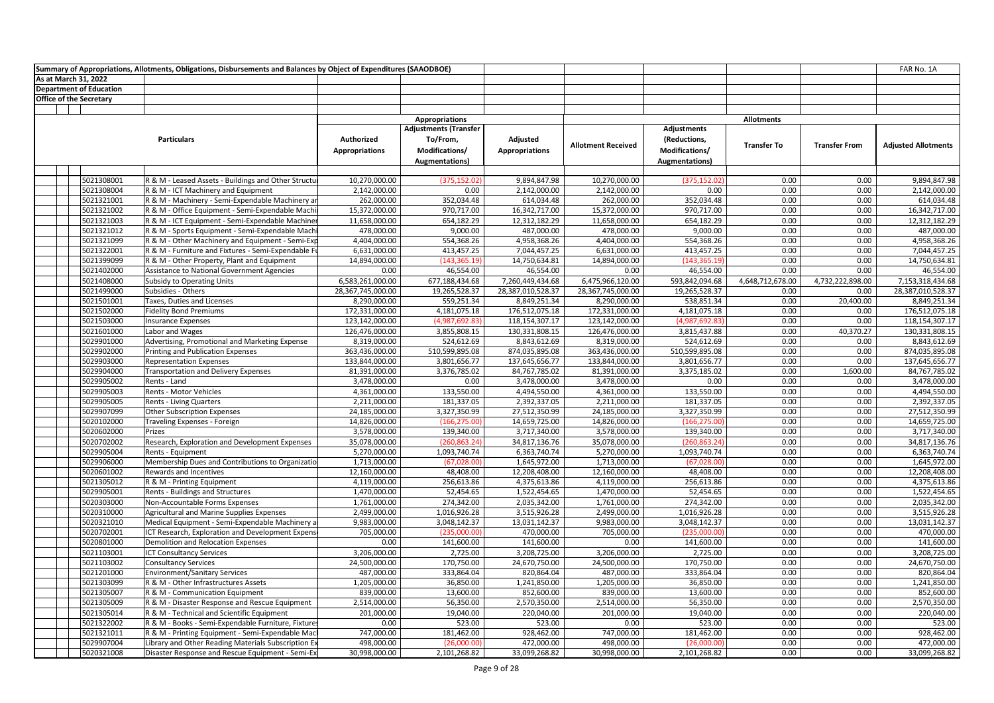| Summary of Appropriations, Allotments, Obligations, Disbursements and Balances by Object of Expenditures (SAAODBOE) |            |                                                             |                                     |                                                                                     |                                   |                           |                                                                 |                    |                      | FAR No. 1A                 |
|---------------------------------------------------------------------------------------------------------------------|------------|-------------------------------------------------------------|-------------------------------------|-------------------------------------------------------------------------------------|-----------------------------------|---------------------------|-----------------------------------------------------------------|--------------------|----------------------|----------------------------|
| As at March 31, 2022                                                                                                |            |                                                             |                                     |                                                                                     |                                   |                           |                                                                 |                    |                      |                            |
| <b>Department of Education</b>                                                                                      |            |                                                             |                                     |                                                                                     |                                   |                           |                                                                 |                    |                      |                            |
| <b>Office of the Secretary</b>                                                                                      |            |                                                             |                                     |                                                                                     |                                   |                           |                                                                 |                    |                      |                            |
|                                                                                                                     |            |                                                             |                                     |                                                                                     |                                   |                           |                                                                 |                    |                      |                            |
|                                                                                                                     |            |                                                             |                                     | <b>Appropriations</b>                                                               |                                   |                           |                                                                 | <b>Allotments</b>  |                      |                            |
|                                                                                                                     |            | <b>Particulars</b>                                          | Authorized<br><b>Appropriations</b> | <b>Adjustments (Transfer</b><br>To/From,<br>Modifications/<br><b>Augmentations)</b> | Adjusted<br><b>Appropriations</b> | <b>Allotment Received</b> | Adjustments<br>(Reductions,<br>Modifications/<br>Augmentations) | <b>Transfer To</b> | <b>Transfer From</b> | <b>Adjusted Allotments</b> |
|                                                                                                                     |            |                                                             |                                     |                                                                                     |                                   |                           |                                                                 |                    |                      |                            |
|                                                                                                                     | 5021308001 | R & M - Leased Assets - Buildings and Other Structu         | 10,270,000.00                       | (375, 152.02)                                                                       | 9,894,847.98                      | 10,270,000.00             | (375, 152.02)                                                   | 0.00               | 0.00                 | 9,894,847.98               |
|                                                                                                                     | 5021308004 | R & M - ICT Machinery and Equipment                         | 2,142,000.00                        | 0.00                                                                                | 2,142,000.00                      | 2,142,000.00              | 0.00                                                            | 0.00               | 0.00                 | 2,142,000.00               |
|                                                                                                                     | 5021321001 | R & M - Machinery - Semi-Expendable Machinery ar            | 262,000.00                          | 352,034.48                                                                          | 614,034.48                        | 262,000.00                | 352,034.48                                                      | 0.00               | 0.00                 | 614,034.48                 |
|                                                                                                                     | 5021321002 | R & M - Office Equipment - Semi-Expendable Machi            | 15,372,000.00                       | 970,717.00                                                                          | 16,342,717.00                     | 15,372,000.00             | 970,717.00                                                      | 0.00               | 0.00                 | 16,342,717.00              |
|                                                                                                                     | 5021321003 | R & M - ICT Equipment - Semi-Expendable Machiner            | 11,658,000.00                       | 654,182.29                                                                          | 12,312,182.29                     | 11,658,000.00             | 654,182.29                                                      | 0.00               | 0.00                 | 12,312,182.29              |
|                                                                                                                     | 5021321012 | R & M - Sports Equipment - Semi-Expendable Mach             | 478,000.00                          | 9,000.00                                                                            | 487,000.00                        | 478,000.00                | 9,000.00                                                        | 0.00               | 0.00                 | 487,000.00                 |
|                                                                                                                     | 5021321099 | R & M - Other Machinery and Equipment - Semi-Exp            | 4,404,000.00                        | 554,368.26                                                                          | 4,958,368.26                      | 4,404,000.00              | 554,368.26                                                      | 0.00               | 0.00                 | 4,958,368.26               |
|                                                                                                                     | 5021322001 | R & M - Furniture and Fixtures - Semi-Expendable Fu         | 6,631,000.00                        | 413,457.25                                                                          | 7,044,457.25                      | 6,631,000.00              | 413,457.25                                                      | 0.00               | 0.00                 | 7,044,457.25               |
|                                                                                                                     | 5021399099 | R & M - Other Property, Plant and Equipment                 | 14,894,000.00                       | (143, 365.19)                                                                       | 14,750,634.81                     | 14,894,000.00             | (143, 365.19)                                                   | 0.00               | 0.00                 | 14,750,634.81              |
|                                                                                                                     | 5021402000 | Assistance to National Government Agencies                  | 0.00                                | 46,554.00                                                                           | 46,554.00                         | 0.00                      | 46,554.00                                                       | 0.00               | 0.00                 | 46,554.00                  |
|                                                                                                                     | 5021408000 | Subsidy to Operating Units                                  | 6,583,261,000.00                    | 677,188,434.68                                                                      | 7,260,449,434.68                  | 6,475,966,120.00          | 593,842,094.68                                                  | 4,648,712,678.00   | 4,732,222,898.00     | 7,153,318,434.68           |
|                                                                                                                     | 5021499000 | Subsidies - Others                                          | 28,367,745,000.00                   | 19,265,528.37                                                                       | 28,387,010,528.37                 | 28,367,745,000.00         | 19,265,528.37                                                   | 0.00               | 0.00                 | 28,387,010,528.37          |
|                                                                                                                     | 5021501001 | Taxes, Duties and Licenses                                  | 8,290,000.00                        | 559,251.34                                                                          | 8,849,251.34                      | 8,290,000.00              | 538,851.34                                                      | 0.00               | 20,400.00            | 8,849,251.34               |
|                                                                                                                     | 5021502000 | <b>Fidelity Bond Premiums</b>                               | 172,331,000.00                      | 4,181,075.18                                                                        | 176,512,075.18                    | 172,331,000.00            | 4,181,075.18                                                    | 0.00               | 0.00                 | 176,512,075.18             |
|                                                                                                                     | 5021503000 | <b>Insurance Expenses</b>                                   | 123,142,000.00                      | (4,987,692.83                                                                       | 118,154,307.17                    | 123,142,000.00            | (4,987,692.83)                                                  | 0.00               | 0.00                 | 118,154,307.17             |
|                                                                                                                     | 5021601000 | Labor and Wages                                             | 126,476,000.00                      | 3,855,808.15                                                                        | 130,331,808.15                    | 126,476,000.00            | 3,815,437.88                                                    | 0.00               | 40,370.27            | 130,331,808.15             |
|                                                                                                                     | 5029901000 | Advertising, Promotional and Marketing Expense              | 8,319,000.00                        | 524,612.69                                                                          | 8,843,612.69                      | 8,319,000.00              | 524,612.69                                                      | 0.00               | 0.00                 | 8,843,612.69               |
|                                                                                                                     | 5029902000 | Printing and Publication Expenses                           | 363,436,000.00                      | 510,599,895.08                                                                      | 874,035,895.08                    | 363,436,000.00            | 510,599,895.08                                                  | 0.00               | 0.00                 | 874,035,895.08             |
|                                                                                                                     | 5029903000 |                                                             | 133,844,000.00                      |                                                                                     | 137,645,656.77                    | 133,844,000.00            | 3,801,656.77                                                    | 0.00               | 0.00                 | 137,645,656.77             |
|                                                                                                                     | 5029904000 | <b>Representation Expenses</b>                              | 81,391,000.00                       | 3,801,656.77<br>3,376,785.02                                                        | 84,767,785.02                     | 81,391,000.00             | 3,375,185.02                                                    | 0.00               |                      | 84,767,785.02              |
|                                                                                                                     | 5029905002 | <b>Transportation and Delivery Expenses</b><br>Rents - Land |                                     | 0.00                                                                                | 3,478,000.00                      |                           | 0.00                                                            | 0.00               | 1,600.00<br>0.00     |                            |
|                                                                                                                     |            |                                                             | 3,478,000.00                        |                                                                                     |                                   | 3,478,000.00              |                                                                 | 0.00               |                      | 3,478,000.00               |
|                                                                                                                     | 5029905003 | Rents - Motor Vehicles                                      | 4,361,000.00                        | 133,550.00                                                                          | 4,494,550.00                      | 4,361,000.00              | 133,550.00                                                      | 0.00               | 0.00                 | 4,494,550.00               |
|                                                                                                                     | 5029905005 | <b>Rents - Living Quarters</b>                              | 2,211,000.00                        | 181,337.05                                                                          | 2,392,337.05                      | 2,211,000.00              | 181,337.05                                                      | 0.00               | 0.00                 | 2,392,337.05               |
|                                                                                                                     | 5029907099 | Other Subscription Expenses                                 | 24,185,000.00                       | 3,327,350.99                                                                        | 27,512,350.99                     | 24,185,000.00             | 3,327,350.99                                                    |                    | 0.00                 | 27,512,350.99              |
|                                                                                                                     | 5020102000 | Traveling Expenses - Foreign                                | 14,826,000.00                       | (166, 275.00)                                                                       | 14,659,725.00                     | 14,826,000.00             | (166, 275.00)                                                   | 0.00               | 0.00                 | 14,659,725.00              |
|                                                                                                                     | 5020602000 | Prizes                                                      | 3,578,000.00                        | 139,340.00                                                                          | 3,717,340.00                      | 3,578,000.00              | 139,340.00                                                      | 0.00               | 0.00                 | 3,717,340.00               |
|                                                                                                                     | 5020702002 | Research, Exploration and Development Expenses              | 35,078,000.00                       | (260, 863.24)                                                                       | 34,817,136.76                     | 35,078,000.00             | (260,863.24                                                     | 0.00               | 0.00                 | 34,817,136.76              |
|                                                                                                                     | 5029905004 | Rents - Equipment                                           | 5,270,000.00                        | 1,093,740.74                                                                        | 6,363,740.74                      | 5,270,000.00              | 1,093,740.74                                                    | 0.00               | 0.00                 | 6,363,740.74               |
|                                                                                                                     | 5029906000 | Membership Dues and Contributions to Organizatio            | 1,713,000.00                        | (67,028.00)                                                                         | 1,645,972.00                      | 1,713,000.00              | (67,028.00)                                                     | 0.00               | 0.00                 | 1,645,972.00               |
|                                                                                                                     | 5020601002 | Rewards and Incentives                                      | 12,160,000.00                       | 48,408.00                                                                           | 12,208,408.00                     | 12,160,000.00             | 48,408.00                                                       | 0.00               | 0.00                 | 12,208,408.00              |
|                                                                                                                     | 5021305012 | R & M - Printing Equipment                                  | 4,119,000.00                        | 256,613.86                                                                          | 4,375,613.86                      | 4,119,000.00              | 256,613.86                                                      | 0.00               | 0.00                 | 4,375,613.86               |
|                                                                                                                     | 5029905001 | Rents - Buildings and Structures                            | 1,470,000.00                        | 52,454.65                                                                           | 1,522,454.65                      | 1,470,000.00              | 52,454.65                                                       | 0.00               | 0.00                 | 1,522,454.65               |
|                                                                                                                     | 5020303000 | Non-Accountable Forms Expenses                              | 1,761,000.00                        | 274,342.00                                                                          | 2,035,342.00                      | 1,761,000.00              | 274,342.00                                                      | 0.00               | 0.00                 | 2,035,342.00               |
|                                                                                                                     | 5020310000 | Agricultural and Marine Supplies Expenses                   | 2,499,000.00                        | 1,016,926.28                                                                        | 3,515,926.28                      | 2,499,000.00              | 1,016,926.28                                                    | 0.00               | 0.00                 | 3,515,926.28               |
|                                                                                                                     | 5020321010 | Medical Equipment - Semi-Expendable Machinery a             | 9,983,000.00                        | 3,048,142.37                                                                        | 13,031,142.37                     | 9,983,000.00              | 3,048,142.37                                                    | 0.00               | 0.00                 | 13,031,142.37              |
|                                                                                                                     | 5020702001 | ICT Research, Exploration and Development Expens            | 705,000.00                          | (235,000.00)                                                                        | 470,000.00                        | 705,000.00                | (235,000.00                                                     | 0.00               | 0.00                 | 470,000.00                 |
|                                                                                                                     | 5020801000 | Demolition and Relocation Expenses                          | 0.00                                | 141,600.00                                                                          | 141,600.00                        | 0.00                      | 141,600.00                                                      | 0.00               | 0.00                 | 141,600.00                 |
|                                                                                                                     | 5021103001 | <b>ICT Consultancy Services</b>                             | 3,206,000.00                        | 2,725.00                                                                            | 3,208,725.00                      | 3,206,000.00              | 2,725.00                                                        | 0.00               | 0.00                 | 3,208,725.00               |
|                                                                                                                     | 5021103002 | <b>Consultancy Services</b>                                 | 24,500,000.00                       | 170,750.00                                                                          | 24,670,750.00                     | 24,500,000.00             | 170,750.00                                                      | 0.00               | 0.00                 | 24,670,750.00              |
|                                                                                                                     | 5021201000 | <b>Environment/Sanitary Services</b>                        | 487,000.00                          | 333,864.04                                                                          | 820,864.04                        | 487,000.00                | 333,864.04                                                      | 0.00               | 0.00                 | 820,864.04                 |
|                                                                                                                     | 5021303099 | R & M - Other Infrastructures Assets                        | 1,205,000.00                        | 36,850.00                                                                           | 1,241,850.00                      | 1,205,000.00              | 36,850.00                                                       | 0.00               | 0.00                 | 1,241,850.00               |
|                                                                                                                     | 5021305007 | R & M - Communication Equipment                             | 839,000.00                          | 13,600.00                                                                           | 852,600.00                        | 839,000.00                | 13,600.00                                                       | 0.00               | 0.00                 | 852,600.00                 |
|                                                                                                                     | 5021305009 | R & M - Disaster Response and Rescue Equipment              | 2,514,000.00                        | 56,350.00                                                                           | 2,570,350.00                      | 2,514,000.00              | 56,350.00                                                       | 0.00               | 0.00                 | 2,570,350.00               |
|                                                                                                                     | 5021305014 | R & M - Technical and Scientific Equipment                  | 201,000.00                          | 19,040.00                                                                           | 220,040.00                        | 201,000.00                | 19,040.00                                                       | 0.00               | 0.00                 | 220,040.00                 |
|                                                                                                                     | 5021322002 | R & M - Books - Semi-Expendable Furniture, Fixtures         | 0.00                                | 523.00                                                                              | 523.00                            | 0.00                      | 523.00                                                          | 0.00               | 0.00                 | 523.00                     |
|                                                                                                                     | 5021321011 | R & M - Printing Equipment - Semi-Expendable Mac            | 747,000.00                          | 181,462.00                                                                          | 928,462.00                        | 747,000.00                | 181,462.00                                                      | 0.00               | 0.00                 | 928,462.00                 |
|                                                                                                                     | 5029907004 | Library and Other Reading Materials Subscription Ex         | 498,000.00                          | (26,000.00)                                                                         | 472,000.00                        | 498,000.00                | (26,000.00)                                                     | 0.00               | 0.00                 | 472,000.00                 |
|                                                                                                                     | 5020321008 | Disaster Response and Rescue Equipment - Semi-Ex            | 30,998,000.00                       | 2,101,268.82                                                                        | 33,099,268.82                     | 30,998,000.00             | 2,101,268.82                                                    | 0.00               | 0.00                 | 33,099,268.82              |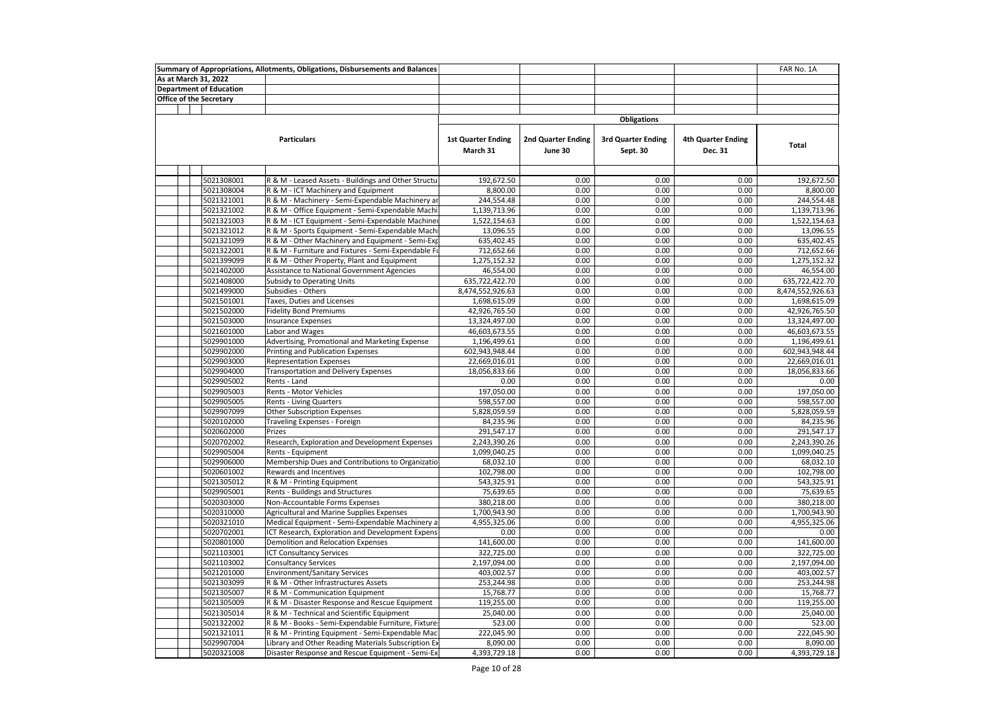|  |                                | Summary of Appropriations, Allotments, Obligations, Disbursements and Balances |                                       |                               |                                |                                      | FAR No. 1A       |
|--|--------------------------------|--------------------------------------------------------------------------------|---------------------------------------|-------------------------------|--------------------------------|--------------------------------------|------------------|
|  | As at March 31, 2022           |                                                                                |                                       |                               |                                |                                      |                  |
|  | <b>Department of Education</b> |                                                                                |                                       |                               |                                |                                      |                  |
|  | Office of the Secretary        |                                                                                |                                       |                               |                                |                                      |                  |
|  |                                |                                                                                |                                       |                               |                                |                                      |                  |
|  |                                |                                                                                |                                       |                               | <b>Obligations</b>             |                                      |                  |
|  |                                | <b>Particulars</b>                                                             | <b>1st Quarter Ending</b><br>March 31 | 2nd Quarter Ending<br>June 30 | 3rd Quarter Ending<br>Sept. 30 | <b>4th Quarter Ending</b><br>Dec. 31 | Total            |
|  |                                |                                                                                |                                       |                               |                                |                                      |                  |
|  |                                |                                                                                |                                       |                               |                                |                                      |                  |
|  | 5021308001                     | R & M - Leased Assets - Buildings and Other Structu                            | 192,672.50                            | 0.00                          | 0.00                           | 0.00                                 | 192,672.50       |
|  | 5021308004                     | R & M - ICT Machinery and Equipment                                            | 8,800.00                              | 0.00                          | 0.00                           | 0.00                                 | 8,800.00         |
|  | 5021321001                     | R & M - Machinery - Semi-Expendable Machinery ar                               | 244,554.48                            | 0.00                          | 0.00                           | 0.00                                 | 244,554.48       |
|  | 5021321002                     | R & M - Office Equipment - Semi-Expendable Machi                               | 1,139,713.96                          | 0.00                          | 0.00                           | 0.00                                 | 1,139,713.96     |
|  | 5021321003                     | R & M - ICT Equipment - Semi-Expendable Machine                                | 1,522,154.63                          | 0.00                          | 0.00                           | 0.00                                 | 1,522,154.63     |
|  | 5021321012                     | R & M - Sports Equipment - Semi-Expendable Mach                                | 13,096.55                             | 0.00                          | 0.00                           | 0.00                                 | 13,096.55        |
|  | 5021321099                     | R & M - Other Machinery and Equipment - Semi-Exp                               | 635,402.45                            | 0.00                          | 0.00                           | 0.00                                 | 635,402.45       |
|  | 5021322001                     | R & M - Furniture and Fixtures - Semi-Expendable Fu                            | 712,652.66                            | 0.00                          | 0.00                           | 0.00                                 | 712,652.66       |
|  | 5021399099                     | R & M - Other Property, Plant and Equipment                                    | 1,275,152.32                          | 0.00                          | 0.00                           | 0.00                                 | 1,275,152.32     |
|  | 5021402000                     | Assistance to National Government Agencies                                     | 46,554.00                             | 0.00                          | 0.00                           | 0.00                                 | 46,554.00        |
|  | 5021408000                     | <b>Subsidy to Operating Units</b>                                              | 635,722,422.70                        | 0.00                          | 0.00                           | 0.00                                 | 635,722,422.70   |
|  | 5021499000                     | Subsidies - Others                                                             | 8,474,552,926.63                      | 0.00                          | 0.00                           | 0.00                                 | 8,474,552,926.63 |
|  | 5021501001                     | Taxes, Duties and Licenses                                                     | 1,698,615.09                          | 0.00                          | 0.00                           | 0.00                                 | 1,698,615.09     |
|  | 5021502000                     | <b>Fidelity Bond Premiums</b>                                                  | 42,926,765.50                         | 0.00                          | 0.00                           | 0.00                                 | 42,926,765.50    |
|  | 5021503000                     | <b>Insurance Expenses</b>                                                      | 13,324,497.00                         | 0.00                          | 0.00                           | 0.00                                 | 13,324,497.00    |
|  | 5021601000                     | Labor and Wages                                                                | 46,603,673.55                         | 0.00                          | 0.00                           | 0.00                                 | 46,603,673.55    |
|  | 5029901000                     | Advertising, Promotional and Marketing Expense                                 | 1,196,499.61                          | 0.00                          | 0.00                           | 0.00                                 | 1,196,499.61     |
|  | 5029902000                     | Printing and Publication Expenses                                              | 602,943,948.44                        | 0.00                          | 0.00                           | 0.00                                 | 602,943,948.44   |
|  | 5029903000                     | <b>Representation Expenses</b>                                                 | 22,669,016.01                         | 0.00                          | 0.00                           | 0.00                                 | 22,669,016.01    |
|  | 5029904000                     | Transportation and Delivery Expenses                                           | 18,056,833.66                         | 0.00                          | 0.00                           | 0.00                                 | 18,056,833.66    |
|  | 5029905002                     | Rents - Land                                                                   | 0.00                                  | 0.00                          | 0.00                           | 0.00                                 | 0.00             |
|  | 5029905003                     | Rents - Motor Vehicles                                                         | 197,050.00                            | 0.00                          | 0.00                           | 0.00                                 | 197,050.00       |
|  | 5029905005                     | <b>Rents - Living Quarters</b>                                                 | 598,557.00                            | 0.00                          | 0.00                           | 0.00                                 | 598,557.00       |
|  | 5029907099                     | <b>Other Subscription Expenses</b>                                             | 5,828,059.59                          | 0.00                          | 0.00                           | 0.00                                 | 5,828,059.59     |
|  | 5020102000                     | Traveling Expenses - Foreign                                                   | 84,235.96                             | 0.00                          | 0.00                           | 0.00                                 | 84,235.96        |
|  | 5020602000                     | Prizes                                                                         | 291,547.17                            | 0.00                          | 0.00                           | 0.00                                 | 291,547.17       |
|  | 5020702002                     | Research, Exploration and Development Expenses                                 | 2,243,390.26                          | 0.00                          | 0.00                           | 0.00                                 | 2,243,390.26     |
|  | 5029905004                     | Rents - Equipment                                                              | 1,099,040.25                          | 0.00                          | 0.00                           | 0.00                                 | 1,099,040.25     |
|  | 5029906000                     | Membership Dues and Contributions to Organizatio                               | 68,032.10                             | 0.00                          | 0.00                           | 0.00                                 | 68,032.10        |
|  | 5020601002                     | Rewards and Incentives                                                         | 102,798.00                            | 0.00                          | 0.00                           | 0.00                                 | 102,798.00       |
|  | 5021305012                     | R & M - Printing Equipment                                                     | 543,325.91                            | 0.00                          | 0.00                           | 0.00                                 | 543,325.91       |
|  | 5029905001                     | <b>Rents - Buildings and Structures</b>                                        | 75,639.65                             | 0.00                          | 0.00                           | 0.00                                 | 75,639.65        |
|  | 5020303000                     | Non-Accountable Forms Expenses                                                 | 380,218.00                            | 0.00                          | 0.00                           | 0.00                                 | 380,218.00       |
|  | 5020310000                     | Agricultural and Marine Supplies Expenses                                      | 1,700,943.90                          | 0.00                          | 0.00                           | 0.00                                 | 1,700,943.90     |
|  | 5020321010                     | Medical Equipment - Semi-Expendable Machinery a                                | 4,955,325.06                          | 0.00                          | 0.00                           | 0.00                                 | 4,955,325.06     |
|  | 5020702001                     | ICT Research, Exploration and Development Expens                               | 0.00                                  | 0.00                          | 0.00                           | 0.00                                 | 0.00             |
|  | 5020801000                     | Demolition and Relocation Expenses                                             | 141,600.00                            | 0.00                          | 0.00                           | 0.00                                 | 141,600.00       |
|  | 5021103001                     | <b>ICT Consultancy Services</b>                                                | 322,725.00                            | 0.00                          | 0.00                           | 0.00                                 | 322.725.00       |
|  | 5021103002                     | <b>Consultancy Services</b>                                                    | 2,197,094.00                          | 0.00                          | 0.00                           | 0.00                                 | 2,197,094.00     |
|  | 5021201000                     | <b>Environment/Sanitary Services</b>                                           | 403,002.57                            | 0.00                          | 0.00                           | 0.00                                 | 403,002.57       |
|  | 5021303099                     | R & M - Other Infrastructures Assets                                           | 253,244.98                            | 0.00                          | 0.00                           | 0.00                                 | 253,244.98       |
|  | 5021305007                     | R & M - Communication Equipment                                                | 15,768.77                             | 0.00                          | 0.00                           | 0.00                                 | 15,768.77        |
|  | 5021305009                     | R & M - Disaster Response and Rescue Equipment                                 | 119,255.00                            | 0.00                          | 0.00                           | 0.00                                 | 119,255.00       |
|  | 5021305014                     | R & M - Technical and Scientific Equipment                                     | 25,040.00                             | 0.00                          | 0.00                           | 0.00                                 | 25,040.00        |
|  | 5021322002                     | R & M - Books - Semi-Expendable Furniture, Fixture                             | 523.00                                | 0.00                          | 0.00                           | 0.00                                 | 523.00           |
|  | 5021321011                     | R & M - Printing Equipment - Semi-Expendable Mac                               | 222,045.90                            | 0.00                          | 0.00                           | 0.00                                 | 222,045.90       |
|  | 5029907004                     | Library and Other Reading Materials Subscription Ex                            | 8,090.00                              | 0.00                          | 0.00                           | 0.00                                 | 8,090.00         |
|  | 5020321008                     | Disaster Response and Rescue Equipment - Semi-Ex                               | 4,393,729.18                          | 0.00                          | 0.00                           | 0.00                                 | 4,393,729.18     |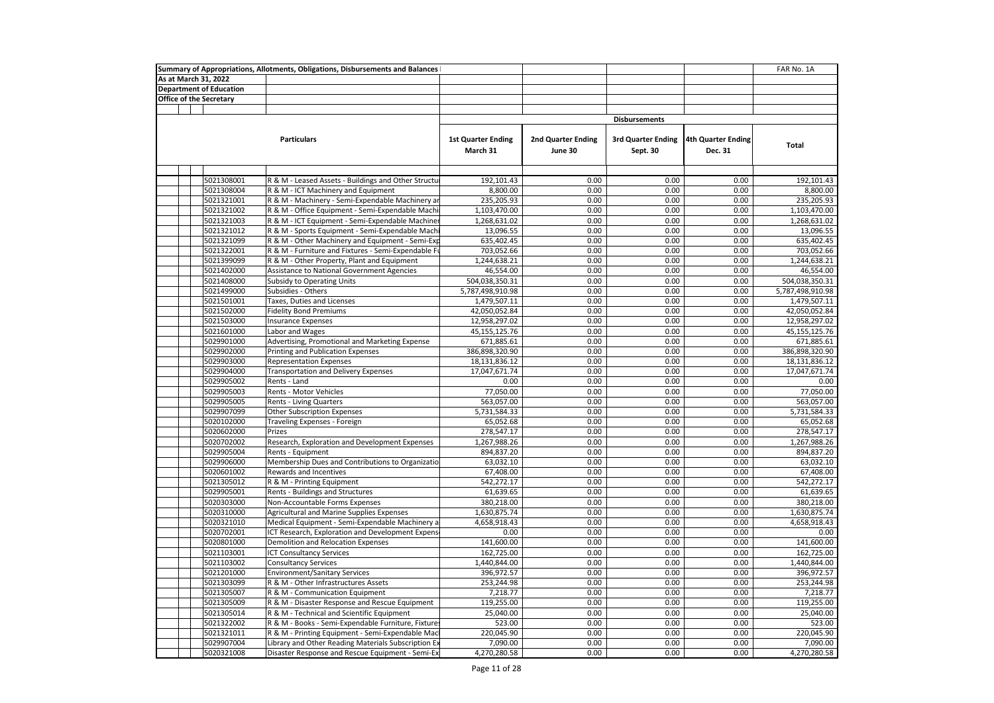|  |                                | Summary of Appropriations, Allotments, Obligations, Disbursements and Balances |                                       |                               |                                       |                                      | FAR No. 1A       |
|--|--------------------------------|--------------------------------------------------------------------------------|---------------------------------------|-------------------------------|---------------------------------------|--------------------------------------|------------------|
|  | As at March 31, 2022           |                                                                                |                                       |                               |                                       |                                      |                  |
|  | <b>Department of Education</b> |                                                                                |                                       |                               |                                       |                                      |                  |
|  | <b>Office of the Secretary</b> |                                                                                |                                       |                               |                                       |                                      |                  |
|  |                                |                                                                                |                                       |                               |                                       |                                      |                  |
|  |                                |                                                                                |                                       |                               | <b>Disbursements</b>                  |                                      |                  |
|  |                                | <b>Particulars</b>                                                             | <b>1st Quarter Ending</b><br>March 31 | 2nd Quarter Ending<br>June 30 | <b>3rd Quarter Ending</b><br>Sept. 30 | <b>4th Quarter Ending</b><br>Dec. 31 | <b>Total</b>     |
|  |                                |                                                                                |                                       |                               |                                       |                                      |                  |
|  | 5021308001                     | R & M - Leased Assets - Buildings and Other Structu                            | 192,101.43                            | 0.00                          | 0.00                                  | 0.00                                 | 192,101.43       |
|  | 5021308004                     | R & M - ICT Machinery and Equipment                                            | 8,800.00                              | 0.00                          | 0.00                                  | 0.00                                 | 8,800.00         |
|  | 5021321001                     | R & M - Machinery - Semi-Expendable Machinery ar                               | 235,205.93                            | 0.00                          | 0.00                                  | 0.00                                 | 235,205.93       |
|  | 5021321002                     | R & M - Office Equipment - Semi-Expendable Machi                               | 1,103,470.00                          | 0.00                          | 0.00                                  | 0.00                                 | 1,103,470.00     |
|  | 5021321003                     | R & M - ICT Equipment - Semi-Expendable Machiner                               | 1,268,631.02                          | 0.00                          | 0.00                                  | 0.00                                 | 1,268,631.02     |
|  | 5021321012                     | R & M - Sports Equipment - Semi-Expendable Machi                               | 13,096.55                             | 0.00                          | 0.00                                  | 0.00                                 | 13,096.55        |
|  | 5021321099                     | R & M - Other Machinery and Equipment - Semi-Exp                               | 635,402.45                            | 0.00                          | 0.00                                  | 0.00                                 | 635,402.45       |
|  | 5021322001                     | R & M - Furniture and Fixtures - Semi-Expendable Fu                            | 703,052.66                            | 0.00                          | 0.00                                  | 0.00                                 | 703,052.66       |
|  | 5021399099                     | R & M - Other Property, Plant and Equipment                                    | 1,244,638.21                          | 0.00                          | 0.00                                  | 0.00                                 | 1,244,638.21     |
|  | 5021402000                     | Assistance to National Government Agencies                                     | 46,554.00                             | 0.00                          | 0.00                                  | 0.00                                 | 46,554.00        |
|  | 5021408000                     | <b>Subsidy to Operating Units</b>                                              | 504,038,350.31                        | 0.00                          | 0.00                                  | 0.00                                 | 504,038,350.31   |
|  | 5021499000                     | Subsidies - Others                                                             | 5,787,498,910.98                      | 0.00                          | 0.00                                  | 0.00                                 | 5,787,498,910.98 |
|  | 5021501001                     | Taxes, Duties and Licenses                                                     | 1,479,507.11                          | 0.00                          | 0.00                                  | 0.00                                 | 1,479,507.11     |
|  | 5021502000                     | <b>Fidelity Bond Premiums</b>                                                  | 42,050,052.84                         | 0.00                          | 0.00                                  | 0.00                                 | 42,050,052.84    |
|  | 5021503000                     | <b>Insurance Expenses</b>                                                      | 12,958,297.02                         | 0.00                          | 0.00                                  | 0.00                                 | 12,958,297.02    |
|  | 5021601000                     | Labor and Wages                                                                | 45,155,125.76                         | 0.00                          | 0.00                                  | 0.00                                 | 45,155,125.76    |
|  | 5029901000                     | Advertising, Promotional and Marketing Expense                                 | 671,885.61                            | 0.00                          | 0.00                                  | 0.00                                 | 671,885.61       |
|  | 5029902000                     | Printing and Publication Expenses                                              | 386,898,320.90                        | 0.00                          | 0.00                                  | 0.00                                 | 386,898,320.90   |
|  | 5029903000                     | <b>Representation Expenses</b>                                                 | 18,131,836.12                         | 0.00                          | 0.00                                  | 0.00                                 | 18,131,836.12    |
|  | 5029904000                     | <b>Transportation and Delivery Expenses</b>                                    | 17,047,671.74                         | 0.00                          | 0.00                                  | 0.00                                 | 17,047,671.74    |
|  | 5029905002                     | Rents - Land                                                                   | 0.00                                  | 0.00                          | 0.00                                  | 0.00                                 | 0.00             |
|  | 5029905003                     | Rents - Motor Vehicles                                                         | 77,050.00                             | 0.00                          | 0.00                                  | 0.00                                 | 77,050.00        |
|  | 5029905005                     | <b>Rents - Living Quarters</b>                                                 | 563,057.00                            | 0.00                          | 0.00                                  | 0.00                                 | 563,057.00       |
|  | 5029907099                     | Other Subscription Expenses                                                    | 5,731,584.33                          | 0.00                          | 0.00                                  | 0.00                                 | 5,731,584.33     |
|  | 5020102000                     | Traveling Expenses - Foreign                                                   | 65,052.68                             | 0.00                          | 0.00                                  | 0.00                                 | 65,052.68        |
|  | 5020602000                     | Prizes                                                                         | 278,547.17                            | 0.00                          | 0.00                                  | 0.00                                 | 278,547.17       |
|  | 5020702002                     | Research, Exploration and Development Expenses                                 | 1,267,988.26                          | 0.00                          | 0.00                                  | 0.00                                 | 1,267,988.26     |
|  | 5029905004                     | Rents - Equipment                                                              | 894,837.20                            | 0.00                          | 0.00                                  | 0.00                                 | 894,837.20       |
|  | 5029906000                     | Membership Dues and Contributions to Organizatio                               | 63,032.10                             | 0.00                          | 0.00                                  | 0.00                                 | 63,032.10        |
|  | 5020601002                     | Rewards and Incentives                                                         | 67,408.00                             | 0.00                          | 0.00                                  | 0.00                                 | 67,408.00        |
|  | 5021305012                     | R & M - Printing Equipment                                                     | 542,272.17                            | 0.00                          | 0.00                                  | 0.00                                 | 542,272.17       |
|  | 5029905001                     | Rents - Buildings and Structures                                               | 61,639.65                             | 0.00                          | 0.00                                  | 0.00                                 | 61,639.65        |
|  | 5020303000                     | Non-Accountable Forms Expenses                                                 | 380,218.00                            | 0.00                          | 0.00                                  | 0.00                                 | 380,218.00       |
|  | 5020310000                     | Agricultural and Marine Supplies Expenses                                      | 1,630,875.74                          | 0.00                          | 0.00                                  | 0.00                                 | 1,630,875.74     |
|  | 5020321010                     | Medical Equipment - Semi-Expendable Machinery a                                | 4,658,918.43                          | 0.00                          | 0.00                                  | 0.00                                 | 4,658,918.43     |
|  | 5020702001                     | ICT Research, Exploration and Development Expens                               | 0.00                                  | 0.00                          | 0.00                                  | 0.00                                 | 0.00             |
|  | 5020801000                     | Demolition and Relocation Expenses                                             | 141,600.00                            | 0.00                          | 0.00                                  | 0.00                                 | 141,600.00       |
|  | 5021103001                     | <b>ICT Consultancy Services</b>                                                | 162,725.00                            | 0.00                          | 0.00                                  | 0.00                                 | 162,725.00       |
|  | 5021103002                     | Consultancy Services                                                           | 1,440,844.00                          | 0.00                          | 0.00                                  | 0.00                                 | 1,440,844.00     |
|  | 5021201000                     | <b>Environment/Sanitary Services</b>                                           | 396,972.57                            | 0.00                          | 0.00                                  | 0.00                                 | 396,972.57       |
|  | 5021303099                     | R & M - Other Infrastructures Assets                                           | 253,244.98                            | 0.00                          | 0.00                                  | 0.00                                 | 253,244.98       |
|  | 5021305007                     | R & M - Communication Equipment                                                | 7,218.77                              | 0.00                          | 0.00                                  | 0.00                                 | 7,218.77         |
|  | 5021305009                     | R & M - Disaster Response and Rescue Equipment                                 | 119,255.00                            | 0.00                          | 0.00                                  | 0.00                                 | 119,255.00       |
|  | 5021305014                     | R & M - Technical and Scientific Equipment                                     | 25,040.00                             | 0.00                          | 0.00                                  | 0.00                                 | 25,040.00        |
|  | 5021322002                     | R & M - Books - Semi-Expendable Furniture, Fixtures                            | 523.00                                | 0.00                          | 0.00                                  | 0.00                                 | 523.00           |
|  | 5021321011                     | R & M - Printing Equipment - Semi-Expendable Mac                               | 220,045.90                            | 0.00                          | 0.00                                  | 0.00                                 | 220,045.90       |
|  | 5029907004                     | Library and Other Reading Materials Subscription Ex                            | 7,090.00                              | 0.00                          | 0.00                                  | 0.00                                 | 7,090.00         |
|  | 5020321008                     | Disaster Response and Rescue Equipment - Semi-Ex                               | 4,270,280.58                          | 0.00                          | 0.00                                  | 0.00                                 | 4,270,280.58     |
|  |                                |                                                                                |                                       |                               |                                       |                                      |                  |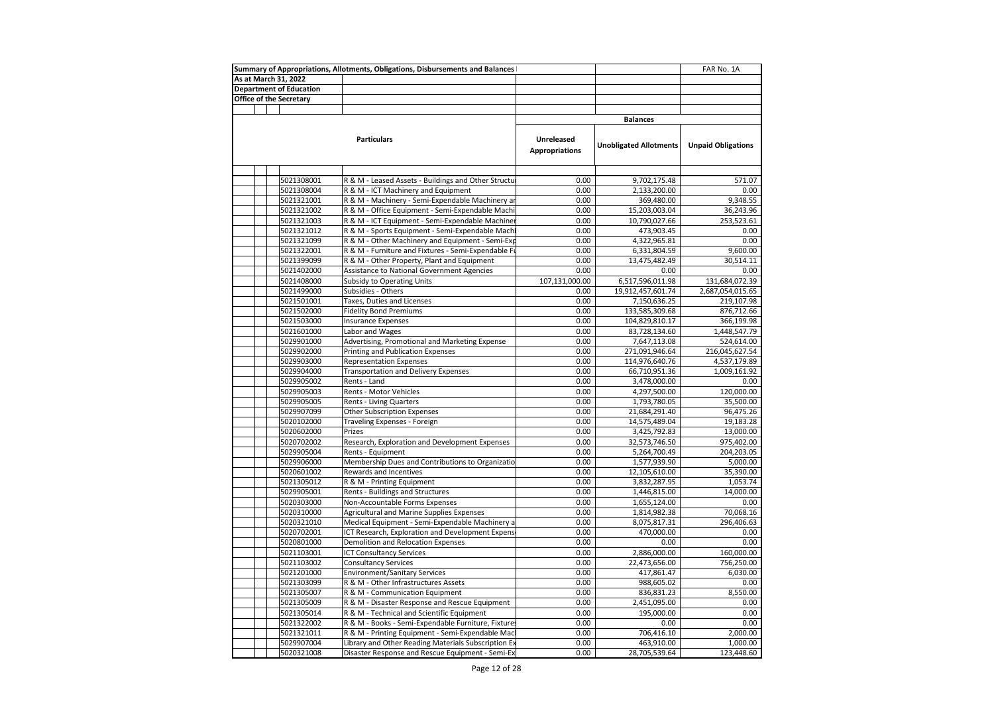|                         |                                | Summary of Appropriations, Allotments, Obligations, Disbursements and Balances |                       |                               | FAR No. 1A                |
|-------------------------|--------------------------------|--------------------------------------------------------------------------------|-----------------------|-------------------------------|---------------------------|
| As at March 31, 2022    |                                |                                                                                |                       |                               |                           |
|                         | <b>Department of Education</b> |                                                                                |                       |                               |                           |
| Office of the Secretary |                                |                                                                                |                       |                               |                           |
|                         |                                |                                                                                |                       |                               |                           |
|                         |                                |                                                                                |                       | <b>Balances</b>               |                           |
|                         |                                |                                                                                |                       |                               |                           |
|                         |                                | <b>Particulars</b>                                                             | Unreleased            |                               |                           |
|                         |                                |                                                                                | <b>Appropriations</b> | <b>Unobligated Allotments</b> | <b>Unpaid Obligations</b> |
|                         |                                |                                                                                |                       |                               |                           |
|                         |                                |                                                                                |                       |                               |                           |
|                         | 5021308001                     | R & M - Leased Assets - Buildings and Other Structur                           | 0.00                  | 9,702,175.48                  | 571.07                    |
|                         | 5021308004                     | R & M - ICT Machinery and Equipment                                            | 0.00                  | 2,133,200.00                  | 0.00                      |
|                         | 5021321001                     | R & M - Machinery - Semi-Expendable Machinery ar                               | 0.00                  | 369,480.00                    | 9,348.55                  |
|                         | 5021321002                     | R & M - Office Equipment - Semi-Expendable Machi                               | 0.00                  | 15,203,003.04                 | 36,243.96                 |
|                         | 5021321003                     | R & M - ICT Equipment - Semi-Expendable Machiner                               | 0.00                  | 10,790,027.66                 | 253,523.61                |
|                         | 5021321012                     | R & M - Sports Equipment - Semi-Expendable Machi                               | 0.00                  | 473,903.45                    | 0.00                      |
|                         | 5021321099                     | R & M - Other Machinery and Equipment - Semi-Exp                               | 0.00                  | 4,322,965.81                  | 0.00                      |
|                         | 5021322001                     | R & M - Furniture and Fixtures - Semi-Expendable Fu                            | 0.00                  | 6,331,804.59                  | 9,600.00                  |
|                         | 5021399099                     | R & M - Other Property, Plant and Equipment                                    | 0.00                  | 13,475,482.49                 | 30,514.11                 |
|                         | 5021402000                     | Assistance to National Government Agencies                                     | 0.00                  | 0.00                          | 0.00                      |
|                         | 5021408000                     | Subsidy to Operating Units                                                     | 107,131,000.00        | 6,517,596,011.98              | 131,684,072.39            |
|                         | 5021499000                     | Subsidies - Others                                                             | 0.00                  | 19,912,457,601.74             | 2,687,054,015.65          |
|                         | 5021501001                     | Taxes, Duties and Licenses                                                     | 0.00                  | 7,150,636.25                  | 219,107.98                |
|                         | 5021502000                     | <b>Fidelity Bond Premiums</b>                                                  | 0.00                  | 133,585,309.68                | 876,712.66                |
|                         | 5021503000                     | <b>Insurance Expenses</b>                                                      | 0.00                  | 104,829,810.17                | 366,199.98                |
|                         | 5021601000                     | Labor and Wages                                                                | 0.00                  | 83,728,134.60                 | 1,448,547.79              |
|                         | 5029901000                     | Advertising, Promotional and Marketing Expense                                 | 0.00                  | 7,647,113.08                  | 524,614.00                |
|                         | 5029902000                     | Printing and Publication Expenses                                              | 0.00                  | 271,091,946.64                | 216,045,627.54            |
|                         | 5029903000                     | <b>Representation Expenses</b>                                                 | 0.00                  | 114,976,640.76                | 4,537,179.89              |
|                         | 5029904000                     | <b>Transportation and Delivery Expenses</b>                                    | 0.00                  | 66,710,951.36                 | 1,009,161.92              |
|                         | 5029905002                     | Rents - Land                                                                   | 0.00                  | 3,478,000.00                  | 0.00                      |
|                         | 5029905003                     | Rents - Motor Vehicles                                                         | 0.00                  | 4,297,500.00                  | 120,000.00                |
|                         | 5029905005                     | Rents - Living Quarters                                                        | 0.00                  | 1,793,780.05                  | 35,500.00                 |
|                         | 5029907099                     | Other Subscription Expenses                                                    | 0.00                  | 21,684,291.40                 | 96,475.26                 |
|                         | 5020102000                     | Traveling Expenses - Foreign                                                   | 0.00                  | 14,575,489.04                 | 19,183.28                 |
|                         | 5020602000                     | Prizes                                                                         | 0.00                  | 3,425,792.83                  | 13,000.00                 |
|                         | 5020702002                     | Research, Exploration and Development Expenses                                 | 0.00<br>0.00          | 32,573,746.50                 | 975,402.00                |
|                         | 5029905004<br>5029906000       | Rents - Equipment                                                              | 0.00                  | 5,264,700.49                  | 204,203.05<br>5,000.00    |
|                         |                                | Membership Dues and Contributions to Organizatio                               | 0.00                  | 1,577,939.90                  |                           |
|                         | 5020601002                     | Rewards and Incentives                                                         | 0.00                  | 12,105,610.00                 | 35,390.00                 |
|                         | 5021305012<br>5029905001       | R & M - Printing Equipment<br>Rents - Buildings and Structures                 | 0.00                  | 3,832,287.95<br>1,446,815.00  | 1,053.74<br>14,000.00     |
|                         | 5020303000                     | Non-Accountable Forms Expenses                                                 | 0.00                  | 1,655,124.00                  | 0.00                      |
|                         | 5020310000                     | Agricultural and Marine Supplies Expenses                                      | 0.00                  | 1,814,982.38                  | 70,068.16                 |
|                         | 5020321010                     | Medical Equipment - Semi-Expendable Machinery a                                | 0.00                  | 8,075,817.31                  | 296,406.63                |
|                         | 5020702001                     | ICT Research, Exploration and Development Expens                               | 0.00                  | 470,000.00                    | 0.00                      |
|                         | 5020801000                     | Demolition and Relocation Expenses                                             | 0.00                  | 0.00                          | 0.00                      |
|                         | 5021103001                     | <b>ICT Consultancy Services</b>                                                | 0.00                  | 2,886,000.00                  | 160,000.00                |
|                         | 5021103002                     | <b>Consultancy Services</b>                                                    | 0.00                  | 22,473,656.00                 | 756,250.00                |
|                         | 5021201000                     | <b>Environment/Sanitary Services</b>                                           | 0.00                  | 417,861.47                    | 6,030.00                  |
|                         | 5021303099                     | R & M - Other Infrastructures Assets                                           | 0.00                  | 988,605.02                    | 0.00                      |
|                         | 5021305007                     | R & M - Communication Equipment                                                | 0.00                  | 836,831.23                    | 8,550.00                  |
|                         | 5021305009                     | R & M - Disaster Response and Rescue Equipment                                 | 0.00                  | 2,451,095.00                  | 0.00                      |
|                         | 5021305014                     | R & M - Technical and Scientific Equipment                                     | 0.00                  | 195,000.00                    | 0.00                      |
|                         | 5021322002                     | R & M - Books - Semi-Expendable Furniture, Fixture:                            | 0.00                  | 0.00                          | 0.00                      |
|                         | 5021321011                     | R & M - Printing Equipment - Semi-Expendable Macl                              | 0.00                  | 706,416.10                    | 2,000.00                  |
|                         | 5029907004                     | Library and Other Reading Materials Subscription Ex                            | 0.00                  | 463,910.00                    | 1,000.00                  |
|                         | 5020321008                     | Disaster Response and Rescue Equipment - Semi-Ex                               | 0.00                  | 28,705,539.64                 | 123,448.60                |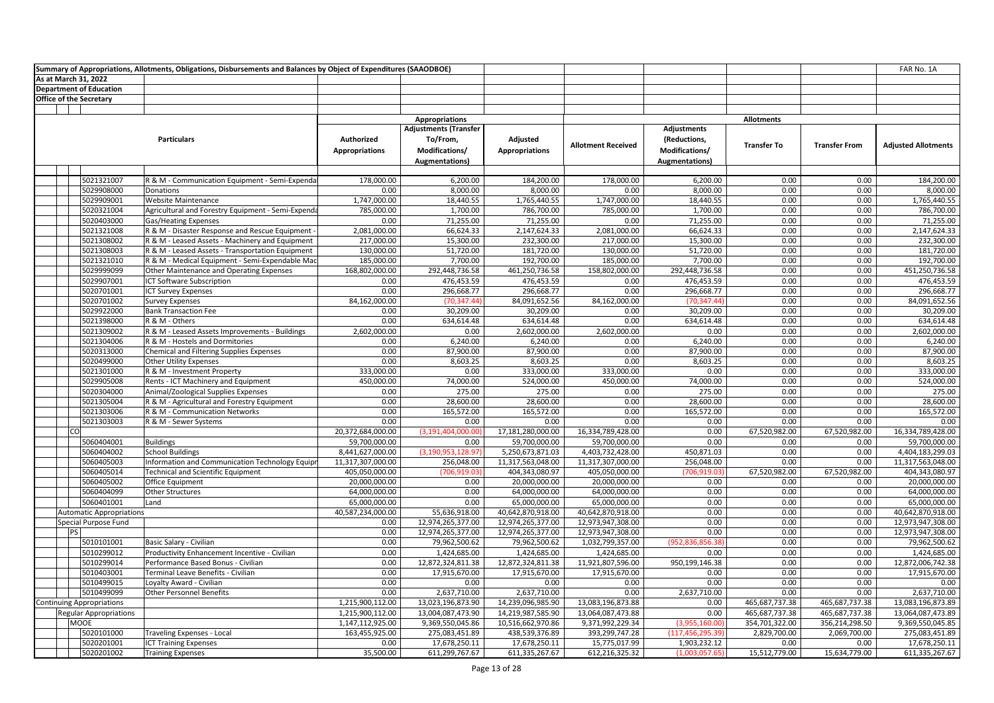|                                  | Summary of Appropriations, Allotments, Obligations, Disbursements and Balances by Object of Expenditures (SAAODBOE) |                                     |                                                                                     |                                   |                           |                                                                         |                    |                      | FAR No. 1A                 |
|----------------------------------|---------------------------------------------------------------------------------------------------------------------|-------------------------------------|-------------------------------------------------------------------------------------|-----------------------------------|---------------------------|-------------------------------------------------------------------------|--------------------|----------------------|----------------------------|
| As at March 31, 2022             |                                                                                                                     |                                     |                                                                                     |                                   |                           |                                                                         |                    |                      |                            |
| <b>Department of Education</b>   |                                                                                                                     |                                     |                                                                                     |                                   |                           |                                                                         |                    |                      |                            |
| <b>Office of the Secretary</b>   |                                                                                                                     |                                     |                                                                                     |                                   |                           |                                                                         |                    |                      |                            |
|                                  |                                                                                                                     |                                     |                                                                                     |                                   |                           |                                                                         |                    |                      |                            |
|                                  |                                                                                                                     |                                     | <b>Appropriations</b>                                                               |                                   |                           |                                                                         | <b>Allotments</b>  |                      |                            |
|                                  | <b>Particulars</b>                                                                                                  | Authorized<br><b>Appropriations</b> | <b>Adjustments (Transfer</b><br>To/From,<br>Modifications/<br><b>Augmentations)</b> | Adjusted<br><b>Appropriations</b> | <b>Allotment Received</b> | Adjustments<br>(Reductions,<br>Modifications/<br><b>Augmentations</b> ) | <b>Transfer To</b> | <b>Transfer From</b> | <b>Adjusted Allotments</b> |
|                                  |                                                                                                                     |                                     |                                                                                     |                                   |                           |                                                                         |                    |                      |                            |
| 5021321007                       | R & M - Communication Equipment - Semi-Expenda                                                                      | 178,000.00                          | 6,200.00                                                                            | 184,200.00                        | 178,000.00                | 6,200.00                                                                | 0.00               | 0.00                 | 184,200.00                 |
| 5029908000                       | Donations                                                                                                           | 0.00                                | 8,000.00                                                                            | 8,000.00                          | 0.00                      | 8,000.00                                                                | 0.00               | 0.00                 | 8,000.00                   |
| 5029909001                       | Website Maintenance                                                                                                 | 1,747,000.00                        | 18,440.55                                                                           | 1,765,440.55                      | 1,747,000.00              | 18,440.55                                                               | 0.00               | 0.00                 | 1,765,440.55               |
| 5020321004                       | Agricultural and Forestry Equipment - Semi-Expenda                                                                  | 785,000.00                          | 1,700.00                                                                            | 786,700.00                        | 785,000.00                | 1,700.00                                                                | 0.00               | 0.00                 | 786,700.00                 |
| 5020403000                       | Gas/Heating Expenses                                                                                                | 0.00                                | 71,255.00                                                                           | 71,255.00                         | 0.00                      | 71,255.00                                                               | 0.00               | 0.00                 | 71,255.00                  |
| 5021321008                       | R & M - Disaster Response and Rescue Equipment -                                                                    | 2,081,000.00                        | 66,624.33                                                                           | 2,147,624.33                      | 2,081,000.00              | 66,624.33                                                               | 0.00               | 0.00                 | 2,147,624.33               |
| 5021308002                       | R & M - Leased Assets - Machinery and Equipment                                                                     | 217,000.00                          | 15,300.00                                                                           | 232,300.00                        | 217,000.00                | 15,300.00                                                               | 0.00               | 0.00                 | 232,300.00                 |
| 5021308003                       | R & M - Leased Assets - Transportation Equipment                                                                    | 130,000.00                          | 51,720.00                                                                           | 181,720.00                        | 130,000.00                | 51,720.00                                                               | 0.00               | 0.00                 | 181,720.00                 |
| 5021321010                       | R & M - Medical Equipment - Semi-Expendable Mac                                                                     | 185,000.00                          | 7,700.00                                                                            | 192,700.00                        | 185,000.00                | 7,700.00                                                                | 0.00               | 0.00                 | 192,700.00                 |
| 5029999099                       | Other Maintenance and Operating Expenses                                                                            | 168,802,000.00                      | 292,448,736.58                                                                      | 461,250,736.58                    | 158,802,000.00            | 292,448,736.58                                                          | 0.00               | 0.00                 | 451,250,736.58             |
| 5029907001                       | <b>ICT Software Subscription</b>                                                                                    | 0.00                                | 476,453.59                                                                          | 476,453.59                        | 0.00                      | 476,453.59                                                              | 0.00               | 0.00                 | 476,453.59                 |
| 5020701001                       | <b>ICT Survey Expenses</b>                                                                                          | 0.00                                | 296,668.77                                                                          | 296,668.77                        | 0.00                      | 296,668.77                                                              | 0.00               | 0.00                 | 296,668.77                 |
| 5020701002                       | <b>Survey Expenses</b>                                                                                              | 84,162,000.00                       | (70, 347.44)                                                                        | 84,091,652.56                     | 84,162,000.00             | (70, 347.44)                                                            | 0.00               | 0.00                 | 84,091,652.56              |
| 5029922000                       | <b>Bank Transaction Fee</b>                                                                                         | 0.00                                | 30,209.00                                                                           | 30,209.00                         | 0.00                      | 30,209.00                                                               | 0.00               | 0.00                 | 30,209.00                  |
| 5021398000                       | R & M - Others                                                                                                      | 0.00                                | 634,614.48                                                                          | 634,614.48                        | 0.00                      | 634,614.48                                                              | 0.00               | 0.00                 | 634,614.48                 |
| 5021309002                       | R & M - Leased Assets Improvements - Buildings                                                                      | 2,602,000.00                        | 0.00                                                                                | 2,602,000.00                      | 2,602,000.00              | 0.00                                                                    | 0.00               | 0.00                 | 2,602,000.00               |
| 5021304006                       | R & M - Hostels and Dormitories                                                                                     | 0.00                                | 6,240.00                                                                            | 6,240.00                          | 0.00                      | 6,240.00                                                                | 0.00               | 0.00                 | 6,240.00                   |
| 5020313000                       | <b>Chemical and Filtering Supplies Expenses</b>                                                                     | 0.00                                | 87,900.00                                                                           | 87,900.00                         | 0.00                      | 87,900.00                                                               | 0.00               | 0.00                 | 87,900.00                  |
| 5020499000                       | <b>Other Utility Expenses</b>                                                                                       | 0.00                                | 8,603.25                                                                            | 8,603.25                          | 0.00                      | 8,603.25                                                                | 0.00               | 0.00                 | 8,603.25                   |
| 5021301000                       | R & M - Investment Property                                                                                         | 333,000.00                          | 0.00                                                                                | 333,000.00                        | 333,000.00                | 0.00                                                                    | 0.00               | 0.00                 | 333,000.00                 |
| 5029905008                       | Rents - ICT Machinery and Equipment                                                                                 | 450,000.00                          | 74,000.00                                                                           | 524,000.00                        | 450,000.00                | 74,000.00                                                               | 0.00               | 0.00                 | 524,000.00                 |
| 5020304000                       | Animal/Zoological Supplies Expenses                                                                                 | 0.00                                | 275.00                                                                              | 275.00                            | 0.00                      | 275.00                                                                  | 0.00               | 0.00                 | 275.00                     |
| 5021305004                       | R & M - Agricultural and Forestry Equipment                                                                         | 0.00                                | 28,600.00                                                                           | 28,600.00                         | 0.00                      | 28,600.00                                                               | 0.00               | 0.00                 | 28,600.00                  |
| 5021303006                       | R & M - Communication Networks                                                                                      | 0.00                                | 165,572.00                                                                          | 165,572.00                        | 0.00                      | 165,572.00                                                              | 0.00               | 0.00                 | 165,572.00                 |
| 5021303003                       | R & M - Sewer Systems                                                                                               | 0.00                                | 0.00                                                                                | 0.00                              | 0.00                      | 0.00                                                                    | 0.00               | 0.00                 | 0.00                       |
| lcol                             |                                                                                                                     | 20,372,684,000.00                   | (3, 191, 404, 000.00)                                                               | 17,181,280,000.00                 | 16,334,789,428.00         | 0.00                                                                    | 67,520,982.00      | 67,520,982.00        | 16,334,789,428.00          |
| 5060404001                       | <b>Buildings</b>                                                                                                    | 59,700,000.00                       | 0.00                                                                                | 59,700,000.00                     | 59,700,000.00             | 0.00                                                                    | 0.00               | 0.00                 | 59,700,000.00              |
| 5060404002                       | <b>School Buildings</b>                                                                                             | 8,441,627,000.00                    | (3,190,953,128.97                                                                   | 5,250,673,871.03                  | 4,403,732,428.00          | 450,871.03                                                              | 0.00               | 0.00                 | 4,404,183,299.03           |
| 5060405003                       | Information and Communication Technology Equip                                                                      | 11,317,307,000.00                   | 256,048.00                                                                          | 11,317,563,048.00                 | 11,317,307,000.00         | 256,048.00                                                              | 0.00               | 0.00                 | 11,317,563,048.00          |
| 5060405014                       | Technical and Scientific Equipment                                                                                  | 405,050,000.00                      | (706,919.03)                                                                        | 404,343,080.97                    | 405,050,000.00            | (706,919.03                                                             | 67,520,982.00      | 67,520,982.00        | 404,343,080.97             |
| 5060405002                       | Office Equipment                                                                                                    | 20,000,000.00                       | 0.00                                                                                | 20,000,000.00                     | 20,000,000.00             | 0.00                                                                    | 0.00               | 0.00                 | 20,000,000.00              |
| 5060404099                       | Other Structures                                                                                                    | 64,000,000.00                       | 0.00                                                                                | 64,000,000.00                     | 64,000,000.00             | 0.00                                                                    | 0.00               | 0.00                 | 64,000,000.00              |
| 5060401001                       | Land                                                                                                                | 65,000,000.00                       | 0.00                                                                                | 65,000,000.00                     | 65,000,000.00             | 0.00                                                                    | 0.00               | 0.00                 | 65,000,000.00              |
| <b>Automatic Appropriations</b>  |                                                                                                                     | 40,587,234,000.00                   | 55,636,918.00                                                                       | 40,642,870,918.00                 | 40,642,870,918.00         | 0.00                                                                    | 0.00               | 0.00                 | 40,642,870,918.00          |
| Special Purpose Fund             |                                                                                                                     | 0.00                                | 12,974,265,377.00                                                                   | 12,974,265,377.00                 | 12,973,947,308.00         | 0.00                                                                    | 0.00               | 0.00                 | 12,973,947,308.00          |
| PS                               |                                                                                                                     | 0.00                                | 12,974,265,377.00                                                                   | 12,974,265,377.00                 | 12,973,947,308.00         | 0.00                                                                    | 0.00               | 0.00                 | 12,973,947,308.00          |
| 5010101001                       | Basic Salary - Civilian                                                                                             | 0.00                                | 79,962,500.62                                                                       | 79,962,500.62                     | 1,032,799,357.00          | (952,836,856.38                                                         | 0.00               | 0.00                 | 79,962,500.62              |
| 5010299012                       | Productivity Enhancement Incentive - Civilian                                                                       | 0.00                                | 1,424,685.00                                                                        | 1,424,685.00                      | 1,424,685.00              | 0.00                                                                    | 0.00               | 0.00                 | 1,424,685.00               |
| 5010299014                       | Performance Based Bonus - Civilian                                                                                  | 0.00                                | 12,872,324,811.38                                                                   | 12,872,324,811.38                 | 11,921,807,596.00         | 950,199,146.38                                                          | 0.00               | 0.00                 | 12,872,006,742.38          |
| 5010403001                       | Terminal Leave Benefits - Civilian                                                                                  | 0.00                                | 17,915,670.00                                                                       | 17,915,670.00                     | 17,915,670.00             | 0.00                                                                    | 0.00               | 0.00                 | 17,915,670.00              |
| 5010499015                       | Loyalty Award - Civilian                                                                                            | 0.00                                | 0.00                                                                                | 0.00                              | 0.00                      | 0.00                                                                    | 0.00               | 0.00                 | 0.00                       |
| 5010499099                       | <b>Other Personnel Benefits</b>                                                                                     | 0.00                                | 2,637,710.00                                                                        | 2,637,710.00                      | 0.00                      | 2,637,710.00                                                            | 0.00               | 0.00                 | 2,637,710.00               |
| <b>Continuing Appropriations</b> |                                                                                                                     | 1,215,900,112.00                    | 13,023,196,873.90                                                                   | 14,239,096,985.90                 | 13,083,196,873.88         | 0.00                                                                    | 465,687,737.38     | 465,687,737.38       | 13,083,196,873.89          |
| <b>Regular Appropriations</b>    |                                                                                                                     | 1,215,900,112.00                    | 13,004,087,473.90                                                                   | 14,219,987,585.90                 | 13,064,087,473.88         | 0.00                                                                    | 465,687,737.38     | 465,687,737.38       | 13,064,087,473.89          |
| MOOE                             |                                                                                                                     | 1,147,112,925.00                    | 9,369,550,045.86                                                                    | 10,516,662,970.86                 | 9,371,992,229.34          | (3,955,160.00)                                                          | 354,701,322.00     | 356,214,298.50       | 9,369,550,045.85           |
| 5020101000                       | Traveling Expenses - Local                                                                                          | 163,455,925.00                      | 275,083,451.89                                                                      | 438,539,376.89                    | 393,299,747.28            | (117, 456, 295.39)                                                      | 2,829,700.00       | 2,069,700.00         | 275,083,451.89             |
| 5020201001                       | <b>ICT Training Expenses</b>                                                                                        | 0.00                                | 17,678,250.11                                                                       | 17,678,250.11                     | 15,775,017.99             | 1,903,232.12                                                            | 0.00               | 0.00                 | 17,678,250.11              |
| 5020201002                       | <b>Training Expenses</b>                                                                                            | 35,500.00                           | 611,299,767.67                                                                      | 611,335,267.67                    | 612,216,325.32            | (1,003,057.65)                                                          | 15,512,779.00      | 15,634,779.00        | 611,335,267.67             |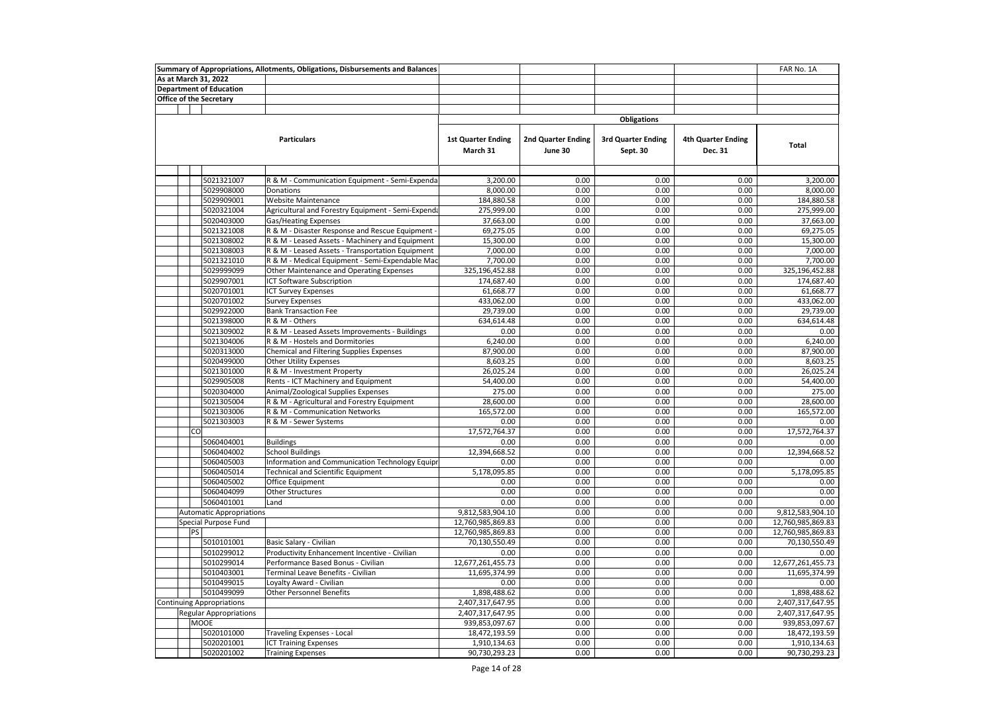| As at March 31, 2022<br><b>Department of Education</b><br><b>Office of the Secretary</b><br><b>Obligations</b><br><b>Particulars</b><br><b>3rd Quarter Ending</b><br><b>1st Quarter Ending</b><br>2nd Quarter Ending<br><b>4th Quarter Ending</b><br><b>Total</b><br>March 31<br>June 30<br>Sept. 30<br>Dec. 31<br>5021321007<br>3,200.00<br>0.00<br>0.00<br>0.00<br>3,200.00<br>R & M - Communication Equipment - Semi-Expenda<br>5029908000<br>8,000.00<br>0.00<br>0.00<br>0.00<br>8,000.00<br>Donations<br>5029909001<br>184,880.58<br>0.00<br>0.00<br>184,880.58<br><b>Website Maintenance</b><br>0.00<br>275,999.00<br>5020321004<br>Agricultural and Forestry Equipment - Semi-Expenda<br>275,999.00<br>0.00<br>0.00<br>0.00<br>5020403000<br><b>Gas/Heating Expenses</b><br>0.00<br>0.00<br>0.00<br>37,663.00<br>37,663.00<br>5021321008<br>R & M - Disaster Response and Rescue Equipment<br>69,275.05<br>0.00<br>0.00<br>0.00<br>69,275.05<br>5021308002<br>R & M - Leased Assets - Machinery and Equipment<br>15,300.00<br>0.00<br>0.00<br>0.00<br>15,300.00<br>7,000.00<br>0.00<br>0.00<br>0.00<br>7,000.00<br>5021308003<br>R & M - Leased Assets - Transportation Equipment<br>0.00<br>7,700.00<br>5021321010<br>R & M - Medical Equipment - Semi-Expendable Mac<br>7,700.00<br>0.00<br>0.00<br>0.00<br>0.00<br>0.00<br>5029999099<br>Other Maintenance and Operating Expenses<br>325,196,452.88<br>325,196,452.88<br>0.00<br>5029907001<br><b>ICT Software Subscription</b><br>174,687.40<br>0.00<br>0.00<br>174,687.40<br>5020701001<br>0.00<br>0.00<br>0.00<br>61,668.77<br><b>ICT Survey Expenses</b><br>61,668.77<br>0.00<br>433,062.00<br>5020701002<br><b>Survey Expenses</b><br>433,062.00<br>0.00<br>0.00<br>5029922000<br><b>Bank Transaction Fee</b><br>29,739.00<br>0.00<br>0.00<br>0.00<br>29,739.00<br>R & M - Others<br>0.00<br>634,614.48<br>5021398000<br>634,614.48<br>0.00<br>0.00<br>R & M - Leased Assets Improvements - Buildings<br>0.00<br>0.00<br>0.00<br>5021309002<br>0.00<br>0.00<br>6.240.00<br>5021304006<br>R & M - Hostels and Dormitories<br>6,240.00<br>0.00<br>0.00<br>0.00<br>87,900.00<br>0.00<br>0.00<br>0.00<br>87,900.00<br>5020313000<br>Chemical and Filtering Supplies Expenses<br>8,603.25<br>5020499000<br><b>Other Utility Expenses</b><br>8,603.25<br>0.00<br>0.00<br>0.00<br>5021301000<br>R & M - Investment Property<br>26,025.24<br>0.00<br>0.00<br>0.00<br>26,025.24<br>54,400.00<br>5029905008<br>Rents - ICT Machinery and Equipment<br>54,400.00<br>0.00<br>0.00<br>0.00<br>0.00<br>5020304000<br>Animal/Zoological Supplies Expenses<br>275.00<br>0.00<br>0.00<br>275.00<br>5021305004<br>R & M - Agricultural and Forestry Equipment<br>28,600.00<br>0.00<br>0.00<br>0.00<br>28,600.00<br>5021303006<br>R & M - Communication Networks<br>165,572.00<br>0.00<br>0.00<br>0.00<br>165,572.00<br>5021303003<br>R & M - Sewer Systems<br>0.00<br>0.00<br>0.00<br>0.00<br>0.00<br>0.00<br>0.00<br>CO<br>17,572,764.37<br>0.00<br>17,572,764.37<br>0.00<br>0.00<br>0.00<br>5060404001<br><b>Buildings</b><br>0.00<br>0.00<br>0.00<br>12,394,668.52<br>5060404002<br><b>School Buildings</b><br>12,394,668.52<br>0.00<br>0.00<br>5060405003<br>Information and Communication Technology Equipr<br>0.00<br>0.00<br>0.00<br>0.00<br>0.00<br>5060405014<br>Technical and Scientific Equipment<br>5,178,095.85<br>0.00<br>0.00<br>0.00<br>5,178,095.85<br>0.00<br>0.00<br>5060405002<br><b>Office Equipment</b><br>0.00<br>0.00<br>0.00<br>5060404099<br>Other Structures<br>0.00<br>0.00<br>0.00<br>0.00<br>0.00<br>0.00<br>0.00<br>0.00<br>5060401001<br>0.00<br>0.00<br>Land<br>0.00<br>9,812,583,904.10<br>0.00<br>0.00<br>9,812,583,904.10<br><b>Automatic Appropriations</b><br>12,760,985,869.83<br>0.00<br>0.00<br>0.00<br>12,760,985,869.83<br>Special Purpose Fund<br>PS<br>12,760,985,869.83<br>0.00<br>0.00<br>0.00<br>12,760,985,869.83<br>70,130,550.49<br>0.00<br>0.00<br>0.00<br>70,130,550.49<br>5010101001<br>Basic Salary - Civilian<br>5010299012<br>Productivity Enhancement Incentive - Civilian<br>0.00<br>0.00<br>0.00<br>0.00<br>0.00<br>12,677,261,455.73<br>0.00<br>0.00<br>12,677,261,455.73<br>5010299014<br>Performance Based Bonus - Civilian<br>0.00<br>5010403001<br>Terminal Leave Benefits - Civilian<br>11,695,374.99<br>0.00<br>0.00<br>0.00<br>11,695,374.99<br>5010499015<br>0.00<br>0.00<br>0.00<br>Loyalty Award - Civilian<br>0.00<br>0.00<br>5010499099<br><b>Other Personnel Benefits</b><br>1,898,488.62<br>0.00<br>0.00<br>0.00<br>1,898,488.62<br>0.00<br><b>Continuing Appropriations</b><br>2,407,317,647.95<br>0.00<br>0.00<br>2,407,317,647.95<br>0.00<br>2,407,317,647.95<br><b>Regular Appropriations</b><br>2,407,317,647.95<br>0.00<br>0.00<br><b>MOOE</b><br>939,853,097.67<br>0.00<br>0.00<br>0.00<br>939,853,097.67<br>5020101000<br>0.00<br>0.00<br>18,472,193.59<br>Traveling Expenses - Local<br>18,472,193.59<br>0.00<br>5020201001<br>1,910,134.63<br>0.00<br>0.00<br>0.00<br>1,910,134.63<br><b>ICT Training Expenses</b><br>5020201002<br>90,730,293.23<br>0.00<br>0.00<br>0.00<br>90,730,293.23<br><b>Training Expenses</b> |  |  | Summary of Appropriations, Allotments, Obligations, Disbursements and Balances |  |  | FAR No. 1A |
|----------------------------------------------------------------------------------------------------------------------------------------------------------------------------------------------------------------------------------------------------------------------------------------------------------------------------------------------------------------------------------------------------------------------------------------------------------------------------------------------------------------------------------------------------------------------------------------------------------------------------------------------------------------------------------------------------------------------------------------------------------------------------------------------------------------------------------------------------------------------------------------------------------------------------------------------------------------------------------------------------------------------------------------------------------------------------------------------------------------------------------------------------------------------------------------------------------------------------------------------------------------------------------------------------------------------------------------------------------------------------------------------------------------------------------------------------------------------------------------------------------------------------------------------------------------------------------------------------------------------------------------------------------------------------------------------------------------------------------------------------------------------------------------------------------------------------------------------------------------------------------------------------------------------------------------------------------------------------------------------------------------------------------------------------------------------------------------------------------------------------------------------------------------------------------------------------------------------------------------------------------------------------------------------------------------------------------------------------------------------------------------------------------------------------------------------------------------------------------------------------------------------------------------------------------------------------------------------------------------------------------------------------------------------------------------------------------------------------------------------------------------------------------------------------------------------------------------------------------------------------------------------------------------------------------------------------------------------------------------------------------------------------------------------------------------------------------------------------------------------------------------------------------------------------------------------------------------------------------------------------------------------------------------------------------------------------------------------------------------------------------------------------------------------------------------------------------------------------------------------------------------------------------------------------------------------------------------------------------------------------------------------------------------------------------------------------------------------------------------------------------------------------------------------------------------------------------------------------------------------------------------------------------------------------------------------------------------------------------------------------------------------------------------------------------------------------------------------------------------------------------------------------------------------------------------------------------------------------------------------------------------------------------------------------------------------------------------------------------------------------------------------------------------------------------------------------------------------------------------------------------------------------------------------------------------------------------------------------------------------------------------------------------------------------------------------------------------------------------------------------------------------------------------------------------------------------------------------------------------------------------------------------------------------------------------------------------------------------------------------------------------------------------------------------------------------------------------------------------------------------------------------------------|--|--|--------------------------------------------------------------------------------|--|--|------------|
|                                                                                                                                                                                                                                                                                                                                                                                                                                                                                                                                                                                                                                                                                                                                                                                                                                                                                                                                                                                                                                                                                                                                                                                                                                                                                                                                                                                                                                                                                                                                                                                                                                                                                                                                                                                                                                                                                                                                                                                                                                                                                                                                                                                                                                                                                                                                                                                                                                                                                                                                                                                                                                                                                                                                                                                                                                                                                                                                                                                                                                                                                                                                                                                                                                                                                                                                                                                                                                                                                                                                                                                                                                                                                                                                                                                                                                                                                                                                                                                                                                                                                                                                                                                                                                                                                                                                                                                                                                                                                                                                                                                                                                                                                                                                                                                                                                                                                                                                                                                                                                                                                                                                                          |  |  |                                                                                |  |  |            |
|                                                                                                                                                                                                                                                                                                                                                                                                                                                                                                                                                                                                                                                                                                                                                                                                                                                                                                                                                                                                                                                                                                                                                                                                                                                                                                                                                                                                                                                                                                                                                                                                                                                                                                                                                                                                                                                                                                                                                                                                                                                                                                                                                                                                                                                                                                                                                                                                                                                                                                                                                                                                                                                                                                                                                                                                                                                                                                                                                                                                                                                                                                                                                                                                                                                                                                                                                                                                                                                                                                                                                                                                                                                                                                                                                                                                                                                                                                                                                                                                                                                                                                                                                                                                                                                                                                                                                                                                                                                                                                                                                                                                                                                                                                                                                                                                                                                                                                                                                                                                                                                                                                                                                          |  |  |                                                                                |  |  |            |
|                                                                                                                                                                                                                                                                                                                                                                                                                                                                                                                                                                                                                                                                                                                                                                                                                                                                                                                                                                                                                                                                                                                                                                                                                                                                                                                                                                                                                                                                                                                                                                                                                                                                                                                                                                                                                                                                                                                                                                                                                                                                                                                                                                                                                                                                                                                                                                                                                                                                                                                                                                                                                                                                                                                                                                                                                                                                                                                                                                                                                                                                                                                                                                                                                                                                                                                                                                                                                                                                                                                                                                                                                                                                                                                                                                                                                                                                                                                                                                                                                                                                                                                                                                                                                                                                                                                                                                                                                                                                                                                                                                                                                                                                                                                                                                                                                                                                                                                                                                                                                                                                                                                                                          |  |  |                                                                                |  |  |            |
|                                                                                                                                                                                                                                                                                                                                                                                                                                                                                                                                                                                                                                                                                                                                                                                                                                                                                                                                                                                                                                                                                                                                                                                                                                                                                                                                                                                                                                                                                                                                                                                                                                                                                                                                                                                                                                                                                                                                                                                                                                                                                                                                                                                                                                                                                                                                                                                                                                                                                                                                                                                                                                                                                                                                                                                                                                                                                                                                                                                                                                                                                                                                                                                                                                                                                                                                                                                                                                                                                                                                                                                                                                                                                                                                                                                                                                                                                                                                                                                                                                                                                                                                                                                                                                                                                                                                                                                                                                                                                                                                                                                                                                                                                                                                                                                                                                                                                                                                                                                                                                                                                                                                                          |  |  |                                                                                |  |  |            |
|                                                                                                                                                                                                                                                                                                                                                                                                                                                                                                                                                                                                                                                                                                                                                                                                                                                                                                                                                                                                                                                                                                                                                                                                                                                                                                                                                                                                                                                                                                                                                                                                                                                                                                                                                                                                                                                                                                                                                                                                                                                                                                                                                                                                                                                                                                                                                                                                                                                                                                                                                                                                                                                                                                                                                                                                                                                                                                                                                                                                                                                                                                                                                                                                                                                                                                                                                                                                                                                                                                                                                                                                                                                                                                                                                                                                                                                                                                                                                                                                                                                                                                                                                                                                                                                                                                                                                                                                                                                                                                                                                                                                                                                                                                                                                                                                                                                                                                                                                                                                                                                                                                                                                          |  |  |                                                                                |  |  |            |
|                                                                                                                                                                                                                                                                                                                                                                                                                                                                                                                                                                                                                                                                                                                                                                                                                                                                                                                                                                                                                                                                                                                                                                                                                                                                                                                                                                                                                                                                                                                                                                                                                                                                                                                                                                                                                                                                                                                                                                                                                                                                                                                                                                                                                                                                                                                                                                                                                                                                                                                                                                                                                                                                                                                                                                                                                                                                                                                                                                                                                                                                                                                                                                                                                                                                                                                                                                                                                                                                                                                                                                                                                                                                                                                                                                                                                                                                                                                                                                                                                                                                                                                                                                                                                                                                                                                                                                                                                                                                                                                                                                                                                                                                                                                                                                                                                                                                                                                                                                                                                                                                                                                                                          |  |  |                                                                                |  |  |            |
|                                                                                                                                                                                                                                                                                                                                                                                                                                                                                                                                                                                                                                                                                                                                                                                                                                                                                                                                                                                                                                                                                                                                                                                                                                                                                                                                                                                                                                                                                                                                                                                                                                                                                                                                                                                                                                                                                                                                                                                                                                                                                                                                                                                                                                                                                                                                                                                                                                                                                                                                                                                                                                                                                                                                                                                                                                                                                                                                                                                                                                                                                                                                                                                                                                                                                                                                                                                                                                                                                                                                                                                                                                                                                                                                                                                                                                                                                                                                                                                                                                                                                                                                                                                                                                                                                                                                                                                                                                                                                                                                                                                                                                                                                                                                                                                                                                                                                                                                                                                                                                                                                                                                                          |  |  |                                                                                |  |  |            |
|                                                                                                                                                                                                                                                                                                                                                                                                                                                                                                                                                                                                                                                                                                                                                                                                                                                                                                                                                                                                                                                                                                                                                                                                                                                                                                                                                                                                                                                                                                                                                                                                                                                                                                                                                                                                                                                                                                                                                                                                                                                                                                                                                                                                                                                                                                                                                                                                                                                                                                                                                                                                                                                                                                                                                                                                                                                                                                                                                                                                                                                                                                                                                                                                                                                                                                                                                                                                                                                                                                                                                                                                                                                                                                                                                                                                                                                                                                                                                                                                                                                                                                                                                                                                                                                                                                                                                                                                                                                                                                                                                                                                                                                                                                                                                                                                                                                                                                                                                                                                                                                                                                                                                          |  |  |                                                                                |  |  |            |
|                                                                                                                                                                                                                                                                                                                                                                                                                                                                                                                                                                                                                                                                                                                                                                                                                                                                                                                                                                                                                                                                                                                                                                                                                                                                                                                                                                                                                                                                                                                                                                                                                                                                                                                                                                                                                                                                                                                                                                                                                                                                                                                                                                                                                                                                                                                                                                                                                                                                                                                                                                                                                                                                                                                                                                                                                                                                                                                                                                                                                                                                                                                                                                                                                                                                                                                                                                                                                                                                                                                                                                                                                                                                                                                                                                                                                                                                                                                                                                                                                                                                                                                                                                                                                                                                                                                                                                                                                                                                                                                                                                                                                                                                                                                                                                                                                                                                                                                                                                                                                                                                                                                                                          |  |  |                                                                                |  |  |            |
|                                                                                                                                                                                                                                                                                                                                                                                                                                                                                                                                                                                                                                                                                                                                                                                                                                                                                                                                                                                                                                                                                                                                                                                                                                                                                                                                                                                                                                                                                                                                                                                                                                                                                                                                                                                                                                                                                                                                                                                                                                                                                                                                                                                                                                                                                                                                                                                                                                                                                                                                                                                                                                                                                                                                                                                                                                                                                                                                                                                                                                                                                                                                                                                                                                                                                                                                                                                                                                                                                                                                                                                                                                                                                                                                                                                                                                                                                                                                                                                                                                                                                                                                                                                                                                                                                                                                                                                                                                                                                                                                                                                                                                                                                                                                                                                                                                                                                                                                                                                                                                                                                                                                                          |  |  |                                                                                |  |  |            |
|                                                                                                                                                                                                                                                                                                                                                                                                                                                                                                                                                                                                                                                                                                                                                                                                                                                                                                                                                                                                                                                                                                                                                                                                                                                                                                                                                                                                                                                                                                                                                                                                                                                                                                                                                                                                                                                                                                                                                                                                                                                                                                                                                                                                                                                                                                                                                                                                                                                                                                                                                                                                                                                                                                                                                                                                                                                                                                                                                                                                                                                                                                                                                                                                                                                                                                                                                                                                                                                                                                                                                                                                                                                                                                                                                                                                                                                                                                                                                                                                                                                                                                                                                                                                                                                                                                                                                                                                                                                                                                                                                                                                                                                                                                                                                                                                                                                                                                                                                                                                                                                                                                                                                          |  |  |                                                                                |  |  |            |
|                                                                                                                                                                                                                                                                                                                                                                                                                                                                                                                                                                                                                                                                                                                                                                                                                                                                                                                                                                                                                                                                                                                                                                                                                                                                                                                                                                                                                                                                                                                                                                                                                                                                                                                                                                                                                                                                                                                                                                                                                                                                                                                                                                                                                                                                                                                                                                                                                                                                                                                                                                                                                                                                                                                                                                                                                                                                                                                                                                                                                                                                                                                                                                                                                                                                                                                                                                                                                                                                                                                                                                                                                                                                                                                                                                                                                                                                                                                                                                                                                                                                                                                                                                                                                                                                                                                                                                                                                                                                                                                                                                                                                                                                                                                                                                                                                                                                                                                                                                                                                                                                                                                                                          |  |  |                                                                                |  |  |            |
|                                                                                                                                                                                                                                                                                                                                                                                                                                                                                                                                                                                                                                                                                                                                                                                                                                                                                                                                                                                                                                                                                                                                                                                                                                                                                                                                                                                                                                                                                                                                                                                                                                                                                                                                                                                                                                                                                                                                                                                                                                                                                                                                                                                                                                                                                                                                                                                                                                                                                                                                                                                                                                                                                                                                                                                                                                                                                                                                                                                                                                                                                                                                                                                                                                                                                                                                                                                                                                                                                                                                                                                                                                                                                                                                                                                                                                                                                                                                                                                                                                                                                                                                                                                                                                                                                                                                                                                                                                                                                                                                                                                                                                                                                                                                                                                                                                                                                                                                                                                                                                                                                                                                                          |  |  |                                                                                |  |  |            |
|                                                                                                                                                                                                                                                                                                                                                                                                                                                                                                                                                                                                                                                                                                                                                                                                                                                                                                                                                                                                                                                                                                                                                                                                                                                                                                                                                                                                                                                                                                                                                                                                                                                                                                                                                                                                                                                                                                                                                                                                                                                                                                                                                                                                                                                                                                                                                                                                                                                                                                                                                                                                                                                                                                                                                                                                                                                                                                                                                                                                                                                                                                                                                                                                                                                                                                                                                                                                                                                                                                                                                                                                                                                                                                                                                                                                                                                                                                                                                                                                                                                                                                                                                                                                                                                                                                                                                                                                                                                                                                                                                                                                                                                                                                                                                                                                                                                                                                                                                                                                                                                                                                                                                          |  |  |                                                                                |  |  |            |
|                                                                                                                                                                                                                                                                                                                                                                                                                                                                                                                                                                                                                                                                                                                                                                                                                                                                                                                                                                                                                                                                                                                                                                                                                                                                                                                                                                                                                                                                                                                                                                                                                                                                                                                                                                                                                                                                                                                                                                                                                                                                                                                                                                                                                                                                                                                                                                                                                                                                                                                                                                                                                                                                                                                                                                                                                                                                                                                                                                                                                                                                                                                                                                                                                                                                                                                                                                                                                                                                                                                                                                                                                                                                                                                                                                                                                                                                                                                                                                                                                                                                                                                                                                                                                                                                                                                                                                                                                                                                                                                                                                                                                                                                                                                                                                                                                                                                                                                                                                                                                                                                                                                                                          |  |  |                                                                                |  |  |            |
|                                                                                                                                                                                                                                                                                                                                                                                                                                                                                                                                                                                                                                                                                                                                                                                                                                                                                                                                                                                                                                                                                                                                                                                                                                                                                                                                                                                                                                                                                                                                                                                                                                                                                                                                                                                                                                                                                                                                                                                                                                                                                                                                                                                                                                                                                                                                                                                                                                                                                                                                                                                                                                                                                                                                                                                                                                                                                                                                                                                                                                                                                                                                                                                                                                                                                                                                                                                                                                                                                                                                                                                                                                                                                                                                                                                                                                                                                                                                                                                                                                                                                                                                                                                                                                                                                                                                                                                                                                                                                                                                                                                                                                                                                                                                                                                                                                                                                                                                                                                                                                                                                                                                                          |  |  |                                                                                |  |  |            |
|                                                                                                                                                                                                                                                                                                                                                                                                                                                                                                                                                                                                                                                                                                                                                                                                                                                                                                                                                                                                                                                                                                                                                                                                                                                                                                                                                                                                                                                                                                                                                                                                                                                                                                                                                                                                                                                                                                                                                                                                                                                                                                                                                                                                                                                                                                                                                                                                                                                                                                                                                                                                                                                                                                                                                                                                                                                                                                                                                                                                                                                                                                                                                                                                                                                                                                                                                                                                                                                                                                                                                                                                                                                                                                                                                                                                                                                                                                                                                                                                                                                                                                                                                                                                                                                                                                                                                                                                                                                                                                                                                                                                                                                                                                                                                                                                                                                                                                                                                                                                                                                                                                                                                          |  |  |                                                                                |  |  |            |
|                                                                                                                                                                                                                                                                                                                                                                                                                                                                                                                                                                                                                                                                                                                                                                                                                                                                                                                                                                                                                                                                                                                                                                                                                                                                                                                                                                                                                                                                                                                                                                                                                                                                                                                                                                                                                                                                                                                                                                                                                                                                                                                                                                                                                                                                                                                                                                                                                                                                                                                                                                                                                                                                                                                                                                                                                                                                                                                                                                                                                                                                                                                                                                                                                                                                                                                                                                                                                                                                                                                                                                                                                                                                                                                                                                                                                                                                                                                                                                                                                                                                                                                                                                                                                                                                                                                                                                                                                                                                                                                                                                                                                                                                                                                                                                                                                                                                                                                                                                                                                                                                                                                                                          |  |  |                                                                                |  |  |            |
|                                                                                                                                                                                                                                                                                                                                                                                                                                                                                                                                                                                                                                                                                                                                                                                                                                                                                                                                                                                                                                                                                                                                                                                                                                                                                                                                                                                                                                                                                                                                                                                                                                                                                                                                                                                                                                                                                                                                                                                                                                                                                                                                                                                                                                                                                                                                                                                                                                                                                                                                                                                                                                                                                                                                                                                                                                                                                                                                                                                                                                                                                                                                                                                                                                                                                                                                                                                                                                                                                                                                                                                                                                                                                                                                                                                                                                                                                                                                                                                                                                                                                                                                                                                                                                                                                                                                                                                                                                                                                                                                                                                                                                                                                                                                                                                                                                                                                                                                                                                                                                                                                                                                                          |  |  |                                                                                |  |  |            |
|                                                                                                                                                                                                                                                                                                                                                                                                                                                                                                                                                                                                                                                                                                                                                                                                                                                                                                                                                                                                                                                                                                                                                                                                                                                                                                                                                                                                                                                                                                                                                                                                                                                                                                                                                                                                                                                                                                                                                                                                                                                                                                                                                                                                                                                                                                                                                                                                                                                                                                                                                                                                                                                                                                                                                                                                                                                                                                                                                                                                                                                                                                                                                                                                                                                                                                                                                                                                                                                                                                                                                                                                                                                                                                                                                                                                                                                                                                                                                                                                                                                                                                                                                                                                                                                                                                                                                                                                                                                                                                                                                                                                                                                                                                                                                                                                                                                                                                                                                                                                                                                                                                                                                          |  |  |                                                                                |  |  |            |
|                                                                                                                                                                                                                                                                                                                                                                                                                                                                                                                                                                                                                                                                                                                                                                                                                                                                                                                                                                                                                                                                                                                                                                                                                                                                                                                                                                                                                                                                                                                                                                                                                                                                                                                                                                                                                                                                                                                                                                                                                                                                                                                                                                                                                                                                                                                                                                                                                                                                                                                                                                                                                                                                                                                                                                                                                                                                                                                                                                                                                                                                                                                                                                                                                                                                                                                                                                                                                                                                                                                                                                                                                                                                                                                                                                                                                                                                                                                                                                                                                                                                                                                                                                                                                                                                                                                                                                                                                                                                                                                                                                                                                                                                                                                                                                                                                                                                                                                                                                                                                                                                                                                                                          |  |  |                                                                                |  |  |            |
|                                                                                                                                                                                                                                                                                                                                                                                                                                                                                                                                                                                                                                                                                                                                                                                                                                                                                                                                                                                                                                                                                                                                                                                                                                                                                                                                                                                                                                                                                                                                                                                                                                                                                                                                                                                                                                                                                                                                                                                                                                                                                                                                                                                                                                                                                                                                                                                                                                                                                                                                                                                                                                                                                                                                                                                                                                                                                                                                                                                                                                                                                                                                                                                                                                                                                                                                                                                                                                                                                                                                                                                                                                                                                                                                                                                                                                                                                                                                                                                                                                                                                                                                                                                                                                                                                                                                                                                                                                                                                                                                                                                                                                                                                                                                                                                                                                                                                                                                                                                                                                                                                                                                                          |  |  |                                                                                |  |  |            |
|                                                                                                                                                                                                                                                                                                                                                                                                                                                                                                                                                                                                                                                                                                                                                                                                                                                                                                                                                                                                                                                                                                                                                                                                                                                                                                                                                                                                                                                                                                                                                                                                                                                                                                                                                                                                                                                                                                                                                                                                                                                                                                                                                                                                                                                                                                                                                                                                                                                                                                                                                                                                                                                                                                                                                                                                                                                                                                                                                                                                                                                                                                                                                                                                                                                                                                                                                                                                                                                                                                                                                                                                                                                                                                                                                                                                                                                                                                                                                                                                                                                                                                                                                                                                                                                                                                                                                                                                                                                                                                                                                                                                                                                                                                                                                                                                                                                                                                                                                                                                                                                                                                                                                          |  |  |                                                                                |  |  |            |
|                                                                                                                                                                                                                                                                                                                                                                                                                                                                                                                                                                                                                                                                                                                                                                                                                                                                                                                                                                                                                                                                                                                                                                                                                                                                                                                                                                                                                                                                                                                                                                                                                                                                                                                                                                                                                                                                                                                                                                                                                                                                                                                                                                                                                                                                                                                                                                                                                                                                                                                                                                                                                                                                                                                                                                                                                                                                                                                                                                                                                                                                                                                                                                                                                                                                                                                                                                                                                                                                                                                                                                                                                                                                                                                                                                                                                                                                                                                                                                                                                                                                                                                                                                                                                                                                                                                                                                                                                                                                                                                                                                                                                                                                                                                                                                                                                                                                                                                                                                                                                                                                                                                                                          |  |  |                                                                                |  |  |            |
|                                                                                                                                                                                                                                                                                                                                                                                                                                                                                                                                                                                                                                                                                                                                                                                                                                                                                                                                                                                                                                                                                                                                                                                                                                                                                                                                                                                                                                                                                                                                                                                                                                                                                                                                                                                                                                                                                                                                                                                                                                                                                                                                                                                                                                                                                                                                                                                                                                                                                                                                                                                                                                                                                                                                                                                                                                                                                                                                                                                                                                                                                                                                                                                                                                                                                                                                                                                                                                                                                                                                                                                                                                                                                                                                                                                                                                                                                                                                                                                                                                                                                                                                                                                                                                                                                                                                                                                                                                                                                                                                                                                                                                                                                                                                                                                                                                                                                                                                                                                                                                                                                                                                                          |  |  |                                                                                |  |  |            |
|                                                                                                                                                                                                                                                                                                                                                                                                                                                                                                                                                                                                                                                                                                                                                                                                                                                                                                                                                                                                                                                                                                                                                                                                                                                                                                                                                                                                                                                                                                                                                                                                                                                                                                                                                                                                                                                                                                                                                                                                                                                                                                                                                                                                                                                                                                                                                                                                                                                                                                                                                                                                                                                                                                                                                                                                                                                                                                                                                                                                                                                                                                                                                                                                                                                                                                                                                                                                                                                                                                                                                                                                                                                                                                                                                                                                                                                                                                                                                                                                                                                                                                                                                                                                                                                                                                                                                                                                                                                                                                                                                                                                                                                                                                                                                                                                                                                                                                                                                                                                                                                                                                                                                          |  |  |                                                                                |  |  |            |
|                                                                                                                                                                                                                                                                                                                                                                                                                                                                                                                                                                                                                                                                                                                                                                                                                                                                                                                                                                                                                                                                                                                                                                                                                                                                                                                                                                                                                                                                                                                                                                                                                                                                                                                                                                                                                                                                                                                                                                                                                                                                                                                                                                                                                                                                                                                                                                                                                                                                                                                                                                                                                                                                                                                                                                                                                                                                                                                                                                                                                                                                                                                                                                                                                                                                                                                                                                                                                                                                                                                                                                                                                                                                                                                                                                                                                                                                                                                                                                                                                                                                                                                                                                                                                                                                                                                                                                                                                                                                                                                                                                                                                                                                                                                                                                                                                                                                                                                                                                                                                                                                                                                                                          |  |  |                                                                                |  |  |            |
|                                                                                                                                                                                                                                                                                                                                                                                                                                                                                                                                                                                                                                                                                                                                                                                                                                                                                                                                                                                                                                                                                                                                                                                                                                                                                                                                                                                                                                                                                                                                                                                                                                                                                                                                                                                                                                                                                                                                                                                                                                                                                                                                                                                                                                                                                                                                                                                                                                                                                                                                                                                                                                                                                                                                                                                                                                                                                                                                                                                                                                                                                                                                                                                                                                                                                                                                                                                                                                                                                                                                                                                                                                                                                                                                                                                                                                                                                                                                                                                                                                                                                                                                                                                                                                                                                                                                                                                                                                                                                                                                                                                                                                                                                                                                                                                                                                                                                                                                                                                                                                                                                                                                                          |  |  |                                                                                |  |  |            |
|                                                                                                                                                                                                                                                                                                                                                                                                                                                                                                                                                                                                                                                                                                                                                                                                                                                                                                                                                                                                                                                                                                                                                                                                                                                                                                                                                                                                                                                                                                                                                                                                                                                                                                                                                                                                                                                                                                                                                                                                                                                                                                                                                                                                                                                                                                                                                                                                                                                                                                                                                                                                                                                                                                                                                                                                                                                                                                                                                                                                                                                                                                                                                                                                                                                                                                                                                                                                                                                                                                                                                                                                                                                                                                                                                                                                                                                                                                                                                                                                                                                                                                                                                                                                                                                                                                                                                                                                                                                                                                                                                                                                                                                                                                                                                                                                                                                                                                                                                                                                                                                                                                                                                          |  |  |                                                                                |  |  |            |
|                                                                                                                                                                                                                                                                                                                                                                                                                                                                                                                                                                                                                                                                                                                                                                                                                                                                                                                                                                                                                                                                                                                                                                                                                                                                                                                                                                                                                                                                                                                                                                                                                                                                                                                                                                                                                                                                                                                                                                                                                                                                                                                                                                                                                                                                                                                                                                                                                                                                                                                                                                                                                                                                                                                                                                                                                                                                                                                                                                                                                                                                                                                                                                                                                                                                                                                                                                                                                                                                                                                                                                                                                                                                                                                                                                                                                                                                                                                                                                                                                                                                                                                                                                                                                                                                                                                                                                                                                                                                                                                                                                                                                                                                                                                                                                                                                                                                                                                                                                                                                                                                                                                                                          |  |  |                                                                                |  |  |            |
|                                                                                                                                                                                                                                                                                                                                                                                                                                                                                                                                                                                                                                                                                                                                                                                                                                                                                                                                                                                                                                                                                                                                                                                                                                                                                                                                                                                                                                                                                                                                                                                                                                                                                                                                                                                                                                                                                                                                                                                                                                                                                                                                                                                                                                                                                                                                                                                                                                                                                                                                                                                                                                                                                                                                                                                                                                                                                                                                                                                                                                                                                                                                                                                                                                                                                                                                                                                                                                                                                                                                                                                                                                                                                                                                                                                                                                                                                                                                                                                                                                                                                                                                                                                                                                                                                                                                                                                                                                                                                                                                                                                                                                                                                                                                                                                                                                                                                                                                                                                                                                                                                                                                                          |  |  |                                                                                |  |  |            |
|                                                                                                                                                                                                                                                                                                                                                                                                                                                                                                                                                                                                                                                                                                                                                                                                                                                                                                                                                                                                                                                                                                                                                                                                                                                                                                                                                                                                                                                                                                                                                                                                                                                                                                                                                                                                                                                                                                                                                                                                                                                                                                                                                                                                                                                                                                                                                                                                                                                                                                                                                                                                                                                                                                                                                                                                                                                                                                                                                                                                                                                                                                                                                                                                                                                                                                                                                                                                                                                                                                                                                                                                                                                                                                                                                                                                                                                                                                                                                                                                                                                                                                                                                                                                                                                                                                                                                                                                                                                                                                                                                                                                                                                                                                                                                                                                                                                                                                                                                                                                                                                                                                                                                          |  |  |                                                                                |  |  |            |
|                                                                                                                                                                                                                                                                                                                                                                                                                                                                                                                                                                                                                                                                                                                                                                                                                                                                                                                                                                                                                                                                                                                                                                                                                                                                                                                                                                                                                                                                                                                                                                                                                                                                                                                                                                                                                                                                                                                                                                                                                                                                                                                                                                                                                                                                                                                                                                                                                                                                                                                                                                                                                                                                                                                                                                                                                                                                                                                                                                                                                                                                                                                                                                                                                                                                                                                                                                                                                                                                                                                                                                                                                                                                                                                                                                                                                                                                                                                                                                                                                                                                                                                                                                                                                                                                                                                                                                                                                                                                                                                                                                                                                                                                                                                                                                                                                                                                                                                                                                                                                                                                                                                                                          |  |  |                                                                                |  |  |            |
|                                                                                                                                                                                                                                                                                                                                                                                                                                                                                                                                                                                                                                                                                                                                                                                                                                                                                                                                                                                                                                                                                                                                                                                                                                                                                                                                                                                                                                                                                                                                                                                                                                                                                                                                                                                                                                                                                                                                                                                                                                                                                                                                                                                                                                                                                                                                                                                                                                                                                                                                                                                                                                                                                                                                                                                                                                                                                                                                                                                                                                                                                                                                                                                                                                                                                                                                                                                                                                                                                                                                                                                                                                                                                                                                                                                                                                                                                                                                                                                                                                                                                                                                                                                                                                                                                                                                                                                                                                                                                                                                                                                                                                                                                                                                                                                                                                                                                                                                                                                                                                                                                                                                                          |  |  |                                                                                |  |  |            |
|                                                                                                                                                                                                                                                                                                                                                                                                                                                                                                                                                                                                                                                                                                                                                                                                                                                                                                                                                                                                                                                                                                                                                                                                                                                                                                                                                                                                                                                                                                                                                                                                                                                                                                                                                                                                                                                                                                                                                                                                                                                                                                                                                                                                                                                                                                                                                                                                                                                                                                                                                                                                                                                                                                                                                                                                                                                                                                                                                                                                                                                                                                                                                                                                                                                                                                                                                                                                                                                                                                                                                                                                                                                                                                                                                                                                                                                                                                                                                                                                                                                                                                                                                                                                                                                                                                                                                                                                                                                                                                                                                                                                                                                                                                                                                                                                                                                                                                                                                                                                                                                                                                                                                          |  |  |                                                                                |  |  |            |
|                                                                                                                                                                                                                                                                                                                                                                                                                                                                                                                                                                                                                                                                                                                                                                                                                                                                                                                                                                                                                                                                                                                                                                                                                                                                                                                                                                                                                                                                                                                                                                                                                                                                                                                                                                                                                                                                                                                                                                                                                                                                                                                                                                                                                                                                                                                                                                                                                                                                                                                                                                                                                                                                                                                                                                                                                                                                                                                                                                                                                                                                                                                                                                                                                                                                                                                                                                                                                                                                                                                                                                                                                                                                                                                                                                                                                                                                                                                                                                                                                                                                                                                                                                                                                                                                                                                                                                                                                                                                                                                                                                                                                                                                                                                                                                                                                                                                                                                                                                                                                                                                                                                                                          |  |  |                                                                                |  |  |            |
|                                                                                                                                                                                                                                                                                                                                                                                                                                                                                                                                                                                                                                                                                                                                                                                                                                                                                                                                                                                                                                                                                                                                                                                                                                                                                                                                                                                                                                                                                                                                                                                                                                                                                                                                                                                                                                                                                                                                                                                                                                                                                                                                                                                                                                                                                                                                                                                                                                                                                                                                                                                                                                                                                                                                                                                                                                                                                                                                                                                                                                                                                                                                                                                                                                                                                                                                                                                                                                                                                                                                                                                                                                                                                                                                                                                                                                                                                                                                                                                                                                                                                                                                                                                                                                                                                                                                                                                                                                                                                                                                                                                                                                                                                                                                                                                                                                                                                                                                                                                                                                                                                                                                                          |  |  |                                                                                |  |  |            |
|                                                                                                                                                                                                                                                                                                                                                                                                                                                                                                                                                                                                                                                                                                                                                                                                                                                                                                                                                                                                                                                                                                                                                                                                                                                                                                                                                                                                                                                                                                                                                                                                                                                                                                                                                                                                                                                                                                                                                                                                                                                                                                                                                                                                                                                                                                                                                                                                                                                                                                                                                                                                                                                                                                                                                                                                                                                                                                                                                                                                                                                                                                                                                                                                                                                                                                                                                                                                                                                                                                                                                                                                                                                                                                                                                                                                                                                                                                                                                                                                                                                                                                                                                                                                                                                                                                                                                                                                                                                                                                                                                                                                                                                                                                                                                                                                                                                                                                                                                                                                                                                                                                                                                          |  |  |                                                                                |  |  |            |
|                                                                                                                                                                                                                                                                                                                                                                                                                                                                                                                                                                                                                                                                                                                                                                                                                                                                                                                                                                                                                                                                                                                                                                                                                                                                                                                                                                                                                                                                                                                                                                                                                                                                                                                                                                                                                                                                                                                                                                                                                                                                                                                                                                                                                                                                                                                                                                                                                                                                                                                                                                                                                                                                                                                                                                                                                                                                                                                                                                                                                                                                                                                                                                                                                                                                                                                                                                                                                                                                                                                                                                                                                                                                                                                                                                                                                                                                                                                                                                                                                                                                                                                                                                                                                                                                                                                                                                                                                                                                                                                                                                                                                                                                                                                                                                                                                                                                                                                                                                                                                                                                                                                                                          |  |  |                                                                                |  |  |            |
|                                                                                                                                                                                                                                                                                                                                                                                                                                                                                                                                                                                                                                                                                                                                                                                                                                                                                                                                                                                                                                                                                                                                                                                                                                                                                                                                                                                                                                                                                                                                                                                                                                                                                                                                                                                                                                                                                                                                                                                                                                                                                                                                                                                                                                                                                                                                                                                                                                                                                                                                                                                                                                                                                                                                                                                                                                                                                                                                                                                                                                                                                                                                                                                                                                                                                                                                                                                                                                                                                                                                                                                                                                                                                                                                                                                                                                                                                                                                                                                                                                                                                                                                                                                                                                                                                                                                                                                                                                                                                                                                                                                                                                                                                                                                                                                                                                                                                                                                                                                                                                                                                                                                                          |  |  |                                                                                |  |  |            |
|                                                                                                                                                                                                                                                                                                                                                                                                                                                                                                                                                                                                                                                                                                                                                                                                                                                                                                                                                                                                                                                                                                                                                                                                                                                                                                                                                                                                                                                                                                                                                                                                                                                                                                                                                                                                                                                                                                                                                                                                                                                                                                                                                                                                                                                                                                                                                                                                                                                                                                                                                                                                                                                                                                                                                                                                                                                                                                                                                                                                                                                                                                                                                                                                                                                                                                                                                                                                                                                                                                                                                                                                                                                                                                                                                                                                                                                                                                                                                                                                                                                                                                                                                                                                                                                                                                                                                                                                                                                                                                                                                                                                                                                                                                                                                                                                                                                                                                                                                                                                                                                                                                                                                          |  |  |                                                                                |  |  |            |
|                                                                                                                                                                                                                                                                                                                                                                                                                                                                                                                                                                                                                                                                                                                                                                                                                                                                                                                                                                                                                                                                                                                                                                                                                                                                                                                                                                                                                                                                                                                                                                                                                                                                                                                                                                                                                                                                                                                                                                                                                                                                                                                                                                                                                                                                                                                                                                                                                                                                                                                                                                                                                                                                                                                                                                                                                                                                                                                                                                                                                                                                                                                                                                                                                                                                                                                                                                                                                                                                                                                                                                                                                                                                                                                                                                                                                                                                                                                                                                                                                                                                                                                                                                                                                                                                                                                                                                                                                                                                                                                                                                                                                                                                                                                                                                                                                                                                                                                                                                                                                                                                                                                                                          |  |  |                                                                                |  |  |            |
|                                                                                                                                                                                                                                                                                                                                                                                                                                                                                                                                                                                                                                                                                                                                                                                                                                                                                                                                                                                                                                                                                                                                                                                                                                                                                                                                                                                                                                                                                                                                                                                                                                                                                                                                                                                                                                                                                                                                                                                                                                                                                                                                                                                                                                                                                                                                                                                                                                                                                                                                                                                                                                                                                                                                                                                                                                                                                                                                                                                                                                                                                                                                                                                                                                                                                                                                                                                                                                                                                                                                                                                                                                                                                                                                                                                                                                                                                                                                                                                                                                                                                                                                                                                                                                                                                                                                                                                                                                                                                                                                                                                                                                                                                                                                                                                                                                                                                                                                                                                                                                                                                                                                                          |  |  |                                                                                |  |  |            |
|                                                                                                                                                                                                                                                                                                                                                                                                                                                                                                                                                                                                                                                                                                                                                                                                                                                                                                                                                                                                                                                                                                                                                                                                                                                                                                                                                                                                                                                                                                                                                                                                                                                                                                                                                                                                                                                                                                                                                                                                                                                                                                                                                                                                                                                                                                                                                                                                                                                                                                                                                                                                                                                                                                                                                                                                                                                                                                                                                                                                                                                                                                                                                                                                                                                                                                                                                                                                                                                                                                                                                                                                                                                                                                                                                                                                                                                                                                                                                                                                                                                                                                                                                                                                                                                                                                                                                                                                                                                                                                                                                                                                                                                                                                                                                                                                                                                                                                                                                                                                                                                                                                                                                          |  |  |                                                                                |  |  |            |
|                                                                                                                                                                                                                                                                                                                                                                                                                                                                                                                                                                                                                                                                                                                                                                                                                                                                                                                                                                                                                                                                                                                                                                                                                                                                                                                                                                                                                                                                                                                                                                                                                                                                                                                                                                                                                                                                                                                                                                                                                                                                                                                                                                                                                                                                                                                                                                                                                                                                                                                                                                                                                                                                                                                                                                                                                                                                                                                                                                                                                                                                                                                                                                                                                                                                                                                                                                                                                                                                                                                                                                                                                                                                                                                                                                                                                                                                                                                                                                                                                                                                                                                                                                                                                                                                                                                                                                                                                                                                                                                                                                                                                                                                                                                                                                                                                                                                                                                                                                                                                                                                                                                                                          |  |  |                                                                                |  |  |            |
|                                                                                                                                                                                                                                                                                                                                                                                                                                                                                                                                                                                                                                                                                                                                                                                                                                                                                                                                                                                                                                                                                                                                                                                                                                                                                                                                                                                                                                                                                                                                                                                                                                                                                                                                                                                                                                                                                                                                                                                                                                                                                                                                                                                                                                                                                                                                                                                                                                                                                                                                                                                                                                                                                                                                                                                                                                                                                                                                                                                                                                                                                                                                                                                                                                                                                                                                                                                                                                                                                                                                                                                                                                                                                                                                                                                                                                                                                                                                                                                                                                                                                                                                                                                                                                                                                                                                                                                                                                                                                                                                                                                                                                                                                                                                                                                                                                                                                                                                                                                                                                                                                                                                                          |  |  |                                                                                |  |  |            |
|                                                                                                                                                                                                                                                                                                                                                                                                                                                                                                                                                                                                                                                                                                                                                                                                                                                                                                                                                                                                                                                                                                                                                                                                                                                                                                                                                                                                                                                                                                                                                                                                                                                                                                                                                                                                                                                                                                                                                                                                                                                                                                                                                                                                                                                                                                                                                                                                                                                                                                                                                                                                                                                                                                                                                                                                                                                                                                                                                                                                                                                                                                                                                                                                                                                                                                                                                                                                                                                                                                                                                                                                                                                                                                                                                                                                                                                                                                                                                                                                                                                                                                                                                                                                                                                                                                                                                                                                                                                                                                                                                                                                                                                                                                                                                                                                                                                                                                                                                                                                                                                                                                                                                          |  |  |                                                                                |  |  |            |
|                                                                                                                                                                                                                                                                                                                                                                                                                                                                                                                                                                                                                                                                                                                                                                                                                                                                                                                                                                                                                                                                                                                                                                                                                                                                                                                                                                                                                                                                                                                                                                                                                                                                                                                                                                                                                                                                                                                                                                                                                                                                                                                                                                                                                                                                                                                                                                                                                                                                                                                                                                                                                                                                                                                                                                                                                                                                                                                                                                                                                                                                                                                                                                                                                                                                                                                                                                                                                                                                                                                                                                                                                                                                                                                                                                                                                                                                                                                                                                                                                                                                                                                                                                                                                                                                                                                                                                                                                                                                                                                                                                                                                                                                                                                                                                                                                                                                                                                                                                                                                                                                                                                                                          |  |  |                                                                                |  |  |            |
|                                                                                                                                                                                                                                                                                                                                                                                                                                                                                                                                                                                                                                                                                                                                                                                                                                                                                                                                                                                                                                                                                                                                                                                                                                                                                                                                                                                                                                                                                                                                                                                                                                                                                                                                                                                                                                                                                                                                                                                                                                                                                                                                                                                                                                                                                                                                                                                                                                                                                                                                                                                                                                                                                                                                                                                                                                                                                                                                                                                                                                                                                                                                                                                                                                                                                                                                                                                                                                                                                                                                                                                                                                                                                                                                                                                                                                                                                                                                                                                                                                                                                                                                                                                                                                                                                                                                                                                                                                                                                                                                                                                                                                                                                                                                                                                                                                                                                                                                                                                                                                                                                                                                                          |  |  |                                                                                |  |  |            |
|                                                                                                                                                                                                                                                                                                                                                                                                                                                                                                                                                                                                                                                                                                                                                                                                                                                                                                                                                                                                                                                                                                                                                                                                                                                                                                                                                                                                                                                                                                                                                                                                                                                                                                                                                                                                                                                                                                                                                                                                                                                                                                                                                                                                                                                                                                                                                                                                                                                                                                                                                                                                                                                                                                                                                                                                                                                                                                                                                                                                                                                                                                                                                                                                                                                                                                                                                                                                                                                                                                                                                                                                                                                                                                                                                                                                                                                                                                                                                                                                                                                                                                                                                                                                                                                                                                                                                                                                                                                                                                                                                                                                                                                                                                                                                                                                                                                                                                                                                                                                                                                                                                                                                          |  |  |                                                                                |  |  |            |
|                                                                                                                                                                                                                                                                                                                                                                                                                                                                                                                                                                                                                                                                                                                                                                                                                                                                                                                                                                                                                                                                                                                                                                                                                                                                                                                                                                                                                                                                                                                                                                                                                                                                                                                                                                                                                                                                                                                                                                                                                                                                                                                                                                                                                                                                                                                                                                                                                                                                                                                                                                                                                                                                                                                                                                                                                                                                                                                                                                                                                                                                                                                                                                                                                                                                                                                                                                                                                                                                                                                                                                                                                                                                                                                                                                                                                                                                                                                                                                                                                                                                                                                                                                                                                                                                                                                                                                                                                                                                                                                                                                                                                                                                                                                                                                                                                                                                                                                                                                                                                                                                                                                                                          |  |  |                                                                                |  |  |            |
|                                                                                                                                                                                                                                                                                                                                                                                                                                                                                                                                                                                                                                                                                                                                                                                                                                                                                                                                                                                                                                                                                                                                                                                                                                                                                                                                                                                                                                                                                                                                                                                                                                                                                                                                                                                                                                                                                                                                                                                                                                                                                                                                                                                                                                                                                                                                                                                                                                                                                                                                                                                                                                                                                                                                                                                                                                                                                                                                                                                                                                                                                                                                                                                                                                                                                                                                                                                                                                                                                                                                                                                                                                                                                                                                                                                                                                                                                                                                                                                                                                                                                                                                                                                                                                                                                                                                                                                                                                                                                                                                                                                                                                                                                                                                                                                                                                                                                                                                                                                                                                                                                                                                                          |  |  |                                                                                |  |  |            |
|                                                                                                                                                                                                                                                                                                                                                                                                                                                                                                                                                                                                                                                                                                                                                                                                                                                                                                                                                                                                                                                                                                                                                                                                                                                                                                                                                                                                                                                                                                                                                                                                                                                                                                                                                                                                                                                                                                                                                                                                                                                                                                                                                                                                                                                                                                                                                                                                                                                                                                                                                                                                                                                                                                                                                                                                                                                                                                                                                                                                                                                                                                                                                                                                                                                                                                                                                                                                                                                                                                                                                                                                                                                                                                                                                                                                                                                                                                                                                                                                                                                                                                                                                                                                                                                                                                                                                                                                                                                                                                                                                                                                                                                                                                                                                                                                                                                                                                                                                                                                                                                                                                                                                          |  |  |                                                                                |  |  |            |
|                                                                                                                                                                                                                                                                                                                                                                                                                                                                                                                                                                                                                                                                                                                                                                                                                                                                                                                                                                                                                                                                                                                                                                                                                                                                                                                                                                                                                                                                                                                                                                                                                                                                                                                                                                                                                                                                                                                                                                                                                                                                                                                                                                                                                                                                                                                                                                                                                                                                                                                                                                                                                                                                                                                                                                                                                                                                                                                                                                                                                                                                                                                                                                                                                                                                                                                                                                                                                                                                                                                                                                                                                                                                                                                                                                                                                                                                                                                                                                                                                                                                                                                                                                                                                                                                                                                                                                                                                                                                                                                                                                                                                                                                                                                                                                                                                                                                                                                                                                                                                                                                                                                                                          |  |  |                                                                                |  |  |            |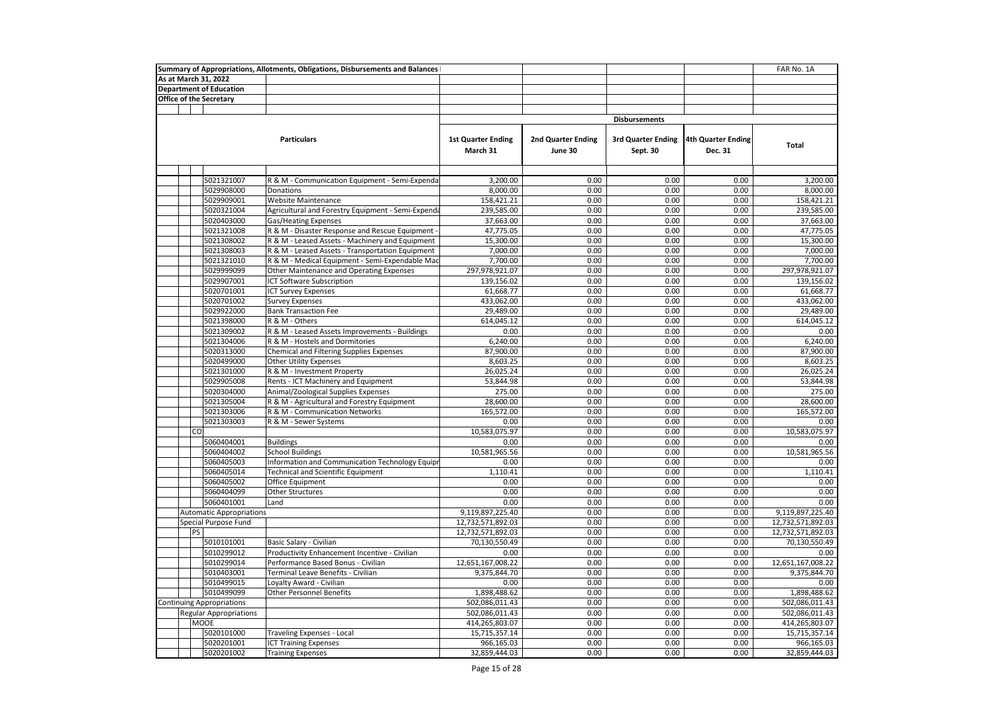| Summary of Appropriations, Allotments, Obligations, Disbursements and Balances |                                               |                                  |                                                    |                                       |                               |                                       |                               | FAR No. 1A        |
|--------------------------------------------------------------------------------|-----------------------------------------------|----------------------------------|----------------------------------------------------|---------------------------------------|-------------------------------|---------------------------------------|-------------------------------|-------------------|
|                                                                                |                                               | As at March 31, 2022             |                                                    |                                       |                               |                                       |                               |                   |
|                                                                                |                                               | <b>Department of Education</b>   |                                                    |                                       |                               |                                       |                               |                   |
|                                                                                |                                               | <b>Office of the Secretary</b>   |                                                    |                                       |                               |                                       |                               |                   |
|                                                                                |                                               |                                  |                                                    |                                       |                               |                                       |                               |                   |
|                                                                                |                                               |                                  |                                                    |                                       |                               | <b>Disbursements</b>                  |                               |                   |
|                                                                                |                                               |                                  | <b>Particulars</b>                                 | <b>1st Quarter Ending</b><br>March 31 | 2nd Quarter Ending<br>June 30 | <b>3rd Quarter Ending</b><br>Sept. 30 | 4th Quarter Ending<br>Dec. 31 | Total             |
|                                                                                |                                               |                                  |                                                    |                                       |                               |                                       |                               |                   |
|                                                                                |                                               | 5021321007                       | R & M - Communication Equipment - Semi-Expenda     | 3,200.00                              | 0.00                          | 0.00                                  | 0.00                          | 3,200.00          |
|                                                                                |                                               | 5029908000                       | Donations                                          | 8,000.00                              | 0.00                          | 0.00                                  | 0.00                          | 8,000.00          |
|                                                                                |                                               | 5029909001                       | <b>Website Maintenance</b>                         | 158,421.21                            | 0.00                          | 0.00                                  | 0.00                          | 158,421.21        |
|                                                                                |                                               | 5020321004                       | Agricultural and Forestry Equipment - Semi-Expenda | 239,585.00                            | 0.00                          | 0.00                                  | 0.00                          | 239,585.00        |
|                                                                                |                                               | 5020403000                       | <b>Gas/Heating Expenses</b>                        | 37,663.00                             | 0.00                          | 0.00                                  | 0.00                          | 37,663.00         |
|                                                                                |                                               | 5021321008                       | R & M - Disaster Response and Rescue Equipment     | 47,775.05                             | 0.00                          | 0.00                                  | 0.00                          | 47,775.05         |
|                                                                                |                                               | 5021308002                       | R & M - Leased Assets - Machinery and Equipment    | 15,300.00                             | 0.00                          | 0.00                                  | 0.00                          | 15,300.00         |
|                                                                                |                                               | 5021308003                       | R & M - Leased Assets - Transportation Equipment   | 7,000.00                              | 0.00                          | 0.00                                  | 0.00                          | 7,000.00          |
|                                                                                |                                               | 5021321010                       | R & M - Medical Equipment - Semi-Expendable Mac    | 7,700.00                              | 0.00                          | 0.00                                  | 0.00                          | 7,700.00          |
|                                                                                |                                               | 5029999099                       | Other Maintenance and Operating Expenses           | 297,978,921.07                        | 0.00                          | 0.00                                  | 0.00                          | 297,978,921.07    |
|                                                                                |                                               | 5029907001                       | ICT Software Subscription                          | 139,156.02                            | 0.00                          | 0.00                                  | 0.00                          | 139,156.02        |
|                                                                                |                                               | 5020701001                       | <b>ICT Survey Expenses</b>                         | 61,668.77                             | 0.00                          | 0.00                                  | 0.00                          | 61,668.77         |
|                                                                                |                                               | 5020701002                       | <b>Survey Expenses</b>                             | 433,062.00                            | 0.00                          | 0.00                                  | 0.00                          | 433,062.00        |
|                                                                                |                                               | 5029922000                       | <b>Bank Transaction Fee</b>                        | 29,489.00                             | 0.00                          | 0.00                                  | 0.00                          | 29,489.00         |
|                                                                                |                                               | 5021398000                       | R & M - Others                                     | 614,045.12                            | 0.00                          | 0.00                                  | 0.00                          | 614,045.12        |
|                                                                                |                                               | 5021309002                       | R & M - Leased Assets Improvements - Buildings     | 0.00                                  | 0.00                          | 0.00                                  | 0.00                          | 0.00              |
|                                                                                |                                               | 5021304006                       | R & M - Hostels and Dormitories                    | 6,240.00                              | 0.00                          | 0.00                                  | 0.00                          | 6.240.00          |
|                                                                                |                                               | 5020313000                       | Chemical and Filtering Supplies Expenses           | 87,900.00                             | 0.00                          | 0.00                                  | 0.00                          | 87,900.00         |
|                                                                                |                                               | 5020499000                       | <b>Other Utility Expenses</b>                      | 8,603.25                              | 0.00                          | 0.00                                  | 0.00                          | 8,603.25          |
|                                                                                |                                               | 5021301000                       | R & M - Investment Property                        | 26,025.24                             | 0.00                          | 0.00                                  | 0.00                          | 26,025.24         |
|                                                                                |                                               | 5029905008                       | Rents - ICT Machinery and Equipment                | 53,844.98                             | 0.00                          | 0.00                                  | 0.00                          | 53,844.98         |
|                                                                                |                                               | 5020304000                       | Animal/Zoological Supplies Expenses                | 275.00                                | 0.00                          | 0.00                                  | 0.00                          | 275.00            |
|                                                                                |                                               | 5021305004                       | R & M - Agricultural and Forestry Equipment        | 28,600.00                             | 0.00                          | 0.00                                  | 0.00                          | 28,600.00         |
|                                                                                |                                               | 5021303006                       | R & M - Communication Networks                     | 165,572.00                            | 0.00                          | 0.00                                  | 0.00                          | 165,572.00        |
|                                                                                |                                               | 5021303003                       | R & M - Sewer Systems                              | 0.00                                  | 0.00                          | 0.00                                  | 0.00                          | 0.00              |
|                                                                                | CO                                            |                                  |                                                    | 10,583,075.97                         | 0.00                          | 0.00                                  | 0.00                          | 10,583,075.97     |
|                                                                                |                                               | 5060404001                       | <b>Buildings</b>                                   | 0.00                                  | 0.00                          | 0.00                                  | 0.00                          | 0.00              |
|                                                                                |                                               | 5060404002                       | <b>School Buildings</b>                            | 10,581,965.56                         | 0.00                          | 0.00                                  | 0.00                          | 10,581,965.56     |
|                                                                                |                                               | 5060405003                       | Information and Communication Technology Equipr    | 0.00                                  | 0.00                          | 0.00                                  | 0.00                          | 0.00              |
|                                                                                |                                               | 5060405014                       | <b>Technical and Scientific Equipment</b>          | 1,110.41                              | 0.00                          | 0.00                                  | 0.00                          | 1,110.41          |
|                                                                                |                                               | 5060405002                       | Office Equipment                                   | 0.00                                  | 0.00                          | 0.00                                  | 0.00                          | 0.00              |
|                                                                                |                                               | 5060404099                       | Other Structures                                   | 0.00                                  | 0.00                          | 0.00                                  | 0.00                          | 0.00              |
|                                                                                |                                               | 5060401001                       | Land                                               | 0.00                                  | 0.00                          | 0.00                                  | 0.00                          | 0.00              |
|                                                                                |                                               | <b>Automatic Appropriations</b>  |                                                    | 9,119,897,225.40                      | 0.00                          | 0.00                                  | 0.00                          | 9,119,897,225.40  |
|                                                                                |                                               | Special Purpose Fund             |                                                    | 12,732,571,892.03                     | 0.00                          | 0.00                                  | 0.00                          | 12,732,571,892.03 |
|                                                                                | PS                                            |                                  |                                                    | 12,732,571,892.03                     | 0.00                          | 0.00                                  | 0.00                          | 12,732,571,892.03 |
|                                                                                |                                               | 5010101001                       | Basic Salary - Civilian                            | 70,130,550.49                         | 0.00                          | 0.00                                  | 0.00                          | 70,130,550.49     |
|                                                                                |                                               | 5010299012                       | Productivity Enhancement Incentive - Civilian      | 0.00                                  | 0.00                          | 0.00                                  | 0.00                          | 0.00              |
|                                                                                |                                               | 5010299014                       | Performance Based Bonus - Civilian                 | 12,651,167,008.22                     | 0.00                          | 0.00                                  | 0.00                          | 12,651,167,008.22 |
|                                                                                |                                               | 5010403001                       | Terminal Leave Benefits - Civilian                 | 9,375,844.70                          | 0.00                          | 0.00                                  | 0.00                          | 9,375,844.70      |
|                                                                                |                                               | 5010499015                       | Loyalty Award - Civilian                           | 0.00                                  | 0.00                          | 0.00                                  | 0.00                          | 0.00              |
|                                                                                | 5010499099<br><b>Other Personnel Benefits</b> |                                  |                                                    | 1,898,488.62                          | 0.00                          | 0.00                                  | 0.00                          | 1,898,488.62      |
|                                                                                |                                               | <b>Continuing Appropriations</b> |                                                    | 502,086,011.43                        | 0.00                          | 0.00                                  | 0.00                          | 502,086,011.43    |
|                                                                                | <b>Regular Appropriations</b>                 |                                  |                                                    | 502,086,011.43                        | 0.00                          | 0.00                                  | 0.00                          | 502,086,011.43    |
|                                                                                |                                               | <b>MOOE</b>                      |                                                    | 414,265,803.07                        | 0.00                          | 0.00                                  | 0.00                          | 414,265,803.07    |
|                                                                                |                                               | 5020101000                       | Traveling Expenses - Local                         | 15,715,357.14                         | 0.00                          | 0.00                                  | 0.00                          | 15,715,357.14     |
|                                                                                |                                               | 5020201001                       | <b>ICT Training Expenses</b>                       | 966,165.03                            | 0.00                          | 0.00                                  | 0.00                          | 966,165.03        |
|                                                                                |                                               | 5020201002                       | <b>Training Expenses</b>                           | 32,859,444.03                         | 0.00                          | 0.00                                  | 0.00                          | 32,859,444.03     |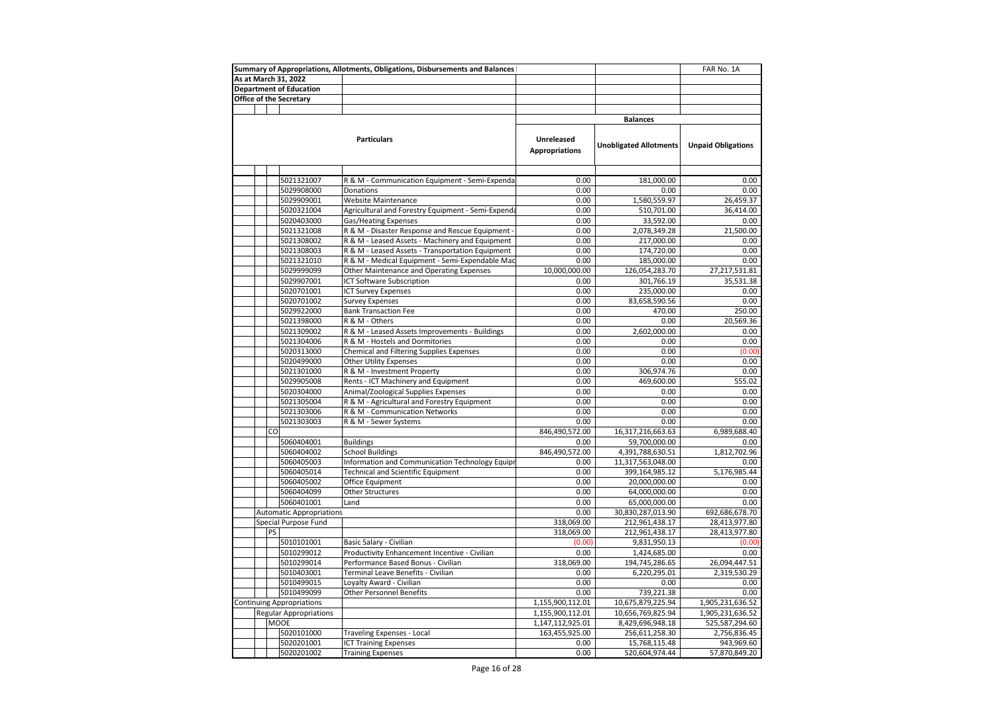|                                               |    |                                 | Summary of Appropriations, Allotments, Obligations, Disbursements and Balances |                       |                               | FAR No. 1A                |
|-----------------------------------------------|----|---------------------------------|--------------------------------------------------------------------------------|-----------------------|-------------------------------|---------------------------|
|                                               |    | As at March 31, 2022            |                                                                                |                       |                               |                           |
|                                               |    | <b>Department of Education</b>  |                                                                                |                       |                               |                           |
|                                               |    | Office of the Secretary         |                                                                                |                       |                               |                           |
|                                               |    |                                 |                                                                                |                       |                               |                           |
|                                               |    |                                 |                                                                                |                       | <b>Balances</b>               |                           |
|                                               |    |                                 |                                                                                |                       |                               |                           |
|                                               |    |                                 | <b>Particulars</b>                                                             | Unreleased            |                               |                           |
|                                               |    |                                 |                                                                                | <b>Appropriations</b> | <b>Unobligated Allotments</b> | <b>Unpaid Obligations</b> |
|                                               |    |                                 |                                                                                |                       |                               |                           |
|                                               |    |                                 |                                                                                |                       |                               |                           |
|                                               |    | 5021321007                      | R & M - Communication Equipment - Semi-Expenda                                 | 0.00                  | 181,000.00                    | 0.00                      |
|                                               |    | 5029908000                      | Donations                                                                      | 0.00                  | 0.00                          | 0.00                      |
|                                               |    | 5029909001                      | <b>Website Maintenance</b>                                                     | 0.00                  | 1,580,559.97                  | 26,459.37                 |
|                                               |    | 5020321004                      | Agricultural and Forestry Equipment - Semi-Expenda                             | 0.00                  | 510,701.00                    | 36,414.00                 |
|                                               |    | 5020403000                      | Gas/Heating Expenses                                                           | 0.00                  | 33,592.00                     | 0.00                      |
|                                               |    | 5021321008                      | R & M - Disaster Response and Rescue Equipment -                               | 0.00                  | 2,078,349.28                  | 21,500.00                 |
|                                               |    | 5021308002                      | R & M - Leased Assets - Machinery and Equipment                                | 0.00                  | 217,000.00                    | 0.00                      |
|                                               |    | 5021308003                      | R & M - Leased Assets - Transportation Equipment                               | 0.00                  | 174,720.00                    | 0.00                      |
|                                               |    | 5021321010                      | R & M - Medical Equipment - Semi-Expendable Mac                                | 0.00                  | 185,000.00                    | 0.00                      |
|                                               |    | 5029999099                      | Other Maintenance and Operating Expenses                                       | 10,000,000.00         | 126,054,283.70                | 27,217,531.81             |
|                                               |    | 5029907001                      | ICT Software Subscription                                                      | 0.00                  | 301,766.19                    | 35,531.38                 |
|                                               |    | 5020701001                      | <b>ICT Survey Expenses</b>                                                     | 0.00                  | 235,000.00                    | 0.00                      |
|                                               |    | 5020701002                      | <b>Survey Expenses</b>                                                         | 0.00                  | 83,658,590.56                 | 0.00                      |
|                                               |    | 5029922000                      | <b>Bank Transaction Fee</b>                                                    | 0.00                  | 470.00                        | 250.00                    |
|                                               |    | 5021398000                      | R & M - Others                                                                 | 0.00                  | 0.00                          | 20,569.36                 |
|                                               |    | 5021309002                      | R & M - Leased Assets Improvements - Buildings                                 | 0.00                  | 2,602,000.00                  | 0.00                      |
|                                               |    | 5021304006                      | R & M - Hostels and Dormitories                                                | 0.00                  | 0.00                          | 0.00                      |
|                                               |    | 5020313000                      | <b>Chemical and Filtering Supplies Expenses</b>                                | 0.00                  | 0.00                          | (0.00)                    |
|                                               |    | 5020499000                      | <b>Other Utility Expenses</b>                                                  | 0.00                  | 0.00                          | 0.00                      |
|                                               |    | 5021301000                      | R & M - Investment Property                                                    | 0.00                  | 306,974.76                    | 0.00                      |
|                                               |    | 5029905008                      | Rents - ICT Machinery and Equipment                                            | 0.00                  | 469,600.00                    | 555.02                    |
|                                               |    | 5020304000                      | Animal/Zoological Supplies Expenses                                            | 0.00                  | 0.00                          | 0.00                      |
|                                               |    | 5021305004                      | R & M - Agricultural and Forestry Equipment                                    | 0.00                  | 0.00                          | 0.00                      |
|                                               |    | 5021303006                      | R & M - Communication Networks                                                 | 0.00                  | 0.00                          | 0.00                      |
|                                               |    | 5021303003                      | R & M - Sewer Systems                                                          | 0.00                  | 0.00                          | 0.00                      |
|                                               | CO |                                 |                                                                                | 846,490,572.00        | 16,317,216,663.63             | 6,989,688.40              |
|                                               |    | 5060404001                      | <b>Buildings</b>                                                               | 0.00                  | 59,700,000.00                 | 0.00                      |
|                                               |    | 5060404002                      | <b>School Buildings</b>                                                        | 846,490,572.00        | 4,391,788,630.51              | 1,812,702.96              |
|                                               |    | 5060405003                      | Information and Communication Technology Equipr                                | 0.00                  | 11,317,563,048.00             | 0.00                      |
|                                               |    | 5060405014                      | <b>Technical and Scientific Equipment</b>                                      | 0.00                  | 399,164,985.12                | 5,176,985.44              |
|                                               |    | 5060405002                      | Office Equipment                                                               | 0.00                  | 20,000,000.00                 | 0.00                      |
|                                               |    | 5060404099                      | Other Structures                                                               | 0.00                  | 64,000,000.00                 | 0.00                      |
|                                               |    | 5060401001                      | Land                                                                           | 0.00                  | 65,000,000.00                 | 0.00                      |
|                                               |    | <b>Automatic Appropriations</b> |                                                                                | 0.00                  | 30,830,287,013.90             | 692,686,678.70            |
|                                               |    | Special Purpose Fund            |                                                                                | 318,069.00            | 212,961,438.17                | 28,413,977.80             |
|                                               | PS |                                 |                                                                                | 318,069.00            | 212,961,438.17                | 28,413,977.80             |
|                                               |    | 5010101001                      | Basic Salary - Civilian                                                        | (0.00)                | 9,831,950.13                  | (0.00)                    |
|                                               |    | 5010299012                      | Productivity Enhancement Incentive - Civilian                                  | 0.00                  | 1,424,685.00                  | 0.00                      |
|                                               |    | 5010299014                      | Performance Based Bonus - Civilian                                             | 318,069.00            | 194,745,286.65                | 26,094,447.51             |
|                                               |    | 5010403001                      | Terminal Leave Benefits - Civilian                                             | 0.00                  | 6,220,295.01                  | 2,319,530.29              |
|                                               |    | 5010499015                      | Loyalty Award - Civilian                                                       | 0.00                  | 0.00                          | 0.00                      |
| 5010499099<br><b>Other Personnel Benefits</b> |    |                                 |                                                                                | 0.00                  | 739,221.38                    | 0.00                      |
| <b>Continuing Appropriations</b>              |    | 1,155,900,112.01                | 10,675,879,225.94                                                              | 1,905,231,636.52      |                               |                           |
|                                               |    | <b>Regular Appropriations</b>   |                                                                                | 1,155,900,112.01      | 10,656,769,825.94             | 1,905,231,636.52          |
|                                               |    | <b>MOOE</b>                     |                                                                                | 1,147,112,925.01      | 8,429,696,948.18              | 525,587,294.60            |
|                                               |    | 5020101000                      | <b>Traveling Expenses - Local</b>                                              | 163,455,925.00        | 256,611,258.30                | 2,756,836.45              |
|                                               |    | 5020201001                      | <b>ICT Training Expenses</b>                                                   | 0.00                  | 15,768,115.48                 | 943,969.60                |
|                                               |    | 5020201002                      | <b>Training Expenses</b>                                                       | 0.00                  | 520,604,974.44                | 57,870,849.20             |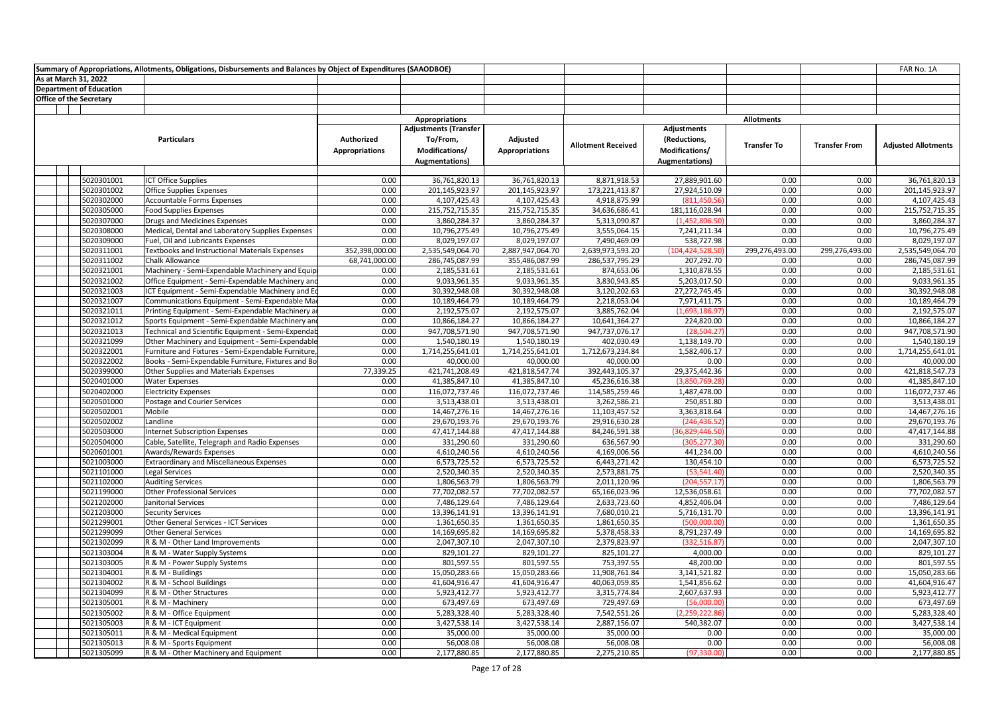|                                |                                | Summary of Appropriations, Allotments, Obligations, Disbursements and Balances by Object of Expenditures (SAAODBOE) |                                     |                                                                                     |                                   |                              |                                                                 |                    |                      | FAR No. 1A                   |
|--------------------------------|--------------------------------|---------------------------------------------------------------------------------------------------------------------|-------------------------------------|-------------------------------------------------------------------------------------|-----------------------------------|------------------------------|-----------------------------------------------------------------|--------------------|----------------------|------------------------------|
| As at March 31, 2022           |                                |                                                                                                                     |                                     |                                                                                     |                                   |                              |                                                                 |                    |                      |                              |
|                                | <b>Department of Education</b> |                                                                                                                     |                                     |                                                                                     |                                   |                              |                                                                 |                    |                      |                              |
| <b>Office of the Secretary</b> |                                |                                                                                                                     |                                     |                                                                                     |                                   |                              |                                                                 |                    |                      |                              |
|                                |                                |                                                                                                                     |                                     |                                                                                     |                                   |                              |                                                                 |                    |                      |                              |
|                                |                                |                                                                                                                     |                                     | <b>Appropriations</b>                                                               |                                   |                              |                                                                 | <b>Allotments</b>  |                      |                              |
|                                |                                | <b>Particulars</b>                                                                                                  | Authorized<br><b>Appropriations</b> | <b>Adjustments (Transfer</b><br>To/From,<br>Modifications/<br><b>Augmentations)</b> | Adjusted<br><b>Appropriations</b> | <b>Allotment Received</b>    | Adjustments<br>(Reductions,<br>Modifications/<br>Augmentations) | <b>Transfer To</b> | <b>Transfer From</b> | <b>Adjusted Allotments</b>   |
|                                |                                |                                                                                                                     |                                     |                                                                                     |                                   |                              |                                                                 |                    |                      |                              |
|                                | 5020301001                     | <b>ICT Office Supplies</b>                                                                                          | 0.00                                | 36,761,820.13                                                                       | 36,761,820.13                     | 8,871,918.53                 | 27,889,901.60                                                   | 0.00               | 0.00                 | 36,761,820.13                |
|                                | 5020301002                     | Office Supplies Expenses                                                                                            | 0.00                                | 201,145,923.97                                                                      | 201,145,923.97                    | 173,221,413.87               | 27,924,510.09                                                   | 0.00               | 0.00                 | 201,145,923.97               |
|                                | 5020302000                     | Accountable Forms Expenses                                                                                          | 0.00                                | 4,107,425.43                                                                        | 4,107,425.43                      | 4,918,875.99                 | (811, 450.56)                                                   | 0.00               | 0.00                 | 4,107,425.43                 |
|                                | 5020305000                     | <b>Food Supplies Expenses</b>                                                                                       | 0.00                                | 215,752,715.35                                                                      | 215,752,715.35                    | 34,636,686.41                | 181,116,028.94                                                  | 0.00               | 0.00                 | 215,752,715.35               |
|                                | 5020307000                     | Drugs and Medicines Expenses                                                                                        | 0.00                                | 3,860,284.37                                                                        | 3,860,284.37                      | 5,313,090.87                 | (1,452,806.50)                                                  | 0.00               | 0.00                 | 3,860,284.37                 |
|                                | 5020308000                     | Medical, Dental and Laboratory Supplies Expenses                                                                    | 0.00                                | 10,796,275.49                                                                       | 10,796,275.49                     | 3,555,064.15                 | 7,241,211.34                                                    | 0.00               | 0.00                 | 10,796,275.49                |
|                                | 5020309000                     | Fuel, Oil and Lubricants Expenses                                                                                   | 0.00                                | 8,029,197.07                                                                        | 8,029,197.07                      | 7,490,469.09                 | 538,727.98                                                      | 0.00               | 0.00                 | 8,029,197.07                 |
|                                | 5020311001                     | <b>Textbooks and Instructional Materials Expenses</b>                                                               | 352,398,000.00                      | 2,535,549,064.70                                                                    | 2,887,947,064.70                  | 2,639,973,593.20             | (104,424,528.50)                                                | 299,276,493.00     | 299,276,493.00       | 2,535,549,064.70             |
|                                | 5020311002                     | Chalk Allowance                                                                                                     | 68,741,000.00                       | 286,745,087.99                                                                      | 355,486,087.99                    | 286,537,795.29               | 207,292.70                                                      | 0.00               | 0.00                 | 286,745,087.99               |
|                                | 5020321001                     | Machinery - Semi-Expendable Machinery and Equip                                                                     | 0.00                                | 2,185,531.61                                                                        | 2,185,531.61                      | 874,653.06                   | 1,310,878.55                                                    | 0.00               | 0.00                 | 2,185,531.61                 |
|                                | 5020321002                     | Office Equipment - Semi-Expendable Machinery and                                                                    | 0.00                                | 9,033,961.35                                                                        | 9,033,961.35                      | 3,830,943.85                 | 5,203,017.50                                                    | 0.00               | 0.00                 | 9,033,961.35                 |
|                                | 5020321003                     | ICT Equipment - Semi-Expendable Machinery and Eq                                                                    | 0.00                                | 30,392,948.08                                                                       | 30,392,948.08                     | 3,120,202.63                 | 27,272,745.45                                                   | 0.00               | 0.00                 | 30,392,948.08                |
|                                | 5020321007                     | Communications Equipment - Semi-Expendable Ma                                                                       | 0.00                                | 10,189,464.79                                                                       | 10,189,464.79                     | 2,218,053.04                 | 7,971,411.75                                                    | 0.00               | 0.00                 | 10,189,464.79                |
|                                | 5020321011                     | Printing Equipment - Semi-Expendable Machinery a                                                                    | 0.00                                | 2,192,575.07                                                                        | 2,192,575.07                      | 3,885,762.04                 | (1,693,186.97)                                                  | 0.00               | 0.00                 | 2,192,575.07                 |
|                                | 5020321012                     | Sports Equipment - Semi-Expendable Machinery and                                                                    | 0.00                                | 10,866,184.27                                                                       | 10,866,184.27                     | 10,641,364.27                | 224,820.00                                                      | 0.00               | 0.00                 | 10,866,184.27                |
|                                | 5020321013                     | Technical and Scientific Equipment - Semi-Expendab                                                                  | 0.00                                | 947,708,571.90                                                                      | 947,708,571.90                    | 947,737,076.17               | (28, 504.27)                                                    | 0.00               | 0.00                 | 947,708,571.90               |
|                                | 5020321099                     | Other Machinery and Equipment - Semi-Expendable                                                                     | 0.00                                | 1,540,180.19                                                                        | 1,540,180.19                      | 402,030.49                   | 1,138,149.70                                                    | 0.00               | 0.00                 | 1,540,180.19                 |
|                                | 5020322001                     | Furniture and Fixtures - Semi-Expendable Furniture,                                                                 | 0.00                                | 1,714,255,641.01                                                                    | 1,714,255,641.01                  | 1,712,673,234.84             | 1,582,406.17                                                    | 0.00               | 0.00                 | 1,714,255,641.01             |
|                                | 5020322002                     | Books - Semi-Expendable Furniture, Fixtures and Bo                                                                  | 0.00                                | 40,000.00                                                                           | 40,000.00                         | 40,000.00                    | 0.00                                                            | 0.00               | 0.00                 | 40,000.00                    |
|                                | 5020399000                     | Other Supplies and Materials Expenses                                                                               | 77,339.25                           | 421,741,208.49                                                                      | 421,818,547.74                    | 392,443,105.37               | 29,375,442.36                                                   | 0.00               | 0.00                 | 421,818,547.73               |
|                                | 5020401000                     | <b>Water Expenses</b>                                                                                               | 0.00                                | 41,385,847.10                                                                       | 41,385,847.10                     | 45,236,616.38                | (3,850,769.28)                                                  | 0.00               | 0.00                 | 41,385,847.10                |
|                                | 5020402000                     | <b>Electricity Expenses</b>                                                                                         | 0.00                                | 116,072,737.46                                                                      | 116,072,737.46                    | 114,585,259.46               | 1,487,478.00                                                    | 0.00               | 0.00                 | 116,072,737.46               |
|                                | 5020501000                     | Postage and Courier Services                                                                                        | 0.00                                | 3,513,438.01                                                                        | 3,513,438.01                      | 3,262,586.21                 | 250,851.80                                                      | 0.00<br>0.00       | 0.00                 | 3,513,438.01                 |
|                                | 5020502001                     | Mobile                                                                                                              | 0.00                                | 14,467,276.16                                                                       | 14,467,276.16                     | 11,103,457.52                | 3,363,818.64                                                    |                    | 0.00                 | 14,467,276.16                |
|                                | 5020502002                     | Landline                                                                                                            | 0.00<br>0.00                        | 29,670,193.76<br>47,417,144.88                                                      | 29,670,193.76                     | 29,916,630.28                | (246, 436.52)                                                   | 0.00<br>0.00       | 0.00<br>0.00         | 29,670,193.76                |
|                                | 5020503000                     | <b>Internet Subscription Expenses</b>                                                                               | 0.00                                |                                                                                     | 47,417,144.88                     | 84,246,591.38                | (36,829,446.50)<br>(305,277.30                                  |                    |                      | 47,417,144.88                |
|                                | 5020504000<br>5020601001       | Cable, Satellite, Telegraph and Radio Expenses                                                                      | 0.00                                | 331,290.60<br>4,610,240.56                                                          | 331,290.60<br>4,610,240.56        | 636,567.90<br>4,169,006.56   | 441,234.00                                                      | 0.00<br>0.00       | 0.00<br>0.00         | 331,290.60<br>4,610,240.56   |
|                                | 5021003000                     | Awards/Rewards Expenses<br><b>Extraordinary and Miscellaneous Expenses</b>                                          | 0.00                                | 6,573,725.52                                                                        | 6,573,725.52                      | 6,443,271.42                 | 130,454.10                                                      | 0.00               | 0.00                 | 6,573,725.52                 |
|                                | 5021101000                     |                                                                                                                     | 0.00                                |                                                                                     |                                   |                              |                                                                 | 0.00               | 0.00                 |                              |
|                                | 5021102000                     | Legal Services<br><b>Auditing Services</b>                                                                          | 0.00                                | 2,520,340.35<br>1,806,563.79                                                        | 2,520,340.35<br>1,806,563.79      | 2,573,881.75<br>2,011,120.96 | (53, 541.40)<br>(204,557.17                                     | 0.00               | 0.00                 | 2,520,340.35<br>1,806,563.79 |
|                                | 5021199000                     | <b>Other Professional Services</b>                                                                                  | 0.00                                | 77,702,082.57                                                                       | 77,702,082.57                     | 65,166,023.96                | 12,536,058.61                                                   | 0.00               | 0.00                 | 77,702,082.57                |
|                                | 5021202000                     | Janitorial Services                                                                                                 | 0.00                                | 7,486,129.64                                                                        | 7,486,129.64                      | 2,633,723.60                 | 4,852,406.04                                                    | 0.00               | 0.00                 | 7,486,129.64                 |
|                                | 5021203000                     | <b>Security Services</b>                                                                                            | 0.00                                | 13,396,141.91                                                                       | 13,396,141.91                     | 7,680,010.21                 | 5,716,131.70                                                    | 0.00               | 0.00                 | 13,396,141.91                |
|                                | 5021299001                     | Other General Services - ICT Services                                                                               | 0.00                                | 1,361,650.35                                                                        | 1,361,650.35                      | 1,861,650.35                 | (500,000.00                                                     | 0.00               | 0.00                 | 1,361,650.35                 |
|                                | 5021299099                     | <b>Other General Services</b>                                                                                       | 0.00                                | 14,169,695.82                                                                       | 14,169,695.82                     | 5,378,458.33                 | 8,791,237.49                                                    | 0.00               | 0.00                 | 14,169,695.82                |
|                                | 5021302099                     | R & M - Other Land Improvements                                                                                     | 0.00                                | 2,047,307.10                                                                        | 2,047,307.10                      | 2,379,823.97                 | (332,516.87                                                     | 0.00               | 0.00                 | 2,047,307.10                 |
|                                | 5021303004                     | R & M - Water Supply Systems                                                                                        | 0.00                                | 829,101.27                                                                          | 829,101.27                        | 825,101.27                   | 4,000.00                                                        | 0.00               | 0.00                 | 829,101.27                   |
|                                | 5021303005                     | R & M - Power Supply Systems                                                                                        | 0.00                                | 801,597.55                                                                          | 801,597.55                        | 753,397.55                   | 48,200.00                                                       | 0.00               | 0.00                 | 801,597.55                   |
|                                | 5021304001                     | R & M - Buildings                                                                                                   | 0.00                                | 15,050,283.66                                                                       | 15,050,283.66                     | 11,908,761.84                | 3,141,521.82                                                    | 0.00               | 0.00                 | 15,050,283.66                |
|                                | 5021304002                     | R & M - School Buildings                                                                                            | 0.00                                | 41,604,916.47                                                                       | 41,604,916.47                     | 40,063,059.85                | 1,541,856.62                                                    | 0.00               | 0.00                 | 41,604,916.47                |
|                                | 5021304099                     | R & M - Other Structures                                                                                            | 0.00                                | 5,923,412.77                                                                        | 5,923,412.77                      | 3,315,774.84                 | 2,607,637.93                                                    | 0.00               | 0.00                 | 5,923,412.77                 |
|                                | 5021305001                     | R & M - Machinery                                                                                                   | 0.00                                | 673,497.69                                                                          | 673,497.69                        | 729,497.69                   | (56,000.00)                                                     | 0.00               | 0.00                 | 673,497.69                   |
|                                | 5021305002                     | R & M - Office Equipment                                                                                            | 0.00                                | 5,283,328.40                                                                        | 5,283,328.40                      | 7,542,551.26                 | (2,259,222.86)                                                  | 0.00               | 0.00                 | 5,283,328.40                 |
|                                | 5021305003                     | R & M - ICT Equipment                                                                                               | 0.00                                | 3,427,538.14                                                                        | 3,427,538.14                      | 2,887,156.07                 | 540,382.07                                                      | 0.00               | 0.00                 | 3,427,538.14                 |
|                                | 5021305011                     | R & M - Medical Equipment                                                                                           | 0.00                                | 35,000.00                                                                           | 35,000.00                         | 35,000.00                    | 0.00                                                            | 0.00               | 0.00                 | 35,000.00                    |
|                                | 5021305013                     | R & M - Sports Equipment                                                                                            | 0.00                                | 56,008.08                                                                           | 56,008.08                         | 56,008.08                    | 0.00                                                            | 0.00               | 0.00                 | 56,008.08                    |
|                                | 5021305099                     | R & M - Other Machinery and Equipment                                                                               | 0.00                                | 2,177,880.85                                                                        | 2,177,880.85                      | 2,275,210.85                 | (97, 330.00)                                                    | 0.00               | 0.00                 | 2,177,880.85                 |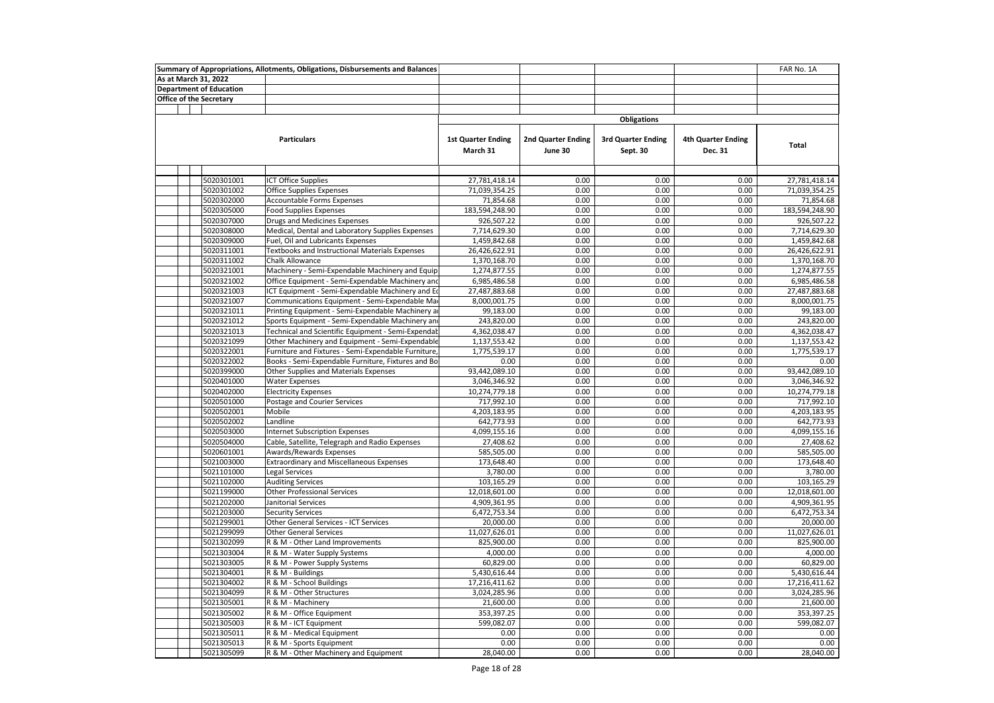|  |                                | Summary of Appropriations, Allotments, Obligations, Disbursements and Balances |                                       |                               |                                       |                                      | FAR No. 1A     |
|--|--------------------------------|--------------------------------------------------------------------------------|---------------------------------------|-------------------------------|---------------------------------------|--------------------------------------|----------------|
|  | As at March 31, 2022           |                                                                                |                                       |                               |                                       |                                      |                |
|  | <b>Department of Education</b> |                                                                                |                                       |                               |                                       |                                      |                |
|  | <b>Office of the Secretary</b> |                                                                                |                                       |                               |                                       |                                      |                |
|  |                                |                                                                                |                                       |                               |                                       |                                      |                |
|  |                                |                                                                                |                                       |                               | <b>Obligations</b>                    |                                      |                |
|  |                                | <b>Particulars</b>                                                             | <b>1st Quarter Ending</b><br>March 31 | 2nd Quarter Ending<br>June 30 | <b>3rd Quarter Ending</b><br>Sept. 30 | <b>4th Quarter Ending</b><br>Dec. 31 | <b>Total</b>   |
|  |                                |                                                                                |                                       |                               |                                       |                                      |                |
|  | 5020301001                     | <b>ICT Office Supplies</b>                                                     | 27,781,418.14                         | 0.00                          | 0.00                                  | 0.00                                 | 27,781,418.14  |
|  | 5020301002                     | Office Supplies Expenses                                                       | 71,039,354.25                         | 0.00                          | 0.00                                  | 0.00                                 | 71,039,354.25  |
|  | 5020302000                     | Accountable Forms Expenses                                                     | 71,854.68                             | 0.00                          | 0.00                                  | 0.00                                 | 71,854.68      |
|  | 5020305000                     | <b>Food Supplies Expenses</b>                                                  | 183,594,248.90                        | 0.00                          | 0.00                                  | 0.00                                 | 183,594,248.90 |
|  | 5020307000                     | Drugs and Medicines Expenses                                                   | 926,507.22                            | 0.00                          | 0.00                                  | 0.00                                 | 926,507.22     |
|  | 5020308000                     | Medical, Dental and Laboratory Supplies Expenses                               | 7,714,629.30                          | 0.00                          | 0.00                                  | 0.00                                 | 7,714,629.30   |
|  | 5020309000                     | Fuel, Oil and Lubricants Expenses                                              | 1,459,842.68                          | 0.00                          | 0.00                                  | 0.00                                 | 1,459,842.68   |
|  | 5020311001                     | Textbooks and Instructional Materials Expenses                                 | 26,426,622.91                         | 0.00                          | 0.00                                  | 0.00                                 | 26,426,622.91  |
|  | 5020311002                     | Chalk Allowance                                                                | 1,370,168.70                          | 0.00                          | 0.00                                  | 0.00                                 | 1,370,168.70   |
|  | 5020321001                     | Machinery - Semi-Expendable Machinery and Equip                                | 1,274,877.55                          | 0.00                          | 0.00                                  | 0.00                                 | 1,274,877.55   |
|  | 5020321002                     | Office Equipment - Semi-Expendable Machinery and                               | 6,985,486.58                          | 0.00                          | 0.00                                  | 0.00                                 | 6,985,486.58   |
|  | 5020321003                     | ICT Equipment - Semi-Expendable Machinery and E                                | 27,487,883.68                         | 0.00                          | 0.00                                  | 0.00                                 | 27,487,883.68  |
|  | 5020321007                     | Communications Equipment - Semi-Expendable Ma                                  | 8,000,001.75                          | 0.00                          | 0.00                                  | 0.00                                 | 8,000,001.75   |
|  | 5020321011                     | Printing Equipment - Semi-Expendable Machinery a                               | 99,183.00                             | 0.00                          | 0.00                                  | 0.00                                 | 99,183.00      |
|  | 5020321012                     | Sports Equipment - Semi-Expendable Machinery and                               | 243,820.00                            | 0.00                          | 0.00                                  | 0.00                                 | 243,820.00     |
|  | 5020321013                     | Technical and Scientific Equipment - Semi-Expendab                             | 4,362,038.47                          | 0.00                          | 0.00                                  | 0.00                                 | 4,362,038.47   |
|  | 5020321099                     | Other Machinery and Equipment - Semi-Expendable                                | 1,137,553.42                          | 0.00                          | 0.00                                  | 0.00                                 | 1,137,553.42   |
|  | 5020322001                     | Furniture and Fixtures - Semi-Expendable Furniture                             | 1,775,539.17                          | 0.00                          | 0.00                                  | 0.00                                 | 1,775,539.17   |
|  | 5020322002                     | Books - Semi-Expendable Furniture, Fixtures and Bo                             | 0.00                                  | 0.00                          | 0.00                                  | 0.00                                 | 0.00           |
|  | 5020399000                     | Other Supplies and Materials Expenses                                          | 93,442,089.10                         | 0.00                          | 0.00                                  | 0.00                                 | 93,442,089.10  |
|  | 5020401000                     | <b>Water Expenses</b>                                                          | 3,046,346.92                          | 0.00                          | 0.00                                  | 0.00                                 | 3,046,346.92   |
|  | 5020402000                     | <b>Electricity Expenses</b>                                                    | 10,274,779.18                         | 0.00                          | 0.00                                  | 0.00                                 | 10,274,779.18  |
|  | 5020501000                     | Postage and Courier Services                                                   | 717,992.10                            | 0.00                          | 0.00                                  | 0.00                                 | 717,992.10     |
|  | 5020502001                     | Mobile                                                                         | 4,203,183.95                          | 0.00                          | 0.00                                  | 0.00                                 | 4,203,183.95   |
|  | 5020502002                     | Landline                                                                       | 642,773.93                            | 0.00                          | 0.00                                  | 0.00                                 | 642,773.93     |
|  | 5020503000                     | <b>Internet Subscription Expenses</b>                                          | 4,099,155.16                          | 0.00                          | 0.00                                  | 0.00                                 | 4,099,155.16   |
|  | 5020504000                     | Cable, Satellite, Telegraph and Radio Expenses                                 | 27,408.62                             | 0.00                          | 0.00                                  | 0.00                                 | 27,408.62      |
|  | 5020601001                     | Awards/Rewards Expenses                                                        | 585,505.00                            | 0.00                          | 0.00                                  | 0.00                                 | 585,505.00     |
|  | 5021003000                     | <b>Extraordinary and Miscellaneous Expenses</b>                                | 173,648.40                            | 0.00                          | 0.00                                  | 0.00                                 | 173,648.40     |
|  | 5021101000                     | <b>Legal Services</b>                                                          | 3,780.00                              | 0.00                          | 0.00                                  | 0.00                                 | 3,780.00       |
|  | 5021102000                     | <b>Auditing Services</b>                                                       | 103,165.29                            | 0.00                          | 0.00                                  | 0.00                                 | 103,165.29     |
|  | 5021199000                     | <b>Other Professional Services</b>                                             | 12,018,601.00                         | 0.00                          | 0.00                                  | 0.00                                 | 12,018,601.00  |
|  | 5021202000                     | Janitorial Services                                                            | 4,909,361.95                          | 0.00                          | 0.00                                  | 0.00                                 | 4,909,361.95   |
|  | 5021203000                     | <b>Security Services</b>                                                       | 6,472,753.34                          | 0.00                          | 0.00                                  | 0.00                                 | 6,472,753.34   |
|  | 5021299001                     | Other General Services - ICT Services                                          | 20,000.00                             | 0.00                          | 0.00                                  | 0.00                                 | 20,000.00      |
|  | 5021299099                     | <b>Other General Services</b>                                                  | 11,027,626.01                         | 0.00                          | 0.00                                  | 0.00                                 | 11,027,626.01  |
|  | 5021302099                     | R & M - Other Land Improvements                                                | 825,900.00                            | 0.00                          | 0.00                                  | 0.00                                 | 825,900.00     |
|  | 5021303004                     | R & M - Water Supply Systems                                                   | 4,000.00                              | 0.00                          | 0.00                                  | 0.00                                 | 4,000.00       |
|  | 5021303005                     | R & M - Power Supply Systems                                                   | 60,829.00                             | 0.00                          | 0.00                                  | 0.00                                 | 60,829.00      |
|  | 5021304001                     | R & M - Buildings                                                              | 5,430,616.44                          | 0.00                          | 0.00                                  | 0.00                                 | 5,430,616.44   |
|  | 5021304002                     | R & M - School Buildings                                                       | 17,216,411.62                         | 0.00                          | 0.00                                  | 0.00                                 | 17,216,411.62  |
|  | 5021304099                     | R & M - Other Structures                                                       | 3,024,285.96                          | 0.00                          | 0.00                                  | 0.00                                 | 3,024,285.96   |
|  | 5021305001                     | R & M - Machinery                                                              | 21,600.00                             | 0.00                          | 0.00                                  | 0.00                                 | 21,600.00      |
|  | 5021305002                     | R & M - Office Equipment                                                       | 353,397.25                            | 0.00                          | 0.00                                  | 0.00                                 | 353,397.25     |
|  | 5021305003                     | R & M - ICT Equipment                                                          | 599,082.07                            | 0.00                          | 0.00                                  | 0.00                                 | 599,082.07     |
|  | 5021305011                     | R & M - Medical Equipment                                                      | 0.00                                  | 0.00                          | 0.00                                  | 0.00                                 | 0.00           |
|  | 5021305013                     | R & M - Sports Equipment                                                       | 0.00                                  | 0.00                          | 0.00                                  | 0.00                                 | 0.00           |
|  | 5021305099                     | R & M - Other Machinery and Equipment                                          | 28,040.00                             | 0.00                          | 0.00                                  | 0.00                                 | 28,040.00      |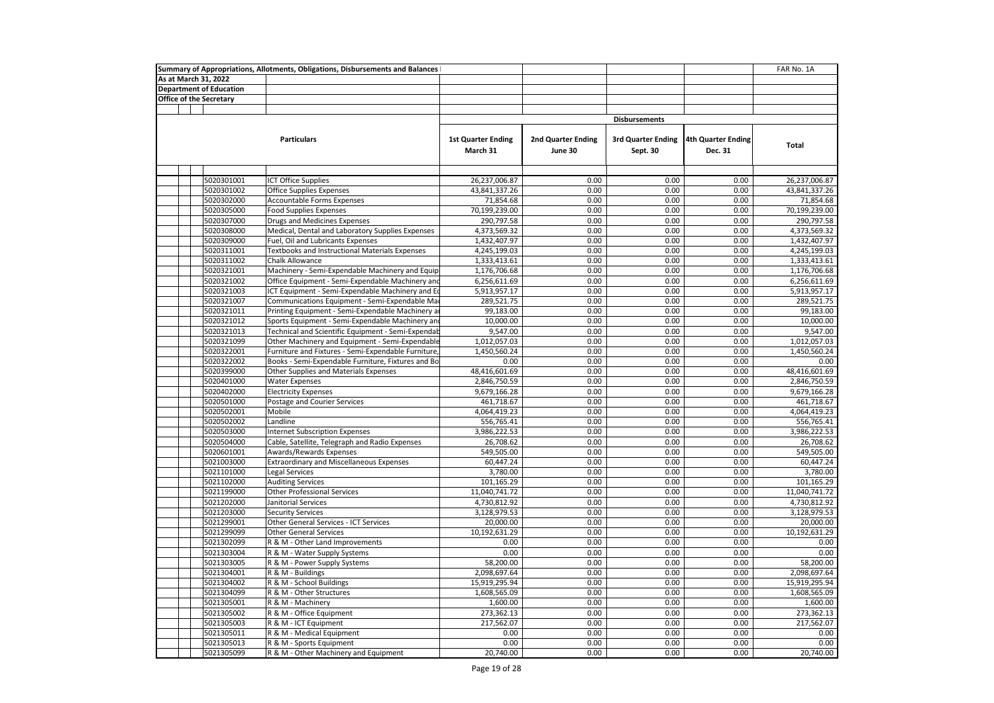|  |                                | Summary of Appropriations, Allotments, Obligations, Disbursements and Balances |                                       |                                      |                                       |                               | FAR No. 1A    |
|--|--------------------------------|--------------------------------------------------------------------------------|---------------------------------------|--------------------------------------|---------------------------------------|-------------------------------|---------------|
|  | As at March 31, 2022           |                                                                                |                                       |                                      |                                       |                               |               |
|  | <b>Department of Education</b> |                                                                                |                                       |                                      |                                       |                               |               |
|  | Office of the Secretary        |                                                                                |                                       |                                      |                                       |                               |               |
|  |                                |                                                                                |                                       |                                      |                                       |                               |               |
|  |                                |                                                                                |                                       |                                      | <b>Disbursements</b>                  |                               |               |
|  |                                | <b>Particulars</b>                                                             | <b>1st Quarter Ending</b><br>March 31 | <b>2nd Quarter Ending</b><br>June 30 | <b>3rd Quarter Ending</b><br>Sept. 30 | 4th Quarter Ending<br>Dec. 31 | Total         |
|  |                                |                                                                                |                                       |                                      |                                       |                               |               |
|  | 5020301001                     | <b>ICT Office Supplies</b>                                                     | 26,237,006.87                         | 0.00                                 | 0.00                                  | 0.00                          | 26,237,006.87 |
|  | 5020301002                     | Office Supplies Expenses                                                       | 43,841,337.26                         | 0.00                                 | 0.00                                  | 0.00                          | 43,841,337.26 |
|  | 5020302000                     | Accountable Forms Expenses                                                     | 71,854.68                             | 0.00                                 | 0.00                                  | 0.00                          | 71,854.68     |
|  | 5020305000                     | <b>Food Supplies Expenses</b>                                                  | 70,199,239.00                         | 0.00                                 | 0.00                                  | 0.00                          | 70,199,239.00 |
|  | 5020307000                     | Drugs and Medicines Expenses                                                   | 290,797.58                            | 0.00                                 | 0.00                                  | 0.00                          | 290,797.58    |
|  | 5020308000                     | Medical, Dental and Laboratory Supplies Expenses                               | 4,373,569.32                          | 0.00                                 | 0.00                                  | 0.00                          | 4,373,569.32  |
|  | 5020309000                     | Fuel, Oil and Lubricants Expenses                                              | 1,432,407.97                          | 0.00                                 | 0.00                                  | 0.00                          | 1,432,407.97  |
|  | 5020311001                     | Textbooks and Instructional Materials Expenses                                 | 4,245,199.03                          | 0.00                                 | 0.00                                  | 0.00                          | 4,245,199.03  |
|  | 5020311002                     | <b>Chalk Allowance</b>                                                         | 1,333,413.61                          | 0.00                                 | 0.00                                  | 0.00                          | 1,333,413.61  |
|  | 5020321001                     | Machinery - Semi-Expendable Machinery and Equip                                | 1,176,706.68                          | 0.00                                 | 0.00                                  | 0.00                          | 1,176,706.68  |
|  | 5020321002                     | Office Equipment - Semi-Expendable Machinery and                               | 6,256,611.69                          | 0.00                                 | 0.00                                  | 0.00                          | 6,256,611.69  |
|  | 5020321003                     | ICT Equipment - Semi-Expendable Machinery and Eq                               | 5,913,957.17                          | 0.00                                 | 0.00                                  | 0.00                          | 5,913,957.17  |
|  | 5020321007                     | Communications Equipment - Semi-Expendable Ma                                  | 289,521.75                            | 0.00                                 | 0.00                                  | 0.00                          | 289,521.75    |
|  | 5020321011                     | Printing Equipment - Semi-Expendable Machinery a                               | 99,183.00                             | 0.00                                 | 0.00                                  | 0.00                          | 99,183.00     |
|  | 5020321012                     | Sports Equipment - Semi-Expendable Machinery and                               | 10,000.00                             | 0.00                                 | 0.00                                  | 0.00                          | 10,000.00     |
|  | 5020321013                     | Technical and Scientific Equipment - Semi-Expendal:                            | 9,547.00                              | 0.00                                 | 0.00                                  | 0.00                          | 9,547.00      |
|  | 5020321099                     | Other Machinery and Equipment - Semi-Expendable                                | 1,012,057.03                          | 0.00                                 | 0.00                                  | 0.00                          | 1,012,057.03  |
|  | 5020322001                     | Furniture and Fixtures - Semi-Expendable Furniture                             | 1,450,560.24                          | 0.00                                 | 0.00                                  | 0.00                          | 1,450,560.24  |
|  | 5020322002                     | Books - Semi-Expendable Furniture, Fixtures and Bo                             | 0.00                                  | 0.00                                 | 0.00                                  | 0.00                          | 0.00          |
|  | 5020399000                     | Other Supplies and Materials Expenses                                          | 48,416,601.69                         | 0.00                                 | 0.00                                  | 0.00                          | 48,416,601.69 |
|  | 5020401000                     | <b>Water Expenses</b>                                                          | 2,846,750.59                          | 0.00                                 | 0.00                                  | 0.00                          | 2,846,750.59  |
|  | 5020402000                     | <b>Electricity Expenses</b>                                                    | 9,679,166.28                          | 0.00                                 | 0.00                                  | 0.00                          | 9,679,166.28  |
|  | 5020501000                     | Postage and Courier Services                                                   | 461,718.67                            | 0.00                                 | 0.00                                  | 0.00                          | 461,718.67    |
|  | 5020502001                     | Mobile                                                                         | 4,064,419.23                          | 0.00                                 | 0.00                                  | 0.00                          | 4,064,419.23  |
|  | 5020502002                     | Landline                                                                       | 556,765.41                            | 0.00                                 | 0.00                                  | 0.00                          | 556,765.41    |
|  | 5020503000                     | <b>Internet Subscription Expenses</b>                                          | 3,986,222.53                          | 0.00                                 | 0.00                                  | 0.00                          | 3,986,222.53  |
|  | 5020504000                     | Cable, Satellite, Telegraph and Radio Expenses                                 | 26,708.62                             | 0.00                                 | 0.00                                  | 0.00                          | 26,708.62     |
|  | 5020601001                     | Awards/Rewards Expenses                                                        | 549,505.00                            | 0.00                                 | 0.00                                  | 0.00                          | 549,505.00    |
|  | 5021003000                     | <b>Extraordinary and Miscellaneous Expenses</b>                                | 60,447.24                             | 0.00                                 | 0.00                                  | 0.00                          | 60,447.24     |
|  | 5021101000                     | <b>Legal Services</b>                                                          | 3,780.00                              | 0.00                                 | 0.00                                  | 0.00                          | 3,780.00      |
|  | 5021102000                     | <b>Auditing Services</b>                                                       | 101,165.29                            | 0.00                                 | 0.00                                  | 0.00                          | 101,165.29    |
|  | 5021199000                     | <b>Other Professional Services</b>                                             | 11,040,741.72                         | 0.00                                 | 0.00                                  | 0.00                          | 11,040,741.72 |
|  | 5021202000                     | Janitorial Services                                                            | 4,730,812.92                          | 0.00                                 | 0.00                                  | 0.00                          | 4,730,812.92  |
|  | 5021203000                     | <b>Security Services</b>                                                       | 3,128,979.53                          | 0.00                                 | 0.00                                  | 0.00                          | 3,128,979.53  |
|  | 5021299001                     | Other General Services - ICT Services                                          | 20,000.00                             | 0.00                                 | 0.00                                  | 0.00                          | 20,000.00     |
|  | 5021299099                     | <b>Other General Services</b>                                                  | 10,192,631.29                         | 0.00                                 | 0.00                                  | 0.00                          | 10,192,631.29 |
|  | 5021302099                     | R & M - Other Land Improvements                                                | 0.00                                  | 0.00                                 | 0.00                                  | 0.00                          | 0.00          |
|  | 5021303004                     | R & M - Water Supply Systems                                                   | 0.00                                  | 0.00                                 | 0.00                                  | 0.00                          | 0.00          |
|  | 5021303005                     | R & M - Power Supply Systems                                                   | 58,200.00                             | 0.00                                 | 0.00                                  | 0.00                          | 58,200.00     |
|  | 5021304001                     | R & M - Buildings                                                              | 2,098,697.64                          | 0.00                                 | 0.00                                  | 0.00                          | 2,098,697.64  |
|  | 5021304002                     | R & M - School Buildings                                                       | 15,919,295.94                         | 0.00                                 | 0.00                                  | 0.00                          | 15,919,295.94 |
|  | 5021304099                     | R & M - Other Structures                                                       | 1,608,565.09                          | 0.00                                 | 0.00                                  | 0.00                          | 1,608,565.09  |
|  | 5021305001                     | R & M - Machinery                                                              | 1,600.00                              | 0.00                                 | 0.00                                  | 0.00                          | 1,600.00      |
|  | 5021305002                     | R & M - Office Equipment                                                       | 273,362.13                            | 0.00                                 | 0.00                                  | 0.00                          | 273,362.13    |
|  | 5021305003                     | R & M - ICT Equipment                                                          | 217,562.07                            | 0.00                                 | 0.00                                  | 0.00                          | 217,562.07    |
|  | 5021305011                     | R & M - Medical Equipment                                                      | 0.00                                  | 0.00                                 | 0.00                                  | 0.00                          | 0.00          |
|  | 5021305013                     | R & M - Sports Equipment                                                       | 0.00                                  | 0.00                                 | 0.00                                  | 0.00                          | 0.00          |
|  | 5021305099                     | R & M - Other Machinery and Equipment                                          | 20,740.00                             | 0.00                                 | 0.00                                  | 0.00                          | 20,740.00     |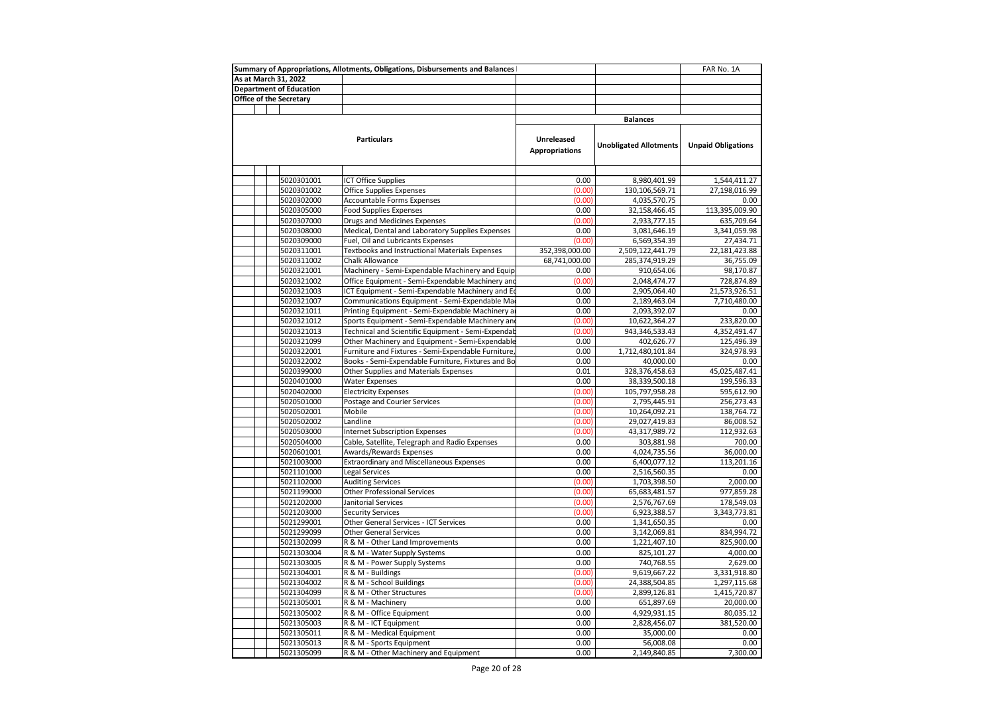|                         |                                | Summary of Appropriations, Allotments, Obligations, Disbursements and Balances |                       |                               | FAR No. 1A                |
|-------------------------|--------------------------------|--------------------------------------------------------------------------------|-----------------------|-------------------------------|---------------------------|
| As at March 31, 2022    |                                |                                                                                |                       |                               |                           |
|                         | <b>Department of Education</b> |                                                                                |                       |                               |                           |
| Office of the Secretary |                                |                                                                                |                       |                               |                           |
|                         |                                |                                                                                |                       |                               |                           |
|                         |                                |                                                                                |                       | <b>Balances</b>               |                           |
|                         |                                |                                                                                |                       |                               |                           |
|                         |                                | <b>Particulars</b>                                                             | Unreleased            |                               |                           |
|                         |                                |                                                                                | <b>Appropriations</b> | <b>Unobligated Allotments</b> | <b>Unpaid Obligations</b> |
|                         |                                |                                                                                |                       |                               |                           |
|                         |                                |                                                                                |                       |                               |                           |
|                         | 5020301001                     | <b>ICT Office Supplies</b>                                                     | 0.00                  | 8,980,401.99                  | 1,544,411.27              |
|                         | 5020301002                     | <b>Office Supplies Expenses</b>                                                | (0.00)                | 130,106,569.71                | 27,198,016.99             |
|                         | 5020302000                     | Accountable Forms Expenses                                                     | (0.00)                | 4,035,570.75                  | 0.00                      |
|                         | 5020305000                     | <b>Food Supplies Expenses</b>                                                  | 0.00                  | 32,158,466.45                 | 113,395,009.90            |
|                         | 5020307000                     | Drugs and Medicines Expenses                                                   | (0.00)                | 2,933,777.15                  | 635,709.64                |
|                         | 5020308000                     | Medical, Dental and Laboratory Supplies Expenses                               | 0.00                  | 3,081,646.19                  | 3,341,059.98              |
|                         | 5020309000                     | Fuel, Oil and Lubricants Expenses                                              | (0.00)                | 6,569,354.39                  | 27,434.71                 |
|                         | 5020311001                     | <b>Textbooks and Instructional Materials Expenses</b>                          | 352,398,000.00        | 2,509,122,441.79              | 22, 181, 423.88           |
|                         | 5020311002                     | Chalk Allowance                                                                | 68,741,000.00         | 285,374,919.29                | 36,755.09                 |
|                         | 5020321001                     | Machinery - Semi-Expendable Machinery and Equip                                | 0.00                  | 910,654.06                    | 98,170.87                 |
|                         | 5020321002                     | Office Equipment - Semi-Expendable Machinery and                               | (0.00)                | 2,048,474.77                  | 728,874.89                |
|                         | 5020321003                     | ICT Equipment - Semi-Expendable Machinery and Eq                               | 0.00                  | 2,905,064.40                  | 21,573,926.51             |
|                         | 5020321007                     | Communications Equipment - Semi-Expendable Ma                                  | 0.00                  | 2,189,463.04                  | 7,710,480.00              |
|                         | 5020321011                     | Printing Equipment - Semi-Expendable Machinery a                               | 0.00                  | 2,093,392.07                  | 0.00                      |
|                         | 5020321012                     | Sports Equipment - Semi-Expendable Machinery an                                | (0.00)                | 10,622,364.27                 | 233,820.00                |
|                         | 5020321013                     | Technical and Scientific Equipment - Semi-Expendab                             | (0.00)                | 943,346,533.43                | 4,352,491.47              |
|                         | 5020321099                     | Other Machinery and Equipment - Semi-Expendable                                | 0.00                  | 402,626.77                    | 125,496.39                |
|                         | 5020322001                     | Furniture and Fixtures - Semi-Expendable Furniture                             | 0.00                  | 1,712,480,101.84              | 324,978.93                |
|                         | 5020322002                     | Books - Semi-Expendable Furniture, Fixtures and Bo                             | 0.00                  | 40,000.00                     | 0.00                      |
|                         | 5020399000                     | Other Supplies and Materials Expenses                                          | 0.01                  | 328,376,458.63                | 45,025,487.41             |
|                         | 5020401000                     | <b>Water Expenses</b>                                                          | 0.00                  | 38,339,500.18                 | 199,596.33                |
|                         | 5020402000                     | <b>Electricity Expenses</b>                                                    | (0.00)                | 105,797,958.28                | 595,612.90                |
|                         | 5020501000                     | Postage and Courier Services                                                   | (0.00)                | 2,795,445.91                  | 256,273.43                |
|                         | 5020502001                     | Mobile                                                                         | (0.00)                | 10,264,092.21                 | 138,764.72                |
|                         | 5020502002                     | Landline                                                                       | (0.00)                | 29,027,419.83                 | 86,008.52                 |
|                         | 5020503000                     | <b>Internet Subscription Expenses</b>                                          | (0.00)                | 43,317,989.72                 | 112,932.63                |
|                         | 5020504000                     | Cable, Satellite, Telegraph and Radio Expenses                                 | 0.00                  | 303,881.98                    | 700.00                    |
|                         | 5020601001                     | Awards/Rewards Expenses                                                        | 0.00                  | 4,024,735.56                  | 36,000.00                 |
|                         | 5021003000                     | <b>Extraordinary and Miscellaneous Expenses</b>                                | 0.00                  | 6,400,077.12                  | 113,201.16                |
|                         | 5021101000                     | Legal Services                                                                 | 0.00                  | 2,516,560.35                  | 0.00                      |
|                         | 5021102000                     | <b>Auditing Services</b>                                                       | (0.00)                | 1,703,398.50                  | 2,000.00                  |
|                         | 5021199000                     | Other Professional Services                                                    | (0.00)                | 65,683,481.57                 | 977,859.28                |
|                         | 5021202000                     | Janitorial Services                                                            | (0.00)                | 2,576,767.69                  | 178,549.03                |
|                         | 5021203000                     | <b>Security Services</b>                                                       | (0.00)                | 6,923,388.57                  | 3,343,773.81              |
|                         | 5021299001                     | Other General Services - ICT Services                                          | 0.00                  | 1,341,650.35                  | 0.00                      |
|                         | 5021299099                     | <b>Other General Services</b>                                                  | 0.00                  | 3,142,069.81                  | 834,994.72                |
|                         | 5021302099                     | R & M - Other Land Improvements                                                | 0.00                  | 1,221,407.10                  | 825,900.00                |
|                         | 5021303004                     | R & M - Water Supply Systems                                                   | 0.00                  | 825,101.27                    | 4,000.00                  |
|                         | 5021303005                     | R & M - Power Supply Systems                                                   | 0.00                  | 740,768.55                    | 2,629.00                  |
|                         | 5021304001                     | R & M - Buildings                                                              | (0.00)                | 9,619,667.22                  | 3,331,918.80              |
|                         | 5021304002                     | R & M - School Buildings                                                       | (0.00)                | 24,388,504.85                 | 1,297,115.68              |
|                         | 5021304099                     | R & M - Other Structures                                                       | (0.00)                | 2,899,126.81                  | 1,415,720.87              |
|                         | 5021305001                     | R & M - Machinery                                                              | 0.00                  | 651,897.69                    | 20,000.00                 |
|                         | 5021305002                     | R & M - Office Equipment                                                       | 0.00                  | 4,929,931.15                  | 80,035.12                 |
|                         | 5021305003                     | R & M - ICT Equipment                                                          | 0.00                  | 2,828,456.07                  | 381,520.00                |
|                         | 5021305011                     | R & M - Medical Equipment                                                      | 0.00                  | 35,000.00                     | 0.00                      |
|                         | 5021305013                     | R & M - Sports Equipment                                                       | 0.00                  | 56,008.08                     | 0.00                      |
|                         | 5021305099                     | R & M - Other Machinery and Equipment                                          | 0.00                  | 2,149,840.85                  | 7,300.00                  |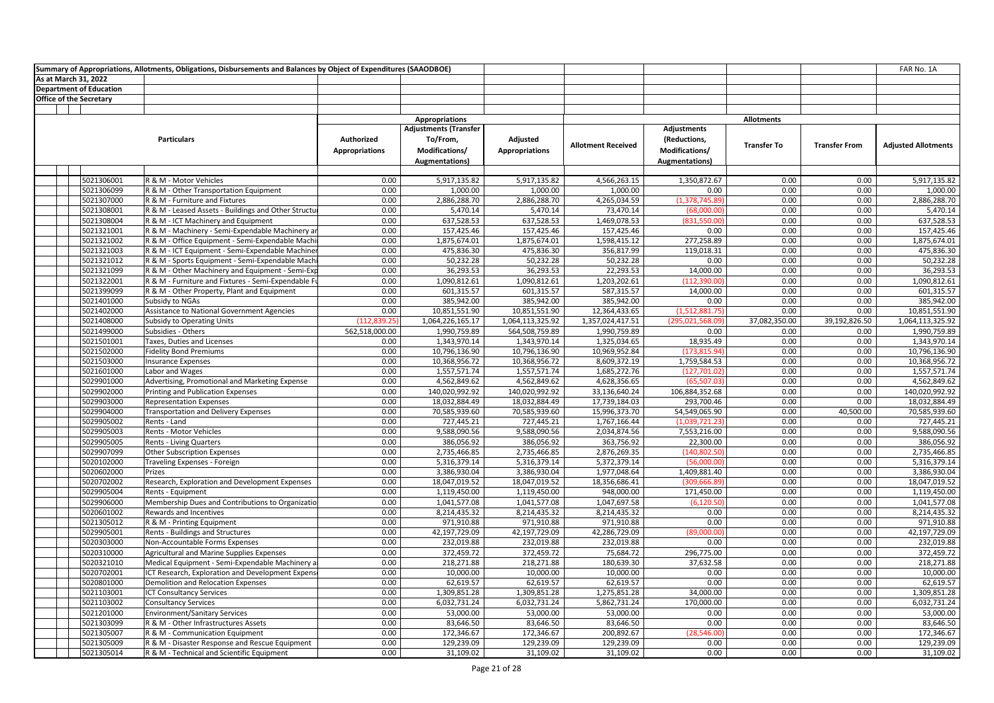|                                |                                | Summary of Appropriations, Allotments, Obligations, Disbursements and Balances by Object of Expenditures (SAAODBOE) |                                     |                                                                                     |                                   |                           |                                                                         |                    |                      | FAR No. 1A                 |
|--------------------------------|--------------------------------|---------------------------------------------------------------------------------------------------------------------|-------------------------------------|-------------------------------------------------------------------------------------|-----------------------------------|---------------------------|-------------------------------------------------------------------------|--------------------|----------------------|----------------------------|
| As at March 31, 2022           |                                |                                                                                                                     |                                     |                                                                                     |                                   |                           |                                                                         |                    |                      |                            |
|                                | <b>Department of Education</b> |                                                                                                                     |                                     |                                                                                     |                                   |                           |                                                                         |                    |                      |                            |
| <b>Office of the Secretary</b> |                                |                                                                                                                     |                                     |                                                                                     |                                   |                           |                                                                         |                    |                      |                            |
|                                |                                |                                                                                                                     |                                     |                                                                                     |                                   |                           |                                                                         |                    |                      |                            |
|                                |                                |                                                                                                                     |                                     | <b>Appropriations</b>                                                               |                                   |                           |                                                                         | <b>Allotments</b>  |                      |                            |
|                                |                                | <b>Particulars</b>                                                                                                  | Authorized<br><b>Appropriations</b> | <b>Adjustments (Transfer</b><br>To/From,<br>Modifications/<br><b>Augmentations)</b> | Adjusted<br><b>Appropriations</b> | <b>Allotment Received</b> | Adjustments<br>(Reductions,<br>Modifications/<br><b>Augmentations</b> ) | <b>Transfer To</b> | <b>Transfer From</b> | <b>Adjusted Allotments</b> |
|                                |                                |                                                                                                                     |                                     |                                                                                     |                                   |                           |                                                                         |                    |                      |                            |
|                                | 5021306001                     | R & M - Motor Vehicles                                                                                              | 0.00                                | 5,917,135.82                                                                        | 5,917,135.82                      | 4,566,263.15              | 1,350,872.67                                                            | 0.00               | 0.00                 | 5,917,135.82               |
|                                | 5021306099                     | R & M - Other Transportation Equipment                                                                              | 0.00                                | 1,000.00                                                                            | 1,000.00                          | 1,000.00                  | 0.00                                                                    | 0.00               | 0.00                 | 1,000.00                   |
|                                | 5021307000                     | R & M - Furniture and Fixtures                                                                                      | 0.00                                | 2,886,288.70                                                                        | 2,886,288.70                      | 4,265,034.59              | (1,378,745.89)                                                          | 0.00               | 0.00                 | 2,886,288.70               |
|                                | 5021308001                     | R & M - Leased Assets - Buildings and Other Structu                                                                 | 0.00                                | 5,470.14                                                                            | 5,470.14                          | 73,470.14                 | (68,000.00)                                                             | 0.00               | 0.00                 | 5,470.14                   |
|                                | 5021308004                     | R & M - ICT Machinery and Equipment                                                                                 | 0.00                                | 637,528.53                                                                          | 637,528.53                        | 1,469,078.53              | (831,550.00                                                             | 0.00               | 0.00                 | 637,528.53                 |
|                                | 5021321001                     | R & M - Machinery - Semi-Expendable Machinery ar                                                                    | 0.00                                | 157,425.46                                                                          | 157,425.46                        | 157,425.46                | 0.00                                                                    | 0.00               | 0.00                 | 157,425.46                 |
|                                | 5021321002                     | R & M - Office Equipment - Semi-Expendable Machi                                                                    | 0.00                                | 1,875,674.01                                                                        | 1,875,674.01                      | 1,598,415.12              | 277,258.89                                                              | 0.00               | 0.00                 | 1,875,674.01               |
|                                | 5021321003                     | R & M - ICT Equipment - Semi-Expendable Machiner                                                                    | 0.00                                | 475,836.30                                                                          | 475,836.30                        | 356,817.99                | 119,018.31                                                              | 0.00               | 0.00                 | 475,836.30                 |
|                                | 5021321012                     | R & M - Sports Equipment - Semi-Expendable Machi                                                                    | 0.00                                | 50,232.28                                                                           | 50,232.28                         | 50,232.28                 | 0.00                                                                    | 0.00               | 0.00                 | 50,232.28                  |
|                                | 5021321099                     | R & M - Other Machinery and Equipment - Semi-Exp                                                                    | 0.00                                | 36,293.53                                                                           | 36,293.53                         | 22,293.53                 | 14,000.00                                                               | 0.00               | 0.00                 | 36,293.53                  |
|                                | 5021322001                     | R & M - Furniture and Fixtures - Semi-Expendable Fu                                                                 | 0.00                                | 1,090,812.61                                                                        | 1,090,812.61                      | 1,203,202.61              | (112, 390.00)                                                           | 0.00               | 0.00                 | 1,090,812.61               |
|                                | 5021399099                     | R & M - Other Property, Plant and Equipment                                                                         | 0.00                                | 601,315.57                                                                          | 601,315.57                        | 587,315.57                | 14,000.00                                                               | 0.00               | 0.00                 | 601,315.57                 |
|                                | 5021401000                     | Subsidy to NGAs                                                                                                     | 0.00                                | 385,942.00                                                                          | 385,942.00                        | 385,942.00                | 0.00                                                                    | 0.00               | 0.00                 | 385,942.00                 |
|                                | 5021402000                     | Assistance to National Government Agencies                                                                          | 0.00                                | 10,851,551.90                                                                       | 10,851,551.90                     | 12,364,433.65             | (1,512,881.75                                                           | 0.00               | 0.00                 | 10,851,551.90              |
|                                | 5021408000                     | Subsidy to Operating Units                                                                                          | (112, 839.25)                       | 1,064,226,165.17                                                                    | 1,064,113,325.92                  | 1,357,024,417.51          | (295,021,568.09)                                                        | 37,082,350.00      | 39,192,826.50        | 1,064,113,325.92           |
|                                | 5021499000                     | Subsidies - Others                                                                                                  | 562,518,000.00                      | 1,990,759.89                                                                        | 564,508,759.89                    | 1,990,759.89              | 0.00                                                                    | 0.00               | 0.00                 | 1,990,759.89               |
|                                | 5021501001                     | Taxes, Duties and Licenses                                                                                          | 0.00                                | 1,343,970.14                                                                        | 1,343,970.14                      | 1,325,034.65              | 18,935.49                                                               | 0.00               | 0.00                 | 1,343,970.14               |
|                                | 5021502000                     | <b>Fidelity Bond Premiums</b>                                                                                       | 0.00                                | 10,796,136.90                                                                       | 10,796,136.90                     | 10,969,952.84             | (173, 815.94)                                                           | 0.00               | 0.00                 | 10,796,136.90              |
|                                | 5021503000                     | <b>Insurance Expenses</b>                                                                                           | 0.00                                | 10,368,956.72                                                                       | 10,368,956.72                     | 8,609,372.19              | 1,759,584.53                                                            | 0.00               | 0.00                 | 10,368,956.72              |
|                                | 5021601000                     | Labor and Wages                                                                                                     | 0.00                                | 1,557,571.74                                                                        | 1,557,571.74                      | 1,685,272.76              | (127,701.02)                                                            | 0.00               | 0.00                 | 1,557,571.74               |
|                                | 5029901000                     | Advertising, Promotional and Marketing Expense                                                                      | 0.00                                | 4,562,849.62                                                                        | 4,562,849.62                      | 4,628,356.65              | (65, 507.03)                                                            | 0.00               | 0.00                 | 4,562,849.62               |
|                                | 5029902000                     | <b>Printing and Publication Expenses</b>                                                                            | 0.00                                | 140,020,992.92                                                                      | 140,020,992.92                    | 33,136,640.24             | 106,884,352.68                                                          | 0.00               | 0.00                 | 140,020,992.92             |
|                                | 5029903000                     | <b>Representation Expenses</b>                                                                                      | 0.00                                | 18,032,884.49                                                                       | 18,032,884.49                     | 17,739,184.03             | 293,700.46                                                              | 0.00               | 0.00                 | 18,032,884.49              |
|                                | 5029904000                     | <b>Transportation and Delivery Expenses</b>                                                                         | 0.00                                | 70,585,939.60                                                                       | 70,585,939.60                     | 15,996,373.70             | 54,549,065.90                                                           | 0.00               | 40,500.00            | 70,585,939.60              |
|                                | 5029905002                     | Rents - Land                                                                                                        | 0.00                                | 727,445.21                                                                          | 727,445.21                        | 1,767,166.44              | (1,039,721.23)                                                          | 0.00               | 0.00                 | 727,445.21                 |
|                                | 5029905003                     | Rents - Motor Vehicles                                                                                              | 0.00                                | 9,588,090.56                                                                        | 9,588,090.56                      | 2,034,874.56              | 7,553,216.00                                                            | 0.00               | 0.00                 | 9,588,090.56               |
|                                | 5029905005                     | <b>Rents - Living Quarters</b>                                                                                      | 0.00                                | 386,056.92                                                                          | 386,056.92                        | 363,756.92                | 22,300.00                                                               | 0.00               | 0.00                 | 386,056.92                 |
|                                | 5029907099                     | Other Subscription Expenses                                                                                         | 0.00                                | 2,735,466.85                                                                        | 2,735,466.85                      | 2,876,269.35              | (140, 802.50)                                                           | 0.00               | 0.00                 | 2,735,466.85               |
|                                | 5020102000                     | Traveling Expenses - Foreign                                                                                        | 0.00                                | 5,316,379.14                                                                        | 5,316,379.14                      | 5,372,379.14              | (56,000.00)                                                             | 0.00               | 0.00                 | 5,316,379.14               |
|                                | 5020602000                     | Prizes                                                                                                              | 0.00                                | 3,386,930.04                                                                        | 3,386,930.04                      | 1,977,048.64              | 1,409,881.40                                                            | 0.00               | 0.00                 | 3,386,930.04               |
|                                | 5020702002                     | Research, Exploration and Development Expenses                                                                      | 0.00                                | 18,047,019.52                                                                       | 18,047,019.52                     | 18,356,686.41             | (309,666.89                                                             | 0.00               | 0.00                 | 18,047,019.52              |
|                                | 5029905004                     | Rents - Equipment                                                                                                   | 0.00                                | 1,119,450.00                                                                        | 1,119,450.00                      | 948,000.00                | 171,450.00                                                              | 0.00               | 0.00                 | 1,119,450.00               |
|                                | 5029906000                     | Membership Dues and Contributions to Organizatio                                                                    | 0.00                                | 1,041,577.08                                                                        | 1,041,577.08                      | 1,047,697.58              | (6, 120.50)                                                             | 0.00               | 0.00                 | 1,041,577.08               |
|                                | 5020601002                     | Rewards and Incentives                                                                                              | 0.00                                | 8,214,435.32                                                                        | 8,214,435.32                      | 8,214,435.32              | 0.00                                                                    | 0.00               | 0.00                 | 8,214,435.32               |
|                                | 5021305012                     | R & M - Printing Equipment                                                                                          | 0.00                                | 971,910.88                                                                          | 971,910.88                        | 971,910.88                | 0.00                                                                    | 0.00               | 0.00                 | 971,910.88                 |
|                                | 5029905001                     | <b>Rents - Buildings and Structures</b>                                                                             | 0.00                                | 42,197,729.09                                                                       | 42,197,729.09                     | 42,286,729.09             | (89,000.00)                                                             | 0.00               | 0.00                 | 42,197,729.09              |
|                                | 5020303000                     | Non-Accountable Forms Expenses                                                                                      | 0.00                                | 232,019.88                                                                          | 232,019.88                        | 232,019.88                | 0.00                                                                    | 0.00               | 0.00                 | 232,019.88                 |
|                                | 5020310000                     | Agricultural and Marine Supplies Expenses                                                                           | 0.00                                | 372,459.72                                                                          | 372,459.72                        | 75,684.72                 | 296,775.00                                                              | 0.00               | 0.00                 | 372,459.72                 |
|                                | 5020321010                     | Medical Equipment - Semi-Expendable Machinery a                                                                     | 0.00                                | 218,271.88                                                                          | 218,271.88                        | 180,639.30                | 37,632.58                                                               | 0.00               | 0.00                 | 218,271.88                 |
|                                | 5020702001                     | ICT Research, Exploration and Development Expens                                                                    | 0.00                                | 10,000.00                                                                           | 10,000.00                         | 10,000.00                 | 0.00                                                                    | 0.00               | 0.00                 | 10,000.00                  |
|                                | 5020801000                     | Demolition and Relocation Expenses                                                                                  | 0.00                                | 62,619.57                                                                           | 62,619.57                         | 62,619.57                 | 0.00                                                                    | 0.00               | 0.00                 | 62,619.57                  |
|                                | 5021103001                     | <b>ICT Consultancy Services</b>                                                                                     | 0.00                                | 1,309,851.28                                                                        | 1,309,851.28                      | 1,275,851.28              | 34,000.00                                                               | 0.00               | 0.00                 | 1,309,851.28               |
|                                | 5021103002                     | <b>Consultancy Services</b>                                                                                         | 0.00                                | 6,032,731.24                                                                        | 6,032,731.24                      | 5,862,731.24              | 170,000.00                                                              | 0.00               | 0.00                 | 6,032,731.24               |
|                                | 5021201000                     | <b>Environment/Sanitary Services</b>                                                                                | 0.00                                | 53,000.00                                                                           | 53,000.00                         | 53,000.00                 | 0.00                                                                    | 0.00               | 0.00                 | 53,000.00                  |
|                                | 5021303099                     | R & M - Other Infrastructures Assets                                                                                | 0.00                                | 83,646.50                                                                           | 83,646.50                         | 83,646.50                 | 0.00                                                                    | 0.00               | 0.00                 | 83,646.50                  |
|                                | 5021305007                     | R & M - Communication Equipment                                                                                     | 0.00                                | 172,346.67                                                                          | 172,346.67                        | 200,892.67                | (28, 546.00)                                                            | 0.00               | 0.00                 | 172,346.67                 |
|                                | 5021305009                     | R & M - Disaster Response and Rescue Equipment                                                                      | 0.00                                | 129,239.09                                                                          | 129,239.09                        | 129,239.09                | 0.00                                                                    | 0.00               | 0.00                 | 129,239.09                 |
|                                | 5021305014                     | R & M - Technical and Scientific Equipment                                                                          | 0.00                                | 31,109.02                                                                           | 31,109.02                         | 31,109.02                 | 0.00                                                                    | 0.00               | 0.00                 | 31,109.02                  |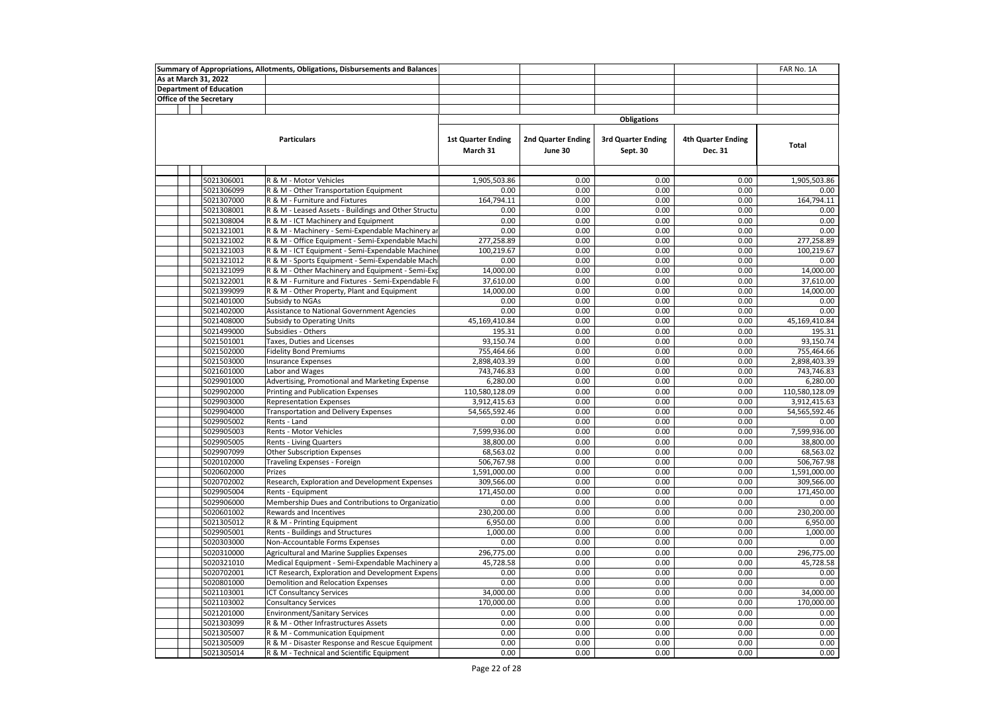| As at March 31, 2022<br><b>Department of Education</b><br><b>Office of the Secretary</b><br><b>Obligations</b><br><b>Particulars</b><br><b>1st Quarter Ending</b><br>2nd Quarter Ending<br><b>3rd Quarter Ending</b><br><b>4th Quarter Ending</b><br><b>Total</b><br>March 31<br>June 30<br>Sept. 30<br>Dec. 31<br>5021306001<br>0.00<br>0.00<br>0.00<br>R & M - Motor Vehicles<br>1,905,503.86<br>1,905,503.86<br>5021306099<br>R & M - Other Transportation Equipment<br>0.00<br>0.00<br>0.00<br>0.00<br>0.00<br>164,794.11<br>0.00<br>0.00<br>164,794.11<br>5021307000<br>R & M - Furniture and Fixtures<br>0.00<br>5021308001<br>R & M - Leased Assets - Buildings and Other Structu<br>0.00<br>0.00<br>0.00<br>0.00<br>0.00<br>5021308004<br>0.00<br>0.00<br>0.00<br>0.00<br>0.00<br>R & M - ICT Machinery and Equipment<br>5021321001<br>R & M - Machinery - Semi-Expendable Machinery ar<br>0.00<br>0.00<br>0.00<br>0.00<br>0.00<br>5021321002<br>R & M - Office Equipment - Semi-Expendable Machi<br>277,258.89<br>0.00<br>0.00<br>0.00<br>277,258.89<br>0.00<br>0.00<br>100,219.67<br>5021321003<br>R & M - ICT Equipment - Semi-Expendable Machiner<br>100,219.67<br>0.00<br>5021321012<br>R & M - Sports Equipment - Semi-Expendable Mach<br>0.00<br>0.00<br>0.00<br>0.00<br>0.00<br>0.00<br>0.00<br>5021321099<br>R & M - Other Machinery and Equipment - Semi-Exp<br>14,000.00<br>0.00<br>14,000.00<br>5021322001<br>R & M - Furniture and Fixtures - Semi-Expendable F<br>37,610.00<br>0.00<br>0.00<br>0.00<br>37,610.00<br>14,000.00<br>0.00<br>0.00<br>0.00<br>14,000.00<br>5021399099<br>R & M - Other Property, Plant and Equipment<br>5021401000<br>0.00<br>0.00<br>0.00<br>0.00<br>Subsidy to NGAs<br>0.00<br>0.00<br>0.00<br>0.00<br>0.00<br>0.00<br>5021402000<br>Assistance to National Government Agencies<br>45,169,410.84<br>5021408000<br><b>Subsidy to Operating Units</b><br>0.00<br>0.00<br>0.00<br>45,169,410.84<br>0.00<br>0.00<br>0.00<br>5021499000<br>Subsidies - Others<br>195.31<br>195.31<br>Taxes, Duties and Licenses<br>93.150.74<br>0.00<br>0.00<br>93.150.74<br>5021501001<br>0.00<br>0.00<br>0.00<br>0.00<br>755,464.66<br>5021502000<br><b>Fidelity Bond Premiums</b><br>755,464.66<br>5021503000<br><b>Insurance Expenses</b><br>2,898,403.39<br>0.00<br>0.00<br>0.00<br>2,898,403.39<br>5021601000<br>Labor and Wages<br>743,746.83<br>0.00<br>0.00<br>0.00<br>743,746.83<br>5029901000<br>Advertising, Promotional and Marketing Expense<br>6,280.00<br>0.00<br>0.00<br>0.00<br>6,280.00<br>5029902000<br><b>Printing and Publication Expenses</b><br>110,580,128.09<br>0.00<br>0.00<br>0.00<br>110,580,128.09<br>0.00<br>0.00<br>0.00<br>3,912,415.63<br>5029903000<br><b>Representation Expenses</b><br>3,912,415.63<br>5029904000<br><b>Transportation and Delivery Expenses</b><br>54,565,592.46<br>0.00<br>0.00<br>0.00<br>54,565,592.46<br>0.00<br>0.00<br>0.00<br>5029905002<br>Rents - Land<br>0.00<br>0.00<br>0.00<br>5029905003<br>Rents - Motor Vehicles<br>7,599,936.00<br>0.00<br>0.00<br>7,599,936.00<br>0.00<br>0.00<br>0.00<br>38,800.00<br>5029905005<br><b>Rents - Living Quarters</b><br>38,800.00<br>5029907099<br>Other Subscription Expenses<br>68,563.02<br>0.00<br>0.00<br>0.00<br>68,563.02<br>5020102000<br>506,767.98<br>0.00<br>0.00<br>0.00<br>506,767.98<br>Traveling Expenses - Foreign<br>0.00<br>0.00<br>0.00<br>1,591,000.00<br>5020602000<br>Prizes<br>1,591,000.00<br>0.00<br>0.00<br>0.00<br>309,566.00<br>5020702002<br>Research, Exploration and Development Expenses<br>309,566.00<br>0.00<br>0.00<br>171,450.00<br>5029905004<br>171,450.00<br>0.00<br>Rents - Equipment<br>0.00<br>0.00<br>5029906000<br>Membership Dues and Contributions to Organizatio<br>0.00<br>0.00<br>0.00<br>5020601002<br>230,200.00<br>0.00<br>0.00<br>0.00<br>230,200.00<br>Rewards and Incentives<br>0.00<br>0.00<br>0.00<br>6,950.00<br>5021305012<br>R & M - Printing Equipment<br>6,950.00<br>0.00<br>0.00<br>0.00<br>1,000.00<br>5029905001<br>Rents - Buildings and Structures<br>1,000.00<br>0.00<br>0.00<br>0.00<br>5020303000<br>Non-Accountable Forms Expenses<br>0.00<br>0.00<br>5020310000<br>296,775.00<br>0.00<br>0.00<br>0.00<br>296,775.00<br>Agricultural and Marine Supplies Expenses<br>0.00<br>5020321010<br>45,728.58<br>0.00<br>0.00<br>45.728.58<br>Medical Equipment - Semi-Expendable Machinery a<br>5020702001<br>0.00<br>0.00<br>0.00<br>0.00<br>ICT Research, Exploration and Development Expens<br>0.00<br>0.00<br>0.00<br>0.00<br>5020801000<br>Demolition and Relocation Expenses<br>0.00<br>0.00<br>5021103001<br><b>ICT Consultancy Services</b><br>34,000.00<br>0.00<br>0.00<br>0.00<br>34,000.00<br>170,000.00<br>0.00<br>170,000.00<br>5021103002<br><b>Consultancy Services</b><br>0.00<br>0.00<br>5021201000<br><b>Environment/Sanitary Services</b><br>0.00<br>0.00<br>0.00<br>0.00<br>0.00<br>0.00<br>0.00<br>0.00<br>0.00<br>0.00<br>5021303099<br>R & M - Other Infrastructures Assets<br>0.00<br>0.00<br>0.00<br>0.00<br>5021305007<br>R & M - Communication Equipment<br>0.00<br>5021305009<br>0.00<br>0.00<br>0.00<br>0.00<br>0.00<br>R & M - Disaster Response and Rescue Equipment | Summary of Appropriations, Allotments, Obligations, Disbursements and Balances |            |                                            |      |      |      |      | FAR No. 1A |
|--------------------------------------------------------------------------------------------------------------------------------------------------------------------------------------------------------------------------------------------------------------------------------------------------------------------------------------------------------------------------------------------------------------------------------------------------------------------------------------------------------------------------------------------------------------------------------------------------------------------------------------------------------------------------------------------------------------------------------------------------------------------------------------------------------------------------------------------------------------------------------------------------------------------------------------------------------------------------------------------------------------------------------------------------------------------------------------------------------------------------------------------------------------------------------------------------------------------------------------------------------------------------------------------------------------------------------------------------------------------------------------------------------------------------------------------------------------------------------------------------------------------------------------------------------------------------------------------------------------------------------------------------------------------------------------------------------------------------------------------------------------------------------------------------------------------------------------------------------------------------------------------------------------------------------------------------------------------------------------------------------------------------------------------------------------------------------------------------------------------------------------------------------------------------------------------------------------------------------------------------------------------------------------------------------------------------------------------------------------------------------------------------------------------------------------------------------------------------------------------------------------------------------------------------------------------------------------------------------------------------------------------------------------------------------------------------------------------------------------------------------------------------------------------------------------------------------------------------------------------------------------------------------------------------------------------------------------------------------------------------------------------------------------------------------------------------------------------------------------------------------------------------------------------------------------------------------------------------------------------------------------------------------------------------------------------------------------------------------------------------------------------------------------------------------------------------------------------------------------------------------------------------------------------------------------------------------------------------------------------------------------------------------------------------------------------------------------------------------------------------------------------------------------------------------------------------------------------------------------------------------------------------------------------------------------------------------------------------------------------------------------------------------------------------------------------------------------------------------------------------------------------------------------------------------------------------------------------------------------------------------------------------------------------------------------------------------------------------------------------------------------------------------------------------------------------------------------------------------------------------------------------------------------------------------------------------------------------------------------------------------------------------------------------------------------------------------------------------------------------------------------------------------------------------------------------------------------------------------------------------------------------------------------------------------------------------------------------------------------------------------------------------------------------------------------------------------------------------------------------------------------------------------------------------------------------------------|--------------------------------------------------------------------------------|------------|--------------------------------------------|------|------|------|------|------------|
|                                                                                                                                                                                                                                                                                                                                                                                                                                                                                                                                                                                                                                                                                                                                                                                                                                                                                                                                                                                                                                                                                                                                                                                                                                                                                                                                                                                                                                                                                                                                                                                                                                                                                                                                                                                                                                                                                                                                                                                                                                                                                                                                                                                                                                                                                                                                                                                                                                                                                                                                                                                                                                                                                                                                                                                                                                                                                                                                                                                                                                                                                                                                                                                                                                                                                                                                                                                                                                                                                                                                                                                                                                                                                                                                                                                                                                                                                                                                                                                                                                                                                                                                                                                                                                                                                                                                                                                                                                                                                                                                                                                                                                                                                                                                                                                                                                                                                                                                                                                                                                                                                                                                                                                                        |                                                                                |            |                                            |      |      |      |      |            |
|                                                                                                                                                                                                                                                                                                                                                                                                                                                                                                                                                                                                                                                                                                                                                                                                                                                                                                                                                                                                                                                                                                                                                                                                                                                                                                                                                                                                                                                                                                                                                                                                                                                                                                                                                                                                                                                                                                                                                                                                                                                                                                                                                                                                                                                                                                                                                                                                                                                                                                                                                                                                                                                                                                                                                                                                                                                                                                                                                                                                                                                                                                                                                                                                                                                                                                                                                                                                                                                                                                                                                                                                                                                                                                                                                                                                                                                                                                                                                                                                                                                                                                                                                                                                                                                                                                                                                                                                                                                                                                                                                                                                                                                                                                                                                                                                                                                                                                                                                                                                                                                                                                                                                                                                        |                                                                                |            |                                            |      |      |      |      |            |
|                                                                                                                                                                                                                                                                                                                                                                                                                                                                                                                                                                                                                                                                                                                                                                                                                                                                                                                                                                                                                                                                                                                                                                                                                                                                                                                                                                                                                                                                                                                                                                                                                                                                                                                                                                                                                                                                                                                                                                                                                                                                                                                                                                                                                                                                                                                                                                                                                                                                                                                                                                                                                                                                                                                                                                                                                                                                                                                                                                                                                                                                                                                                                                                                                                                                                                                                                                                                                                                                                                                                                                                                                                                                                                                                                                                                                                                                                                                                                                                                                                                                                                                                                                                                                                                                                                                                                                                                                                                                                                                                                                                                                                                                                                                                                                                                                                                                                                                                                                                                                                                                                                                                                                                                        |                                                                                |            |                                            |      |      |      |      |            |
|                                                                                                                                                                                                                                                                                                                                                                                                                                                                                                                                                                                                                                                                                                                                                                                                                                                                                                                                                                                                                                                                                                                                                                                                                                                                                                                                                                                                                                                                                                                                                                                                                                                                                                                                                                                                                                                                                                                                                                                                                                                                                                                                                                                                                                                                                                                                                                                                                                                                                                                                                                                                                                                                                                                                                                                                                                                                                                                                                                                                                                                                                                                                                                                                                                                                                                                                                                                                                                                                                                                                                                                                                                                                                                                                                                                                                                                                                                                                                                                                                                                                                                                                                                                                                                                                                                                                                                                                                                                                                                                                                                                                                                                                                                                                                                                                                                                                                                                                                                                                                                                                                                                                                                                                        |                                                                                |            |                                            |      |      |      |      |            |
|                                                                                                                                                                                                                                                                                                                                                                                                                                                                                                                                                                                                                                                                                                                                                                                                                                                                                                                                                                                                                                                                                                                                                                                                                                                                                                                                                                                                                                                                                                                                                                                                                                                                                                                                                                                                                                                                                                                                                                                                                                                                                                                                                                                                                                                                                                                                                                                                                                                                                                                                                                                                                                                                                                                                                                                                                                                                                                                                                                                                                                                                                                                                                                                                                                                                                                                                                                                                                                                                                                                                                                                                                                                                                                                                                                                                                                                                                                                                                                                                                                                                                                                                                                                                                                                                                                                                                                                                                                                                                                                                                                                                                                                                                                                                                                                                                                                                                                                                                                                                                                                                                                                                                                                                        |                                                                                |            |                                            |      |      |      |      |            |
|                                                                                                                                                                                                                                                                                                                                                                                                                                                                                                                                                                                                                                                                                                                                                                                                                                                                                                                                                                                                                                                                                                                                                                                                                                                                                                                                                                                                                                                                                                                                                                                                                                                                                                                                                                                                                                                                                                                                                                                                                                                                                                                                                                                                                                                                                                                                                                                                                                                                                                                                                                                                                                                                                                                                                                                                                                                                                                                                                                                                                                                                                                                                                                                                                                                                                                                                                                                                                                                                                                                                                                                                                                                                                                                                                                                                                                                                                                                                                                                                                                                                                                                                                                                                                                                                                                                                                                                                                                                                                                                                                                                                                                                                                                                                                                                                                                                                                                                                                                                                                                                                                                                                                                                                        |                                                                                |            |                                            |      |      |      |      |            |
|                                                                                                                                                                                                                                                                                                                                                                                                                                                                                                                                                                                                                                                                                                                                                                                                                                                                                                                                                                                                                                                                                                                                                                                                                                                                                                                                                                                                                                                                                                                                                                                                                                                                                                                                                                                                                                                                                                                                                                                                                                                                                                                                                                                                                                                                                                                                                                                                                                                                                                                                                                                                                                                                                                                                                                                                                                                                                                                                                                                                                                                                                                                                                                                                                                                                                                                                                                                                                                                                                                                                                                                                                                                                                                                                                                                                                                                                                                                                                                                                                                                                                                                                                                                                                                                                                                                                                                                                                                                                                                                                                                                                                                                                                                                                                                                                                                                                                                                                                                                                                                                                                                                                                                                                        |                                                                                |            |                                            |      |      |      |      |            |
|                                                                                                                                                                                                                                                                                                                                                                                                                                                                                                                                                                                                                                                                                                                                                                                                                                                                                                                                                                                                                                                                                                                                                                                                                                                                                                                                                                                                                                                                                                                                                                                                                                                                                                                                                                                                                                                                                                                                                                                                                                                                                                                                                                                                                                                                                                                                                                                                                                                                                                                                                                                                                                                                                                                                                                                                                                                                                                                                                                                                                                                                                                                                                                                                                                                                                                                                                                                                                                                                                                                                                                                                                                                                                                                                                                                                                                                                                                                                                                                                                                                                                                                                                                                                                                                                                                                                                                                                                                                                                                                                                                                                                                                                                                                                                                                                                                                                                                                                                                                                                                                                                                                                                                                                        |                                                                                |            |                                            |      |      |      |      |            |
|                                                                                                                                                                                                                                                                                                                                                                                                                                                                                                                                                                                                                                                                                                                                                                                                                                                                                                                                                                                                                                                                                                                                                                                                                                                                                                                                                                                                                                                                                                                                                                                                                                                                                                                                                                                                                                                                                                                                                                                                                                                                                                                                                                                                                                                                                                                                                                                                                                                                                                                                                                                                                                                                                                                                                                                                                                                                                                                                                                                                                                                                                                                                                                                                                                                                                                                                                                                                                                                                                                                                                                                                                                                                                                                                                                                                                                                                                                                                                                                                                                                                                                                                                                                                                                                                                                                                                                                                                                                                                                                                                                                                                                                                                                                                                                                                                                                                                                                                                                                                                                                                                                                                                                                                        |                                                                                |            |                                            |      |      |      |      |            |
|                                                                                                                                                                                                                                                                                                                                                                                                                                                                                                                                                                                                                                                                                                                                                                                                                                                                                                                                                                                                                                                                                                                                                                                                                                                                                                                                                                                                                                                                                                                                                                                                                                                                                                                                                                                                                                                                                                                                                                                                                                                                                                                                                                                                                                                                                                                                                                                                                                                                                                                                                                                                                                                                                                                                                                                                                                                                                                                                                                                                                                                                                                                                                                                                                                                                                                                                                                                                                                                                                                                                                                                                                                                                                                                                                                                                                                                                                                                                                                                                                                                                                                                                                                                                                                                                                                                                                                                                                                                                                                                                                                                                                                                                                                                                                                                                                                                                                                                                                                                                                                                                                                                                                                                                        |                                                                                |            |                                            |      |      |      |      |            |
|                                                                                                                                                                                                                                                                                                                                                                                                                                                                                                                                                                                                                                                                                                                                                                                                                                                                                                                                                                                                                                                                                                                                                                                                                                                                                                                                                                                                                                                                                                                                                                                                                                                                                                                                                                                                                                                                                                                                                                                                                                                                                                                                                                                                                                                                                                                                                                                                                                                                                                                                                                                                                                                                                                                                                                                                                                                                                                                                                                                                                                                                                                                                                                                                                                                                                                                                                                                                                                                                                                                                                                                                                                                                                                                                                                                                                                                                                                                                                                                                                                                                                                                                                                                                                                                                                                                                                                                                                                                                                                                                                                                                                                                                                                                                                                                                                                                                                                                                                                                                                                                                                                                                                                                                        |                                                                                |            |                                            |      |      |      |      |            |
|                                                                                                                                                                                                                                                                                                                                                                                                                                                                                                                                                                                                                                                                                                                                                                                                                                                                                                                                                                                                                                                                                                                                                                                                                                                                                                                                                                                                                                                                                                                                                                                                                                                                                                                                                                                                                                                                                                                                                                                                                                                                                                                                                                                                                                                                                                                                                                                                                                                                                                                                                                                                                                                                                                                                                                                                                                                                                                                                                                                                                                                                                                                                                                                                                                                                                                                                                                                                                                                                                                                                                                                                                                                                                                                                                                                                                                                                                                                                                                                                                                                                                                                                                                                                                                                                                                                                                                                                                                                                                                                                                                                                                                                                                                                                                                                                                                                                                                                                                                                                                                                                                                                                                                                                        |                                                                                |            |                                            |      |      |      |      |            |
|                                                                                                                                                                                                                                                                                                                                                                                                                                                                                                                                                                                                                                                                                                                                                                                                                                                                                                                                                                                                                                                                                                                                                                                                                                                                                                                                                                                                                                                                                                                                                                                                                                                                                                                                                                                                                                                                                                                                                                                                                                                                                                                                                                                                                                                                                                                                                                                                                                                                                                                                                                                                                                                                                                                                                                                                                                                                                                                                                                                                                                                                                                                                                                                                                                                                                                                                                                                                                                                                                                                                                                                                                                                                                                                                                                                                                                                                                                                                                                                                                                                                                                                                                                                                                                                                                                                                                                                                                                                                                                                                                                                                                                                                                                                                                                                                                                                                                                                                                                                                                                                                                                                                                                                                        |                                                                                |            |                                            |      |      |      |      |            |
|                                                                                                                                                                                                                                                                                                                                                                                                                                                                                                                                                                                                                                                                                                                                                                                                                                                                                                                                                                                                                                                                                                                                                                                                                                                                                                                                                                                                                                                                                                                                                                                                                                                                                                                                                                                                                                                                                                                                                                                                                                                                                                                                                                                                                                                                                                                                                                                                                                                                                                                                                                                                                                                                                                                                                                                                                                                                                                                                                                                                                                                                                                                                                                                                                                                                                                                                                                                                                                                                                                                                                                                                                                                                                                                                                                                                                                                                                                                                                                                                                                                                                                                                                                                                                                                                                                                                                                                                                                                                                                                                                                                                                                                                                                                                                                                                                                                                                                                                                                                                                                                                                                                                                                                                        |                                                                                |            |                                            |      |      |      |      |            |
|                                                                                                                                                                                                                                                                                                                                                                                                                                                                                                                                                                                                                                                                                                                                                                                                                                                                                                                                                                                                                                                                                                                                                                                                                                                                                                                                                                                                                                                                                                                                                                                                                                                                                                                                                                                                                                                                                                                                                                                                                                                                                                                                                                                                                                                                                                                                                                                                                                                                                                                                                                                                                                                                                                                                                                                                                                                                                                                                                                                                                                                                                                                                                                                                                                                                                                                                                                                                                                                                                                                                                                                                                                                                                                                                                                                                                                                                                                                                                                                                                                                                                                                                                                                                                                                                                                                                                                                                                                                                                                                                                                                                                                                                                                                                                                                                                                                                                                                                                                                                                                                                                                                                                                                                        |                                                                                |            |                                            |      |      |      |      |            |
|                                                                                                                                                                                                                                                                                                                                                                                                                                                                                                                                                                                                                                                                                                                                                                                                                                                                                                                                                                                                                                                                                                                                                                                                                                                                                                                                                                                                                                                                                                                                                                                                                                                                                                                                                                                                                                                                                                                                                                                                                                                                                                                                                                                                                                                                                                                                                                                                                                                                                                                                                                                                                                                                                                                                                                                                                                                                                                                                                                                                                                                                                                                                                                                                                                                                                                                                                                                                                                                                                                                                                                                                                                                                                                                                                                                                                                                                                                                                                                                                                                                                                                                                                                                                                                                                                                                                                                                                                                                                                                                                                                                                                                                                                                                                                                                                                                                                                                                                                                                                                                                                                                                                                                                                        |                                                                                |            |                                            |      |      |      |      |            |
|                                                                                                                                                                                                                                                                                                                                                                                                                                                                                                                                                                                                                                                                                                                                                                                                                                                                                                                                                                                                                                                                                                                                                                                                                                                                                                                                                                                                                                                                                                                                                                                                                                                                                                                                                                                                                                                                                                                                                                                                                                                                                                                                                                                                                                                                                                                                                                                                                                                                                                                                                                                                                                                                                                                                                                                                                                                                                                                                                                                                                                                                                                                                                                                                                                                                                                                                                                                                                                                                                                                                                                                                                                                                                                                                                                                                                                                                                                                                                                                                                                                                                                                                                                                                                                                                                                                                                                                                                                                                                                                                                                                                                                                                                                                                                                                                                                                                                                                                                                                                                                                                                                                                                                                                        |                                                                                |            |                                            |      |      |      |      |            |
|                                                                                                                                                                                                                                                                                                                                                                                                                                                                                                                                                                                                                                                                                                                                                                                                                                                                                                                                                                                                                                                                                                                                                                                                                                                                                                                                                                                                                                                                                                                                                                                                                                                                                                                                                                                                                                                                                                                                                                                                                                                                                                                                                                                                                                                                                                                                                                                                                                                                                                                                                                                                                                                                                                                                                                                                                                                                                                                                                                                                                                                                                                                                                                                                                                                                                                                                                                                                                                                                                                                                                                                                                                                                                                                                                                                                                                                                                                                                                                                                                                                                                                                                                                                                                                                                                                                                                                                                                                                                                                                                                                                                                                                                                                                                                                                                                                                                                                                                                                                                                                                                                                                                                                                                        |                                                                                |            |                                            |      |      |      |      |            |
|                                                                                                                                                                                                                                                                                                                                                                                                                                                                                                                                                                                                                                                                                                                                                                                                                                                                                                                                                                                                                                                                                                                                                                                                                                                                                                                                                                                                                                                                                                                                                                                                                                                                                                                                                                                                                                                                                                                                                                                                                                                                                                                                                                                                                                                                                                                                                                                                                                                                                                                                                                                                                                                                                                                                                                                                                                                                                                                                                                                                                                                                                                                                                                                                                                                                                                                                                                                                                                                                                                                                                                                                                                                                                                                                                                                                                                                                                                                                                                                                                                                                                                                                                                                                                                                                                                                                                                                                                                                                                                                                                                                                                                                                                                                                                                                                                                                                                                                                                                                                                                                                                                                                                                                                        |                                                                                |            |                                            |      |      |      |      |            |
|                                                                                                                                                                                                                                                                                                                                                                                                                                                                                                                                                                                                                                                                                                                                                                                                                                                                                                                                                                                                                                                                                                                                                                                                                                                                                                                                                                                                                                                                                                                                                                                                                                                                                                                                                                                                                                                                                                                                                                                                                                                                                                                                                                                                                                                                                                                                                                                                                                                                                                                                                                                                                                                                                                                                                                                                                                                                                                                                                                                                                                                                                                                                                                                                                                                                                                                                                                                                                                                                                                                                                                                                                                                                                                                                                                                                                                                                                                                                                                                                                                                                                                                                                                                                                                                                                                                                                                                                                                                                                                                                                                                                                                                                                                                                                                                                                                                                                                                                                                                                                                                                                                                                                                                                        |                                                                                |            |                                            |      |      |      |      |            |
|                                                                                                                                                                                                                                                                                                                                                                                                                                                                                                                                                                                                                                                                                                                                                                                                                                                                                                                                                                                                                                                                                                                                                                                                                                                                                                                                                                                                                                                                                                                                                                                                                                                                                                                                                                                                                                                                                                                                                                                                                                                                                                                                                                                                                                                                                                                                                                                                                                                                                                                                                                                                                                                                                                                                                                                                                                                                                                                                                                                                                                                                                                                                                                                                                                                                                                                                                                                                                                                                                                                                                                                                                                                                                                                                                                                                                                                                                                                                                                                                                                                                                                                                                                                                                                                                                                                                                                                                                                                                                                                                                                                                                                                                                                                                                                                                                                                                                                                                                                                                                                                                                                                                                                                                        |                                                                                |            |                                            |      |      |      |      |            |
|                                                                                                                                                                                                                                                                                                                                                                                                                                                                                                                                                                                                                                                                                                                                                                                                                                                                                                                                                                                                                                                                                                                                                                                                                                                                                                                                                                                                                                                                                                                                                                                                                                                                                                                                                                                                                                                                                                                                                                                                                                                                                                                                                                                                                                                                                                                                                                                                                                                                                                                                                                                                                                                                                                                                                                                                                                                                                                                                                                                                                                                                                                                                                                                                                                                                                                                                                                                                                                                                                                                                                                                                                                                                                                                                                                                                                                                                                                                                                                                                                                                                                                                                                                                                                                                                                                                                                                                                                                                                                                                                                                                                                                                                                                                                                                                                                                                                                                                                                                                                                                                                                                                                                                                                        |                                                                                |            |                                            |      |      |      |      |            |
|                                                                                                                                                                                                                                                                                                                                                                                                                                                                                                                                                                                                                                                                                                                                                                                                                                                                                                                                                                                                                                                                                                                                                                                                                                                                                                                                                                                                                                                                                                                                                                                                                                                                                                                                                                                                                                                                                                                                                                                                                                                                                                                                                                                                                                                                                                                                                                                                                                                                                                                                                                                                                                                                                                                                                                                                                                                                                                                                                                                                                                                                                                                                                                                                                                                                                                                                                                                                                                                                                                                                                                                                                                                                                                                                                                                                                                                                                                                                                                                                                                                                                                                                                                                                                                                                                                                                                                                                                                                                                                                                                                                                                                                                                                                                                                                                                                                                                                                                                                                                                                                                                                                                                                                                        |                                                                                |            |                                            |      |      |      |      |            |
|                                                                                                                                                                                                                                                                                                                                                                                                                                                                                                                                                                                                                                                                                                                                                                                                                                                                                                                                                                                                                                                                                                                                                                                                                                                                                                                                                                                                                                                                                                                                                                                                                                                                                                                                                                                                                                                                                                                                                                                                                                                                                                                                                                                                                                                                                                                                                                                                                                                                                                                                                                                                                                                                                                                                                                                                                                                                                                                                                                                                                                                                                                                                                                                                                                                                                                                                                                                                                                                                                                                                                                                                                                                                                                                                                                                                                                                                                                                                                                                                                                                                                                                                                                                                                                                                                                                                                                                                                                                                                                                                                                                                                                                                                                                                                                                                                                                                                                                                                                                                                                                                                                                                                                                                        |                                                                                |            |                                            |      |      |      |      |            |
|                                                                                                                                                                                                                                                                                                                                                                                                                                                                                                                                                                                                                                                                                                                                                                                                                                                                                                                                                                                                                                                                                                                                                                                                                                                                                                                                                                                                                                                                                                                                                                                                                                                                                                                                                                                                                                                                                                                                                                                                                                                                                                                                                                                                                                                                                                                                                                                                                                                                                                                                                                                                                                                                                                                                                                                                                                                                                                                                                                                                                                                                                                                                                                                                                                                                                                                                                                                                                                                                                                                                                                                                                                                                                                                                                                                                                                                                                                                                                                                                                                                                                                                                                                                                                                                                                                                                                                                                                                                                                                                                                                                                                                                                                                                                                                                                                                                                                                                                                                                                                                                                                                                                                                                                        |                                                                                |            |                                            |      |      |      |      |            |
|                                                                                                                                                                                                                                                                                                                                                                                                                                                                                                                                                                                                                                                                                                                                                                                                                                                                                                                                                                                                                                                                                                                                                                                                                                                                                                                                                                                                                                                                                                                                                                                                                                                                                                                                                                                                                                                                                                                                                                                                                                                                                                                                                                                                                                                                                                                                                                                                                                                                                                                                                                                                                                                                                                                                                                                                                                                                                                                                                                                                                                                                                                                                                                                                                                                                                                                                                                                                                                                                                                                                                                                                                                                                                                                                                                                                                                                                                                                                                                                                                                                                                                                                                                                                                                                                                                                                                                                                                                                                                                                                                                                                                                                                                                                                                                                                                                                                                                                                                                                                                                                                                                                                                                                                        |                                                                                |            |                                            |      |      |      |      |            |
|                                                                                                                                                                                                                                                                                                                                                                                                                                                                                                                                                                                                                                                                                                                                                                                                                                                                                                                                                                                                                                                                                                                                                                                                                                                                                                                                                                                                                                                                                                                                                                                                                                                                                                                                                                                                                                                                                                                                                                                                                                                                                                                                                                                                                                                                                                                                                                                                                                                                                                                                                                                                                                                                                                                                                                                                                                                                                                                                                                                                                                                                                                                                                                                                                                                                                                                                                                                                                                                                                                                                                                                                                                                                                                                                                                                                                                                                                                                                                                                                                                                                                                                                                                                                                                                                                                                                                                                                                                                                                                                                                                                                                                                                                                                                                                                                                                                                                                                                                                                                                                                                                                                                                                                                        |                                                                                |            |                                            |      |      |      |      |            |
|                                                                                                                                                                                                                                                                                                                                                                                                                                                                                                                                                                                                                                                                                                                                                                                                                                                                                                                                                                                                                                                                                                                                                                                                                                                                                                                                                                                                                                                                                                                                                                                                                                                                                                                                                                                                                                                                                                                                                                                                                                                                                                                                                                                                                                                                                                                                                                                                                                                                                                                                                                                                                                                                                                                                                                                                                                                                                                                                                                                                                                                                                                                                                                                                                                                                                                                                                                                                                                                                                                                                                                                                                                                                                                                                                                                                                                                                                                                                                                                                                                                                                                                                                                                                                                                                                                                                                                                                                                                                                                                                                                                                                                                                                                                                                                                                                                                                                                                                                                                                                                                                                                                                                                                                        |                                                                                |            |                                            |      |      |      |      |            |
|                                                                                                                                                                                                                                                                                                                                                                                                                                                                                                                                                                                                                                                                                                                                                                                                                                                                                                                                                                                                                                                                                                                                                                                                                                                                                                                                                                                                                                                                                                                                                                                                                                                                                                                                                                                                                                                                                                                                                                                                                                                                                                                                                                                                                                                                                                                                                                                                                                                                                                                                                                                                                                                                                                                                                                                                                                                                                                                                                                                                                                                                                                                                                                                                                                                                                                                                                                                                                                                                                                                                                                                                                                                                                                                                                                                                                                                                                                                                                                                                                                                                                                                                                                                                                                                                                                                                                                                                                                                                                                                                                                                                                                                                                                                                                                                                                                                                                                                                                                                                                                                                                                                                                                                                        |                                                                                |            |                                            |      |      |      |      |            |
|                                                                                                                                                                                                                                                                                                                                                                                                                                                                                                                                                                                                                                                                                                                                                                                                                                                                                                                                                                                                                                                                                                                                                                                                                                                                                                                                                                                                                                                                                                                                                                                                                                                                                                                                                                                                                                                                                                                                                                                                                                                                                                                                                                                                                                                                                                                                                                                                                                                                                                                                                                                                                                                                                                                                                                                                                                                                                                                                                                                                                                                                                                                                                                                                                                                                                                                                                                                                                                                                                                                                                                                                                                                                                                                                                                                                                                                                                                                                                                                                                                                                                                                                                                                                                                                                                                                                                                                                                                                                                                                                                                                                                                                                                                                                                                                                                                                                                                                                                                                                                                                                                                                                                                                                        |                                                                                |            |                                            |      |      |      |      |            |
|                                                                                                                                                                                                                                                                                                                                                                                                                                                                                                                                                                                                                                                                                                                                                                                                                                                                                                                                                                                                                                                                                                                                                                                                                                                                                                                                                                                                                                                                                                                                                                                                                                                                                                                                                                                                                                                                                                                                                                                                                                                                                                                                                                                                                                                                                                                                                                                                                                                                                                                                                                                                                                                                                                                                                                                                                                                                                                                                                                                                                                                                                                                                                                                                                                                                                                                                                                                                                                                                                                                                                                                                                                                                                                                                                                                                                                                                                                                                                                                                                                                                                                                                                                                                                                                                                                                                                                                                                                                                                                                                                                                                                                                                                                                                                                                                                                                                                                                                                                                                                                                                                                                                                                                                        |                                                                                |            |                                            |      |      |      |      |            |
|                                                                                                                                                                                                                                                                                                                                                                                                                                                                                                                                                                                                                                                                                                                                                                                                                                                                                                                                                                                                                                                                                                                                                                                                                                                                                                                                                                                                                                                                                                                                                                                                                                                                                                                                                                                                                                                                                                                                                                                                                                                                                                                                                                                                                                                                                                                                                                                                                                                                                                                                                                                                                                                                                                                                                                                                                                                                                                                                                                                                                                                                                                                                                                                                                                                                                                                                                                                                                                                                                                                                                                                                                                                                                                                                                                                                                                                                                                                                                                                                                                                                                                                                                                                                                                                                                                                                                                                                                                                                                                                                                                                                                                                                                                                                                                                                                                                                                                                                                                                                                                                                                                                                                                                                        |                                                                                |            |                                            |      |      |      |      |            |
|                                                                                                                                                                                                                                                                                                                                                                                                                                                                                                                                                                                                                                                                                                                                                                                                                                                                                                                                                                                                                                                                                                                                                                                                                                                                                                                                                                                                                                                                                                                                                                                                                                                                                                                                                                                                                                                                                                                                                                                                                                                                                                                                                                                                                                                                                                                                                                                                                                                                                                                                                                                                                                                                                                                                                                                                                                                                                                                                                                                                                                                                                                                                                                                                                                                                                                                                                                                                                                                                                                                                                                                                                                                                                                                                                                                                                                                                                                                                                                                                                                                                                                                                                                                                                                                                                                                                                                                                                                                                                                                                                                                                                                                                                                                                                                                                                                                                                                                                                                                                                                                                                                                                                                                                        |                                                                                |            |                                            |      |      |      |      |            |
|                                                                                                                                                                                                                                                                                                                                                                                                                                                                                                                                                                                                                                                                                                                                                                                                                                                                                                                                                                                                                                                                                                                                                                                                                                                                                                                                                                                                                                                                                                                                                                                                                                                                                                                                                                                                                                                                                                                                                                                                                                                                                                                                                                                                                                                                                                                                                                                                                                                                                                                                                                                                                                                                                                                                                                                                                                                                                                                                                                                                                                                                                                                                                                                                                                                                                                                                                                                                                                                                                                                                                                                                                                                                                                                                                                                                                                                                                                                                                                                                                                                                                                                                                                                                                                                                                                                                                                                                                                                                                                                                                                                                                                                                                                                                                                                                                                                                                                                                                                                                                                                                                                                                                                                                        |                                                                                |            |                                            |      |      |      |      |            |
|                                                                                                                                                                                                                                                                                                                                                                                                                                                                                                                                                                                                                                                                                                                                                                                                                                                                                                                                                                                                                                                                                                                                                                                                                                                                                                                                                                                                                                                                                                                                                                                                                                                                                                                                                                                                                                                                                                                                                                                                                                                                                                                                                                                                                                                                                                                                                                                                                                                                                                                                                                                                                                                                                                                                                                                                                                                                                                                                                                                                                                                                                                                                                                                                                                                                                                                                                                                                                                                                                                                                                                                                                                                                                                                                                                                                                                                                                                                                                                                                                                                                                                                                                                                                                                                                                                                                                                                                                                                                                                                                                                                                                                                                                                                                                                                                                                                                                                                                                                                                                                                                                                                                                                                                        |                                                                                |            |                                            |      |      |      |      |            |
|                                                                                                                                                                                                                                                                                                                                                                                                                                                                                                                                                                                                                                                                                                                                                                                                                                                                                                                                                                                                                                                                                                                                                                                                                                                                                                                                                                                                                                                                                                                                                                                                                                                                                                                                                                                                                                                                                                                                                                                                                                                                                                                                                                                                                                                                                                                                                                                                                                                                                                                                                                                                                                                                                                                                                                                                                                                                                                                                                                                                                                                                                                                                                                                                                                                                                                                                                                                                                                                                                                                                                                                                                                                                                                                                                                                                                                                                                                                                                                                                                                                                                                                                                                                                                                                                                                                                                                                                                                                                                                                                                                                                                                                                                                                                                                                                                                                                                                                                                                                                                                                                                                                                                                                                        |                                                                                |            |                                            |      |      |      |      |            |
|                                                                                                                                                                                                                                                                                                                                                                                                                                                                                                                                                                                                                                                                                                                                                                                                                                                                                                                                                                                                                                                                                                                                                                                                                                                                                                                                                                                                                                                                                                                                                                                                                                                                                                                                                                                                                                                                                                                                                                                                                                                                                                                                                                                                                                                                                                                                                                                                                                                                                                                                                                                                                                                                                                                                                                                                                                                                                                                                                                                                                                                                                                                                                                                                                                                                                                                                                                                                                                                                                                                                                                                                                                                                                                                                                                                                                                                                                                                                                                                                                                                                                                                                                                                                                                                                                                                                                                                                                                                                                                                                                                                                                                                                                                                                                                                                                                                                                                                                                                                                                                                                                                                                                                                                        |                                                                                |            |                                            |      |      |      |      |            |
|                                                                                                                                                                                                                                                                                                                                                                                                                                                                                                                                                                                                                                                                                                                                                                                                                                                                                                                                                                                                                                                                                                                                                                                                                                                                                                                                                                                                                                                                                                                                                                                                                                                                                                                                                                                                                                                                                                                                                                                                                                                                                                                                                                                                                                                                                                                                                                                                                                                                                                                                                                                                                                                                                                                                                                                                                                                                                                                                                                                                                                                                                                                                                                                                                                                                                                                                                                                                                                                                                                                                                                                                                                                                                                                                                                                                                                                                                                                                                                                                                                                                                                                                                                                                                                                                                                                                                                                                                                                                                                                                                                                                                                                                                                                                                                                                                                                                                                                                                                                                                                                                                                                                                                                                        |                                                                                |            |                                            |      |      |      |      |            |
|                                                                                                                                                                                                                                                                                                                                                                                                                                                                                                                                                                                                                                                                                                                                                                                                                                                                                                                                                                                                                                                                                                                                                                                                                                                                                                                                                                                                                                                                                                                                                                                                                                                                                                                                                                                                                                                                                                                                                                                                                                                                                                                                                                                                                                                                                                                                                                                                                                                                                                                                                                                                                                                                                                                                                                                                                                                                                                                                                                                                                                                                                                                                                                                                                                                                                                                                                                                                                                                                                                                                                                                                                                                                                                                                                                                                                                                                                                                                                                                                                                                                                                                                                                                                                                                                                                                                                                                                                                                                                                                                                                                                                                                                                                                                                                                                                                                                                                                                                                                                                                                                                                                                                                                                        |                                                                                |            |                                            |      |      |      |      |            |
|                                                                                                                                                                                                                                                                                                                                                                                                                                                                                                                                                                                                                                                                                                                                                                                                                                                                                                                                                                                                                                                                                                                                                                                                                                                                                                                                                                                                                                                                                                                                                                                                                                                                                                                                                                                                                                                                                                                                                                                                                                                                                                                                                                                                                                                                                                                                                                                                                                                                                                                                                                                                                                                                                                                                                                                                                                                                                                                                                                                                                                                                                                                                                                                                                                                                                                                                                                                                                                                                                                                                                                                                                                                                                                                                                                                                                                                                                                                                                                                                                                                                                                                                                                                                                                                                                                                                                                                                                                                                                                                                                                                                                                                                                                                                                                                                                                                                                                                                                                                                                                                                                                                                                                                                        |                                                                                |            |                                            |      |      |      |      |            |
|                                                                                                                                                                                                                                                                                                                                                                                                                                                                                                                                                                                                                                                                                                                                                                                                                                                                                                                                                                                                                                                                                                                                                                                                                                                                                                                                                                                                                                                                                                                                                                                                                                                                                                                                                                                                                                                                                                                                                                                                                                                                                                                                                                                                                                                                                                                                                                                                                                                                                                                                                                                                                                                                                                                                                                                                                                                                                                                                                                                                                                                                                                                                                                                                                                                                                                                                                                                                                                                                                                                                                                                                                                                                                                                                                                                                                                                                                                                                                                                                                                                                                                                                                                                                                                                                                                                                                                                                                                                                                                                                                                                                                                                                                                                                                                                                                                                                                                                                                                                                                                                                                                                                                                                                        |                                                                                |            |                                            |      |      |      |      |            |
|                                                                                                                                                                                                                                                                                                                                                                                                                                                                                                                                                                                                                                                                                                                                                                                                                                                                                                                                                                                                                                                                                                                                                                                                                                                                                                                                                                                                                                                                                                                                                                                                                                                                                                                                                                                                                                                                                                                                                                                                                                                                                                                                                                                                                                                                                                                                                                                                                                                                                                                                                                                                                                                                                                                                                                                                                                                                                                                                                                                                                                                                                                                                                                                                                                                                                                                                                                                                                                                                                                                                                                                                                                                                                                                                                                                                                                                                                                                                                                                                                                                                                                                                                                                                                                                                                                                                                                                                                                                                                                                                                                                                                                                                                                                                                                                                                                                                                                                                                                                                                                                                                                                                                                                                        |                                                                                |            |                                            |      |      |      |      |            |
|                                                                                                                                                                                                                                                                                                                                                                                                                                                                                                                                                                                                                                                                                                                                                                                                                                                                                                                                                                                                                                                                                                                                                                                                                                                                                                                                                                                                                                                                                                                                                                                                                                                                                                                                                                                                                                                                                                                                                                                                                                                                                                                                                                                                                                                                                                                                                                                                                                                                                                                                                                                                                                                                                                                                                                                                                                                                                                                                                                                                                                                                                                                                                                                                                                                                                                                                                                                                                                                                                                                                                                                                                                                                                                                                                                                                                                                                                                                                                                                                                                                                                                                                                                                                                                                                                                                                                                                                                                                                                                                                                                                                                                                                                                                                                                                                                                                                                                                                                                                                                                                                                                                                                                                                        |                                                                                |            |                                            |      |      |      |      |            |
|                                                                                                                                                                                                                                                                                                                                                                                                                                                                                                                                                                                                                                                                                                                                                                                                                                                                                                                                                                                                                                                                                                                                                                                                                                                                                                                                                                                                                                                                                                                                                                                                                                                                                                                                                                                                                                                                                                                                                                                                                                                                                                                                                                                                                                                                                                                                                                                                                                                                                                                                                                                                                                                                                                                                                                                                                                                                                                                                                                                                                                                                                                                                                                                                                                                                                                                                                                                                                                                                                                                                                                                                                                                                                                                                                                                                                                                                                                                                                                                                                                                                                                                                                                                                                                                                                                                                                                                                                                                                                                                                                                                                                                                                                                                                                                                                                                                                                                                                                                                                                                                                                                                                                                                                        |                                                                                |            |                                            |      |      |      |      |            |
|                                                                                                                                                                                                                                                                                                                                                                                                                                                                                                                                                                                                                                                                                                                                                                                                                                                                                                                                                                                                                                                                                                                                                                                                                                                                                                                                                                                                                                                                                                                                                                                                                                                                                                                                                                                                                                                                                                                                                                                                                                                                                                                                                                                                                                                                                                                                                                                                                                                                                                                                                                                                                                                                                                                                                                                                                                                                                                                                                                                                                                                                                                                                                                                                                                                                                                                                                                                                                                                                                                                                                                                                                                                                                                                                                                                                                                                                                                                                                                                                                                                                                                                                                                                                                                                                                                                                                                                                                                                                                                                                                                                                                                                                                                                                                                                                                                                                                                                                                                                                                                                                                                                                                                                                        |                                                                                |            |                                            |      |      |      |      |            |
|                                                                                                                                                                                                                                                                                                                                                                                                                                                                                                                                                                                                                                                                                                                                                                                                                                                                                                                                                                                                                                                                                                                                                                                                                                                                                                                                                                                                                                                                                                                                                                                                                                                                                                                                                                                                                                                                                                                                                                                                                                                                                                                                                                                                                                                                                                                                                                                                                                                                                                                                                                                                                                                                                                                                                                                                                                                                                                                                                                                                                                                                                                                                                                                                                                                                                                                                                                                                                                                                                                                                                                                                                                                                                                                                                                                                                                                                                                                                                                                                                                                                                                                                                                                                                                                                                                                                                                                                                                                                                                                                                                                                                                                                                                                                                                                                                                                                                                                                                                                                                                                                                                                                                                                                        |                                                                                |            |                                            |      |      |      |      |            |
|                                                                                                                                                                                                                                                                                                                                                                                                                                                                                                                                                                                                                                                                                                                                                                                                                                                                                                                                                                                                                                                                                                                                                                                                                                                                                                                                                                                                                                                                                                                                                                                                                                                                                                                                                                                                                                                                                                                                                                                                                                                                                                                                                                                                                                                                                                                                                                                                                                                                                                                                                                                                                                                                                                                                                                                                                                                                                                                                                                                                                                                                                                                                                                                                                                                                                                                                                                                                                                                                                                                                                                                                                                                                                                                                                                                                                                                                                                                                                                                                                                                                                                                                                                                                                                                                                                                                                                                                                                                                                                                                                                                                                                                                                                                                                                                                                                                                                                                                                                                                                                                                                                                                                                                                        |                                                                                |            |                                            |      |      |      |      |            |
|                                                                                                                                                                                                                                                                                                                                                                                                                                                                                                                                                                                                                                                                                                                                                                                                                                                                                                                                                                                                                                                                                                                                                                                                                                                                                                                                                                                                                                                                                                                                                                                                                                                                                                                                                                                                                                                                                                                                                                                                                                                                                                                                                                                                                                                                                                                                                                                                                                                                                                                                                                                                                                                                                                                                                                                                                                                                                                                                                                                                                                                                                                                                                                                                                                                                                                                                                                                                                                                                                                                                                                                                                                                                                                                                                                                                                                                                                                                                                                                                                                                                                                                                                                                                                                                                                                                                                                                                                                                                                                                                                                                                                                                                                                                                                                                                                                                                                                                                                                                                                                                                                                                                                                                                        |                                                                                |            |                                            |      |      |      |      |            |
|                                                                                                                                                                                                                                                                                                                                                                                                                                                                                                                                                                                                                                                                                                                                                                                                                                                                                                                                                                                                                                                                                                                                                                                                                                                                                                                                                                                                                                                                                                                                                                                                                                                                                                                                                                                                                                                                                                                                                                                                                                                                                                                                                                                                                                                                                                                                                                                                                                                                                                                                                                                                                                                                                                                                                                                                                                                                                                                                                                                                                                                                                                                                                                                                                                                                                                                                                                                                                                                                                                                                                                                                                                                                                                                                                                                                                                                                                                                                                                                                                                                                                                                                                                                                                                                                                                                                                                                                                                                                                                                                                                                                                                                                                                                                                                                                                                                                                                                                                                                                                                                                                                                                                                                                        |                                                                                |            |                                            |      |      |      |      |            |
|                                                                                                                                                                                                                                                                                                                                                                                                                                                                                                                                                                                                                                                                                                                                                                                                                                                                                                                                                                                                                                                                                                                                                                                                                                                                                                                                                                                                                                                                                                                                                                                                                                                                                                                                                                                                                                                                                                                                                                                                                                                                                                                                                                                                                                                                                                                                                                                                                                                                                                                                                                                                                                                                                                                                                                                                                                                                                                                                                                                                                                                                                                                                                                                                                                                                                                                                                                                                                                                                                                                                                                                                                                                                                                                                                                                                                                                                                                                                                                                                                                                                                                                                                                                                                                                                                                                                                                                                                                                                                                                                                                                                                                                                                                                                                                                                                                                                                                                                                                                                                                                                                                                                                                                                        |                                                                                |            |                                            |      |      |      |      |            |
|                                                                                                                                                                                                                                                                                                                                                                                                                                                                                                                                                                                                                                                                                                                                                                                                                                                                                                                                                                                                                                                                                                                                                                                                                                                                                                                                                                                                                                                                                                                                                                                                                                                                                                                                                                                                                                                                                                                                                                                                                                                                                                                                                                                                                                                                                                                                                                                                                                                                                                                                                                                                                                                                                                                                                                                                                                                                                                                                                                                                                                                                                                                                                                                                                                                                                                                                                                                                                                                                                                                                                                                                                                                                                                                                                                                                                                                                                                                                                                                                                                                                                                                                                                                                                                                                                                                                                                                                                                                                                                                                                                                                                                                                                                                                                                                                                                                                                                                                                                                                                                                                                                                                                                                                        |                                                                                |            |                                            |      |      |      |      |            |
|                                                                                                                                                                                                                                                                                                                                                                                                                                                                                                                                                                                                                                                                                                                                                                                                                                                                                                                                                                                                                                                                                                                                                                                                                                                                                                                                                                                                                                                                                                                                                                                                                                                                                                                                                                                                                                                                                                                                                                                                                                                                                                                                                                                                                                                                                                                                                                                                                                                                                                                                                                                                                                                                                                                                                                                                                                                                                                                                                                                                                                                                                                                                                                                                                                                                                                                                                                                                                                                                                                                                                                                                                                                                                                                                                                                                                                                                                                                                                                                                                                                                                                                                                                                                                                                                                                                                                                                                                                                                                                                                                                                                                                                                                                                                                                                                                                                                                                                                                                                                                                                                                                                                                                                                        |                                                                                |            |                                            |      |      |      |      |            |
|                                                                                                                                                                                                                                                                                                                                                                                                                                                                                                                                                                                                                                                                                                                                                                                                                                                                                                                                                                                                                                                                                                                                                                                                                                                                                                                                                                                                                                                                                                                                                                                                                                                                                                                                                                                                                                                                                                                                                                                                                                                                                                                                                                                                                                                                                                                                                                                                                                                                                                                                                                                                                                                                                                                                                                                                                                                                                                                                                                                                                                                                                                                                                                                                                                                                                                                                                                                                                                                                                                                                                                                                                                                                                                                                                                                                                                                                                                                                                                                                                                                                                                                                                                                                                                                                                                                                                                                                                                                                                                                                                                                                                                                                                                                                                                                                                                                                                                                                                                                                                                                                                                                                                                                                        |                                                                                |            |                                            |      |      |      |      |            |
|                                                                                                                                                                                                                                                                                                                                                                                                                                                                                                                                                                                                                                                                                                                                                                                                                                                                                                                                                                                                                                                                                                                                                                                                                                                                                                                                                                                                                                                                                                                                                                                                                                                                                                                                                                                                                                                                                                                                                                                                                                                                                                                                                                                                                                                                                                                                                                                                                                                                                                                                                                                                                                                                                                                                                                                                                                                                                                                                                                                                                                                                                                                                                                                                                                                                                                                                                                                                                                                                                                                                                                                                                                                                                                                                                                                                                                                                                                                                                                                                                                                                                                                                                                                                                                                                                                                                                                                                                                                                                                                                                                                                                                                                                                                                                                                                                                                                                                                                                                                                                                                                                                                                                                                                        |                                                                                | 5021305014 | R & M - Technical and Scientific Equipment | 0.00 | 0.00 | 0.00 | 0.00 | 0.00       |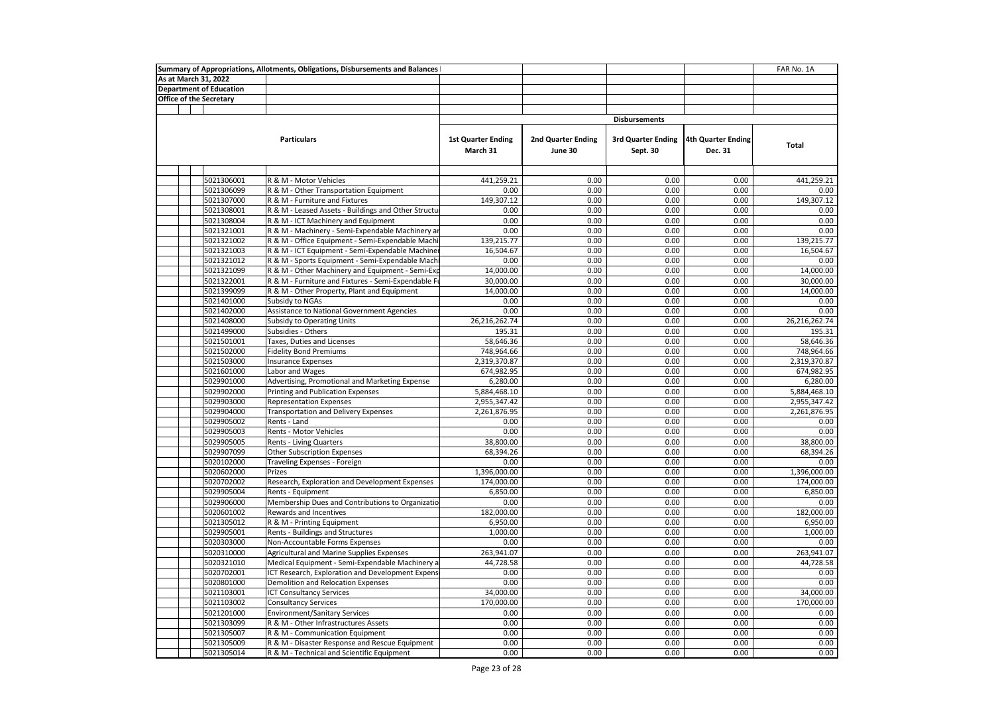|  |                                | Summary of Appropriations, Allotments, Obligations, Disbursements and Balances |                                       |                               |                                       |                               | FAR No. 1A    |
|--|--------------------------------|--------------------------------------------------------------------------------|---------------------------------------|-------------------------------|---------------------------------------|-------------------------------|---------------|
|  | As at March 31, 2022           |                                                                                |                                       |                               |                                       |                               |               |
|  | <b>Department of Education</b> |                                                                                |                                       |                               |                                       |                               |               |
|  | <b>Office of the Secretary</b> |                                                                                |                                       |                               |                                       |                               |               |
|  |                                |                                                                                |                                       |                               |                                       |                               |               |
|  |                                |                                                                                |                                       |                               | <b>Disbursements</b>                  |                               |               |
|  |                                | <b>Particulars</b>                                                             | <b>1st Quarter Ending</b><br>March 31 | 2nd Quarter Ending<br>June 30 | <b>3rd Quarter Ending</b><br>Sept. 30 | 4th Quarter Ending<br>Dec. 31 | Total         |
|  |                                |                                                                                |                                       |                               |                                       |                               |               |
|  | 5021306001                     | R & M - Motor Vehicles                                                         | 441,259.21                            | 0.00                          | 0.00                                  | 0.00                          | 441,259.21    |
|  | 5021306099                     | R & M - Other Transportation Equipment                                         | 0.00                                  | 0.00                          | 0.00                                  | 0.00                          | 0.00          |
|  | 5021307000                     | R & M - Furniture and Fixtures                                                 | 149,307.12                            | 0.00                          | 0.00                                  | 0.00                          | 149,307.12    |
|  | 5021308001                     | R & M - Leased Assets - Buildings and Other Structu                            | 0.00                                  | 0.00                          | 0.00                                  | 0.00                          | 0.00          |
|  | 5021308004                     | R & M - ICT Machinery and Equipment                                            | 0.00                                  | 0.00                          | 0.00                                  | 0.00                          | 0.00          |
|  | 5021321001                     | R & M - Machinery - Semi-Expendable Machinery ar                               | 0.00                                  | 0.00                          | 0.00                                  | 0.00                          | 0.00          |
|  | 5021321002                     | R & M - Office Equipment - Semi-Expendable Machi                               | 139,215.77                            | 0.00                          | 0.00                                  | 0.00                          | 139,215.77    |
|  | 5021321003                     | R & M - ICT Equipment - Semi-Expendable Machiner                               | 16,504.67                             | 0.00                          | 0.00                                  | 0.00                          | 16,504.67     |
|  | 5021321012                     | R & M - Sports Equipment - Semi-Expendable Mach                                | 0.00                                  | 0.00                          | 0.00                                  | 0.00                          | 0.00          |
|  | 5021321099                     | R & M - Other Machinery and Equipment - Semi-Exp                               | 14,000.00                             | 0.00                          | 0.00                                  | 0.00                          | 14,000.00     |
|  | 5021322001                     | R & M - Furniture and Fixtures - Semi-Expendable Fr                            | 30,000.00                             | 0.00                          | 0.00                                  | 0.00                          | 30,000.00     |
|  | 5021399099                     | R & M - Other Property, Plant and Equipment                                    | 14,000.00                             | 0.00                          | 0.00                                  | 0.00                          | 14,000.00     |
|  | 5021401000                     | Subsidy to NGAs                                                                | 0.00                                  | 0.00                          | 0.00                                  | 0.00                          | 0.00          |
|  | 5021402000                     | Assistance to National Government Agencies                                     | 0.00                                  | 0.00                          | 0.00                                  | 0.00                          | 0.00          |
|  | 5021408000                     | Subsidy to Operating Units                                                     | 26,216,262.74                         | 0.00                          | 0.00                                  | 0.00                          | 26,216,262.74 |
|  | 5021499000                     | Subsidies - Others                                                             | 195.31                                | 0.00                          | 0.00                                  | 0.00                          | 195.31        |
|  | 5021501001                     | Taxes, Duties and Licenses                                                     | 58,646.36                             | 0.00                          | 0.00                                  | 0.00                          | 58,646.36     |
|  | 5021502000                     | <b>Fidelity Bond Premiums</b>                                                  | 748,964.66                            | 0.00                          | 0.00                                  | 0.00                          | 748,964.66    |
|  | 5021503000                     | <b>Insurance Expenses</b>                                                      | 2,319,370.87                          | 0.00                          | 0.00                                  | 0.00                          | 2,319,370.87  |
|  | 5021601000                     | Labor and Wages                                                                | 674,982.95                            | 0.00                          | 0.00                                  | 0.00                          | 674,982.95    |
|  | 5029901000                     | Advertising, Promotional and Marketing Expense                                 | 6,280.00                              | 0.00                          | 0.00                                  | 0.00                          | 6,280.00      |
|  | 5029902000                     | Printing and Publication Expenses                                              | 5,884,468.10                          | 0.00                          | 0.00                                  | 0.00                          | 5,884,468.10  |
|  | 5029903000                     | <b>Representation Expenses</b>                                                 | 2,955,347.42                          | 0.00                          | 0.00                                  | 0.00                          | 2,955,347.42  |
|  | 5029904000                     | <b>Transportation and Delivery Expenses</b>                                    | 2,261,876.95                          | 0.00                          | 0.00                                  | 0.00                          | 2,261,876.95  |
|  | 5029905002                     | Rents - Land                                                                   | 0.00                                  | 0.00                          | 0.00                                  | 0.00                          | 0.00          |
|  | 5029905003                     | <b>Rents - Motor Vehicles</b>                                                  | 0.00                                  | 0.00                          | 0.00                                  | 0.00                          | 0.00          |
|  | 5029905005                     | <b>Rents - Living Quarters</b>                                                 | 38,800.00                             | 0.00                          | 0.00                                  | 0.00                          | 38,800.00     |
|  | 5029907099                     | Other Subscription Expenses                                                    | 68,394.26                             | 0.00                          | 0.00                                  | 0.00                          | 68,394.26     |
|  | 5020102000                     | Traveling Expenses - Foreign                                                   | 0.00                                  | 0.00                          | 0.00                                  | 0.00                          | 0.00          |
|  | 5020602000                     | Prizes                                                                         | 1,396,000.00                          | 0.00                          | 0.00                                  | 0.00                          | 1,396,000.00  |
|  | 5020702002                     | Research, Exploration and Development Expenses                                 | 174,000.00                            | 0.00                          | 0.00                                  | 0.00                          | 174,000.00    |
|  | 5029905004                     | Rents - Equipment                                                              | 6,850.00                              | 0.00                          | 0.00                                  | 0.00                          | 6,850.00      |
|  | 5029906000                     | Membership Dues and Contributions to Organizatio                               | 0.00                                  | 0.00                          | 0.00                                  | 0.00                          | 0.00          |
|  | 5020601002                     | Rewards and Incentives                                                         | 182,000.00                            | 0.00                          | 0.00                                  | 0.00                          | 182,000.00    |
|  | 5021305012                     | R & M - Printing Equipment                                                     | 6,950.00                              | 0.00                          | 0.00                                  | 0.00                          | 6,950.00      |
|  | 5029905001                     | Rents - Buildings and Structures                                               | 1,000.00                              | 0.00                          | 0.00                                  | 0.00                          | 1,000.00      |
|  | 5020303000                     | Non-Accountable Forms Expenses                                                 | 0.00                                  | 0.00                          | 0.00                                  | 0.00                          | 0.00          |
|  | 5020310000                     | Agricultural and Marine Supplies Expenses                                      | 263,941.07                            | 0.00                          | 0.00                                  | 0.00                          | 263,941.07    |
|  | 5020321010                     | Medical Equipment - Semi-Expendable Machinery a                                | 44,728.58                             | 0.00                          | 0.00                                  | 0.00                          | 44.728.58     |
|  | 5020702001                     | ICT Research, Exploration and Development Expens                               | 0.00                                  | 0.00                          | 0.00                                  | 0.00                          | 0.00          |
|  | 5020801000                     | Demolition and Relocation Expenses                                             | 0.00                                  | 0.00                          | 0.00                                  | 0.00                          | 0.00          |
|  | 5021103001                     | <b>ICT Consultancy Services</b>                                                | 34,000.00                             | 0.00                          | 0.00                                  | 0.00                          | 34,000.00     |
|  | 5021103002                     | <b>Consultancy Services</b>                                                    | 170,000.00                            | 0.00                          | 0.00                                  | 0.00                          | 170,000.00    |
|  | 5021201000                     | <b>Environment/Sanitary Services</b>                                           | 0.00                                  | 0.00                          | 0.00                                  | 0.00                          | 0.00          |
|  | 5021303099                     | R & M - Other Infrastructures Assets                                           | 0.00                                  | 0.00                          | 0.00                                  | 0.00                          | 0.00          |
|  | 5021305007                     | R & M - Communication Equipment                                                | 0.00                                  | 0.00                          | 0.00                                  | 0.00                          | 0.00          |
|  | 5021305009                     | R & M - Disaster Response and Rescue Equipment                                 | 0.00                                  | 0.00                          | 0.00                                  | 0.00                          | 0.00          |
|  | 5021305014                     | R & M - Technical and Scientific Equipment                                     | 0.00                                  | 0.00                          | 0.00                                  | 0.00                          | 0.00          |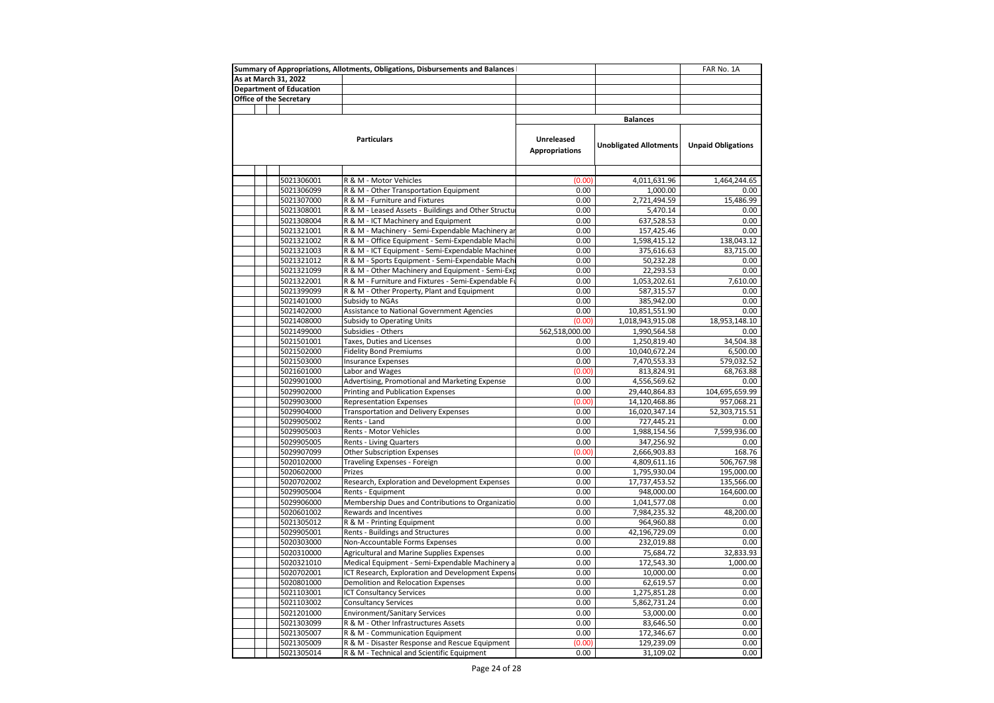| As at March 31, 2022<br><b>Department of Education</b><br>Office of the Secretary<br><b>Balances</b><br><b>Particulars</b><br>Unreleased<br><b>Unobligated Allotments</b><br><b>Unpaid Obligations</b><br><b>Appropriations</b><br>5021306001<br>R & M - Motor Vehicles<br>(0.00)<br>4,011,631.96<br>1,464,244.65<br>0.00<br>5021306099<br>R & M - Other Transportation Equipment<br>1,000.00<br>0.00<br>5021307000<br>R & M - Furniture and Fixtures<br>0.00<br>2,721,494.59<br>15,486.99<br>R & M - Leased Assets - Buildings and Other Structu<br>0.00<br>5,470.14<br>0.00<br>5021308001<br>0.00<br>0.00<br>5021308004<br>R & M - ICT Machinery and Equipment<br>637,528.53<br>0.00<br>5021321001<br>R & M - Machinery - Semi-Expendable Machinery ar<br>0.00<br>157,425.46<br>R & M - Office Equipment - Semi-Expendable Machi<br>5021321002<br>0.00<br>1,598,415.12<br>138,043.12<br>0.00<br>83,715.00<br>5021321003<br>R & M - ICT Equipment - Semi-Expendable Machiner<br>375,616.63<br>0.00<br>50,232.28<br>5021321012<br>R & M - Sports Equipment - Semi-Expendable Machi<br>0.00<br>0.00<br>0.00<br>5021321099<br>R & M - Other Machinery and Equipment - Semi-Exp<br>22,293.53<br>R & M - Furniture and Fixtures - Semi-Expendable Fu<br>0.00<br>1,053,202.61<br>7,610.00<br>5021322001<br>0.00<br>0.00<br>5021399099<br>R & M - Other Property, Plant and Equipment<br>587,315.57<br>Subsidy to NGAs<br>0.00<br>0.00<br>5021401000<br>385,942.00<br>0.00<br>0.00<br>5021402000<br>Assistance to National Government Agencies<br>10,851,551.90<br>5021408000<br>Subsidy to Operating Units<br>(0.00)<br>1,018,943,915.08<br>18,953,148.10<br>562,518,000.00<br>5021499000<br>Subsidies - Others<br>1,990,564.58<br>0.00<br>5021501001<br>Taxes, Duties and Licenses<br>34,504.38<br>0.00<br>1,250,819.40<br>0.00<br>5021502000<br><b>Fidelity Bond Premiums</b><br>10,040,672.24<br>6,500.00<br>5021503000<br>Insurance Expenses<br>0.00<br>7,470,553.33<br>579,032.52<br>Labor and Wages<br>(0.00)<br>68,763.88<br>5021601000<br>813,824.91<br>5029901000<br>Advertising, Promotional and Marketing Expense<br>0.00<br>4,556,569.62<br>0.00<br>0.00<br>5029902000<br>Printing and Publication Expenses<br>29,440,864.83<br>104,695,659.99<br>(0.00)<br><b>Representation Expenses</b><br>14,120,468.86<br>5029903000<br>957,068.21<br>0.00<br>52,303,715.51<br>5029904000<br><b>Transportation and Delivery Expenses</b><br>16,020,347.14<br>5029905002<br>0.00<br>727,445.21<br>0.00<br>Rents - Land<br>Rents - Motor Vehicles<br>0.00<br>7,599,936.00<br>5029905003<br>1,988,154.56<br>5029905005<br>Rents - Living Quarters<br>0.00<br>0.00<br>347,256.92<br>(0.00)<br>168.76<br>5029907099<br>Other Subscription Expenses<br>2,666,903.83<br>5020102000<br>0.00<br>506,767.98<br>Traveling Expenses - Foreign<br>4,809,611.16<br>5020602000<br>Prizes<br>0.00<br>1,795,930.04<br>195,000.00<br>Research, Exploration and Development Expenses<br>0.00<br>17,737,453.52<br>135,566.00<br>5020702002<br>5029905004<br>Rents - Equipment<br>0.00<br>948,000.00<br>164,600.00<br>Membership Dues and Contributions to Organizatio<br>0.00<br>1,041,577.08<br>5029906000<br>0.00<br>0.00<br>48,200.00<br>5020601002<br>Rewards and Incentives<br>7,984,235.32<br>5021305012<br>R & M - Printing Equipment<br>0.00<br>964,960.88<br>0.00<br>0.00<br>5029905001<br>Rents - Buildings and Structures<br>42,196,729.09<br>0.00<br>5020303000<br>Non-Accountable Forms Expenses<br>0.00<br>232,019.88<br>0.00<br>0.00<br>5020310000<br>Agricultural and Marine Supplies Expenses<br>75,684.72<br>32,833.93<br>5020321010<br>Medical Equipment - Semi-Expendable Machinery a<br>0.00<br>172,543.30<br>1,000.00<br>0.00<br>5020702001<br>ICT Research, Exploration and Development Expens<br>10,000.00<br>0.00<br>5020801000<br>Demolition and Relocation Expenses<br>0.00<br>62,619.57<br>0.00 |            | Summary of Appropriations, Allotments, Obligations, Disbursements and Balances |      |              | FAR No. 1A |
|-----------------------------------------------------------------------------------------------------------------------------------------------------------------------------------------------------------------------------------------------------------------------------------------------------------------------------------------------------------------------------------------------------------------------------------------------------------------------------------------------------------------------------------------------------------------------------------------------------------------------------------------------------------------------------------------------------------------------------------------------------------------------------------------------------------------------------------------------------------------------------------------------------------------------------------------------------------------------------------------------------------------------------------------------------------------------------------------------------------------------------------------------------------------------------------------------------------------------------------------------------------------------------------------------------------------------------------------------------------------------------------------------------------------------------------------------------------------------------------------------------------------------------------------------------------------------------------------------------------------------------------------------------------------------------------------------------------------------------------------------------------------------------------------------------------------------------------------------------------------------------------------------------------------------------------------------------------------------------------------------------------------------------------------------------------------------------------------------------------------------------------------------------------------------------------------------------------------------------------------------------------------------------------------------------------------------------------------------------------------------------------------------------------------------------------------------------------------------------------------------------------------------------------------------------------------------------------------------------------------------------------------------------------------------------------------------------------------------------------------------------------------------------------------------------------------------------------------------------------------------------------------------------------------------------------------------------------------------------------------------------------------------------------------------------------------------------------------------------------------------------------------------------------------------------------------------------------------------------------------------------------------------------------------------------------------------------------------------------------------------------------------------------------------------------------------------------------------------------------------------------------------------------------------------------------------------------------------------------------------------------------------------------------------------------------------------------------------------------------------------------------------------------------------------------------------------------------------------------------------------------------------------------|------------|--------------------------------------------------------------------------------|------|--------------|------------|
|                                                                                                                                                                                                                                                                                                                                                                                                                                                                                                                                                                                                                                                                                                                                                                                                                                                                                                                                                                                                                                                                                                                                                                                                                                                                                                                                                                                                                                                                                                                                                                                                                                                                                                                                                                                                                                                                                                                                                                                                                                                                                                                                                                                                                                                                                                                                                                                                                                                                                                                                                                                                                                                                                                                                                                                                                                                                                                                                                                                                                                                                                                                                                                                                                                                                                                                                                                                                                                                                                                                                                                                                                                                                                                                                                                                                                                                                                                     |            |                                                                                |      |              |            |
|                                                                                                                                                                                                                                                                                                                                                                                                                                                                                                                                                                                                                                                                                                                                                                                                                                                                                                                                                                                                                                                                                                                                                                                                                                                                                                                                                                                                                                                                                                                                                                                                                                                                                                                                                                                                                                                                                                                                                                                                                                                                                                                                                                                                                                                                                                                                                                                                                                                                                                                                                                                                                                                                                                                                                                                                                                                                                                                                                                                                                                                                                                                                                                                                                                                                                                                                                                                                                                                                                                                                                                                                                                                                                                                                                                                                                                                                                                     |            |                                                                                |      |              |            |
|                                                                                                                                                                                                                                                                                                                                                                                                                                                                                                                                                                                                                                                                                                                                                                                                                                                                                                                                                                                                                                                                                                                                                                                                                                                                                                                                                                                                                                                                                                                                                                                                                                                                                                                                                                                                                                                                                                                                                                                                                                                                                                                                                                                                                                                                                                                                                                                                                                                                                                                                                                                                                                                                                                                                                                                                                                                                                                                                                                                                                                                                                                                                                                                                                                                                                                                                                                                                                                                                                                                                                                                                                                                                                                                                                                                                                                                                                                     |            |                                                                                |      |              |            |
|                                                                                                                                                                                                                                                                                                                                                                                                                                                                                                                                                                                                                                                                                                                                                                                                                                                                                                                                                                                                                                                                                                                                                                                                                                                                                                                                                                                                                                                                                                                                                                                                                                                                                                                                                                                                                                                                                                                                                                                                                                                                                                                                                                                                                                                                                                                                                                                                                                                                                                                                                                                                                                                                                                                                                                                                                                                                                                                                                                                                                                                                                                                                                                                                                                                                                                                                                                                                                                                                                                                                                                                                                                                                                                                                                                                                                                                                                                     |            |                                                                                |      |              |            |
|                                                                                                                                                                                                                                                                                                                                                                                                                                                                                                                                                                                                                                                                                                                                                                                                                                                                                                                                                                                                                                                                                                                                                                                                                                                                                                                                                                                                                                                                                                                                                                                                                                                                                                                                                                                                                                                                                                                                                                                                                                                                                                                                                                                                                                                                                                                                                                                                                                                                                                                                                                                                                                                                                                                                                                                                                                                                                                                                                                                                                                                                                                                                                                                                                                                                                                                                                                                                                                                                                                                                                                                                                                                                                                                                                                                                                                                                                                     |            |                                                                                |      |              |            |
|                                                                                                                                                                                                                                                                                                                                                                                                                                                                                                                                                                                                                                                                                                                                                                                                                                                                                                                                                                                                                                                                                                                                                                                                                                                                                                                                                                                                                                                                                                                                                                                                                                                                                                                                                                                                                                                                                                                                                                                                                                                                                                                                                                                                                                                                                                                                                                                                                                                                                                                                                                                                                                                                                                                                                                                                                                                                                                                                                                                                                                                                                                                                                                                                                                                                                                                                                                                                                                                                                                                                                                                                                                                                                                                                                                                                                                                                                                     |            |                                                                                |      |              |            |
|                                                                                                                                                                                                                                                                                                                                                                                                                                                                                                                                                                                                                                                                                                                                                                                                                                                                                                                                                                                                                                                                                                                                                                                                                                                                                                                                                                                                                                                                                                                                                                                                                                                                                                                                                                                                                                                                                                                                                                                                                                                                                                                                                                                                                                                                                                                                                                                                                                                                                                                                                                                                                                                                                                                                                                                                                                                                                                                                                                                                                                                                                                                                                                                                                                                                                                                                                                                                                                                                                                                                                                                                                                                                                                                                                                                                                                                                                                     |            |                                                                                |      |              |            |
|                                                                                                                                                                                                                                                                                                                                                                                                                                                                                                                                                                                                                                                                                                                                                                                                                                                                                                                                                                                                                                                                                                                                                                                                                                                                                                                                                                                                                                                                                                                                                                                                                                                                                                                                                                                                                                                                                                                                                                                                                                                                                                                                                                                                                                                                                                                                                                                                                                                                                                                                                                                                                                                                                                                                                                                                                                                                                                                                                                                                                                                                                                                                                                                                                                                                                                                                                                                                                                                                                                                                                                                                                                                                                                                                                                                                                                                                                                     |            |                                                                                |      |              |            |
|                                                                                                                                                                                                                                                                                                                                                                                                                                                                                                                                                                                                                                                                                                                                                                                                                                                                                                                                                                                                                                                                                                                                                                                                                                                                                                                                                                                                                                                                                                                                                                                                                                                                                                                                                                                                                                                                                                                                                                                                                                                                                                                                                                                                                                                                                                                                                                                                                                                                                                                                                                                                                                                                                                                                                                                                                                                                                                                                                                                                                                                                                                                                                                                                                                                                                                                                                                                                                                                                                                                                                                                                                                                                                                                                                                                                                                                                                                     |            |                                                                                |      |              |            |
|                                                                                                                                                                                                                                                                                                                                                                                                                                                                                                                                                                                                                                                                                                                                                                                                                                                                                                                                                                                                                                                                                                                                                                                                                                                                                                                                                                                                                                                                                                                                                                                                                                                                                                                                                                                                                                                                                                                                                                                                                                                                                                                                                                                                                                                                                                                                                                                                                                                                                                                                                                                                                                                                                                                                                                                                                                                                                                                                                                                                                                                                                                                                                                                                                                                                                                                                                                                                                                                                                                                                                                                                                                                                                                                                                                                                                                                                                                     |            |                                                                                |      |              |            |
|                                                                                                                                                                                                                                                                                                                                                                                                                                                                                                                                                                                                                                                                                                                                                                                                                                                                                                                                                                                                                                                                                                                                                                                                                                                                                                                                                                                                                                                                                                                                                                                                                                                                                                                                                                                                                                                                                                                                                                                                                                                                                                                                                                                                                                                                                                                                                                                                                                                                                                                                                                                                                                                                                                                                                                                                                                                                                                                                                                                                                                                                                                                                                                                                                                                                                                                                                                                                                                                                                                                                                                                                                                                                                                                                                                                                                                                                                                     |            |                                                                                |      |              |            |
|                                                                                                                                                                                                                                                                                                                                                                                                                                                                                                                                                                                                                                                                                                                                                                                                                                                                                                                                                                                                                                                                                                                                                                                                                                                                                                                                                                                                                                                                                                                                                                                                                                                                                                                                                                                                                                                                                                                                                                                                                                                                                                                                                                                                                                                                                                                                                                                                                                                                                                                                                                                                                                                                                                                                                                                                                                                                                                                                                                                                                                                                                                                                                                                                                                                                                                                                                                                                                                                                                                                                                                                                                                                                                                                                                                                                                                                                                                     |            |                                                                                |      |              |            |
|                                                                                                                                                                                                                                                                                                                                                                                                                                                                                                                                                                                                                                                                                                                                                                                                                                                                                                                                                                                                                                                                                                                                                                                                                                                                                                                                                                                                                                                                                                                                                                                                                                                                                                                                                                                                                                                                                                                                                                                                                                                                                                                                                                                                                                                                                                                                                                                                                                                                                                                                                                                                                                                                                                                                                                                                                                                                                                                                                                                                                                                                                                                                                                                                                                                                                                                                                                                                                                                                                                                                                                                                                                                                                                                                                                                                                                                                                                     |            |                                                                                |      |              |            |
|                                                                                                                                                                                                                                                                                                                                                                                                                                                                                                                                                                                                                                                                                                                                                                                                                                                                                                                                                                                                                                                                                                                                                                                                                                                                                                                                                                                                                                                                                                                                                                                                                                                                                                                                                                                                                                                                                                                                                                                                                                                                                                                                                                                                                                                                                                                                                                                                                                                                                                                                                                                                                                                                                                                                                                                                                                                                                                                                                                                                                                                                                                                                                                                                                                                                                                                                                                                                                                                                                                                                                                                                                                                                                                                                                                                                                                                                                                     |            |                                                                                |      |              |            |
|                                                                                                                                                                                                                                                                                                                                                                                                                                                                                                                                                                                                                                                                                                                                                                                                                                                                                                                                                                                                                                                                                                                                                                                                                                                                                                                                                                                                                                                                                                                                                                                                                                                                                                                                                                                                                                                                                                                                                                                                                                                                                                                                                                                                                                                                                                                                                                                                                                                                                                                                                                                                                                                                                                                                                                                                                                                                                                                                                                                                                                                                                                                                                                                                                                                                                                                                                                                                                                                                                                                                                                                                                                                                                                                                                                                                                                                                                                     |            |                                                                                |      |              |            |
|                                                                                                                                                                                                                                                                                                                                                                                                                                                                                                                                                                                                                                                                                                                                                                                                                                                                                                                                                                                                                                                                                                                                                                                                                                                                                                                                                                                                                                                                                                                                                                                                                                                                                                                                                                                                                                                                                                                                                                                                                                                                                                                                                                                                                                                                                                                                                                                                                                                                                                                                                                                                                                                                                                                                                                                                                                                                                                                                                                                                                                                                                                                                                                                                                                                                                                                                                                                                                                                                                                                                                                                                                                                                                                                                                                                                                                                                                                     |            |                                                                                |      |              |            |
|                                                                                                                                                                                                                                                                                                                                                                                                                                                                                                                                                                                                                                                                                                                                                                                                                                                                                                                                                                                                                                                                                                                                                                                                                                                                                                                                                                                                                                                                                                                                                                                                                                                                                                                                                                                                                                                                                                                                                                                                                                                                                                                                                                                                                                                                                                                                                                                                                                                                                                                                                                                                                                                                                                                                                                                                                                                                                                                                                                                                                                                                                                                                                                                                                                                                                                                                                                                                                                                                                                                                                                                                                                                                                                                                                                                                                                                                                                     |            |                                                                                |      |              |            |
|                                                                                                                                                                                                                                                                                                                                                                                                                                                                                                                                                                                                                                                                                                                                                                                                                                                                                                                                                                                                                                                                                                                                                                                                                                                                                                                                                                                                                                                                                                                                                                                                                                                                                                                                                                                                                                                                                                                                                                                                                                                                                                                                                                                                                                                                                                                                                                                                                                                                                                                                                                                                                                                                                                                                                                                                                                                                                                                                                                                                                                                                                                                                                                                                                                                                                                                                                                                                                                                                                                                                                                                                                                                                                                                                                                                                                                                                                                     |            |                                                                                |      |              |            |
|                                                                                                                                                                                                                                                                                                                                                                                                                                                                                                                                                                                                                                                                                                                                                                                                                                                                                                                                                                                                                                                                                                                                                                                                                                                                                                                                                                                                                                                                                                                                                                                                                                                                                                                                                                                                                                                                                                                                                                                                                                                                                                                                                                                                                                                                                                                                                                                                                                                                                                                                                                                                                                                                                                                                                                                                                                                                                                                                                                                                                                                                                                                                                                                                                                                                                                                                                                                                                                                                                                                                                                                                                                                                                                                                                                                                                                                                                                     |            |                                                                                |      |              |            |
|                                                                                                                                                                                                                                                                                                                                                                                                                                                                                                                                                                                                                                                                                                                                                                                                                                                                                                                                                                                                                                                                                                                                                                                                                                                                                                                                                                                                                                                                                                                                                                                                                                                                                                                                                                                                                                                                                                                                                                                                                                                                                                                                                                                                                                                                                                                                                                                                                                                                                                                                                                                                                                                                                                                                                                                                                                                                                                                                                                                                                                                                                                                                                                                                                                                                                                                                                                                                                                                                                                                                                                                                                                                                                                                                                                                                                                                                                                     |            |                                                                                |      |              |            |
|                                                                                                                                                                                                                                                                                                                                                                                                                                                                                                                                                                                                                                                                                                                                                                                                                                                                                                                                                                                                                                                                                                                                                                                                                                                                                                                                                                                                                                                                                                                                                                                                                                                                                                                                                                                                                                                                                                                                                                                                                                                                                                                                                                                                                                                                                                                                                                                                                                                                                                                                                                                                                                                                                                                                                                                                                                                                                                                                                                                                                                                                                                                                                                                                                                                                                                                                                                                                                                                                                                                                                                                                                                                                                                                                                                                                                                                                                                     |            |                                                                                |      |              |            |
|                                                                                                                                                                                                                                                                                                                                                                                                                                                                                                                                                                                                                                                                                                                                                                                                                                                                                                                                                                                                                                                                                                                                                                                                                                                                                                                                                                                                                                                                                                                                                                                                                                                                                                                                                                                                                                                                                                                                                                                                                                                                                                                                                                                                                                                                                                                                                                                                                                                                                                                                                                                                                                                                                                                                                                                                                                                                                                                                                                                                                                                                                                                                                                                                                                                                                                                                                                                                                                                                                                                                                                                                                                                                                                                                                                                                                                                                                                     |            |                                                                                |      |              |            |
|                                                                                                                                                                                                                                                                                                                                                                                                                                                                                                                                                                                                                                                                                                                                                                                                                                                                                                                                                                                                                                                                                                                                                                                                                                                                                                                                                                                                                                                                                                                                                                                                                                                                                                                                                                                                                                                                                                                                                                                                                                                                                                                                                                                                                                                                                                                                                                                                                                                                                                                                                                                                                                                                                                                                                                                                                                                                                                                                                                                                                                                                                                                                                                                                                                                                                                                                                                                                                                                                                                                                                                                                                                                                                                                                                                                                                                                                                                     |            |                                                                                |      |              |            |
|                                                                                                                                                                                                                                                                                                                                                                                                                                                                                                                                                                                                                                                                                                                                                                                                                                                                                                                                                                                                                                                                                                                                                                                                                                                                                                                                                                                                                                                                                                                                                                                                                                                                                                                                                                                                                                                                                                                                                                                                                                                                                                                                                                                                                                                                                                                                                                                                                                                                                                                                                                                                                                                                                                                                                                                                                                                                                                                                                                                                                                                                                                                                                                                                                                                                                                                                                                                                                                                                                                                                                                                                                                                                                                                                                                                                                                                                                                     |            |                                                                                |      |              |            |
|                                                                                                                                                                                                                                                                                                                                                                                                                                                                                                                                                                                                                                                                                                                                                                                                                                                                                                                                                                                                                                                                                                                                                                                                                                                                                                                                                                                                                                                                                                                                                                                                                                                                                                                                                                                                                                                                                                                                                                                                                                                                                                                                                                                                                                                                                                                                                                                                                                                                                                                                                                                                                                                                                                                                                                                                                                                                                                                                                                                                                                                                                                                                                                                                                                                                                                                                                                                                                                                                                                                                                                                                                                                                                                                                                                                                                                                                                                     |            |                                                                                |      |              |            |
|                                                                                                                                                                                                                                                                                                                                                                                                                                                                                                                                                                                                                                                                                                                                                                                                                                                                                                                                                                                                                                                                                                                                                                                                                                                                                                                                                                                                                                                                                                                                                                                                                                                                                                                                                                                                                                                                                                                                                                                                                                                                                                                                                                                                                                                                                                                                                                                                                                                                                                                                                                                                                                                                                                                                                                                                                                                                                                                                                                                                                                                                                                                                                                                                                                                                                                                                                                                                                                                                                                                                                                                                                                                                                                                                                                                                                                                                                                     |            |                                                                                |      |              |            |
|                                                                                                                                                                                                                                                                                                                                                                                                                                                                                                                                                                                                                                                                                                                                                                                                                                                                                                                                                                                                                                                                                                                                                                                                                                                                                                                                                                                                                                                                                                                                                                                                                                                                                                                                                                                                                                                                                                                                                                                                                                                                                                                                                                                                                                                                                                                                                                                                                                                                                                                                                                                                                                                                                                                                                                                                                                                                                                                                                                                                                                                                                                                                                                                                                                                                                                                                                                                                                                                                                                                                                                                                                                                                                                                                                                                                                                                                                                     |            |                                                                                |      |              |            |
|                                                                                                                                                                                                                                                                                                                                                                                                                                                                                                                                                                                                                                                                                                                                                                                                                                                                                                                                                                                                                                                                                                                                                                                                                                                                                                                                                                                                                                                                                                                                                                                                                                                                                                                                                                                                                                                                                                                                                                                                                                                                                                                                                                                                                                                                                                                                                                                                                                                                                                                                                                                                                                                                                                                                                                                                                                                                                                                                                                                                                                                                                                                                                                                                                                                                                                                                                                                                                                                                                                                                                                                                                                                                                                                                                                                                                                                                                                     |            |                                                                                |      |              |            |
|                                                                                                                                                                                                                                                                                                                                                                                                                                                                                                                                                                                                                                                                                                                                                                                                                                                                                                                                                                                                                                                                                                                                                                                                                                                                                                                                                                                                                                                                                                                                                                                                                                                                                                                                                                                                                                                                                                                                                                                                                                                                                                                                                                                                                                                                                                                                                                                                                                                                                                                                                                                                                                                                                                                                                                                                                                                                                                                                                                                                                                                                                                                                                                                                                                                                                                                                                                                                                                                                                                                                                                                                                                                                                                                                                                                                                                                                                                     |            |                                                                                |      |              |            |
|                                                                                                                                                                                                                                                                                                                                                                                                                                                                                                                                                                                                                                                                                                                                                                                                                                                                                                                                                                                                                                                                                                                                                                                                                                                                                                                                                                                                                                                                                                                                                                                                                                                                                                                                                                                                                                                                                                                                                                                                                                                                                                                                                                                                                                                                                                                                                                                                                                                                                                                                                                                                                                                                                                                                                                                                                                                                                                                                                                                                                                                                                                                                                                                                                                                                                                                                                                                                                                                                                                                                                                                                                                                                                                                                                                                                                                                                                                     |            |                                                                                |      |              |            |
|                                                                                                                                                                                                                                                                                                                                                                                                                                                                                                                                                                                                                                                                                                                                                                                                                                                                                                                                                                                                                                                                                                                                                                                                                                                                                                                                                                                                                                                                                                                                                                                                                                                                                                                                                                                                                                                                                                                                                                                                                                                                                                                                                                                                                                                                                                                                                                                                                                                                                                                                                                                                                                                                                                                                                                                                                                                                                                                                                                                                                                                                                                                                                                                                                                                                                                                                                                                                                                                                                                                                                                                                                                                                                                                                                                                                                                                                                                     |            |                                                                                |      |              |            |
|                                                                                                                                                                                                                                                                                                                                                                                                                                                                                                                                                                                                                                                                                                                                                                                                                                                                                                                                                                                                                                                                                                                                                                                                                                                                                                                                                                                                                                                                                                                                                                                                                                                                                                                                                                                                                                                                                                                                                                                                                                                                                                                                                                                                                                                                                                                                                                                                                                                                                                                                                                                                                                                                                                                                                                                                                                                                                                                                                                                                                                                                                                                                                                                                                                                                                                                                                                                                                                                                                                                                                                                                                                                                                                                                                                                                                                                                                                     |            |                                                                                |      |              |            |
|                                                                                                                                                                                                                                                                                                                                                                                                                                                                                                                                                                                                                                                                                                                                                                                                                                                                                                                                                                                                                                                                                                                                                                                                                                                                                                                                                                                                                                                                                                                                                                                                                                                                                                                                                                                                                                                                                                                                                                                                                                                                                                                                                                                                                                                                                                                                                                                                                                                                                                                                                                                                                                                                                                                                                                                                                                                                                                                                                                                                                                                                                                                                                                                                                                                                                                                                                                                                                                                                                                                                                                                                                                                                                                                                                                                                                                                                                                     |            |                                                                                |      |              |            |
|                                                                                                                                                                                                                                                                                                                                                                                                                                                                                                                                                                                                                                                                                                                                                                                                                                                                                                                                                                                                                                                                                                                                                                                                                                                                                                                                                                                                                                                                                                                                                                                                                                                                                                                                                                                                                                                                                                                                                                                                                                                                                                                                                                                                                                                                                                                                                                                                                                                                                                                                                                                                                                                                                                                                                                                                                                                                                                                                                                                                                                                                                                                                                                                                                                                                                                                                                                                                                                                                                                                                                                                                                                                                                                                                                                                                                                                                                                     |            |                                                                                |      |              |            |
|                                                                                                                                                                                                                                                                                                                                                                                                                                                                                                                                                                                                                                                                                                                                                                                                                                                                                                                                                                                                                                                                                                                                                                                                                                                                                                                                                                                                                                                                                                                                                                                                                                                                                                                                                                                                                                                                                                                                                                                                                                                                                                                                                                                                                                                                                                                                                                                                                                                                                                                                                                                                                                                                                                                                                                                                                                                                                                                                                                                                                                                                                                                                                                                                                                                                                                                                                                                                                                                                                                                                                                                                                                                                                                                                                                                                                                                                                                     |            |                                                                                |      |              |            |
|                                                                                                                                                                                                                                                                                                                                                                                                                                                                                                                                                                                                                                                                                                                                                                                                                                                                                                                                                                                                                                                                                                                                                                                                                                                                                                                                                                                                                                                                                                                                                                                                                                                                                                                                                                                                                                                                                                                                                                                                                                                                                                                                                                                                                                                                                                                                                                                                                                                                                                                                                                                                                                                                                                                                                                                                                                                                                                                                                                                                                                                                                                                                                                                                                                                                                                                                                                                                                                                                                                                                                                                                                                                                                                                                                                                                                                                                                                     |            |                                                                                |      |              |            |
|                                                                                                                                                                                                                                                                                                                                                                                                                                                                                                                                                                                                                                                                                                                                                                                                                                                                                                                                                                                                                                                                                                                                                                                                                                                                                                                                                                                                                                                                                                                                                                                                                                                                                                                                                                                                                                                                                                                                                                                                                                                                                                                                                                                                                                                                                                                                                                                                                                                                                                                                                                                                                                                                                                                                                                                                                                                                                                                                                                                                                                                                                                                                                                                                                                                                                                                                                                                                                                                                                                                                                                                                                                                                                                                                                                                                                                                                                                     |            |                                                                                |      |              |            |
|                                                                                                                                                                                                                                                                                                                                                                                                                                                                                                                                                                                                                                                                                                                                                                                                                                                                                                                                                                                                                                                                                                                                                                                                                                                                                                                                                                                                                                                                                                                                                                                                                                                                                                                                                                                                                                                                                                                                                                                                                                                                                                                                                                                                                                                                                                                                                                                                                                                                                                                                                                                                                                                                                                                                                                                                                                                                                                                                                                                                                                                                                                                                                                                                                                                                                                                                                                                                                                                                                                                                                                                                                                                                                                                                                                                                                                                                                                     |            |                                                                                |      |              |            |
|                                                                                                                                                                                                                                                                                                                                                                                                                                                                                                                                                                                                                                                                                                                                                                                                                                                                                                                                                                                                                                                                                                                                                                                                                                                                                                                                                                                                                                                                                                                                                                                                                                                                                                                                                                                                                                                                                                                                                                                                                                                                                                                                                                                                                                                                                                                                                                                                                                                                                                                                                                                                                                                                                                                                                                                                                                                                                                                                                                                                                                                                                                                                                                                                                                                                                                                                                                                                                                                                                                                                                                                                                                                                                                                                                                                                                                                                                                     |            |                                                                                |      |              |            |
|                                                                                                                                                                                                                                                                                                                                                                                                                                                                                                                                                                                                                                                                                                                                                                                                                                                                                                                                                                                                                                                                                                                                                                                                                                                                                                                                                                                                                                                                                                                                                                                                                                                                                                                                                                                                                                                                                                                                                                                                                                                                                                                                                                                                                                                                                                                                                                                                                                                                                                                                                                                                                                                                                                                                                                                                                                                                                                                                                                                                                                                                                                                                                                                                                                                                                                                                                                                                                                                                                                                                                                                                                                                                                                                                                                                                                                                                                                     |            |                                                                                |      |              |            |
|                                                                                                                                                                                                                                                                                                                                                                                                                                                                                                                                                                                                                                                                                                                                                                                                                                                                                                                                                                                                                                                                                                                                                                                                                                                                                                                                                                                                                                                                                                                                                                                                                                                                                                                                                                                                                                                                                                                                                                                                                                                                                                                                                                                                                                                                                                                                                                                                                                                                                                                                                                                                                                                                                                                                                                                                                                                                                                                                                                                                                                                                                                                                                                                                                                                                                                                                                                                                                                                                                                                                                                                                                                                                                                                                                                                                                                                                                                     |            |                                                                                |      |              |            |
|                                                                                                                                                                                                                                                                                                                                                                                                                                                                                                                                                                                                                                                                                                                                                                                                                                                                                                                                                                                                                                                                                                                                                                                                                                                                                                                                                                                                                                                                                                                                                                                                                                                                                                                                                                                                                                                                                                                                                                                                                                                                                                                                                                                                                                                                                                                                                                                                                                                                                                                                                                                                                                                                                                                                                                                                                                                                                                                                                                                                                                                                                                                                                                                                                                                                                                                                                                                                                                                                                                                                                                                                                                                                                                                                                                                                                                                                                                     |            |                                                                                |      |              |            |
|                                                                                                                                                                                                                                                                                                                                                                                                                                                                                                                                                                                                                                                                                                                                                                                                                                                                                                                                                                                                                                                                                                                                                                                                                                                                                                                                                                                                                                                                                                                                                                                                                                                                                                                                                                                                                                                                                                                                                                                                                                                                                                                                                                                                                                                                                                                                                                                                                                                                                                                                                                                                                                                                                                                                                                                                                                                                                                                                                                                                                                                                                                                                                                                                                                                                                                                                                                                                                                                                                                                                                                                                                                                                                                                                                                                                                                                                                                     |            |                                                                                |      |              |            |
|                                                                                                                                                                                                                                                                                                                                                                                                                                                                                                                                                                                                                                                                                                                                                                                                                                                                                                                                                                                                                                                                                                                                                                                                                                                                                                                                                                                                                                                                                                                                                                                                                                                                                                                                                                                                                                                                                                                                                                                                                                                                                                                                                                                                                                                                                                                                                                                                                                                                                                                                                                                                                                                                                                                                                                                                                                                                                                                                                                                                                                                                                                                                                                                                                                                                                                                                                                                                                                                                                                                                                                                                                                                                                                                                                                                                                                                                                                     |            |                                                                                |      |              |            |
|                                                                                                                                                                                                                                                                                                                                                                                                                                                                                                                                                                                                                                                                                                                                                                                                                                                                                                                                                                                                                                                                                                                                                                                                                                                                                                                                                                                                                                                                                                                                                                                                                                                                                                                                                                                                                                                                                                                                                                                                                                                                                                                                                                                                                                                                                                                                                                                                                                                                                                                                                                                                                                                                                                                                                                                                                                                                                                                                                                                                                                                                                                                                                                                                                                                                                                                                                                                                                                                                                                                                                                                                                                                                                                                                                                                                                                                                                                     |            |                                                                                |      |              |            |
|                                                                                                                                                                                                                                                                                                                                                                                                                                                                                                                                                                                                                                                                                                                                                                                                                                                                                                                                                                                                                                                                                                                                                                                                                                                                                                                                                                                                                                                                                                                                                                                                                                                                                                                                                                                                                                                                                                                                                                                                                                                                                                                                                                                                                                                                                                                                                                                                                                                                                                                                                                                                                                                                                                                                                                                                                                                                                                                                                                                                                                                                                                                                                                                                                                                                                                                                                                                                                                                                                                                                                                                                                                                                                                                                                                                                                                                                                                     |            |                                                                                |      |              |            |
|                                                                                                                                                                                                                                                                                                                                                                                                                                                                                                                                                                                                                                                                                                                                                                                                                                                                                                                                                                                                                                                                                                                                                                                                                                                                                                                                                                                                                                                                                                                                                                                                                                                                                                                                                                                                                                                                                                                                                                                                                                                                                                                                                                                                                                                                                                                                                                                                                                                                                                                                                                                                                                                                                                                                                                                                                                                                                                                                                                                                                                                                                                                                                                                                                                                                                                                                                                                                                                                                                                                                                                                                                                                                                                                                                                                                                                                                                                     |            |                                                                                |      |              |            |
|                                                                                                                                                                                                                                                                                                                                                                                                                                                                                                                                                                                                                                                                                                                                                                                                                                                                                                                                                                                                                                                                                                                                                                                                                                                                                                                                                                                                                                                                                                                                                                                                                                                                                                                                                                                                                                                                                                                                                                                                                                                                                                                                                                                                                                                                                                                                                                                                                                                                                                                                                                                                                                                                                                                                                                                                                                                                                                                                                                                                                                                                                                                                                                                                                                                                                                                                                                                                                                                                                                                                                                                                                                                                                                                                                                                                                                                                                                     |            |                                                                                |      |              |            |
|                                                                                                                                                                                                                                                                                                                                                                                                                                                                                                                                                                                                                                                                                                                                                                                                                                                                                                                                                                                                                                                                                                                                                                                                                                                                                                                                                                                                                                                                                                                                                                                                                                                                                                                                                                                                                                                                                                                                                                                                                                                                                                                                                                                                                                                                                                                                                                                                                                                                                                                                                                                                                                                                                                                                                                                                                                                                                                                                                                                                                                                                                                                                                                                                                                                                                                                                                                                                                                                                                                                                                                                                                                                                                                                                                                                                                                                                                                     | 5021103001 | <b>ICT Consultancy Services</b>                                                | 0.00 | 1,275,851.28 | 0.00       |
| 0.00<br>5021103002<br>0.00<br><b>Consultancy Services</b><br>5,862,731.24                                                                                                                                                                                                                                                                                                                                                                                                                                                                                                                                                                                                                                                                                                                                                                                                                                                                                                                                                                                                                                                                                                                                                                                                                                                                                                                                                                                                                                                                                                                                                                                                                                                                                                                                                                                                                                                                                                                                                                                                                                                                                                                                                                                                                                                                                                                                                                                                                                                                                                                                                                                                                                                                                                                                                                                                                                                                                                                                                                                                                                                                                                                                                                                                                                                                                                                                                                                                                                                                                                                                                                                                                                                                                                                                                                                                                           |            |                                                                                |      |              |            |
| 0.00<br>0.00<br>5021201000<br><b>Environment/Sanitary Services</b><br>53,000.00                                                                                                                                                                                                                                                                                                                                                                                                                                                                                                                                                                                                                                                                                                                                                                                                                                                                                                                                                                                                                                                                                                                                                                                                                                                                                                                                                                                                                                                                                                                                                                                                                                                                                                                                                                                                                                                                                                                                                                                                                                                                                                                                                                                                                                                                                                                                                                                                                                                                                                                                                                                                                                                                                                                                                                                                                                                                                                                                                                                                                                                                                                                                                                                                                                                                                                                                                                                                                                                                                                                                                                                                                                                                                                                                                                                                                     |            |                                                                                |      |              |            |
| R & M - Other Infrastructures Assets<br>0.00<br>83,646.50<br>0.00<br>5021303099                                                                                                                                                                                                                                                                                                                                                                                                                                                                                                                                                                                                                                                                                                                                                                                                                                                                                                                                                                                                                                                                                                                                                                                                                                                                                                                                                                                                                                                                                                                                                                                                                                                                                                                                                                                                                                                                                                                                                                                                                                                                                                                                                                                                                                                                                                                                                                                                                                                                                                                                                                                                                                                                                                                                                                                                                                                                                                                                                                                                                                                                                                                                                                                                                                                                                                                                                                                                                                                                                                                                                                                                                                                                                                                                                                                                                     |            |                                                                                |      |              |            |
| 0.00<br>5021305007<br>R & M - Communication Equipment<br>0.00<br>172,346.67                                                                                                                                                                                                                                                                                                                                                                                                                                                                                                                                                                                                                                                                                                                                                                                                                                                                                                                                                                                                                                                                                                                                                                                                                                                                                                                                                                                                                                                                                                                                                                                                                                                                                                                                                                                                                                                                                                                                                                                                                                                                                                                                                                                                                                                                                                                                                                                                                                                                                                                                                                                                                                                                                                                                                                                                                                                                                                                                                                                                                                                                                                                                                                                                                                                                                                                                                                                                                                                                                                                                                                                                                                                                                                                                                                                                                         |            |                                                                                |      |              |            |
| 0.00<br>5021305009<br>R & M - Disaster Response and Rescue Equipment<br>(0.00)<br>129,239.09                                                                                                                                                                                                                                                                                                                                                                                                                                                                                                                                                                                                                                                                                                                                                                                                                                                                                                                                                                                                                                                                                                                                                                                                                                                                                                                                                                                                                                                                                                                                                                                                                                                                                                                                                                                                                                                                                                                                                                                                                                                                                                                                                                                                                                                                                                                                                                                                                                                                                                                                                                                                                                                                                                                                                                                                                                                                                                                                                                                                                                                                                                                                                                                                                                                                                                                                                                                                                                                                                                                                                                                                                                                                                                                                                                                                        |            |                                                                                |      |              |            |
| 0.00<br>5021305014<br>R & M - Technical and Scientific Equipment<br>0.00<br>31,109.02                                                                                                                                                                                                                                                                                                                                                                                                                                                                                                                                                                                                                                                                                                                                                                                                                                                                                                                                                                                                                                                                                                                                                                                                                                                                                                                                                                                                                                                                                                                                                                                                                                                                                                                                                                                                                                                                                                                                                                                                                                                                                                                                                                                                                                                                                                                                                                                                                                                                                                                                                                                                                                                                                                                                                                                                                                                                                                                                                                                                                                                                                                                                                                                                                                                                                                                                                                                                                                                                                                                                                                                                                                                                                                                                                                                                               |            |                                                                                |      |              |            |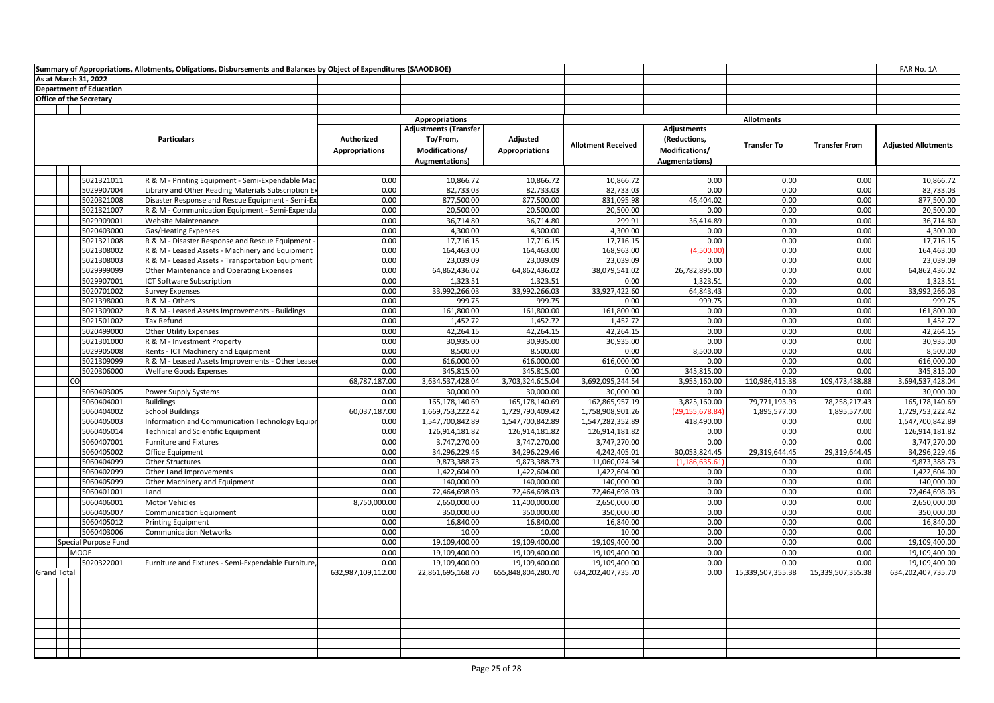|                                              | Summary of Appropriations, Allotments, Obligations, Disbursements and Balances by Object of Expenditures (SAAODBOE) |                                     |                                                                                     |                                    |                                    |                                                                         |                               |                               | FAR No. 1A                         |
|----------------------------------------------|---------------------------------------------------------------------------------------------------------------------|-------------------------------------|-------------------------------------------------------------------------------------|------------------------------------|------------------------------------|-------------------------------------------------------------------------|-------------------------------|-------------------------------|------------------------------------|
| As at March 31, 2022                         |                                                                                                                     |                                     |                                                                                     |                                    |                                    |                                                                         |                               |                               |                                    |
| <b>Department of Education</b>               |                                                                                                                     |                                     |                                                                                     |                                    |                                    |                                                                         |                               |                               |                                    |
| <b>Office of the Secretary</b>               |                                                                                                                     |                                     |                                                                                     |                                    |                                    |                                                                         |                               |                               |                                    |
|                                              |                                                                                                                     |                                     |                                                                                     |                                    |                                    |                                                                         |                               |                               |                                    |
|                                              |                                                                                                                     |                                     | <b>Appropriations</b>                                                               |                                    |                                    |                                                                         | <b>Allotments</b>             |                               |                                    |
| <b>Particulars</b>                           |                                                                                                                     | Authorized<br><b>Appropriations</b> | <b>Adjustments (Transfer</b><br>To/From,<br>Modifications/<br><b>Augmentations)</b> | Adjusted<br><b>Appropriations</b>  | <b>Allotment Received</b>          | Adjustments<br>(Reductions,<br>Modifications/<br><b>Augmentations</b> ) | <b>Transfer To</b>            | <b>Transfer From</b>          | <b>Adjusted Allotments</b>         |
|                                              |                                                                                                                     |                                     |                                                                                     |                                    |                                    |                                                                         |                               |                               |                                    |
| 5021321011                                   | R & M - Printing Equipment - Semi-Expendable Mac                                                                    | 0.00                                | 10,866.72                                                                           | 10,866.72                          | 10.866.72                          | 0.00                                                                    | 0.00                          | 0.00                          | 10,866.72                          |
| 5029907004                                   | Library and Other Reading Materials Subscription Ex                                                                 | 0.00                                | 82,733.03                                                                           | 82,733.03                          | 82,733.03                          | 0.00                                                                    | 0.00                          | 0.00                          | 82,733.03                          |
| 5020321008                                   | Disaster Response and Rescue Equipment - Semi-Ex                                                                    | 0.00                                | 877,500.00                                                                          | 877,500.00                         | 831,095.98                         | 46,404.02                                                               | 0.00                          | 0.00                          | 877,500.00                         |
| 5021321007                                   | R & M - Communication Equipment - Semi-Expenda                                                                      | 0.00                                | 20,500.00                                                                           | 20,500.00                          | 20,500.00                          | 0.00                                                                    | 0.00                          | 0.00                          | 20,500.00                          |
| 5029909001                                   | <b>Website Maintenance</b>                                                                                          | 0.00                                | 36,714.80                                                                           | 36,714.80                          | 299.91                             | 36,414.89                                                               | 0.00                          | 0.00                          | 36,714.80                          |
| 5020403000                                   | <b>Gas/Heating Expenses</b>                                                                                         | 0.00                                | 4,300.00                                                                            | 4,300.00                           | 4,300.00                           | 0.00                                                                    | 0.00                          | 0.00                          | 4,300.00                           |
| 5021321008                                   | R & M - Disaster Response and Rescue Equipment -                                                                    | 0.00                                | 17,716.15                                                                           | 17,716.15                          | 17,716.15                          | 0.00                                                                    | 0.00                          | 0.00                          | 17,716.15                          |
| 5021308002                                   | R & M - Leased Assets - Machinery and Equipment                                                                     | 0.00                                | 164,463.00                                                                          | 164,463.00                         | 168,963.00                         | (4.500.00)                                                              | 0.00                          | 0.00                          | 164,463.00                         |
| 5021308003                                   | R & M - Leased Assets - Transportation Equipment                                                                    | 0.00                                | 23,039.09                                                                           | 23,039.09                          | 23,039.09                          | 0.00                                                                    | 0.00                          | 0.00                          | 23,039.09                          |
| 5029999099                                   | Other Maintenance and Operating Expenses                                                                            | 0.00                                | 64,862,436.02                                                                       | 64,862,436.02                      | 38,079,541.02                      | 26,782,895.00                                                           | 0.00                          | 0.00                          | 64,862,436.02                      |
| 5029907001                                   | ICT Software Subscription                                                                                           | 0.00                                | 1,323.51                                                                            | 1,323.51                           | 0.00                               | 1,323.51                                                                | 0.00                          | 0.00                          | 1,323.51                           |
| 5020701002                                   | <b>Survey Expenses</b>                                                                                              | 0.00                                | 33,992,266.03                                                                       | 33,992,266.03                      | 33,927,422.60                      | 64,843.43                                                               | 0.00                          | 0.00                          | 33,992,266.03                      |
| 5021398000                                   | R & M - Others                                                                                                      | 0.00                                | 999.75                                                                              | 999.75                             | 0.00                               | 999.75                                                                  | 0.00                          | 0.00                          | 999.75                             |
| 5021309002                                   | R & M - Leased Assets Improvements - Buildings                                                                      | 0.00                                | 161,800.00                                                                          | 161,800.00                         | 161,800.00                         | 0.00                                                                    | 0.00                          | 0.00                          | 161,800.00                         |
| 5021501002<br><b>Tax Refund</b>              |                                                                                                                     | 0.00                                | 1,452.72                                                                            | 1,452.72                           | 1,452.72                           | 0.00                                                                    | 0.00                          | 0.00                          | 1,452.72                           |
| 5020499000                                   | <b>Other Utility Expenses</b>                                                                                       | 0.00                                | 42,264.15                                                                           | 42,264.15                          | 42,264.15                          | 0.00                                                                    | 0.00                          | 0.00                          | 42,264.15                          |
| 5021301000                                   | R & M - Investment Property                                                                                         | 0.00                                | 30,935.00                                                                           | 30,935.00                          | 30,935.00                          | 0.00                                                                    | 0.00                          | 0.00                          | 30,935.00                          |
| 5029905008                                   | Rents - ICT Machinery and Equipment                                                                                 | 0.00                                | 8,500.00                                                                            | 8,500.00                           | 0.00                               | 8,500.00                                                                | 0.00                          | 0.00                          | 8,500.00                           |
| 5021309099                                   | R & M - Leased Assets Improvements - Other Leased                                                                   | 0.00                                | 616,000.00                                                                          | 616,000.00                         | 616,000.00                         | 0.00                                                                    | 0.00                          | 0.00                          | 616,000.00                         |
| 5020306000                                   | <b>Welfare Goods Expenses</b>                                                                                       | 0.00                                | 345,815.00                                                                          | 345,815.00<br>3,703,324,615.04     | 0.00                               | 345,815.00                                                              | 0.00                          | 0.00                          | 345,815.00<br>3,694,537,428.04     |
| CO                                           |                                                                                                                     | 68,787,187.00                       | 3,634,537,428.04                                                                    |                                    | 3,692,095,244.54                   | 3,955,160.00<br>0.00                                                    | 110,986,415.38<br>0.00        | 109,473,438.88                |                                    |
| 5060403005                                   | Power Supply Systems                                                                                                | 0.00                                | 30,000.00                                                                           | 30,000.00                          | 30,000.00                          |                                                                         |                               | 0.00                          | 30,000.00                          |
| 5060404001<br><b>Buildings</b><br>5060404002 | <b>School Buildings</b>                                                                                             | 0.00<br>60,037,187.00               | 165,178,140.69<br>1,669,753,222.42                                                  | 165,178,140.69<br>1,729,790,409.42 | 162,865,957.19<br>1,758,908,901.26 | 3,825,160.00<br>(29,155,678.84                                          | 79,771,193.93<br>1,895,577.00 | 78,258,217.43<br>1,895,577.00 | 165,178,140.69<br>1,729,753,222.42 |
| 5060405003                                   |                                                                                                                     | 0.00                                | 1,547,700,842.89                                                                    | 1,547,700,842.89                   | 1,547,282,352.89                   |                                                                         | 0.00                          | 0.00                          | 1,547,700,842.89                   |
|                                              | Information and Communication Technology Equipr                                                                     | 0.00                                |                                                                                     |                                    | 126,914,181.82                     | 418,490.00                                                              | 0.00                          | 0.00                          | 126,914,181.82                     |
| 5060405014<br>5060407001                     | <b>Technical and Scientific Equipment</b>                                                                           | 0.00                                | 126,914,181.82<br>3,747,270.00                                                      | 126,914,181.82                     |                                    | 0.00<br>0.00                                                            | 0.00                          |                               | 3,747,270.00                       |
| 5060405002                                   | Furniture and Fixtures                                                                                              | 0.00                                | 34,296,229.46                                                                       | 3,747,270.00                       | 3,747,270.00<br>4,242,405.01       | 30,053,824.45                                                           | 29,319,644.45                 | 0.00<br>29,319,644.45         | 34,296,229.46                      |
| 5060404099                                   | Office Equipment<br>Other Structures                                                                                | 0.00                                | 9,873,388.73                                                                        | 34,296,229.46<br>9,873,388.73      | 11,060,024.34                      | (1, 186, 635.61)                                                        | 0.00                          | 0.00                          | 9,873,388.73                       |
| 5060402099                                   |                                                                                                                     | 0.00                                | 1,422,604.00                                                                        | 1,422,604.00                       | 1,422,604.00                       | 0.00                                                                    | 0.00                          | 0.00                          | 1,422,604.00                       |
| 5060405099                                   | Other Land Improvements                                                                                             | 0.00                                | 140,000.00                                                                          | 140,000.00                         | 140,000.00                         | 0.00                                                                    | 0.00                          | 0.00                          | 140,000.00                         |
| 5060401001<br>Land                           | Other Machinery and Equipment                                                                                       | 0.00                                | 72,464,698.03                                                                       | 72,464,698.03                      | 72,464,698.03                      | 0.00                                                                    | 0.00                          | 0.00                          | 72,464,698.03                      |
| 5060406001                                   | <b>Motor Vehicles</b>                                                                                               | 8,750,000.00                        | 2,650,000.00                                                                        | 11,400,000.00                      | 2,650,000.00                       | 0.00                                                                    | 0.00                          | 0.00                          | 2,650,000.00                       |
| 5060405007                                   | Communication Equipment                                                                                             | 0.00                                | 350,000.00                                                                          | 350,000.00                         | 350,000.00                         | 0.00                                                                    | 0.00                          | 0.00                          | 350,000.00                         |
| 5060405012                                   | <b>Printing Equipment</b>                                                                                           | 0.00                                | 16,840.00                                                                           | 16,840.00                          | 16,840.00                          | 0.00                                                                    | 0.00                          | 0.00                          | 16,840.00                          |
| 5060403006                                   | <b>Communication Networks</b>                                                                                       | 0.00                                | 10.00                                                                               | 10.00                              | 10.00                              | 0.00                                                                    | 0.00                          | 0.00                          | 10.00                              |
| Special Purpose Fund                         |                                                                                                                     | 0.00                                | 19,109,400.00                                                                       | 19,109,400.00                      | 19,109,400.00                      | 0.00                                                                    | 0.00                          | 0.00                          | 19,109,400.00                      |
| MOOE                                         |                                                                                                                     | 0.00                                | 19,109,400.00                                                                       | 19,109,400.00                      | 19,109,400.00                      | 0.00                                                                    | 0.00                          | 0.00                          | 19,109,400.00                      |
| 5020322001                                   | Furniture and Fixtures - Semi-Expendable Furniture,                                                                 | 0.00                                | 19,109,400.00                                                                       | 19,109,400.00                      | 19,109,400.00                      | 0.00                                                                    | 0.00                          | 0.00                          | 19,109,400.00                      |
| <b>Grand Total</b>                           |                                                                                                                     | 632,987,109,112.00                  | 22,861,695,168.70                                                                   | 655,848,804,280.70                 | 634,202,407,735.70                 | 0.00                                                                    | 15,339,507,355.38             | 15,339,507,355.38             | 634,202,407,735.70                 |
|                                              |                                                                                                                     |                                     |                                                                                     |                                    |                                    |                                                                         |                               |                               |                                    |
|                                              |                                                                                                                     |                                     |                                                                                     |                                    |                                    |                                                                         |                               |                               |                                    |
|                                              |                                                                                                                     |                                     |                                                                                     |                                    |                                    |                                                                         |                               |                               |                                    |
|                                              |                                                                                                                     |                                     |                                                                                     |                                    |                                    |                                                                         |                               |                               |                                    |
|                                              |                                                                                                                     |                                     |                                                                                     |                                    |                                    |                                                                         |                               |                               |                                    |
|                                              |                                                                                                                     |                                     |                                                                                     |                                    |                                    |                                                                         |                               |                               |                                    |
|                                              |                                                                                                                     |                                     |                                                                                     |                                    |                                    |                                                                         |                               |                               |                                    |
|                                              |                                                                                                                     |                                     |                                                                                     |                                    |                                    |                                                                         |                               |                               |                                    |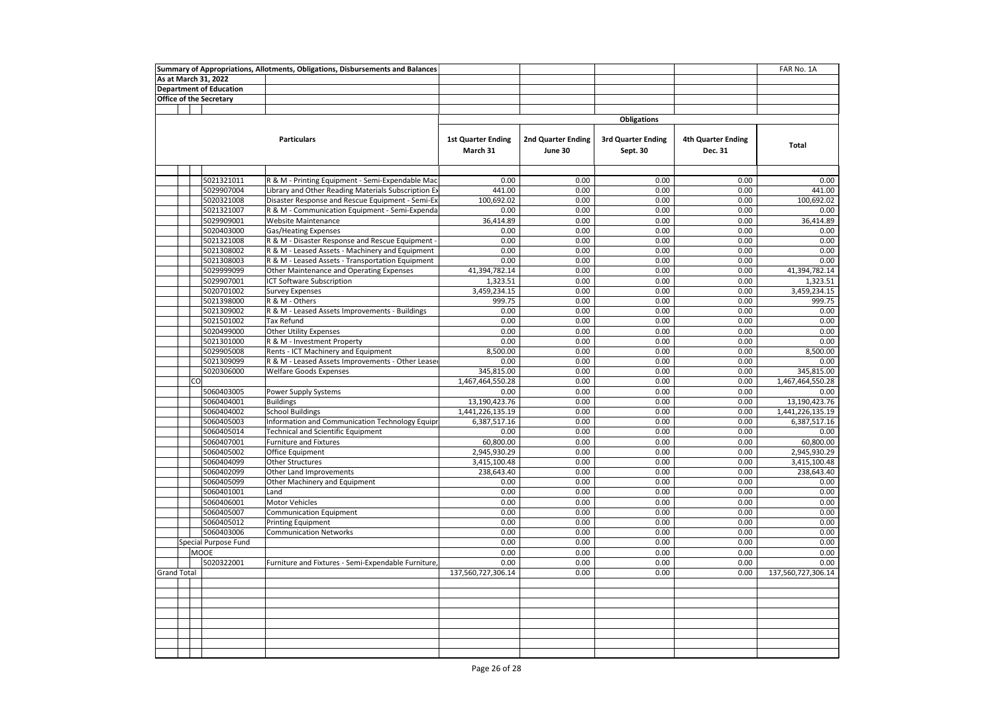| Summary of Appropriations, Allotments, Obligations, Disbursements and Balances |  |    |                          |                                                                                                     |                                       |                                      | FAR No. 1A                     |                                      |                    |
|--------------------------------------------------------------------------------|--|----|--------------------------|-----------------------------------------------------------------------------------------------------|---------------------------------------|--------------------------------------|--------------------------------|--------------------------------------|--------------------|
| As at March 31, 2022                                                           |  |    |                          |                                                                                                     |                                       |                                      |                                |                                      |                    |
| <b>Department of Education</b>                                                 |  |    |                          |                                                                                                     |                                       |                                      |                                |                                      |                    |
|                                                                                |  |    | Office of the Secretary  |                                                                                                     |                                       |                                      |                                |                                      |                    |
|                                                                                |  |    |                          |                                                                                                     |                                       |                                      |                                |                                      |                    |
|                                                                                |  |    |                          |                                                                                                     |                                       |                                      | <b>Obligations</b>             |                                      |                    |
|                                                                                |  |    |                          | <b>Particulars</b>                                                                                  | <b>1st Quarter Ending</b><br>March 31 | <b>2nd Quarter Ending</b><br>June 30 | 3rd Quarter Ending<br>Sept. 30 | <b>4th Quarter Ending</b><br>Dec. 31 | <b>Total</b>       |
|                                                                                |  |    |                          |                                                                                                     |                                       |                                      |                                |                                      |                    |
|                                                                                |  |    | 5021321011               | R & M - Printing Equipment - Semi-Expendable Mac                                                    | 0.00                                  | 0.00                                 | 0.00                           | 0.00                                 | 0.00               |
|                                                                                |  |    | 5029907004               | Library and Other Reading Materials Subscription Ex                                                 | 441.00                                | 0.00                                 | 0.00                           | 0.00                                 | 441.00             |
|                                                                                |  |    | 5020321008               | Disaster Response and Rescue Equipment - Semi-Ex                                                    | 100,692.02                            | 0.00                                 | 0.00                           | 0.00                                 | 100,692.02         |
|                                                                                |  |    | 5021321007               | R & M - Communication Equipment - Semi-Expenda                                                      | 0.00                                  | 0.00                                 | 0.00                           | 0.00                                 | 0.00               |
|                                                                                |  |    | 5029909001               | <b>Website Maintenance</b>                                                                          | 36,414.89                             | 0.00                                 | 0.00                           | 0.00                                 | 36,414.89          |
|                                                                                |  |    | 5020403000               | Gas/Heating Expenses                                                                                | 0.00                                  | 0.00                                 | 0.00                           | 0.00                                 | 0.00               |
|                                                                                |  |    | 5021321008               | R & M - Disaster Response and Rescue Equipment -                                                    | 0.00                                  | 0.00                                 | 0.00                           | 0.00                                 | 0.00<br>0.00       |
|                                                                                |  |    | 5021308002<br>5021308003 | R & M - Leased Assets - Machinery and Equipment<br>R & M - Leased Assets - Transportation Equipment | 0.00<br>0.00                          | 0.00<br>0.00                         | 0.00<br>0.00                   | 0.00<br>0.00                         | 0.00               |
|                                                                                |  |    | 5029999099               | Other Maintenance and Operating Expenses                                                            | 41,394,782.14                         | 0.00                                 | 0.00                           | 0.00                                 | 41,394,782.14      |
|                                                                                |  |    | 5029907001               | <b>ICT Software Subscription</b>                                                                    | 1,323.51                              | 0.00                                 | 0.00                           | 0.00                                 | 1,323.51           |
|                                                                                |  |    | 5020701002               | <b>Survey Expenses</b>                                                                              | 3,459,234.15                          | 0.00                                 | 0.00                           | 0.00                                 | 3,459,234.15       |
|                                                                                |  |    | 5021398000               | R & M - Others                                                                                      | 999.75                                | 0.00                                 | 0.00                           | 0.00                                 | 999.75             |
|                                                                                |  |    | 5021309002               | R & M - Leased Assets Improvements - Buildings                                                      | 0.00                                  | 0.00                                 | 0.00                           | 0.00                                 | 0.00               |
|                                                                                |  |    | 5021501002               | <b>Tax Refund</b>                                                                                   | 0.00                                  | 0.00                                 | 0.00                           | 0.00                                 | 0.00               |
|                                                                                |  |    | 5020499000               | Other Utility Expenses                                                                              | 0.00                                  | 0.00                                 | 0.00                           | 0.00                                 | 0.00               |
|                                                                                |  |    | 5021301000               | R & M - Investment Property                                                                         | 0.00                                  | 0.00                                 | 0.00                           | 0.00                                 | 0.00               |
|                                                                                |  |    | 5029905008               | Rents - ICT Machinery and Equipment                                                                 | 8,500.00                              | 0.00                                 | 0.00                           | 0.00                                 | 8,500.00           |
|                                                                                |  |    | 5021309099               | R & M - Leased Assets Improvements - Other Leaser                                                   | 0.00                                  | 0.00                                 | 0.00                           | 0.00                                 | 0.00               |
|                                                                                |  |    | 5020306000               | <b>Welfare Goods Expenses</b>                                                                       | 345,815.00                            | 0.00                                 | 0.00                           | 0.00                                 | 345,815.00         |
|                                                                                |  | CO |                          |                                                                                                     | 1,467,464,550.28                      | 0.00                                 | 0.00                           | 0.00                                 | 1,467,464,550.28   |
|                                                                                |  |    | 5060403005               | Power Supply Systems                                                                                | 0.00                                  | 0.00                                 | 0.00                           | 0.00                                 | 0.00               |
|                                                                                |  |    | 5060404001               | <b>Buildings</b>                                                                                    | 13,190,423.76                         | 0.00                                 | 0.00                           | 0.00                                 | 13,190,423.76      |
|                                                                                |  |    | 5060404002               | <b>School Buildings</b>                                                                             | 1,441,226,135.19                      | 0.00                                 | 0.00                           | 0.00                                 | 1,441,226,135.19   |
|                                                                                |  |    | 5060405003               | Information and Communication Technology Equipr                                                     | 6,387,517.16                          | 0.00                                 | 0.00                           | 0.00                                 | 6,387,517.16       |
|                                                                                |  |    | 5060405014               | <b>Technical and Scientific Equipment</b>                                                           | 0.00                                  | 0.00                                 | 0.00                           | 0.00                                 | 0.00               |
|                                                                                |  |    | 5060407001               | Furniture and Fixtures                                                                              | 60,800.00                             | 0.00                                 | 0.00                           | 0.00                                 | 60,800.00          |
|                                                                                |  |    | 5060405002               | Office Equipment                                                                                    | 2,945,930.29                          | 0.00                                 | 0.00                           | 0.00                                 | 2,945,930.29       |
|                                                                                |  |    | 5060404099               | Other Structures                                                                                    | 3,415,100.48                          | 0.00                                 | 0.00                           | 0.00                                 | 3,415,100.48       |
|                                                                                |  |    | 5060402099               | Other Land Improvements                                                                             | 238,643.40                            | 0.00                                 | 0.00                           | 0.00                                 | 238,643.40         |
|                                                                                |  |    | 5060405099               | Other Machinery and Equipment                                                                       | 0.00                                  | 0.00                                 | 0.00<br>0.00                   | 0.00                                 | 0.00<br>0.00       |
|                                                                                |  |    | 5060401001<br>5060406001 | Land<br>Motor Vehicles                                                                              | 0.00<br>0.00                          | 0.00<br>0.00                         | 0.00                           | 0.00<br>0.00                         | 0.00               |
|                                                                                |  |    | 5060405007               | Communication Equipment                                                                             | 0.00                                  | 0.00                                 | 0.00                           | 0.00                                 | 0.00               |
|                                                                                |  |    | 5060405012               | <b>Printing Equipment</b>                                                                           | 0.00                                  | 0.00                                 | 0.00                           | 0.00                                 | 0.00               |
|                                                                                |  |    | 5060403006               | <b>Communication Networks</b>                                                                       | 0.00                                  | 0.00                                 | 0.00                           | 0.00                                 | 0.00               |
|                                                                                |  |    | Special Purpose Fund     |                                                                                                     | 0.00                                  | 0.00                                 | 0.00                           | 0.00                                 | 0.00               |
|                                                                                |  |    | MOOE                     |                                                                                                     | 0.00                                  | 0.00                                 | 0.00                           | 0.00                                 | 0.00               |
|                                                                                |  |    | 5020322001               | Furniture and Fixtures - Semi-Expendable Furniture                                                  | 0.00                                  | 0.00                                 | 0.00                           | 0.00                                 | 0.00               |
| <b>Grand Total</b>                                                             |  |    |                          |                                                                                                     | 137,560,727,306.14                    | 0.00                                 | 0.00                           | 0.00                                 | 137,560,727,306.14 |
|                                                                                |  |    |                          |                                                                                                     |                                       |                                      |                                |                                      |                    |
|                                                                                |  |    |                          |                                                                                                     |                                       |                                      |                                |                                      |                    |
|                                                                                |  |    |                          |                                                                                                     |                                       |                                      |                                |                                      |                    |
|                                                                                |  |    |                          |                                                                                                     |                                       |                                      |                                |                                      |                    |
|                                                                                |  |    |                          |                                                                                                     |                                       |                                      |                                |                                      |                    |
|                                                                                |  |    |                          |                                                                                                     |                                       |                                      |                                |                                      |                    |
|                                                                                |  |    |                          |                                                                                                     |                                       |                                      |                                |                                      |                    |
|                                                                                |  |    |                          |                                                                                                     |                                       |                                      |                                |                                      |                    |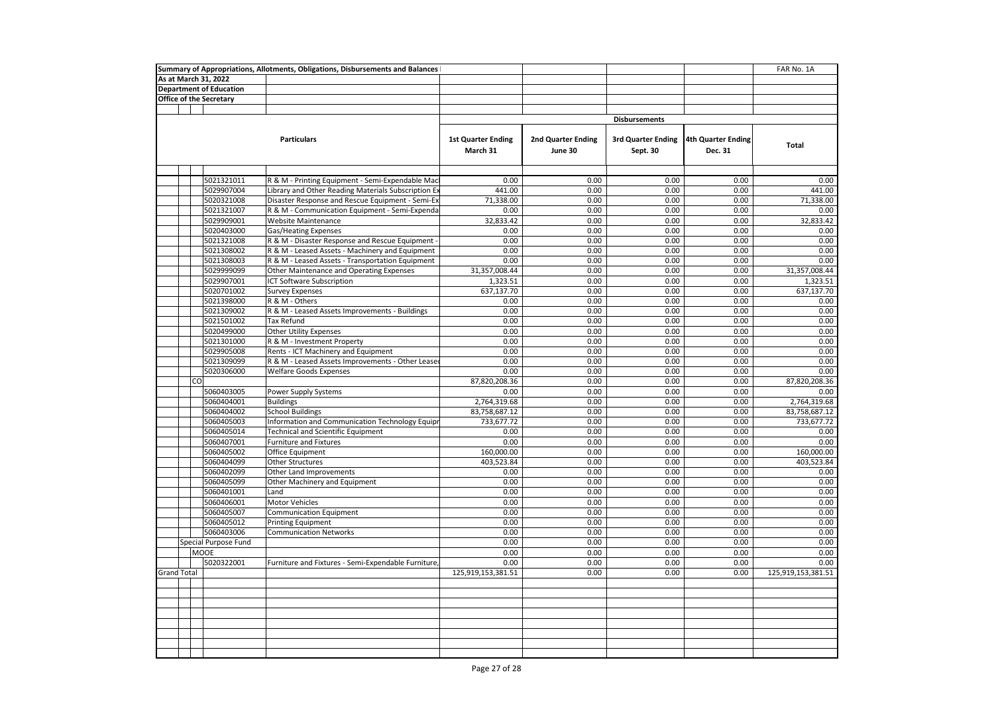| As at March 31, 2022<br><b>Department of Education</b><br><b>Office of the Secretary</b><br><b>Disbursements</b><br><b>Particulars</b><br><b>1st Quarter Ending</b><br>2nd Quarter Ending<br><b>3rd Quarter Ending</b><br>4th Quarter Ending<br>Total<br>March 31<br>June 30<br>Sept. 30<br>Dec. 31<br>5021321011<br>0.00<br>0.00<br>0.00<br>0.00<br>R & M - Printing Equipment - Semi-Expendable Mac<br>0.00<br>5029907004<br>Library and Other Reading Materials Subscription Ex<br>441.00<br>0.00<br>0.00<br>0.00<br>441.00<br>5020321008<br>0.00<br>0.00<br>0.00<br>Disaster Response and Rescue Equipment - Semi-Ex<br>71,338.00<br>71,338.00<br>5021321007<br>R & M - Communication Equipment - Semi-Expenda<br>0.00<br>0.00<br>0.00<br>0.00<br>0.00<br>5029909001<br><b>Website Maintenance</b><br>32,833.42<br>0.00<br>0.00<br>0.00<br>32,833.42<br>5020403000<br><b>Gas/Heating Expenses</b><br>0.00<br>0.00<br>0.00<br>0.00<br>0.00<br>5021321008<br>R & M - Disaster Response and Rescue Equipment -<br>0.00<br>0.00<br>0.00<br>0.00<br>0.00<br>R & M - Leased Assets - Machinery and Equipment<br>0.00<br>0.00<br>0.00<br>0.00<br>0.00<br>5021308002<br>5021308003<br>R & M - Leased Assets - Transportation Equipment<br>0.00<br>0.00<br>0.00<br>0.00<br>0.00<br>0.00<br>5029999099<br>Other Maintenance and Operating Expenses<br>31,357,008.44<br>0.00<br>0.00<br>31,357,008.44<br>5029907001<br>ICT Software Subscription<br>1,323.51<br>0.00<br>0.00<br>0.00<br>1,323.51<br>5020701002<br>637,137.70<br>0.00<br>0.00<br>0.00<br>637,137.70<br><b>Survey Expenses</b><br>5021398000<br>R & M - Others<br>0.00<br>0.00<br>0.00<br>0.00<br>0.00<br>5021309002<br>R & M - Leased Assets Improvements - Buildings<br>0.00<br>0.00<br>0.00<br>0.00<br>0.00<br><b>Tax Refund</b><br>0.00<br>5021501002<br>0.00<br>0.00<br>0.00<br>0.00<br>Other Utility Expenses<br>0.00<br>0.00<br>0.00<br>0.00<br>0.00<br>5020499000<br>5021301000<br>R & M - Investment Property<br>0.00<br>0.00<br>0.00<br>0.00<br>0.00<br>0.00<br>0.00<br>0.00<br>0.00<br>5029905008<br>Rents - ICT Machinery and Equipment<br>0.00<br>R & M - Leased Assets Improvements - Other Leased<br>0.00<br>5021309099<br>0.00<br>0.00<br>0.00<br>0.00<br>5020306000<br><b>Welfare Goods Expenses</b><br>0.00<br>0.00<br>0.00<br>0.00<br>0.00<br>87,820,208.36<br><b>CO</b><br>0.00<br>0.00<br>0.00<br>87,820,208.36<br>5060403005<br>Power Supply Systems<br>0.00<br>0.00<br>0.00<br>0.00<br>0.00<br>5060404001<br>2,764,319.68<br>0.00<br>0.00<br>0.00<br>2,764,319.68<br><b>Buildings</b><br>5060404002<br><b>School Buildings</b><br>83,758,687.12<br>0.00<br>0.00<br>0.00<br>83,758,687.12<br>5060405003<br>Information and Communication Technology Equipr<br>0.00<br>0.00<br>0.00<br>733,677.72<br>733,677.72<br>0.00<br>5060405014<br><b>Technical and Scientific Equipment</b><br>0.00<br>0.00<br>0.00<br>0.00<br>5060407001<br>Furniture and Fixtures<br>0.00<br>0.00<br>0.00<br>0.00<br>0.00<br>160,000.00<br>5060405002<br>Office Equipment<br>160,000.00<br>0.00<br>0.00<br>0.00<br>5060404099<br><b>Other Structures</b><br>403,523.84<br>0.00<br>0.00<br>0.00<br>403,523.84<br>5060402099<br>0.00<br>0.00<br>0.00<br>Other Land Improvements<br>0.00<br>0.00<br>5060405099<br>Other Machinery and Equipment<br>0.00<br>0.00<br>0.00<br>0.00<br>0.00<br>5060401001<br>0.00<br>0.00<br>0.00<br>0.00<br>0.00<br>Land<br>Motor Vehicles<br>0.00<br>5060406001<br>0.00<br>0.00<br>0.00<br>0.00<br>5060405007<br><b>Communication Equipment</b><br>0.00<br>0.00<br>0.00<br>0.00<br>0.00<br>0.00<br>0.00<br>0.00<br>0.00<br>0.00<br>5060405012<br><b>Printing Equipment</b><br>5060403006<br>0.00<br>0.00<br>0.00<br>0.00<br>0.00<br><b>Communication Networks</b><br>0.00<br>0.00<br>0.00<br>0.00<br>0.00<br>Special Purpose Fund<br><b>MOOE</b><br>0.00<br>0.00<br>0.00<br>0.00<br>0.00<br>5020322001<br>0.00<br>0.00<br>0.00<br>Furniture and Fixtures - Semi-Expendable Furniture,<br>0.00<br>0.00<br><b>Grand Total</b><br>125,919,153,381.51<br>0.00<br>0.00<br>125,919,153,381.51<br>0.00 | Summary of Appropriations, Allotments, Obligations, Disbursements and Balances<br>FAR No. 1A |  |  |  |  |  |  |  |  |
|---------------------------------------------------------------------------------------------------------------------------------------------------------------------------------------------------------------------------------------------------------------------------------------------------------------------------------------------------------------------------------------------------------------------------------------------------------------------------------------------------------------------------------------------------------------------------------------------------------------------------------------------------------------------------------------------------------------------------------------------------------------------------------------------------------------------------------------------------------------------------------------------------------------------------------------------------------------------------------------------------------------------------------------------------------------------------------------------------------------------------------------------------------------------------------------------------------------------------------------------------------------------------------------------------------------------------------------------------------------------------------------------------------------------------------------------------------------------------------------------------------------------------------------------------------------------------------------------------------------------------------------------------------------------------------------------------------------------------------------------------------------------------------------------------------------------------------------------------------------------------------------------------------------------------------------------------------------------------------------------------------------------------------------------------------------------------------------------------------------------------------------------------------------------------------------------------------------------------------------------------------------------------------------------------------------------------------------------------------------------------------------------------------------------------------------------------------------------------------------------------------------------------------------------------------------------------------------------------------------------------------------------------------------------------------------------------------------------------------------------------------------------------------------------------------------------------------------------------------------------------------------------------------------------------------------------------------------------------------------------------------------------------------------------------------------------------------------------------------------------------------------------------------------------------------------------------------------------------------------------------------------------------------------------------------------------------------------------------------------------------------------------------------------------------------------------------------------------------------------------------------------------------------------------------------------------------------------------------------------------------------------------------------------------------------------------------------------------------------------------------------------------------------------------------------------------------------------------------------------------------------------------------------------------------------------------------------------------------------------------------------------------------------------------------------------------------------|----------------------------------------------------------------------------------------------|--|--|--|--|--|--|--|--|
|                                                                                                                                                                                                                                                                                                                                                                                                                                                                                                                                                                                                                                                                                                                                                                                                                                                                                                                                                                                                                                                                                                                                                                                                                                                                                                                                                                                                                                                                                                                                                                                                                                                                                                                                                                                                                                                                                                                                                                                                                                                                                                                                                                                                                                                                                                                                                                                                                                                                                                                                                                                                                                                                                                                                                                                                                                                                                                                                                                                                                                                                                                                                                                                                                                                                                                                                                                                                                                                                                                                                                                                                                                                                                                                                                                                                                                                                                                                                                                                                                                                                                 |                                                                                              |  |  |  |  |  |  |  |  |
|                                                                                                                                                                                                                                                                                                                                                                                                                                                                                                                                                                                                                                                                                                                                                                                                                                                                                                                                                                                                                                                                                                                                                                                                                                                                                                                                                                                                                                                                                                                                                                                                                                                                                                                                                                                                                                                                                                                                                                                                                                                                                                                                                                                                                                                                                                                                                                                                                                                                                                                                                                                                                                                                                                                                                                                                                                                                                                                                                                                                                                                                                                                                                                                                                                                                                                                                                                                                                                                                                                                                                                                                                                                                                                                                                                                                                                                                                                                                                                                                                                                                                 |                                                                                              |  |  |  |  |  |  |  |  |
|                                                                                                                                                                                                                                                                                                                                                                                                                                                                                                                                                                                                                                                                                                                                                                                                                                                                                                                                                                                                                                                                                                                                                                                                                                                                                                                                                                                                                                                                                                                                                                                                                                                                                                                                                                                                                                                                                                                                                                                                                                                                                                                                                                                                                                                                                                                                                                                                                                                                                                                                                                                                                                                                                                                                                                                                                                                                                                                                                                                                                                                                                                                                                                                                                                                                                                                                                                                                                                                                                                                                                                                                                                                                                                                                                                                                                                                                                                                                                                                                                                                                                 |                                                                                              |  |  |  |  |  |  |  |  |
|                                                                                                                                                                                                                                                                                                                                                                                                                                                                                                                                                                                                                                                                                                                                                                                                                                                                                                                                                                                                                                                                                                                                                                                                                                                                                                                                                                                                                                                                                                                                                                                                                                                                                                                                                                                                                                                                                                                                                                                                                                                                                                                                                                                                                                                                                                                                                                                                                                                                                                                                                                                                                                                                                                                                                                                                                                                                                                                                                                                                                                                                                                                                                                                                                                                                                                                                                                                                                                                                                                                                                                                                                                                                                                                                                                                                                                                                                                                                                                                                                                                                                 |                                                                                              |  |  |  |  |  |  |  |  |
|                                                                                                                                                                                                                                                                                                                                                                                                                                                                                                                                                                                                                                                                                                                                                                                                                                                                                                                                                                                                                                                                                                                                                                                                                                                                                                                                                                                                                                                                                                                                                                                                                                                                                                                                                                                                                                                                                                                                                                                                                                                                                                                                                                                                                                                                                                                                                                                                                                                                                                                                                                                                                                                                                                                                                                                                                                                                                                                                                                                                                                                                                                                                                                                                                                                                                                                                                                                                                                                                                                                                                                                                                                                                                                                                                                                                                                                                                                                                                                                                                                                                                 |                                                                                              |  |  |  |  |  |  |  |  |
|                                                                                                                                                                                                                                                                                                                                                                                                                                                                                                                                                                                                                                                                                                                                                                                                                                                                                                                                                                                                                                                                                                                                                                                                                                                                                                                                                                                                                                                                                                                                                                                                                                                                                                                                                                                                                                                                                                                                                                                                                                                                                                                                                                                                                                                                                                                                                                                                                                                                                                                                                                                                                                                                                                                                                                                                                                                                                                                                                                                                                                                                                                                                                                                                                                                                                                                                                                                                                                                                                                                                                                                                                                                                                                                                                                                                                                                                                                                                                                                                                                                                                 |                                                                                              |  |  |  |  |  |  |  |  |
|                                                                                                                                                                                                                                                                                                                                                                                                                                                                                                                                                                                                                                                                                                                                                                                                                                                                                                                                                                                                                                                                                                                                                                                                                                                                                                                                                                                                                                                                                                                                                                                                                                                                                                                                                                                                                                                                                                                                                                                                                                                                                                                                                                                                                                                                                                                                                                                                                                                                                                                                                                                                                                                                                                                                                                                                                                                                                                                                                                                                                                                                                                                                                                                                                                                                                                                                                                                                                                                                                                                                                                                                                                                                                                                                                                                                                                                                                                                                                                                                                                                                                 |                                                                                              |  |  |  |  |  |  |  |  |
|                                                                                                                                                                                                                                                                                                                                                                                                                                                                                                                                                                                                                                                                                                                                                                                                                                                                                                                                                                                                                                                                                                                                                                                                                                                                                                                                                                                                                                                                                                                                                                                                                                                                                                                                                                                                                                                                                                                                                                                                                                                                                                                                                                                                                                                                                                                                                                                                                                                                                                                                                                                                                                                                                                                                                                                                                                                                                                                                                                                                                                                                                                                                                                                                                                                                                                                                                                                                                                                                                                                                                                                                                                                                                                                                                                                                                                                                                                                                                                                                                                                                                 |                                                                                              |  |  |  |  |  |  |  |  |
|                                                                                                                                                                                                                                                                                                                                                                                                                                                                                                                                                                                                                                                                                                                                                                                                                                                                                                                                                                                                                                                                                                                                                                                                                                                                                                                                                                                                                                                                                                                                                                                                                                                                                                                                                                                                                                                                                                                                                                                                                                                                                                                                                                                                                                                                                                                                                                                                                                                                                                                                                                                                                                                                                                                                                                                                                                                                                                                                                                                                                                                                                                                                                                                                                                                                                                                                                                                                                                                                                                                                                                                                                                                                                                                                                                                                                                                                                                                                                                                                                                                                                 |                                                                                              |  |  |  |  |  |  |  |  |
|                                                                                                                                                                                                                                                                                                                                                                                                                                                                                                                                                                                                                                                                                                                                                                                                                                                                                                                                                                                                                                                                                                                                                                                                                                                                                                                                                                                                                                                                                                                                                                                                                                                                                                                                                                                                                                                                                                                                                                                                                                                                                                                                                                                                                                                                                                                                                                                                                                                                                                                                                                                                                                                                                                                                                                                                                                                                                                                                                                                                                                                                                                                                                                                                                                                                                                                                                                                                                                                                                                                                                                                                                                                                                                                                                                                                                                                                                                                                                                                                                                                                                 |                                                                                              |  |  |  |  |  |  |  |  |
|                                                                                                                                                                                                                                                                                                                                                                                                                                                                                                                                                                                                                                                                                                                                                                                                                                                                                                                                                                                                                                                                                                                                                                                                                                                                                                                                                                                                                                                                                                                                                                                                                                                                                                                                                                                                                                                                                                                                                                                                                                                                                                                                                                                                                                                                                                                                                                                                                                                                                                                                                                                                                                                                                                                                                                                                                                                                                                                                                                                                                                                                                                                                                                                                                                                                                                                                                                                                                                                                                                                                                                                                                                                                                                                                                                                                                                                                                                                                                                                                                                                                                 |                                                                                              |  |  |  |  |  |  |  |  |
|                                                                                                                                                                                                                                                                                                                                                                                                                                                                                                                                                                                                                                                                                                                                                                                                                                                                                                                                                                                                                                                                                                                                                                                                                                                                                                                                                                                                                                                                                                                                                                                                                                                                                                                                                                                                                                                                                                                                                                                                                                                                                                                                                                                                                                                                                                                                                                                                                                                                                                                                                                                                                                                                                                                                                                                                                                                                                                                                                                                                                                                                                                                                                                                                                                                                                                                                                                                                                                                                                                                                                                                                                                                                                                                                                                                                                                                                                                                                                                                                                                                                                 |                                                                                              |  |  |  |  |  |  |  |  |
|                                                                                                                                                                                                                                                                                                                                                                                                                                                                                                                                                                                                                                                                                                                                                                                                                                                                                                                                                                                                                                                                                                                                                                                                                                                                                                                                                                                                                                                                                                                                                                                                                                                                                                                                                                                                                                                                                                                                                                                                                                                                                                                                                                                                                                                                                                                                                                                                                                                                                                                                                                                                                                                                                                                                                                                                                                                                                                                                                                                                                                                                                                                                                                                                                                                                                                                                                                                                                                                                                                                                                                                                                                                                                                                                                                                                                                                                                                                                                                                                                                                                                 |                                                                                              |  |  |  |  |  |  |  |  |
|                                                                                                                                                                                                                                                                                                                                                                                                                                                                                                                                                                                                                                                                                                                                                                                                                                                                                                                                                                                                                                                                                                                                                                                                                                                                                                                                                                                                                                                                                                                                                                                                                                                                                                                                                                                                                                                                                                                                                                                                                                                                                                                                                                                                                                                                                                                                                                                                                                                                                                                                                                                                                                                                                                                                                                                                                                                                                                                                                                                                                                                                                                                                                                                                                                                                                                                                                                                                                                                                                                                                                                                                                                                                                                                                                                                                                                                                                                                                                                                                                                                                                 |                                                                                              |  |  |  |  |  |  |  |  |
|                                                                                                                                                                                                                                                                                                                                                                                                                                                                                                                                                                                                                                                                                                                                                                                                                                                                                                                                                                                                                                                                                                                                                                                                                                                                                                                                                                                                                                                                                                                                                                                                                                                                                                                                                                                                                                                                                                                                                                                                                                                                                                                                                                                                                                                                                                                                                                                                                                                                                                                                                                                                                                                                                                                                                                                                                                                                                                                                                                                                                                                                                                                                                                                                                                                                                                                                                                                                                                                                                                                                                                                                                                                                                                                                                                                                                                                                                                                                                                                                                                                                                 |                                                                                              |  |  |  |  |  |  |  |  |
|                                                                                                                                                                                                                                                                                                                                                                                                                                                                                                                                                                                                                                                                                                                                                                                                                                                                                                                                                                                                                                                                                                                                                                                                                                                                                                                                                                                                                                                                                                                                                                                                                                                                                                                                                                                                                                                                                                                                                                                                                                                                                                                                                                                                                                                                                                                                                                                                                                                                                                                                                                                                                                                                                                                                                                                                                                                                                                                                                                                                                                                                                                                                                                                                                                                                                                                                                                                                                                                                                                                                                                                                                                                                                                                                                                                                                                                                                                                                                                                                                                                                                 |                                                                                              |  |  |  |  |  |  |  |  |
|                                                                                                                                                                                                                                                                                                                                                                                                                                                                                                                                                                                                                                                                                                                                                                                                                                                                                                                                                                                                                                                                                                                                                                                                                                                                                                                                                                                                                                                                                                                                                                                                                                                                                                                                                                                                                                                                                                                                                                                                                                                                                                                                                                                                                                                                                                                                                                                                                                                                                                                                                                                                                                                                                                                                                                                                                                                                                                                                                                                                                                                                                                                                                                                                                                                                                                                                                                                                                                                                                                                                                                                                                                                                                                                                                                                                                                                                                                                                                                                                                                                                                 |                                                                                              |  |  |  |  |  |  |  |  |
|                                                                                                                                                                                                                                                                                                                                                                                                                                                                                                                                                                                                                                                                                                                                                                                                                                                                                                                                                                                                                                                                                                                                                                                                                                                                                                                                                                                                                                                                                                                                                                                                                                                                                                                                                                                                                                                                                                                                                                                                                                                                                                                                                                                                                                                                                                                                                                                                                                                                                                                                                                                                                                                                                                                                                                                                                                                                                                                                                                                                                                                                                                                                                                                                                                                                                                                                                                                                                                                                                                                                                                                                                                                                                                                                                                                                                                                                                                                                                                                                                                                                                 |                                                                                              |  |  |  |  |  |  |  |  |
|                                                                                                                                                                                                                                                                                                                                                                                                                                                                                                                                                                                                                                                                                                                                                                                                                                                                                                                                                                                                                                                                                                                                                                                                                                                                                                                                                                                                                                                                                                                                                                                                                                                                                                                                                                                                                                                                                                                                                                                                                                                                                                                                                                                                                                                                                                                                                                                                                                                                                                                                                                                                                                                                                                                                                                                                                                                                                                                                                                                                                                                                                                                                                                                                                                                                                                                                                                                                                                                                                                                                                                                                                                                                                                                                                                                                                                                                                                                                                                                                                                                                                 |                                                                                              |  |  |  |  |  |  |  |  |
|                                                                                                                                                                                                                                                                                                                                                                                                                                                                                                                                                                                                                                                                                                                                                                                                                                                                                                                                                                                                                                                                                                                                                                                                                                                                                                                                                                                                                                                                                                                                                                                                                                                                                                                                                                                                                                                                                                                                                                                                                                                                                                                                                                                                                                                                                                                                                                                                                                                                                                                                                                                                                                                                                                                                                                                                                                                                                                                                                                                                                                                                                                                                                                                                                                                                                                                                                                                                                                                                                                                                                                                                                                                                                                                                                                                                                                                                                                                                                                                                                                                                                 |                                                                                              |  |  |  |  |  |  |  |  |
|                                                                                                                                                                                                                                                                                                                                                                                                                                                                                                                                                                                                                                                                                                                                                                                                                                                                                                                                                                                                                                                                                                                                                                                                                                                                                                                                                                                                                                                                                                                                                                                                                                                                                                                                                                                                                                                                                                                                                                                                                                                                                                                                                                                                                                                                                                                                                                                                                                                                                                                                                                                                                                                                                                                                                                                                                                                                                                                                                                                                                                                                                                                                                                                                                                                                                                                                                                                                                                                                                                                                                                                                                                                                                                                                                                                                                                                                                                                                                                                                                                                                                 |                                                                                              |  |  |  |  |  |  |  |  |
|                                                                                                                                                                                                                                                                                                                                                                                                                                                                                                                                                                                                                                                                                                                                                                                                                                                                                                                                                                                                                                                                                                                                                                                                                                                                                                                                                                                                                                                                                                                                                                                                                                                                                                                                                                                                                                                                                                                                                                                                                                                                                                                                                                                                                                                                                                                                                                                                                                                                                                                                                                                                                                                                                                                                                                                                                                                                                                                                                                                                                                                                                                                                                                                                                                                                                                                                                                                                                                                                                                                                                                                                                                                                                                                                                                                                                                                                                                                                                                                                                                                                                 |                                                                                              |  |  |  |  |  |  |  |  |
|                                                                                                                                                                                                                                                                                                                                                                                                                                                                                                                                                                                                                                                                                                                                                                                                                                                                                                                                                                                                                                                                                                                                                                                                                                                                                                                                                                                                                                                                                                                                                                                                                                                                                                                                                                                                                                                                                                                                                                                                                                                                                                                                                                                                                                                                                                                                                                                                                                                                                                                                                                                                                                                                                                                                                                                                                                                                                                                                                                                                                                                                                                                                                                                                                                                                                                                                                                                                                                                                                                                                                                                                                                                                                                                                                                                                                                                                                                                                                                                                                                                                                 |                                                                                              |  |  |  |  |  |  |  |  |
|                                                                                                                                                                                                                                                                                                                                                                                                                                                                                                                                                                                                                                                                                                                                                                                                                                                                                                                                                                                                                                                                                                                                                                                                                                                                                                                                                                                                                                                                                                                                                                                                                                                                                                                                                                                                                                                                                                                                                                                                                                                                                                                                                                                                                                                                                                                                                                                                                                                                                                                                                                                                                                                                                                                                                                                                                                                                                                                                                                                                                                                                                                                                                                                                                                                                                                                                                                                                                                                                                                                                                                                                                                                                                                                                                                                                                                                                                                                                                                                                                                                                                 |                                                                                              |  |  |  |  |  |  |  |  |
|                                                                                                                                                                                                                                                                                                                                                                                                                                                                                                                                                                                                                                                                                                                                                                                                                                                                                                                                                                                                                                                                                                                                                                                                                                                                                                                                                                                                                                                                                                                                                                                                                                                                                                                                                                                                                                                                                                                                                                                                                                                                                                                                                                                                                                                                                                                                                                                                                                                                                                                                                                                                                                                                                                                                                                                                                                                                                                                                                                                                                                                                                                                                                                                                                                                                                                                                                                                                                                                                                                                                                                                                                                                                                                                                                                                                                                                                                                                                                                                                                                                                                 |                                                                                              |  |  |  |  |  |  |  |  |
|                                                                                                                                                                                                                                                                                                                                                                                                                                                                                                                                                                                                                                                                                                                                                                                                                                                                                                                                                                                                                                                                                                                                                                                                                                                                                                                                                                                                                                                                                                                                                                                                                                                                                                                                                                                                                                                                                                                                                                                                                                                                                                                                                                                                                                                                                                                                                                                                                                                                                                                                                                                                                                                                                                                                                                                                                                                                                                                                                                                                                                                                                                                                                                                                                                                                                                                                                                                                                                                                                                                                                                                                                                                                                                                                                                                                                                                                                                                                                                                                                                                                                 |                                                                                              |  |  |  |  |  |  |  |  |
|                                                                                                                                                                                                                                                                                                                                                                                                                                                                                                                                                                                                                                                                                                                                                                                                                                                                                                                                                                                                                                                                                                                                                                                                                                                                                                                                                                                                                                                                                                                                                                                                                                                                                                                                                                                                                                                                                                                                                                                                                                                                                                                                                                                                                                                                                                                                                                                                                                                                                                                                                                                                                                                                                                                                                                                                                                                                                                                                                                                                                                                                                                                                                                                                                                                                                                                                                                                                                                                                                                                                                                                                                                                                                                                                                                                                                                                                                                                                                                                                                                                                                 |                                                                                              |  |  |  |  |  |  |  |  |
|                                                                                                                                                                                                                                                                                                                                                                                                                                                                                                                                                                                                                                                                                                                                                                                                                                                                                                                                                                                                                                                                                                                                                                                                                                                                                                                                                                                                                                                                                                                                                                                                                                                                                                                                                                                                                                                                                                                                                                                                                                                                                                                                                                                                                                                                                                                                                                                                                                                                                                                                                                                                                                                                                                                                                                                                                                                                                                                                                                                                                                                                                                                                                                                                                                                                                                                                                                                                                                                                                                                                                                                                                                                                                                                                                                                                                                                                                                                                                                                                                                                                                 |                                                                                              |  |  |  |  |  |  |  |  |
|                                                                                                                                                                                                                                                                                                                                                                                                                                                                                                                                                                                                                                                                                                                                                                                                                                                                                                                                                                                                                                                                                                                                                                                                                                                                                                                                                                                                                                                                                                                                                                                                                                                                                                                                                                                                                                                                                                                                                                                                                                                                                                                                                                                                                                                                                                                                                                                                                                                                                                                                                                                                                                                                                                                                                                                                                                                                                                                                                                                                                                                                                                                                                                                                                                                                                                                                                                                                                                                                                                                                                                                                                                                                                                                                                                                                                                                                                                                                                                                                                                                                                 |                                                                                              |  |  |  |  |  |  |  |  |
|                                                                                                                                                                                                                                                                                                                                                                                                                                                                                                                                                                                                                                                                                                                                                                                                                                                                                                                                                                                                                                                                                                                                                                                                                                                                                                                                                                                                                                                                                                                                                                                                                                                                                                                                                                                                                                                                                                                                                                                                                                                                                                                                                                                                                                                                                                                                                                                                                                                                                                                                                                                                                                                                                                                                                                                                                                                                                                                                                                                                                                                                                                                                                                                                                                                                                                                                                                                                                                                                                                                                                                                                                                                                                                                                                                                                                                                                                                                                                                                                                                                                                 |                                                                                              |  |  |  |  |  |  |  |  |
|                                                                                                                                                                                                                                                                                                                                                                                                                                                                                                                                                                                                                                                                                                                                                                                                                                                                                                                                                                                                                                                                                                                                                                                                                                                                                                                                                                                                                                                                                                                                                                                                                                                                                                                                                                                                                                                                                                                                                                                                                                                                                                                                                                                                                                                                                                                                                                                                                                                                                                                                                                                                                                                                                                                                                                                                                                                                                                                                                                                                                                                                                                                                                                                                                                                                                                                                                                                                                                                                                                                                                                                                                                                                                                                                                                                                                                                                                                                                                                                                                                                                                 |                                                                                              |  |  |  |  |  |  |  |  |
|                                                                                                                                                                                                                                                                                                                                                                                                                                                                                                                                                                                                                                                                                                                                                                                                                                                                                                                                                                                                                                                                                                                                                                                                                                                                                                                                                                                                                                                                                                                                                                                                                                                                                                                                                                                                                                                                                                                                                                                                                                                                                                                                                                                                                                                                                                                                                                                                                                                                                                                                                                                                                                                                                                                                                                                                                                                                                                                                                                                                                                                                                                                                                                                                                                                                                                                                                                                                                                                                                                                                                                                                                                                                                                                                                                                                                                                                                                                                                                                                                                                                                 |                                                                                              |  |  |  |  |  |  |  |  |
|                                                                                                                                                                                                                                                                                                                                                                                                                                                                                                                                                                                                                                                                                                                                                                                                                                                                                                                                                                                                                                                                                                                                                                                                                                                                                                                                                                                                                                                                                                                                                                                                                                                                                                                                                                                                                                                                                                                                                                                                                                                                                                                                                                                                                                                                                                                                                                                                                                                                                                                                                                                                                                                                                                                                                                                                                                                                                                                                                                                                                                                                                                                                                                                                                                                                                                                                                                                                                                                                                                                                                                                                                                                                                                                                                                                                                                                                                                                                                                                                                                                                                 |                                                                                              |  |  |  |  |  |  |  |  |
|                                                                                                                                                                                                                                                                                                                                                                                                                                                                                                                                                                                                                                                                                                                                                                                                                                                                                                                                                                                                                                                                                                                                                                                                                                                                                                                                                                                                                                                                                                                                                                                                                                                                                                                                                                                                                                                                                                                                                                                                                                                                                                                                                                                                                                                                                                                                                                                                                                                                                                                                                                                                                                                                                                                                                                                                                                                                                                                                                                                                                                                                                                                                                                                                                                                                                                                                                                                                                                                                                                                                                                                                                                                                                                                                                                                                                                                                                                                                                                                                                                                                                 |                                                                                              |  |  |  |  |  |  |  |  |
|                                                                                                                                                                                                                                                                                                                                                                                                                                                                                                                                                                                                                                                                                                                                                                                                                                                                                                                                                                                                                                                                                                                                                                                                                                                                                                                                                                                                                                                                                                                                                                                                                                                                                                                                                                                                                                                                                                                                                                                                                                                                                                                                                                                                                                                                                                                                                                                                                                                                                                                                                                                                                                                                                                                                                                                                                                                                                                                                                                                                                                                                                                                                                                                                                                                                                                                                                                                                                                                                                                                                                                                                                                                                                                                                                                                                                                                                                                                                                                                                                                                                                 |                                                                                              |  |  |  |  |  |  |  |  |
|                                                                                                                                                                                                                                                                                                                                                                                                                                                                                                                                                                                                                                                                                                                                                                                                                                                                                                                                                                                                                                                                                                                                                                                                                                                                                                                                                                                                                                                                                                                                                                                                                                                                                                                                                                                                                                                                                                                                                                                                                                                                                                                                                                                                                                                                                                                                                                                                                                                                                                                                                                                                                                                                                                                                                                                                                                                                                                                                                                                                                                                                                                                                                                                                                                                                                                                                                                                                                                                                                                                                                                                                                                                                                                                                                                                                                                                                                                                                                                                                                                                                                 |                                                                                              |  |  |  |  |  |  |  |  |
|                                                                                                                                                                                                                                                                                                                                                                                                                                                                                                                                                                                                                                                                                                                                                                                                                                                                                                                                                                                                                                                                                                                                                                                                                                                                                                                                                                                                                                                                                                                                                                                                                                                                                                                                                                                                                                                                                                                                                                                                                                                                                                                                                                                                                                                                                                                                                                                                                                                                                                                                                                                                                                                                                                                                                                                                                                                                                                                                                                                                                                                                                                                                                                                                                                                                                                                                                                                                                                                                                                                                                                                                                                                                                                                                                                                                                                                                                                                                                                                                                                                                                 |                                                                                              |  |  |  |  |  |  |  |  |
|                                                                                                                                                                                                                                                                                                                                                                                                                                                                                                                                                                                                                                                                                                                                                                                                                                                                                                                                                                                                                                                                                                                                                                                                                                                                                                                                                                                                                                                                                                                                                                                                                                                                                                                                                                                                                                                                                                                                                                                                                                                                                                                                                                                                                                                                                                                                                                                                                                                                                                                                                                                                                                                                                                                                                                                                                                                                                                                                                                                                                                                                                                                                                                                                                                                                                                                                                                                                                                                                                                                                                                                                                                                                                                                                                                                                                                                                                                                                                                                                                                                                                 |                                                                                              |  |  |  |  |  |  |  |  |
|                                                                                                                                                                                                                                                                                                                                                                                                                                                                                                                                                                                                                                                                                                                                                                                                                                                                                                                                                                                                                                                                                                                                                                                                                                                                                                                                                                                                                                                                                                                                                                                                                                                                                                                                                                                                                                                                                                                                                                                                                                                                                                                                                                                                                                                                                                                                                                                                                                                                                                                                                                                                                                                                                                                                                                                                                                                                                                                                                                                                                                                                                                                                                                                                                                                                                                                                                                                                                                                                                                                                                                                                                                                                                                                                                                                                                                                                                                                                                                                                                                                                                 |                                                                                              |  |  |  |  |  |  |  |  |
|                                                                                                                                                                                                                                                                                                                                                                                                                                                                                                                                                                                                                                                                                                                                                                                                                                                                                                                                                                                                                                                                                                                                                                                                                                                                                                                                                                                                                                                                                                                                                                                                                                                                                                                                                                                                                                                                                                                                                                                                                                                                                                                                                                                                                                                                                                                                                                                                                                                                                                                                                                                                                                                                                                                                                                                                                                                                                                                                                                                                                                                                                                                                                                                                                                                                                                                                                                                                                                                                                                                                                                                                                                                                                                                                                                                                                                                                                                                                                                                                                                                                                 |                                                                                              |  |  |  |  |  |  |  |  |
|                                                                                                                                                                                                                                                                                                                                                                                                                                                                                                                                                                                                                                                                                                                                                                                                                                                                                                                                                                                                                                                                                                                                                                                                                                                                                                                                                                                                                                                                                                                                                                                                                                                                                                                                                                                                                                                                                                                                                                                                                                                                                                                                                                                                                                                                                                                                                                                                                                                                                                                                                                                                                                                                                                                                                                                                                                                                                                                                                                                                                                                                                                                                                                                                                                                                                                                                                                                                                                                                                                                                                                                                                                                                                                                                                                                                                                                                                                                                                                                                                                                                                 |                                                                                              |  |  |  |  |  |  |  |  |
|                                                                                                                                                                                                                                                                                                                                                                                                                                                                                                                                                                                                                                                                                                                                                                                                                                                                                                                                                                                                                                                                                                                                                                                                                                                                                                                                                                                                                                                                                                                                                                                                                                                                                                                                                                                                                                                                                                                                                                                                                                                                                                                                                                                                                                                                                                                                                                                                                                                                                                                                                                                                                                                                                                                                                                                                                                                                                                                                                                                                                                                                                                                                                                                                                                                                                                                                                                                                                                                                                                                                                                                                                                                                                                                                                                                                                                                                                                                                                                                                                                                                                 |                                                                                              |  |  |  |  |  |  |  |  |
|                                                                                                                                                                                                                                                                                                                                                                                                                                                                                                                                                                                                                                                                                                                                                                                                                                                                                                                                                                                                                                                                                                                                                                                                                                                                                                                                                                                                                                                                                                                                                                                                                                                                                                                                                                                                                                                                                                                                                                                                                                                                                                                                                                                                                                                                                                                                                                                                                                                                                                                                                                                                                                                                                                                                                                                                                                                                                                                                                                                                                                                                                                                                                                                                                                                                                                                                                                                                                                                                                                                                                                                                                                                                                                                                                                                                                                                                                                                                                                                                                                                                                 |                                                                                              |  |  |  |  |  |  |  |  |
|                                                                                                                                                                                                                                                                                                                                                                                                                                                                                                                                                                                                                                                                                                                                                                                                                                                                                                                                                                                                                                                                                                                                                                                                                                                                                                                                                                                                                                                                                                                                                                                                                                                                                                                                                                                                                                                                                                                                                                                                                                                                                                                                                                                                                                                                                                                                                                                                                                                                                                                                                                                                                                                                                                                                                                                                                                                                                                                                                                                                                                                                                                                                                                                                                                                                                                                                                                                                                                                                                                                                                                                                                                                                                                                                                                                                                                                                                                                                                                                                                                                                                 |                                                                                              |  |  |  |  |  |  |  |  |
|                                                                                                                                                                                                                                                                                                                                                                                                                                                                                                                                                                                                                                                                                                                                                                                                                                                                                                                                                                                                                                                                                                                                                                                                                                                                                                                                                                                                                                                                                                                                                                                                                                                                                                                                                                                                                                                                                                                                                                                                                                                                                                                                                                                                                                                                                                                                                                                                                                                                                                                                                                                                                                                                                                                                                                                                                                                                                                                                                                                                                                                                                                                                                                                                                                                                                                                                                                                                                                                                                                                                                                                                                                                                                                                                                                                                                                                                                                                                                                                                                                                                                 |                                                                                              |  |  |  |  |  |  |  |  |
|                                                                                                                                                                                                                                                                                                                                                                                                                                                                                                                                                                                                                                                                                                                                                                                                                                                                                                                                                                                                                                                                                                                                                                                                                                                                                                                                                                                                                                                                                                                                                                                                                                                                                                                                                                                                                                                                                                                                                                                                                                                                                                                                                                                                                                                                                                                                                                                                                                                                                                                                                                                                                                                                                                                                                                                                                                                                                                                                                                                                                                                                                                                                                                                                                                                                                                                                                                                                                                                                                                                                                                                                                                                                                                                                                                                                                                                                                                                                                                                                                                                                                 |                                                                                              |  |  |  |  |  |  |  |  |
|                                                                                                                                                                                                                                                                                                                                                                                                                                                                                                                                                                                                                                                                                                                                                                                                                                                                                                                                                                                                                                                                                                                                                                                                                                                                                                                                                                                                                                                                                                                                                                                                                                                                                                                                                                                                                                                                                                                                                                                                                                                                                                                                                                                                                                                                                                                                                                                                                                                                                                                                                                                                                                                                                                                                                                                                                                                                                                                                                                                                                                                                                                                                                                                                                                                                                                                                                                                                                                                                                                                                                                                                                                                                                                                                                                                                                                                                                                                                                                                                                                                                                 |                                                                                              |  |  |  |  |  |  |  |  |
|                                                                                                                                                                                                                                                                                                                                                                                                                                                                                                                                                                                                                                                                                                                                                                                                                                                                                                                                                                                                                                                                                                                                                                                                                                                                                                                                                                                                                                                                                                                                                                                                                                                                                                                                                                                                                                                                                                                                                                                                                                                                                                                                                                                                                                                                                                                                                                                                                                                                                                                                                                                                                                                                                                                                                                                                                                                                                                                                                                                                                                                                                                                                                                                                                                                                                                                                                                                                                                                                                                                                                                                                                                                                                                                                                                                                                                                                                                                                                                                                                                                                                 |                                                                                              |  |  |  |  |  |  |  |  |
|                                                                                                                                                                                                                                                                                                                                                                                                                                                                                                                                                                                                                                                                                                                                                                                                                                                                                                                                                                                                                                                                                                                                                                                                                                                                                                                                                                                                                                                                                                                                                                                                                                                                                                                                                                                                                                                                                                                                                                                                                                                                                                                                                                                                                                                                                                                                                                                                                                                                                                                                                                                                                                                                                                                                                                                                                                                                                                                                                                                                                                                                                                                                                                                                                                                                                                                                                                                                                                                                                                                                                                                                                                                                                                                                                                                                                                                                                                                                                                                                                                                                                 |                                                                                              |  |  |  |  |  |  |  |  |
|                                                                                                                                                                                                                                                                                                                                                                                                                                                                                                                                                                                                                                                                                                                                                                                                                                                                                                                                                                                                                                                                                                                                                                                                                                                                                                                                                                                                                                                                                                                                                                                                                                                                                                                                                                                                                                                                                                                                                                                                                                                                                                                                                                                                                                                                                                                                                                                                                                                                                                                                                                                                                                                                                                                                                                                                                                                                                                                                                                                                                                                                                                                                                                                                                                                                                                                                                                                                                                                                                                                                                                                                                                                                                                                                                                                                                                                                                                                                                                                                                                                                                 |                                                                                              |  |  |  |  |  |  |  |  |
|                                                                                                                                                                                                                                                                                                                                                                                                                                                                                                                                                                                                                                                                                                                                                                                                                                                                                                                                                                                                                                                                                                                                                                                                                                                                                                                                                                                                                                                                                                                                                                                                                                                                                                                                                                                                                                                                                                                                                                                                                                                                                                                                                                                                                                                                                                                                                                                                                                                                                                                                                                                                                                                                                                                                                                                                                                                                                                                                                                                                                                                                                                                                                                                                                                                                                                                                                                                                                                                                                                                                                                                                                                                                                                                                                                                                                                                                                                                                                                                                                                                                                 |                                                                                              |  |  |  |  |  |  |  |  |
|                                                                                                                                                                                                                                                                                                                                                                                                                                                                                                                                                                                                                                                                                                                                                                                                                                                                                                                                                                                                                                                                                                                                                                                                                                                                                                                                                                                                                                                                                                                                                                                                                                                                                                                                                                                                                                                                                                                                                                                                                                                                                                                                                                                                                                                                                                                                                                                                                                                                                                                                                                                                                                                                                                                                                                                                                                                                                                                                                                                                                                                                                                                                                                                                                                                                                                                                                                                                                                                                                                                                                                                                                                                                                                                                                                                                                                                                                                                                                                                                                                                                                 |                                                                                              |  |  |  |  |  |  |  |  |
|                                                                                                                                                                                                                                                                                                                                                                                                                                                                                                                                                                                                                                                                                                                                                                                                                                                                                                                                                                                                                                                                                                                                                                                                                                                                                                                                                                                                                                                                                                                                                                                                                                                                                                                                                                                                                                                                                                                                                                                                                                                                                                                                                                                                                                                                                                                                                                                                                                                                                                                                                                                                                                                                                                                                                                                                                                                                                                                                                                                                                                                                                                                                                                                                                                                                                                                                                                                                                                                                                                                                                                                                                                                                                                                                                                                                                                                                                                                                                                                                                                                                                 |                                                                                              |  |  |  |  |  |  |  |  |
|                                                                                                                                                                                                                                                                                                                                                                                                                                                                                                                                                                                                                                                                                                                                                                                                                                                                                                                                                                                                                                                                                                                                                                                                                                                                                                                                                                                                                                                                                                                                                                                                                                                                                                                                                                                                                                                                                                                                                                                                                                                                                                                                                                                                                                                                                                                                                                                                                                                                                                                                                                                                                                                                                                                                                                                                                                                                                                                                                                                                                                                                                                                                                                                                                                                                                                                                                                                                                                                                                                                                                                                                                                                                                                                                                                                                                                                                                                                                                                                                                                                                                 |                                                                                              |  |  |  |  |  |  |  |  |
|                                                                                                                                                                                                                                                                                                                                                                                                                                                                                                                                                                                                                                                                                                                                                                                                                                                                                                                                                                                                                                                                                                                                                                                                                                                                                                                                                                                                                                                                                                                                                                                                                                                                                                                                                                                                                                                                                                                                                                                                                                                                                                                                                                                                                                                                                                                                                                                                                                                                                                                                                                                                                                                                                                                                                                                                                                                                                                                                                                                                                                                                                                                                                                                                                                                                                                                                                                                                                                                                                                                                                                                                                                                                                                                                                                                                                                                                                                                                                                                                                                                                                 |                                                                                              |  |  |  |  |  |  |  |  |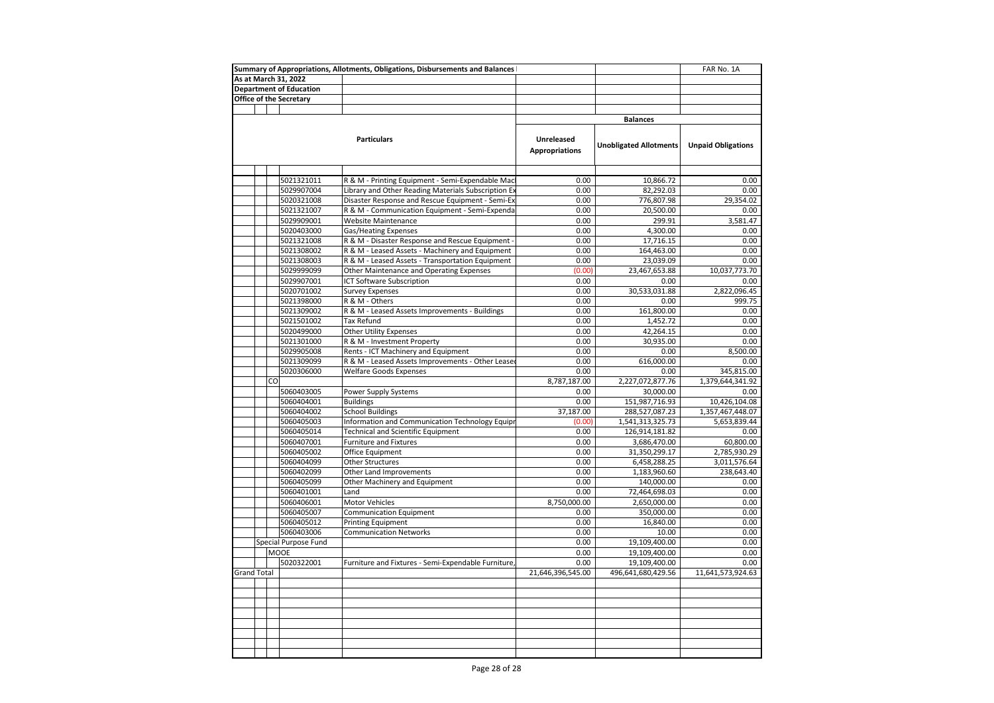|                                |                                | Summary of Appropriations, Allotments, Obligations, Disbursements and Balances |                       |                               | FAR No. 1A                |
|--------------------------------|--------------------------------|--------------------------------------------------------------------------------|-----------------------|-------------------------------|---------------------------|
| As at March 31, 2022           |                                |                                                                                |                       |                               |                           |
|                                | <b>Department of Education</b> |                                                                                |                       |                               |                           |
| <b>Office of the Secretary</b> |                                |                                                                                |                       |                               |                           |
|                                |                                |                                                                                |                       |                               |                           |
|                                |                                |                                                                                |                       | <b>Balances</b>               |                           |
|                                |                                |                                                                                |                       |                               |                           |
|                                |                                | <b>Particulars</b>                                                             | <b>Unreleased</b>     |                               |                           |
|                                |                                |                                                                                | <b>Appropriations</b> | <b>Unobligated Allotments</b> | <b>Unpaid Obligations</b> |
|                                |                                |                                                                                |                       |                               |                           |
|                                |                                |                                                                                |                       |                               |                           |
|                                | 5021321011                     | R & M - Printing Equipment - Semi-Expendable Mac                               | 0.00                  | 10,866.72                     | 0.00                      |
|                                | 5029907004                     | Library and Other Reading Materials Subscription Ex                            | 0.00                  | 82,292.03                     | 0.00                      |
|                                | 5020321008                     | Disaster Response and Rescue Equipment - Semi-Ex                               | 0.00                  | 776,807.98                    | 29,354.02                 |
|                                | 5021321007                     | R & M - Communication Equipment - Semi-Expenda                                 | 0.00                  | 20,500.00                     | 0.00                      |
|                                | 5029909001                     | Website Maintenance                                                            | 0.00                  | 299.91                        | 3,581.47                  |
|                                | 5020403000                     | Gas/Heating Expenses                                                           | 0.00                  | 4,300.00                      | 0.00                      |
|                                | 5021321008                     | R & M - Disaster Response and Rescue Equipment -                               | 0.00                  | 17,716.15                     | 0.00                      |
|                                | 5021308002                     | R & M - Leased Assets - Machinery and Equipment                                | 0.00                  | 164,463.00                    | 0.00                      |
|                                | 5021308003                     | R & M - Leased Assets - Transportation Equipment                               | 0.00                  | 23,039.09                     | 0.00                      |
|                                | 5029999099                     | Other Maintenance and Operating Expenses                                       | (0.00)                | 23,467,653.88                 | 10,037,773.70             |
|                                | 5029907001                     | ICT Software Subscription                                                      | 0.00                  | 0.00                          | 0.00                      |
|                                | 5020701002                     | <b>Survey Expenses</b>                                                         | 0.00                  | 30,533,031.88                 | 2,822,096.45              |
|                                | 5021398000                     | R & M - Others                                                                 | 0.00                  | 0.00                          | 999.75                    |
|                                | 5021309002                     | R & M - Leased Assets Improvements - Buildings                                 | 0.00                  | 161,800.00                    | 0.00                      |
|                                | 5021501002                     | <b>Tax Refund</b>                                                              | 0.00                  | 1,452.72                      | 0.00                      |
|                                | 5020499000                     | Other Utility Expenses                                                         | 0.00                  | 42,264.15                     | 0.00                      |
|                                | 5021301000                     | R & M - Investment Property                                                    | 0.00                  | 30,935.00                     | 0.00                      |
|                                | 5029905008                     | Rents - ICT Machinery and Equipment                                            | 0.00                  | 0.00                          | 8,500.00                  |
|                                | 5021309099                     | R & M - Leased Assets Improvements - Other Lease                               | 0.00                  | 616,000.00                    | 0.00                      |
|                                | 5020306000                     | <b>Welfare Goods Expenses</b>                                                  | 0.00                  | 0.00                          | 345,815.00                |
| CO                             |                                |                                                                                | 8,787,187.00          | 2,227,072,877.76              | 1,379,644,341.92          |
|                                | 5060403005                     | Power Supply Systems                                                           | 0.00                  | 30,000.00                     | 0.00                      |
|                                | 5060404001                     | <b>Buildings</b>                                                               | 0.00                  | 151,987,716.93                | 10,426,104.08             |
|                                | 5060404002                     | <b>School Buildings</b>                                                        | 37,187.00             | 288,527,087.23                | 1,357,467,448.07          |
|                                | 5060405003                     | Information and Communication Technology Equipr                                | (0.00)                | 1,541,313,325.73              | 5,653,839.44              |
|                                | 5060405014                     | <b>Technical and Scientific Equipment</b>                                      | 0.00                  | 126,914,181.82                | 0.00                      |
|                                | 5060407001                     | <b>Furniture and Fixtures</b>                                                  | 0.00                  | 3,686,470.00                  | 60,800.00                 |
|                                | 5060405002                     | Office Equipment                                                               | 0.00                  | 31,350,299.17                 | 2,785,930.29              |
|                                | 5060404099                     | <b>Other Structures</b>                                                        | 0.00                  | 6,458,288.25                  | 3,011,576.64              |
|                                | 5060402099                     | Other Land Improvements                                                        | 0.00                  | 1,183,960.60                  | 238,643.40                |
|                                | 5060405099                     | Other Machinery and Equipment                                                  | 0.00                  | 140.000.00                    | 0.00                      |
|                                | 5060401001                     | Land                                                                           | 0.00                  | 72,464,698.03                 | 0.00                      |
|                                | 5060406001                     | Motor Vehicles                                                                 | 8,750,000.00          | 2,650,000.00                  | 0.00                      |
|                                | 5060405007                     | <b>Communication Equipment</b>                                                 | 0.00                  | 350,000.00                    | 0.00                      |
|                                | 5060405012                     | <b>Printing Equipment</b>                                                      | 0.00                  | 16,840.00                     | 0.00                      |
|                                | 5060403006                     | <b>Communication Networks</b>                                                  | 0.00                  | 10.00                         | 0.00                      |
|                                | Special Purpose Fund           |                                                                                | 0.00                  | 19,109,400.00                 | 0.00                      |
|                                | <b>MOOE</b>                    |                                                                                | 0.00                  | 19,109,400.00                 | 0.00                      |
|                                | 5020322001                     | Furniture and Fixtures - Semi-Expendable Furniture,                            | 0.00                  | 19,109,400.00                 | 0.00                      |
| <b>Grand Total</b>             |                                |                                                                                | 21,646,396,545.00     | 496,641,680,429.56            | 11,641,573,924.63         |
|                                |                                |                                                                                |                       |                               |                           |
|                                |                                |                                                                                |                       |                               |                           |
|                                |                                |                                                                                |                       |                               |                           |
|                                |                                |                                                                                |                       |                               |                           |
|                                |                                |                                                                                |                       |                               |                           |
|                                |                                |                                                                                |                       |                               |                           |
|                                |                                |                                                                                |                       |                               |                           |
|                                |                                |                                                                                |                       |                               |                           |